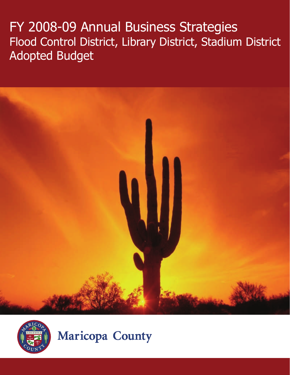# FY 2008-09 Annual Business Strategies Flood Control District, Library District, Stadium District Adopted Budget





**Maricopa County**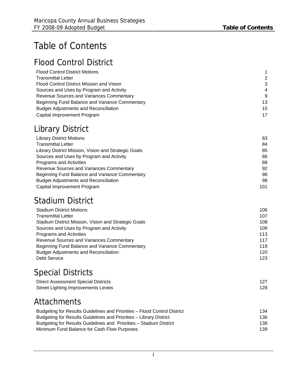# Table of Contents

## Flood Control District

| <b>Flood Control District Motions</b>          |                  |
|------------------------------------------------|------------------|
| <b>Transmittal Letter</b>                      | 2                |
| Flood Control District Mission and Vision      | -3               |
| Sources and Uses by Program and Activity       | $\boldsymbol{4}$ |
| Revenue Sources and Variances Commentary       | 9                |
| Beginning Fund Balance and Variance Commentary | 13               |
| <b>Budget Adjustments and Reconciliation</b>   | 15               |
| Capital Improvement Program                    | 17               |

## Library District

| <b>Library District Motions</b>                      | 83  |
|------------------------------------------------------|-----|
| <b>Transmittal Letter</b>                            | 84  |
| Library District Mission, Vision and Strategic Goals | 85  |
| Sources and Uses by Program and Activity             | 86  |
| <b>Programs and Activities</b>                       | 88  |
| <b>Revenue Sources and Variances Commentary</b>      | 92  |
| Beginning Fund Balance and Variance Commentary       | 96  |
| <b>Budget Adjustments and Reconciliation</b>         | 98  |
| Capital Improvement Program                          | 101 |

## Stadium District

| <b>Stadium District Motions</b>                      | 106 |
|------------------------------------------------------|-----|
| <b>Transmittal Letter</b>                            | 107 |
| Stadium District Mission, Vision and Strategic Goals | 108 |
| Sources and Uses by Program and Activity             | 109 |
| Programs and Activities                              | 113 |
| Revenue Sources and Variances Commentary             | 117 |
| Beginning Fund Balance and Variance Commentary       | 119 |
| <b>Budget Adjustments and Reconciliation</b>         | 120 |
| <b>Debt Service</b>                                  | 123 |

## Special Districts

| Direct Assessment Special Districts        |     |
|--------------------------------------------|-----|
| <b>Street Lighting Improvements Levies</b> | 128 |

## **Attachments**

| Budgeting for Results Guidelines and Priorities – Flood Control District | 134  |
|--------------------------------------------------------------------------|------|
| Budgeting for Results Guidelines and Priorities – Library District       | 136. |
| Budgeting for Results Guidelines and Priorities - Stadium District       | 138. |
| Minimum Fund Balance for Cash Flow Purposes                              | 139  |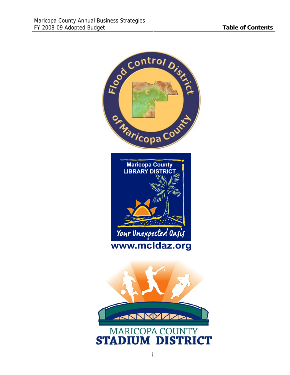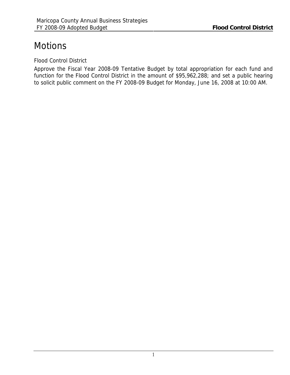## <span id="page-3-0"></span>**Motions**

Flood Control District

Approve the Fiscal Year 2008-09 Tentative Budget by total appropriation for each fund and function for the Flood Control District in the amount of \$95,962,288; and set a public hearing to solicit public comment on the FY 2008-09 Budget for Monday, June 16, 2008 at 10:00 AM.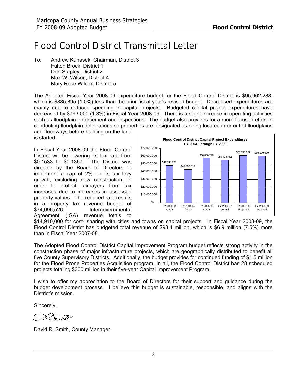## <span id="page-4-0"></span>Flood Control District Transmittal Letter

To: Andrew Kunasek, Chairman, District 3 Fulton Brock, District 1 Don Stapley, District 2 Max W. Wilson, District 4 Mary Rose Wilcox, District 5

The Adopted Fiscal Year 2008-09 expenditure budget for the Flood Control District is \$95,962,288, which is \$885,895 (1.0%) less than the prior fiscal year's revised budget. Decreased expenditures are mainly due to reduced spending in capital projects. Budgeted capital project expenditures have decreased by \$793,000 (1.3%) in Fiscal Year 2008-09. There is a slight increase in operating activities such as floodplain enforcement and inspections. The budget also provides for a more focused effort in conducting floodplain delineations so properties are designated as being located in or out of floodplains

and floodways before building on the land is started.

In Fiscal Year 2008-09 the Flood Control District will be lowering its tax rate from \$0.1533 to \$0.1367. The District was directed by the Board of Directors to implement a cap of 2% on its tax levy growth, excluding new construction, in order to protect taxpayers from tax increases due to increases in assessed property values. The reduced rate results in a property tax revenue budget of \$74,096,526. Intergovernmental Agreement (IGA) revenue totals to



\$14,910,000 for cost- sharing with cities and towns on capital projects. In Fiscal Year 2008-09, the Flood Control District has budgeted total revenue of \$98.4 million, which is \$6.9 million (7.5%) more than in Fiscal Year 2007-08.

The Adopted Flood Control District Capital Improvement Program budget reflects strong activity in the construction phase of major infrastructure projects, which are geographically distributed to benefit all five County Supervisory Districts. Additionally, the budget provides for continued funding of \$1.5 million for the Flood Prone Properties Acquisition program. In all, the Flood Control District has 28 scheduled projects totaling \$300 million in their five-year Capital Improvement Program.

I wish to offer my appreciation to the Board of Directors for their support and guidance during the budget development process. I believe this budget is sustainable, responsible, and aligns with the District's mission.

Sincerely,

é

David R. Smith, County Manager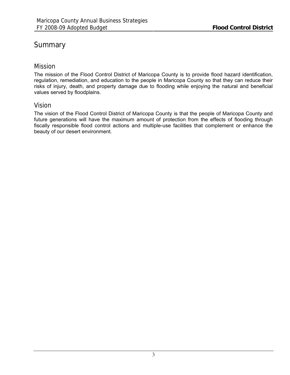## <span id="page-5-0"></span>**Summary**

## Mission

The mission of the Flood Control District of Maricopa County is to provide flood hazard identification, regulation, remediation, and education to the people in Maricopa County so that they can reduce their risks of injury, death, and property damage due to flooding while enjoying the natural and beneficial values served by floodplains.

### Vision

The vision of the Flood Control District of Maricopa County is that the people of Maricopa County and future generations will have the maximum amount of protection from the effects of flooding through fiscally responsible flood control actions and multiple-use facilities that complement or enhance the beauty of our desert environment.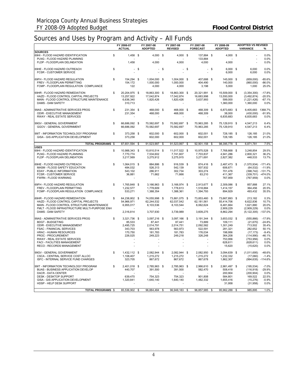## <span id="page-6-0"></span>Sources and Uses by Program and Activity – All Funds

|                                                                              | FY 2006-07<br><b>ACTUAL</b>   |      | FY 2007-08<br><b>ADOPTED</b> | FY 2007-08<br><b>REVISED</b> |      | FY 2007-08<br><b>FORECAST</b> |        | FY 2008-09<br><b>ADOPTED</b> | <b>ADOPTED VS REVISED</b><br><b>VARIANCE</b> | %                    |
|------------------------------------------------------------------------------|-------------------------------|------|------------------------------|------------------------------|------|-------------------------------|--------|------------------------------|----------------------------------------------|----------------------|
| <b>SOURCES</b>                                                               |                               |      |                              |                              |      |                               |        |                              |                                              |                      |
| 69HI - FLOOD HAZARD IDENTIFICATION<br>PLNG - FLOOD HAZARD PLANNING           | \$<br>1,458 \$                |      | $4,000$ \$                   | $4,000$ \$                   |      | 137,884 \$<br>133,884         |        | 4,000 \$                     |                                              | 0.0%<br>0.0%         |
| FLDP - FLOODPLAIN DELINEATION                                                | 1,458                         |      | 4,000                        | 4,000                        |      | 4,000                         |        | 4,000                        |                                              | 0.0%                 |
|                                                                              |                               |      |                              |                              |      |                               |        |                              |                                              |                      |
| 69HE - FLOOD HAZARD OUTREACH                                                 | \$                            | - \$ | $\sim$                       | \$                           | - \$ |                               | $-$ \$ | $6,000$ \$                   | 6,000                                        | 0.0%                 |
| <b>FCSR - CUSTOMER SERVICE</b>                                               |                               |      |                              |                              |      |                               |        | 6,000                        | 6,000                                        | 0.0%                 |
|                                                                              |                               |      |                              |                              |      |                               |        |                              |                                              |                      |
| 69FH - FLOOD HAZARD REGULATION                                               | \$<br>154,294 \$              |      | 1,004,000 \$                 | 1,004,000 \$                 |      | 407,688 \$                    |        | 145,000 \$                   | (859,000)                                    | $-85.6%$<br>$-86.0%$ |
| FREV - FLOODPLAIN PERMITTING<br>FCMP - FLOODPLAIN REGULATION COMPLIANCE      | 154,172<br>122                |      | 1,000,000<br>4,000           | 1,000,000<br>4,000           |      | 404,490<br>3,198              |        | 140,000<br>5,000             | (860,000)<br>1,000                           | 25.0%                |
|                                                                              |                               |      |                              |                              |      |                               |        |                              |                                              |                      |
| 69HR - FLOOD HAZARD REMEDIATION                                              | \$<br>20,204,975 \$           |      | 18,863,300 \$                | 18,863,300 \$                |      | 20,321,991 \$                 |        | 15,509,000 \$                | (3,354,300)                                  | $-17.8%$             |
| HAZD - FLOOD CONTROL CAPITAL PROJECTS                                        | 13.257.922                    |      | 17,042,874                   | 17,042,874                   |      | 16,683,998                    |        | 13,550,000                   | (3, 492, 874)                                | $-20.5%$             |
| MAIN - FLOOD CONTROL STRUCTURE MAINTENANCE                                   | 6,636,340                     |      | 1,820,426                    | 1,820,426                    |      | 3,637,993                     |        | 599,000                      | (1.221.426)                                  | $-67.1%$             |
| DAMS - DAM SAFETY                                                            | 310,713                       |      |                              |                              |      |                               |        | 1,360,000                    | 1,360,000                                    | 0.0%                 |
| 99AS - ADMINISTRATIVE SERVICES PROG                                          | \$<br>231,354 \$              |      | 468,000 \$                   | 468,000 \$                   |      | 468.309 \$                    |        | 6,873,683 \$                 | 6.405.683                                    | 1368.7%              |
| ODIR - EXECUTIVE MANAGEMENT                                                  | 231,354                       |      | 468,000                      | 468,000                      |      | 468,309                       |        | 38,000                       | (430,000)                                    | $-91.9%$             |
| RWAY - REAL ESTATE SERVICES                                                  |                               |      |                              |                              |      |                               |        | 6,835,683                    | 6,835,683                                    | 0.0%                 |
|                                                                              |                               |      |                              |                              |      |                               |        |                              |                                              |                      |
| 99GV - GENERAL GOVERNMENT                                                    | \$<br>66,686,092 \$           |      | 70,582,697 \$                | 70,582,697 \$                |      | 70,963,285 \$                 |        | 75,129,910 \$                | 4,547,213                                    | 6.4%                 |
| GGOV - GENERAL GOVERNMENT                                                    | 66,686,092                    |      | 70,582,697                   | 70,582,697                   |      | 70,963,285                    |        | 75,129,910                   | 4,547,213                                    | 6.4%                 |
| 99IT - INFORMATION TECHNOLOGY PROGRAM                                        | \$<br>373,258 \$              |      | 602,000 \$                   | 602,000 \$                   |      | 602,001 \$                    |        | 728,185 \$                   | 126,185                                      | 21.0%                |
| GISA - GIS APPLICATION DEVELOPMENT                                           | 373,258                       |      | 602,000                      | 602,000                      |      | 602,001                       |        | 728,185                      | 126,185                                      | 21.0%                |
|                                                                              |                               |      |                              |                              |      |                               |        |                              |                                              |                      |
| <b>TOTAL PROGRAMS \$</b>                                                     | 87,651,594                    | \$   | 91,523,997                   | \$<br>91,523,997             | S.   | $\overline{92,}901,158$       | \$     | 98.395.778 \$                | 6,871,781                                    | 7.5%                 |
| <b>USES</b>                                                                  | 10,988,343 \$                 |      | 10.810.514 \$                | 11,017,522 \$                |      |                               |        |                              |                                              | 29.5%                |
| 69HI - FLOOD HAZARD IDENTIFICATION<br>PLNG - FLOOD HAZARD PLANNING           | \$<br>7,770,774               |      | 7,534,602                    | 7,741,607                    |      | 10,975,528 \$<br>7,703,837    |        | 7,768,668 \$<br>4,941,286    | 3,248,854<br>2,800,321                       | 36.2%                |
| FLDP - FLOODPLAIN DELINEATION                                                | 3,217,569                     |      | 3,275,912                    | 3,275,915                    |      | 3.271.691                     |        | 2,827,382                    | 448,533                                      | 13.7%                |
|                                                                              |                               |      |                              |                              |      |                               |        |                              |                                              |                      |
| 69HE - FLOOD HAZARD OUTREACH                                                 | \$<br>1,064,015 \$            |      | 884,886 \$                   | 916,539 \$                   |      | 874,416 \$                    |        | 2,487,473 \$                 | (1,570,934)                                  | $-171.4%$            |
| MASM - FLOOD SAFETY EDUCATION                                                | 484,032                       |      | 526,313                      | 542,139                      |      | 507,932                       |        | 606,671                      | (64, 532)                                    | $-11.9%$             |
| EDAY - PUBLIC INFORMATION<br><b>FCSR - CUSTOMER SERVICE</b>                  | 543,102                       |      | 286,911                      | 302,734                      |      | 303,274                       |        | 701,476                      | (398,742) -131.7%                            |                      |
| <b>FWRN - FLOOD WARNING</b>                                                  | 36,881                        |      | 71,662                       | 71,666                       |      | 63,210                        |        | 411,367<br>767,959           | (339, 701)<br>(767, 959)                     | -474.0%<br>0.0%      |
|                                                                              |                               |      |                              |                              |      |                               |        |                              |                                              |                      |
| 69FH - FLOOD HAZARD REGULATION                                               | \$<br>1,765,848 \$            |      | 3,166,963 \$                 | 3,166,974 \$                 |      | 2,913,677 \$                  |        | 2,309,086 \$                 | 857,888                                      | 27.1%                |
| FREV - FLOODPLAIN PERMITTING                                                 | 1,232,577                     |      | 1,778,609                    | 1,778,613                    |      | 1,518,884                     |        | 1,414,157                    | 364,456                                      | 20.5%                |
| FCMP - FLOODPLAIN REGULATION COMPLIANCE                                      | 533,271                       |      | 1,388,354                    | 1,388,361                    |      | 1,394,793                     |        | 894,929                      | 493,432                                      | 35.5%                |
| 69HR - FLOOD HAZARD REMEDIATION                                              | \$<br>64,238,802 \$           |      |                              | 73,881,075 \$                |      | 73,853,460 \$                 |        | 73,667,893 \$                | 213,182                                      | 0.3%                 |
| HAZD - FLOOD CONTROL CAPITAL PROJECTS                                        | 54,966,971                    |      | 74,055,998 \$<br>62,244,532  | 62,037,542                   |      | 62,181,561                    |        | 55,414,706                   | 6,622,836                                    | 10.7%                |
| MAIN - FLOOD CONTROL STRUCTURE MAINTENANCE                                   | 6,955,017                     |      | 8,103,536                    | 8,103,544                    |      | 8,062,624                     |        | 6,481,664                    | 1,621,880                                    | 20.0%                |
| FMLT - FLOOD INFRASTRUCTURE MULTI-PURPOSE ENH                                |                               |      |                              |                              |      |                               |        | 2,909,229                    | (2,909,229)                                  | 0.0%                 |
| DAMS - DAM SAFETY                                                            | 2,316,814                     |      | 3,707,930                    | 3,739,989                    |      | 3,609,275                     |        | 8,862,294                    | (5, 122, 305)                                | $-137.0%$            |
|                                                                              |                               |      |                              |                              |      |                               |        |                              |                                              |                      |
| 99AS - ADMINISTRATIVE SERVICES PROG<br><b>BDGT - BUDGETING</b>               | \$<br>3,321,736 \$            |      | 3,097,216 \$                 | 3,097,166 \$                 |      | 3,191,344 \$<br>73,889        |        | 3,653,032 \$                 | (555, 866)                                   | $-17.9%$<br>$-24.8%$ |
| ODIR - EXECUTIVE MANAGEMENT                                                  | 85,533<br>2,495,725           |      | 87,441<br>2,014,791          | 87,441<br>2.014.751          |      | 2,092,582                     |        | 109,111<br>1,301,249         | (21, 670)<br>713,502                         | 35.4%                |
| <b>FSAC - FINANCIAL SERVICES</b>                                             | 343,703                       |      | 563,978                      | 563,973                      |      | 522,591                       |        | 281,321                      | 282,652                                      | 50.1%                |
| HRAC - HUMAN RESOURCES                                                       | 170,750                       |      | 181,783                      | 181,783                      |      | 176,034                       |        | 198,956                      | (17, 173)                                    | $-9.4%$              |
| PROC - PROCUREMENT                                                           | 226,025                       |      | 249,223                      | 249,218                      |      | 326,248                       |        | 364,208                      | (114,990)                                    | $-46.1%$             |
| <b>RWAY - REAL ESTATE SERVICES</b>                                           |                               |      |                              |                              |      |                               |        | 753,956                      | (753, 956)                                   | 0.0%                 |
| <b>FACI - FACILITIES MANAGEMENT</b>                                          |                               |      |                              |                              |      |                               |        | 628,611                      | (628, 611)                                   | 0.0%                 |
| RECO - RECORDS MANAGEMENT                                                    |                               |      |                              |                              |      |                               |        | 15,620                       | (15,620)                                     | 0.0%                 |
| 99GV - GENERAL GOVERNMENT                                                    | \$<br>1,432,112 \$            |      | 2,082,944 \$                 | 2,082,944 \$                 |      | 2,082,950 \$                  |        | 3,094,639 \$                 | (1,011,695)                                  | $-48.6%$             |
| CSCA - CENTRAL SERVICE COST ALLOC                                            | 1,108,407                     |      | 1,215,272                    | 1,215,272                    |      | 1,215,272                     |        | 1,232,332                    | (17,060)                                     | -1.4%                |
| ISFC - INTERNAL SERVICE FUND CHARGES                                         | 323,705                       |      | 867,672                      | 867,672                      |      | 867,678                       |        | 1,862,307                    | (994,635) -114.6%                            |                      |
|                                                                              |                               |      |                              |                              |      |                               |        |                              |                                              |                      |
| 99IT - INFORMATION TECHNOLOGY PROGRAM<br>BUAS - BUSINESS APPLICATION DEVELOP | \$<br>2,401,018 \$<br>440,707 |      | 2,785,963 \$<br>391,500      | 2,785,963 \$<br>391,500      |      | 2,966,610 \$<br>582.470       |        | 2,981,497 \$<br>508,418      | (195, 534)<br>(116, 918)                     | $-7.0%$<br>$-29.9%$  |
| DACR - DATA CENTER                                                           |                               |      |                              |                              |      |                               |        | 200,904                      | (200, 904)                                   | $0.0\%$              |
| DESK - DESKTOP SUPPORT                                                       | 639,470                       |      | 754,323                      | 754,323                      |      | 901,808                       |        | 584,801                      | 169,522                                      | 22.5%                |
| GISA - GIS APPLICATION DEVELOPMENT                                           | 1,320,841                     |      | 1,640,140                    | 1,640,140                    |      | 1,482,332                     |        | 1,655,416                    | (15, 276)                                    | $-0.9%$              |
| HDSP - HELP DESK SUPPORT                                                     |                               |      |                              |                              |      |                               |        | 31,958                       | (31, 958)                                    | $0.0\%$              |
| <b>TOTAL PROGRAMS \$</b>                                                     | 85,536,902 \$                 |      | 96,884,484 \$                | 96,948,183 \$                |      | 96,857,985 \$                 |        | 95.962.288 \$                | 985,895                                      | 1.0%                 |
|                                                                              |                               |      |                              |                              |      |                               |        |                              |                                              |                      |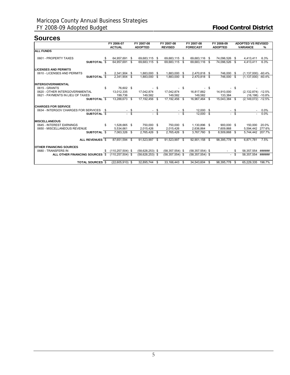## **Sources**

|                                         |    | FY 2006-07           | FY 2007-08          |      | FY 2007-08          |        | FY 2007-08          |      | FY 2008-09     |      | <b>ADOPTED VS REVISED</b> |         |
|-----------------------------------------|----|----------------------|---------------------|------|---------------------|--------|---------------------|------|----------------|------|---------------------------|---------|
|                                         |    | <b>ACTUAL</b>        | <b>ADOPTED</b>      |      | <b>REVISED</b>      |        | <b>FORECAST</b>     |      | <b>ADOPTED</b> |      | <b>VARIANCE</b>           | %       |
| <b>ALL FUNDS</b>                        |    |                      |                     |      |                     |        |                     |      |                |      |                           |         |
|                                         |    |                      |                     |      |                     |        |                     |      |                |      |                           |         |
| 0601 - PROPERTY TAXES                   |    | 64,957,691 \$        | 69,683,115 \$       |      | 69,683,115 \$       |        | 69,683,116 \$       |      | 74,096,526 \$  |      | 4,413,411                 | 6.3%    |
| SUBTOTAL \$                             |    | 64.957.691 \$        | 69.683.115 \$       |      | 69.683.115 \$       |        | 69.683.116 \$       |      | 74.096.526 \$  |      | 4.413.411                 | 6.3%    |
| <b>LICENSES AND PERMITS</b>             |    |                      |                     |      |                     |        |                     |      |                |      |                           |         |
| 0610 - LICENSES AND PERMITS             | \$ | 2,341,904 \$         | 1,883,000 \$        |      | 1,883,000 \$        |        | 2,470,818 \$        |      | 746,000 \$     |      | $(1,137,000) -60.4%$      |         |
| SUBTOTAL \$                             |    | 2.341.904 \$         | 1,883,000 \$        |      | 1,883,000 \$        |        | 2,470,818 \$        |      | 746.000 \$     |      | $(1,137,000) -60.4%$      |         |
| <b>INTERGOVERNMENTAL</b>                |    |                      |                     |      |                     |        |                     |      |                |      |                           |         |
|                                         |    |                      |                     |      |                     |        |                     |      |                |      |                           |         |
| 0615 - GRANTS                           | S  | 76,602 \$            |                     | - \$ |                     | - \$   |                     | - \$ |                | - \$ |                           |         |
| 0620 - OTHER INTERGOVERNMENTAL          |    | 13,012,335           | 17.042.874          |      | 17,042,874          |        | 16,817,882          |      | 14,910,000     |      | $(2, 132, 874) -12.5%$    |         |
| 0621 - PAYMENTS IN LIEU OF TAXES        |    | 199.736              | 149.582             |      | 149.582             |        | 149.582             |      | 133,384        |      | $(16, 198) - 10.8\%$      |         |
| SUBTOTAL \$                             |    | 13,288,673 \$        | 17,192,456 \$       |      | 17,192,456 \$       |        | 16,967,464 \$       |      | 15,043,384 \$  |      | $(2, 149, 072) -12.5%$    |         |
| <b>CHARGES FOR SERVICE</b>              |    |                      |                     |      |                     |        |                     |      |                |      |                           |         |
| 0634 - INTERGOV CHARGES FOR SERVICES \$ |    |                      |                     |      |                     |        | 12,000 \$           |      |                |      |                           | 0.0%    |
| SUBTOTAL \$                             |    |                      | \$                  | \$   |                     | $-$ \$ | 12.000 \$           |      |                | \$   |                           | $0.0\%$ |
| <b>MISCELLANEOUS</b>                    |    |                      |                     |      |                     |        |                     |      |                |      |                           |         |
| 0645 - INTEREST EARNINGS                | \$ | 1,528,665 \$         | 750,000 \$          |      | 750,000 \$          |        | 1,130,896 \$        |      | 900,000 \$     |      | 150,000                   | 20.0%   |
| 0650 - MISCELLANEOUS REVENUE            |    | 5,534,661            | 2,015,426           |      | 2,015,426           |        | 2.636.864           |      | 7,609,868      |      | 5,594,442 277.6%          |         |
| SUBTOTAL \$                             |    | 7,063,326 \$         | 2,765,426 \$        |      | 2,765,426 \$        |        | 3,767,760 \$        |      | 8,509,868 \$   |      | 5,744,442                 | 207.7%  |
|                                         |    |                      |                     |      |                     |        |                     |      |                |      |                           |         |
| ALL REVENUES \$                         |    | 87.651.594 \$        | 91,523,997 \$       |      | 91,523,997 \$       |        | 92.901.158 \$       |      | 98.395.778 \$  |      | 6.871.781                 | 7.5%    |
| <b>OTHER FINANCING SOURCES</b>          |    |                      |                     |      |                     |        |                     |      |                |      |                           |         |
| 0680 - TRANSFERS IN                     | s. | $(110, 257, 504)$ \$ | $(58.628.253)$ \$   |      | $(58, 357, 554)$ \$ |        | $(58, 357, 554)$ \$ |      |                |      | 58,357,554                | ######  |
| ALL OTHER FINANCING SOURCES \$          |    | $(110.257.504)$ \$   | $(58, 628, 253)$ \$ |      | $(58, 357, 554)$ \$ |        | $(58, 357, 554)$ \$ |      |                | - \$ | 58,357,554                | ######  |
|                                         |    |                      |                     |      |                     |        |                     |      |                |      |                           |         |
| <b>TOTAL SOURCES \$</b>                 |    | $(22.605.910)$ \$    | 32.895.744 \$       |      | 33,166,443 \$       |        | 34.543.604 \$       |      | 98.395.778     | - \$ | 65.229.335                | 196.7%  |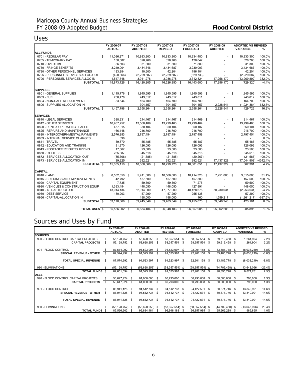## Uses

|                                      | FY 2006-07          |      | FY 2007-08     |      | FY 2007-08     |      | FY 2007-08      |      | FY 2008-09     |      | <b>ADOPTED VS REVISED</b> |           |
|--------------------------------------|---------------------|------|----------------|------|----------------|------|-----------------|------|----------------|------|---------------------------|-----------|
|                                      | <b>ACTUAL</b>       |      | <b>ADOPTED</b> |      | <b>REVISED</b> |      | <b>FORECAST</b> |      | <b>ADOPTED</b> |      | <b>VARIANCE</b>           | %         |
| <b>ALL FUNDS</b>                     |                     |      |                |      |                |      |                 |      |                |      |                           |           |
| 0701 - REGULAR PAY                   | \$<br>11,096,271 \$ |      | 10,933,300 \$  |      | 10,933,300 \$  |      | 10,334,480 \$   |      |                | - \$ | 10,933,300                | 100.0%    |
| 0705 - TEMPORARY PAY                 | 130,582             |      | 328,768        |      | 328.768        |      | 128,042         |      |                |      | 328.768                   | 100.0%    |
| 0710 - OVERTIME                      | 86,503              |      | 31,300         |      | 31,300         |      | 71,880          |      |                |      | 31,300                    | 100.0%    |
| 0750 - FRINGE BENEFITS               | 3,249,004           |      | 3,434,646      |      | 3,434,687      |      | 3,230,003       |      |                |      | 3,434,687                 | 100.0%    |
| 0790 - OTHER PERSONNEL SERVICES      | 183.884             |      | 10,600         |      | 42,204         |      | 196,104         |      |                |      | 42.204                    | 100.0%    |
| 0795 - PERSONNEL SERVICES ALLOC-OUT  | (420, 866)          |      | (2,229,687)    |      | (2, 229, 687)  |      | (829, 733)      |      |                |      | (2, 229, 687)             | 100.0%    |
| 0796 - PERSONNEL SERVICES ALLOC-IN   | 1,547,748           |      | 3,911,278      |      | 3,986,278      |      | 3,312,824       |      | 17,256,170     |      | (13, 269, 892)            | -332.9%   |
| SUBTOTAL <sub>S</sub>                | 15,873,126 \$       |      | 16,420,205 \$  |      | 16,526,850 \$  |      | 16,443,600 \$   |      | 17,256,170 \$  |      | (729, 320)                | $-4.4%$   |
|                                      |                     |      |                |      |                |      |                 |      |                |      |                           |           |
| <b>SUPPLIES</b>                      |                     |      |                |      |                |      |                 |      |                |      |                           |           |
| 0801 - GENERAL SUPPLIES              | \$<br>1,115,776 \$  |      | 1,945,595 \$   |      | 1,945,595 \$   |      | 1,945,596 \$    |      |                | - \$ | 1,945,595                 | 100.0%    |
| 0803 - FUEL                          | 258,478             |      | 243,812        |      | 243,812        |      | 243,811         |      |                |      | 243,812                   | 100.0%    |
| 0804 - NON-CAPITAL EQUIPMENT         | 83,544              |      | 164,700        |      | 164,700        |      | 164,700         |      |                |      | 164.700                   | 100.0%    |
| 0806 - SUPPLIES-ALLOCATION IN        |                     |      | 304,157        |      | 304,157        |      | 304,157         |      | 2,228,541      |      | (1,924,384)               | -632.7%   |
| SUBTOTAL <sub>S</sub>                | 1,457,798 \$        |      | 2,658,264 \$   |      | 2,658,264 \$   |      | 2,658,264 \$    |      | 2,228,541 \$   |      | 429,723                   | 16.2%     |
| <b>SERVICES</b>                      |                     |      |                |      |                |      |                 |      |                |      |                           |           |
| 0810 - LEGAL SERVICES                | \$<br>388,231 \$    |      | 214,467 \$     |      | 214,467 \$     |      | 214,469 \$      |      |                | \$   | 214,467                   | 100.0%    |
| 0812 - OTHER SERVICES                | 10,987,752          |      | 13,560,409     |      | 13,799,463     |      | 13,799,464      |      |                |      | 13,799,463                | 100.0%    |
| 0820 - RENT & OPERATING LEASES       | 457,015             |      | 350,104        |      | 350,104        |      | 350,107         |      |                |      | 350.104                   | 100.0%    |
| 0825 - REPAIRS AND MAINTENANCE       | 166,148             |      | 216,700        |      | 216,700        |      | 216,700         |      |                |      | 216,700                   | 100.0%    |
| 0830 - INTERGOVERNMENTAL PAYMENTS    | 2,576,953           |      | 2,797,454      |      | 2,797,454      |      | 2,797,458       |      |                |      | 2,797,454                 | 100.0%    |
| 0839 - INTERNAL SERVICE CHARGES      | 398                 |      | $\overline{a}$ |      |                |      |                 |      |                |      | $\sim$                    | 0.0%      |
| 0841 - TRAVEL                        | 59,870              |      | 55,485         |      | 55,485         |      | 55,487          |      |                |      | 55,485                    | 100.0%    |
| 0842 - EDUCATION AND TRAINING        | 91,370              |      | 126,093        |      | 126,093        |      | 126,093         |      |                |      | 126,093                   | 100.0%    |
| 0843 - POSTAGE/FREIGHT/SHIPPING      | 17,567              |      | 23,500         |      | 23,500         |      | 23,500          |      |                |      | 23,500                    | 100.0%    |
| 0850 - UTILITIES                     | 285,887             |      | 345,518        |      | 345,518        |      | 345,518         |      |                |      | 345,518                   | 100.0%    |
| 0872 - SERVICES-ALLOCATION OUT       | (85, 306)           |      | (21, 585)      |      | (21, 585)      |      | (20, 267)       |      |                |      | (21, 585)                 | 100.0%    |
| 0873 - SERVICES-ALLOCATION IN        | 89,225              |      | 392,521        |      | 392,521        |      | 392,521         |      | 17,437,329     |      | (17,044,808) -4342.4%     |           |
| SUBTOTAL <sub>S</sub>                | 15,035,110 \$       |      | 18,060,666 \$  |      | 18,299,720 \$  |      | 18,301,051 \$   |      | 17,437,329 \$  |      | 862,391                   | 4.7%      |
|                                      |                     |      |                |      |                |      |                 |      |                |      |                           |           |
| <b>CAPITAL</b>                       |                     |      |                |      |                |      |                 |      |                |      |                           |           |
| 0910 - LAND                          | \$<br>8,532,550 \$  |      | 5,911,000 \$   |      | 10,566,000 \$  |      | 10,414,328 \$   |      | 7,251,000 \$   |      | 3,315,000                 | 31.4%     |
| 0915 - BUILDINGS AND IMPROVEMENTS    | 42,792              |      | 157,500        |      | 157,500        |      | 157,500         |      |                |      | 157,500                   | 100.0%    |
| 0920 - CAPITAL EQUIPMENT             | 7,735               |      | 59,500         |      | 59,500         |      | 71,275          |      |                |      | 59,500                    | 100.0%    |
| 0930 - VEHICLES & CONSTRUCTION EQUIP | 1,393,454           |      | 448,050        |      | 448,050        |      | 427,991         |      |                |      | 448.050                   | 100.0%    |
| 0940 - INFRASTRUCTURE                | 43,014,134          |      | 52,914,000     |      | 47,977,000     |      | 48,128,678      |      | 50,230,031     |      | (2, 253, 031)             | $-4.7%$   |
| 0950 - DEBT SERVICE                  | 180,203             |      | 57,299         |      | 57,299         |      | 255,138         |      |                |      | 57,299                    | 100.0%    |
| 0956 - CAPITAL-ALLOCATION IN         |                     |      | 198,000        |      | 198,000        |      | 160             |      | 1,559,217      |      | (1, 361, 217)             | $-687.5%$ |
| SUBTOTAL \$                          | 53,170,868          | - \$ | 59,745,349 \$  |      | 59,463,349 \$  |      | 59,455,070      | \$   | 59,040,248 \$  |      | 423,101                   | 0.0%      |
|                                      |                     |      |                |      |                |      |                 |      |                |      |                           |           |
| <b>TOTAL USES \$</b>                 | 85,536,902          | - \$ | 96,884,484     | - \$ | 96,948,183     | - \$ | 96,857,985      | - \$ | 95,962,288     | - \$ | 985.895                   | 1.0%      |

## Sources and Uses by Fund

|                                      | FY 2006-07 |                     |      |                   |      | FY 2007-08          |      | FY 2007-08          |      | FY 2008-09          | <b>ADOPTED VS REVISED</b> |                 |         |  |  |
|--------------------------------------|------------|---------------------|------|-------------------|------|---------------------|------|---------------------|------|---------------------|---------------------------|-----------------|---------|--|--|
|                                      |            | <b>ACTUAL</b>       |      | <b>ADOPTED</b>    |      | <b>REVISED</b>      |      | <b>FORECAST</b>     |      | <b>ADOPTED</b>      |                           | <b>VARIANCE</b> | %       |  |  |
| <b>SOURCES</b>                       |            |                     |      |                   |      |                     |      |                     |      |                     |                           |                 |         |  |  |
| 990 - FLOOD CONTROL CAPITAL PROJECTS |            | 55,128,752 \$       |      | 58,628,253        | -S   | 58,357,554          | - \$ | 58,357,554 \$       |      | 59,619,458 \$       |                           | 1,261,904       | 2.2%    |  |  |
| <b>CAPITAL PROJECTS</b>              | \$         | 55,128,752          | - \$ | 58,628,253        | S    | 58,357,554          | \$.  | 58,357,554          | -S   | 59,619,458          | -S                        | 1,261,904       | 2.2%    |  |  |
| 991 - FLOOD CONTROL                  | S          | 87,574,992 \$       |      | 91,523,997        | -S   | 91,523,997          | - \$ | 92,901,158          | - \$ | 83,485,778          | - \$                      | (8,038,219)     | $-8.8%$ |  |  |
| <b>SPECIAL REVENUE - OTHER</b>       | \$         | 87,574,992 \$       |      | 91,523,997        | S    | 91,523,997          | - \$ | 92,901,158 \$       |      | 83,485,778          | - \$                      | (8,038,219)     | $-8.8%$ |  |  |
| <b>TOTAL SPECIAL REVENUE</b>         | \$         | 87,574,992 \$       |      | 91,523,997        | -S   | 91,523,997          | - \$ | 92,901,158 \$       |      | 83,485,778 \$       |                           | (8,038,219)     | $-8.8%$ |  |  |
| 980 - ELIMINATIONS                   | S          | $(55, 128, 752)$ \$ |      | $(58,628,253)$ \$ |      | $(58, 357, 554)$ \$ |      | $(58, 357, 554)$ \$ |      | $(44, 709, 458)$ \$ |                           | 13,648,096      | -23.4%  |  |  |
| <b>TOTAL FUNDS</b>                   | - \$       | 87,651,594          | S    | 91,523,997        | S    | 91,523,997          | \$.  | 92,901,158          | -S   | 98,395,778          | - \$                      | 6,871,781       | 7.5%    |  |  |
| <b>USES</b>                          |            |                     |      |                   |      |                     |      |                     |      |                     |                           |                 |         |  |  |
| 990 - FLOOD CONTROL CAPITAL PROJECTS | \$         | 53,647,924 \$       |      | 61,000,000 \$     |      | 60,793,000 \$       |      | 60,793,008 \$       |      | 60,000,000 \$       |                           | 793,000         | 1.3%    |  |  |
| <b>CAPITAL PROJECTS</b>              | \$         | 53,647,924 \$       |      | 61,000,000 \$     |      | 60,793,000          | - \$ | 60,793,008 \$       |      | 60,000,000 \$       |                           | 793,000         | 1.3%    |  |  |
| 991 - FLOOD CONTROL                  |            | 86,941,128 \$       |      | 94,512,737        | -S   | 94,512,737          | - \$ | 94,422,531          | - \$ | 80,671,746 \$       |                           | 13,840,991      | 14.6%   |  |  |
| <b>SPECIAL REVENUE - OTHER</b>       | \$.        | 86,941,128          | - \$ | 94,512,737        | -S   | 94,512,737          | - \$ | 94,422,531          | - \$ | 80,671,746 \$       |                           | 13,840,991      | 14.6%   |  |  |
| <b>TOTAL SPECIAL REVENUE</b>         | \$         | 86,941,128 \$       |      | 94,512,737        | - \$ | 94,512,737 \$       |      | 94,422,531 \$       |      | 80.671.746 \$       |                           | 13.840.991      | 14.6%   |  |  |
| 980 - ELIMINATIONS                   | S          | $(55, 128, 752)$ \$ |      | $(58,628,253)$ \$ |      | $(58, 357, 554)$ \$ |      | $(58, 357, 554)$ \$ |      | $(44, 709, 458)$ \$ |                           | (13,648,096)    | 23.4%   |  |  |
| <b>TOTAL FUNDS</b>                   | - \$       | 85.536.902          | \$.  | 96.884.484        | S    | 96.948.183          | \$.  | 96.857.985          | -S   | 95.962.288          | \$.                       | 985.895         | 1.0%    |  |  |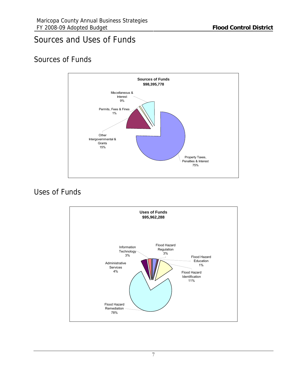## Sources and Uses of Funds

## Sources of Funds



## Uses of Funds

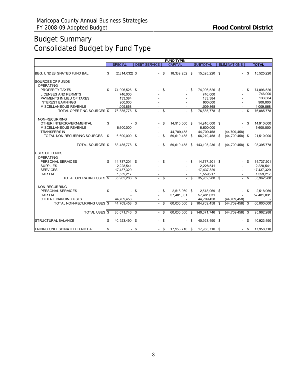## Budget Summary Consolidated Budget by Fund Type

|                                                          |      |                            |      |                     |          | <b>FUND TYPE:</b> |        |                            |                           |    |                         |
|----------------------------------------------------------|------|----------------------------|------|---------------------|----------|-------------------|--------|----------------------------|---------------------------|----|-------------------------|
|                                                          |      | <b>SPECIAL</b>             |      | <b>DEBT SERVICE</b> |          | <b>CAPITAL</b>    |        | <b>SUBTOTAL</b>            | <b>ELIMINATIONS</b>       |    | <b>TOTAL</b>            |
| BEG. UNDESIGNATED FUND BAL.                              | \$   | $(2,814,032)$ \$           |      |                     | - \$     | 18,339,252 \$     |        | 15,525,220 \$              |                           | \$ | 15,525,220              |
| <b>SOURCES OF FUNDS</b>                                  |      |                            |      |                     |          |                   |        |                            |                           |    |                         |
| <b>OPERATING</b>                                         |      |                            |      |                     |          |                   |        |                            |                           |    |                         |
| PROPERTY TAXES                                           | \$   | 74,096,526 \$              |      |                     | \$       |                   | - \$   | 74,096,526 \$              |                           | \$ | 74,096,526              |
| <b>LICENSES AND PERMITS</b><br>PAYMENTS IN LIEU OF TAXES |      | 746.000<br>133,384         |      |                     |          |                   |        | 746.000<br>133,384         |                           |    | 746,000<br>133,384      |
| <b>INTEREST EARNINGS</b>                                 |      | 900.000                    |      |                     |          |                   |        | 900,000                    |                           |    | 900,000                 |
| MISCELLANEOUS REVENUE                                    |      | 1,009,868                  |      |                     |          |                   |        | 1,009,868                  |                           |    | 1,009,868               |
| TOTAL OPERTING SOURCES \$                                |      | 76.885.778 \$              |      |                     | $-$ \$   |                   | $-$ \$ | 76.885.778 \$              | $\sim$                    | \$ | 76,885,778              |
| NON-RECURRING                                            |      |                            |      |                     |          |                   |        |                            |                           |    |                         |
| OTHER INTERGOVERNMENTAL                                  | \$   |                            | - \$ |                     | -S       | 14,910,000 \$     |        | 14,910,000 \$              |                           | \$ | 14,910,000              |
| MISCELLANEOUS REVENUE<br><b>TRANSFERS IN</b>             |      | 6,600,000                  |      |                     |          | 44,709,458        |        | 6,600,000<br>44,709,458    | (44, 709, 458)            |    | 6,600,000               |
| TO TAL NON-RECURRING SOURCES                             | - \$ | 6,600,000 \$               |      |                     | $-$ \$   | 59,619,458        | \$     | 66,219,458                 | \$<br>$(44, 709, 458)$ \$ |    | 21,510,000              |
|                                                          |      |                            |      |                     |          |                   |        |                            |                           |    |                         |
| <b>TOTAL SOURCES \$</b>                                  |      | 83.485.778 \$              |      |                     | - \$     | 59.619.458        | \$     | 143,105,236 \$             | $(44, 709, 458)$ \$       |    | 98,395,778              |
| <b>USES OF FUNDS</b>                                     |      |                            |      |                     |          |                   |        |                            |                           |    |                         |
| <b>OPERATING</b>                                         |      |                            |      |                     |          |                   |        |                            |                           |    |                         |
| PERSONAL SERVICES                                        | \$   | 14,737,201 \$              |      |                     | \$       |                   | - \$   | 14,737,201 \$              |                           | \$ | 14,737,201              |
| <b>SUPPLIES</b>                                          |      | 2.228.541                  |      |                     |          |                   |        | 2.228.541                  |                           |    | 2,228,541               |
| <b>SERVICES</b><br>CAPITAL                               |      | 17,437,329                 |      |                     |          |                   |        | 17,437,329                 |                           |    | 17,437,329              |
| <b>TOTAL OPERATING USES \$</b>                           |      | 1,559,217<br>35,962,288 \$ |      |                     | $-$ \$   |                   | - \$   | 1,559,217<br>35,962,288 \$ | $\sim$                    | \$ | 1,559,217<br>35,962,288 |
|                                                          |      |                            |      |                     |          |                   |        |                            |                           |    |                         |
| NON-RECURRING                                            |      |                            |      |                     |          |                   |        |                            |                           |    |                         |
| PERSONAL SERVICES                                        | \$   |                            | \$   |                     | S.       | 2.518.969 \$      |        | 2.518.969 \$               |                           | \$ | 2.518.969               |
| CAPITAL                                                  |      |                            |      |                     |          | 57,481,031        |        | 57,481,031                 |                           |    | 57,481,031              |
| OTHER FINANCING USES                                     |      | 44,709,458                 |      |                     |          |                   |        | 44,709,458                 | (44, 709, 458)            |    |                         |
| TOTAL NON-RECURRING USES \$                              |      | 44,709,458 \$              |      | $\overline{a}$      | -S       | 60.000.000 \$     |        | 104,709,458 \$             | $(44, 709, 458)$ \$       |    | 60,000,000              |
| TOTAL USES \$                                            |      | 80,671,746 \$              |      |                     | <b>S</b> | 60.000.000        | \$     | 140,671,746                | \$<br>$(44, 709, 458)$ \$ |    | 95,962,288              |
| <b>STRUCTURAL BALANCE</b>                                | \$   | 40,923,490 \$              |      |                     | $-$ \$   |                   | - \$   | 40,923,490 \$              | ÷.                        | \$ | 40,923,490              |
| ENDING UNDESIGNATED FUND BAL.                            | \$   |                            | - \$ |                     | - \$     | 17,958,710 \$     |        | 17,958,710 \$              |                           | S. | 17,958,710              |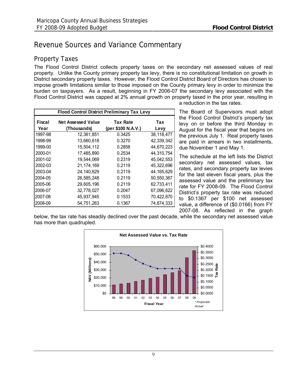## <span id="page-11-0"></span>Revenue Sources and Variance Commentary

## Property Taxes

The Flood Control District collects property taxes on the secondary net assessed values of real property. Unlike the County primary property tax levy, there is no constitutional limitation on growth in District secondary property taxes. However, the Flood Control District Board of Directors has chosen to impose growth limitations similar to those imposed on the County primary levy in order to minimize the burden on taxpayers. As a result, beginning in FY 2006-07 the secondary levy associated with the Flood Control District was capped at 2% annual growth on property taxed in the prior year, resulting in

| <b>Flood Control District Preliminary Tax Levy</b>            |              |                    |              |  |  |  |  |  |  |  |  |  |
|---------------------------------------------------------------|--------------|--------------------|--------------|--|--|--|--|--|--|--|--|--|
| Fiscal<br><b>Net Assessed Value</b><br><b>Tax Rate</b><br>Tax |              |                    |              |  |  |  |  |  |  |  |  |  |
| Year                                                          | (Thousands)  | (per \$100 N.A.V.) | Levy         |  |  |  |  |  |  |  |  |  |
| 1997-98                                                       | 12,361,851   | 0.3425             | 38,118,477   |  |  |  |  |  |  |  |  |  |
| 1998-99                                                       | 13,660,618   | 0.3270             | 42,339,342   |  |  |  |  |  |  |  |  |  |
| 1999-00                                                       | 15,504,112   | 0.2858             | 44,670,223   |  |  |  |  |  |  |  |  |  |
| 2000-01                                                       | 17,485,890   | 0.2534             | 44,310,754   |  |  |  |  |  |  |  |  |  |
| 2001-02                                                       | 19.544.069   | 0.2319             | 45,042,553   |  |  |  |  |  |  |  |  |  |
| 2002-03                                                       | 21, 174, 169 | 0.2119             | 45,322,696   |  |  |  |  |  |  |  |  |  |
| 2003-04                                                       | 24, 140, 629 | 0.2119             | 44, 165, 629 |  |  |  |  |  |  |  |  |  |
| 2004-05                                                       | 26.585.248   | 0.2119             | 50,550,367   |  |  |  |  |  |  |  |  |  |
| 2005-06                                                       | 29,605,196   | 0.2119             | 62,733,411   |  |  |  |  |  |  |  |  |  |
| 2006-07                                                       | 32,778,027   | 0.2047             | 67,096,622   |  |  |  |  |  |  |  |  |  |
| 2007-08                                                       | 45,937,945   | 0.1533             | 70,422,870   |  |  |  |  |  |  |  |  |  |
| 2008-09                                                       | 54,751,263   | 0.1367             | 74,674,333   |  |  |  |  |  |  |  |  |  |

a reduction in the tax rates.

The Board of Supervisors must adopt the Flood Control District's property tax levy on or before the third Monday in August for the fiscal year that begins on the previous July 1. Real property taxes are paid in arrears in two installments, due November 1 and May 1.

The schedule at the left lists the District secondary net assessed values, tax rates, and secondary property tax levies for the last eleven fiscal years, plus the assessed value and the preliminary tax rate for FY 2008-09. The Flood Control District's property tax rate was reduced to \$0.1367 per \$100 net assessed value, a difference of (\$0.0166) from FY 2007-08. As reflected in the graph

below, the tax rate has steadily declined over the past decade, while the secondary net assessed value has more than quadrupled.

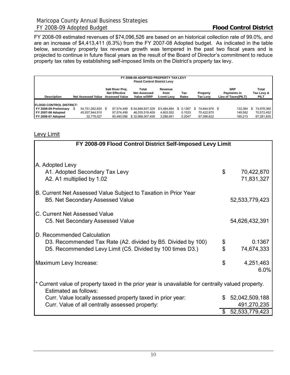FY 2008-09 estimated revenues of \$74,096,526 are based on an historical collection rate of 99.0%, and are an increase of \$4,413,411 (6.3%) from the FY 2007-08 Adopted budget. As indicated in the table below, secondary property tax revenue growth was tempered in the past two fiscal years and is projected to continue in future fiscal years as the result of the Board of Director's commitment to reduce property tax rates by establishing self-imposed limits on the District's property tax levy.

|                                 | FY 2008-09 ADOPTED PROPERTY TAX LEVY<br><b>Flood Control District Levy</b> |                           |                                                                   |                                             |                  |                      |  |                                                  |                             |               |  |         |    |            |  |
|---------------------------------|----------------------------------------------------------------------------|---------------------------|-------------------------------------------------------------------|---------------------------------------------|------------------|----------------------|--|--------------------------------------------------|-----------------------------|---------------|--|---------|----|------------|--|
| <b>Description</b>              |                                                                            | <b>Net Assessed Value</b> | Salt River Proj.<br><b>Net Effective</b><br><b>Assessed Value</b> | Total<br><b>Net Assessed</b><br>Value w/SRP |                  | Property<br>Tax Levy |  | <b>SRP</b><br>Payments in<br>Lieu of Taxes(PILT) | Total<br>Tax Levy &<br>PILT |               |  |         |    |            |  |
| <b>IFLOOD CONTROL DISTRICT:</b> |                                                                            |                           |                                                                   |                                             |                  |                      |  |                                                  |                             |               |  |         |    |            |  |
| FY 2008-09 Preliminary \$       |                                                                            | 54,751,262,830 \$         |                                                                   | 97.574.499                                  | \$54,848,837,329 | \$5.484.884          |  | \$ 0.1367                                        |                             | 74.844.976 \$ |  | 133.384 | £. | 74,978,360 |  |
| FY 2007-08 Adopted              |                                                                            | 45,937,944,910            |                                                                   | 97.574.499                                  | 46.035.519.409   | 4.603.552            |  | 0.1533                                           |                             | 70.422.870    |  | 149.582 |    | 70,572,452 |  |
| FY 2006-07 Adopted              |                                                                            | 32.778.027                |                                                                   | 90,480,096                                  | \$32,868,507,458 | 3,286,851            |  | 0.2047                                           |                             | 67,096,622    |  | 185.213 |    | 67,281,835 |  |

## Levy Limit

| FY 2008-09 Flood Control District Self-Imposed Levy Limit                                                                                               |                |                          |
|---------------------------------------------------------------------------------------------------------------------------------------------------------|----------------|--------------------------|
|                                                                                                                                                         |                |                          |
| A. Adopted Levy<br>A1. Adopted Secondary Tax Levy<br>A2. A1 multiplied by 1.02                                                                          | $\mathfrak{S}$ | 70,422,870<br>71,831,327 |
| B. Current Net Assessed Value Subject to Taxation in Prior Year<br><b>B5. Net Secondary Assessed Value</b>                                              |                | 52, 533, 779, 423        |
| C. Current Net Assessed Value<br>C5. Net Secondary Assessed Value                                                                                       |                | 54,626,432,391           |
| D. Recommended Calculation<br>D3. Recommended Tax Rate (A2. divided by B5. Divided by 100)<br>D5. Recommended Levy Limit (C5. Divided by 100 times D3.) | \$<br>\$       | 0.1367<br>74,674,333     |
| Maximum Levy Increase:                                                                                                                                  | \$             | 4,251,463<br>6.0%        |
| * Current value of property taxed in the prior year is unavailable for centrally valued property.<br>Estimated as follows:                              |                |                          |
| Curr. Value locally assessed property taxed in prior year:                                                                                              |                | \$52,042,509,188         |
| Curr. Value of all centrally assessed property:                                                                                                         |                | 491,270,235              |
|                                                                                                                                                         | \$             | 52, 533, 779, 423        |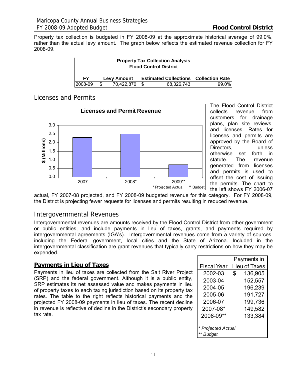Property tax collection is budgeted in FY 2008-09 at the approximate historical average of 99.0%, rather than the actual levy amount. The graph below reflects the estimated revenue collection for FY 2008-09.

| <b>Property Tax Collection Analysis</b><br><b>Flood Control District</b>        |     |            |  |            |       |  |  |  |  |  |  |
|---------------------------------------------------------------------------------|-----|------------|--|------------|-------|--|--|--|--|--|--|
| <b>FY</b><br><b>Estimated Collections Collection Rate</b><br><b>Levy Amount</b> |     |            |  |            |       |  |  |  |  |  |  |
| 2008-09                                                                         | \$. | 70.422.870 |  | 68.326.743 | 99.0% |  |  |  |  |  |  |

## Licenses and Permits



The Flood Control District collects revenue from customers for drainage plans, plan site reviews, and licenses. Rates for licenses and permits are approved by the Board of Directors, unless otherwise set forth in statute. The revenue generated from licenses and permits is used to offset the cost of issuing the permits. The chart to the left shows FY 2006-07

actual, FY 2007-08 projected, and FY 2008-09 budgeted revenue for this category. For FY 2008-09, the District is projecting fewer requests for licenses and permits resulting in reduced revenue.

## Intergovernmental Revenues

Intergovernmental revenues are amounts received by the Flood Control District from other government or public entities, and include payments in lieu of taxes, grants, and payments required by intergovernmental agreements (IGA's). Intergovernmental revenues come from a variety of sources, including the Federal government, local cities and the State of Arizona. Included in the intergovernmental classification are grant revenues that typically carry restrictions on how they may be expended.

## **Payments in Lieu of Taxes**

Payments in lieu of taxes are collected from the Salt River Project (SRP) and the federal government. Although it is a public entity, SRP estimates its net assessed value and makes payments in lieu of property taxes to each taxing jurisdiction based on its property tax rates. The table to the right reflects historical payments and the projected FY 2008-09 payments in lieu of taxes. The recent decline in revenue is reflective of decline in the District's secondary property tax rate.

|                    | Payments in             |  |
|--------------------|-------------------------|--|
| <b>Fiscal Year</b> | Lieu of Taxes           |  |
| 2002-03            | $\mathbb{S}$<br>136,905 |  |
| 2003-04            | 152,557                 |  |
| 2004-05            | 196,239                 |  |
| 2005-06            | 191,727                 |  |
| 2006-07            | 199,736                 |  |
| 2007-08*           | 149,582                 |  |
| 2008-09**          | 133,384                 |  |
|                    |                         |  |
| * Projected Actual |                         |  |
| ** Budget          |                         |  |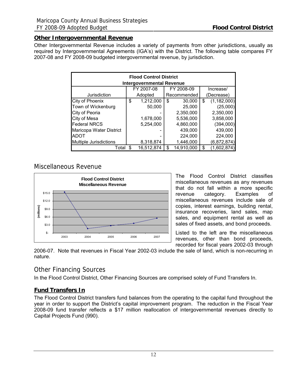### **Other Intergovernmental Revenue**

Other Intergovernmental Revenue includes a variety of payments from other jurisdictions, usually as required by Intergovernmental Agreements (IGA's) with the District. The following table compares FY 2007-08 and FY 2008-09 budgeted intergovernmental revenue, by jurisdiction.

|                         | <b>Flood Control District</b>    |                  |                     |
|-------------------------|----------------------------------|------------------|---------------------|
|                         | <b>Intergovernmental Revenue</b> |                  |                     |
|                         | FY 2007-08                       | FY 2008-09       | Increase/           |
| Jurisdiction            | Adopted                          | Recommended      | (Decrease)          |
| City of Phoenix         | \$<br>1,212,000                  | \$<br>30,000     | \$<br>(1, 182, 000) |
| Town of Wickenburg      | 50,000                           | 25,000           | (25,000)            |
| City of Peoria          |                                  | 2,350,000        | 2,350,000           |
| City of Mesa            | 1,678,000                        | 5,536,000        | 3,858,000           |
| <b>Federal NRCS</b>     | 5,254,000                        | 4,860,000        | (394,000)           |
| Maricopa Water District |                                  | 439,000          | 439,000             |
| <b>IADOT</b>            |                                  | 224,000          | 224,000             |
| Multiple Jurisdictions  | 8,318,874                        | 1,446,000        | (6,872,874)         |
| Total                   | 16,512,874                       | \$<br>14,910,000 | \$<br>(1,602,874)   |

## Miscellaneous Revenue



The Flood Control District classifies miscellaneous revenues as any revenues that do not fall within a more specific revenue category. Examples of miscellaneous revenues include sale of copies, interest earnings, building rental, insurance recoveries, land sales, map sales, and equipment rental as well as sales of fixed assets, and bond proceeds.

Listed to the left are the miscellaneous revenues, other than bond proceeds, recorded for fiscal years 2002-03 through

2006-07. Note that revenues in Fiscal Year 2002-03 include the sale of land, which is non-recurring in nature.

## Other Financing Sources

In the Flood Control District, Other Financing Sources are comprised solely of Fund Transfers In.

## **Fund Transfers In**

The Flood Control District transfers fund balances from the operating to the capital fund throughout the year in order to support the District's capital improvement program. The reduction in the Fiscal Year 2008-09 fund transfer reflects a \$17 million reallocation of intergovernmental revenues directly to Capital Projects Fund (990).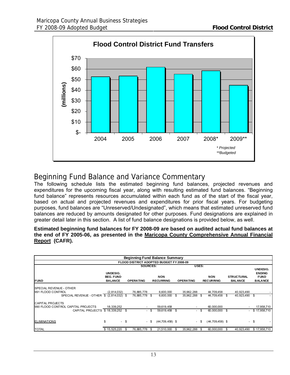<span id="page-15-0"></span>

## Beginning Fund Balance and Variance Commentary

The following schedule lists the estimated beginning fund balances, projected revenues and expenditures for the upcoming fiscal year, along with resulting estimated fund balances. "Beginning fund balance" represents resources accumulated within each fund as of the start of the fiscal year, based on actual and projected revenues and expenditures for prior fiscal years. For budgeting purposes, fund balances are "Unreserved/Undesignated", which means that estimated unreserved fund balances are reduced by amounts designated for other purposes. Fund designations are explained in greater detail later in this section. A list of fund balance designations is provided below, as well.

#### **Estimated beginning fund balances for FY 2008-09 are based on audited actual fund balances at the end of FY 2005-06, as presented in the Maricopa County Comprehensive Annual Financial Report (CAFR).**

|                                           | <b>Beginning Fund Balance Summary</b>                              |      |                 |      |                                                    |      |            |       |                                |                                     |            |                                                            |  |  |
|-------------------------------------------|--------------------------------------------------------------------|------|-----------------|------|----------------------------------------------------|------|------------|-------|--------------------------------|-------------------------------------|------------|------------------------------------------------------------|--|--|
|                                           |                                                                    |      |                 |      | FLOOD DISTRICT ADOPTED BUDGET FY 2008-09           |      |            |       |                                |                                     |            |                                                            |  |  |
|                                           |                                                                    |      | <b>SOURCES:</b> |      |                                                    |      |            | USES: |                                |                                     |            |                                                            |  |  |
| <b>FUND</b>                               | UNDESIG.<br><b>BEG. FUND</b><br><b>BALANCE</b><br><b>OPERATING</b> |      |                 |      | <b>NON</b><br><b>RECURRING</b><br><b>OPERATING</b> |      |            |       | <b>NON</b><br><b>RECURRING</b> | <b>STRUCTURAL</b><br><b>BALANCE</b> |            | UNDESIG.<br><b>ENDING</b><br><b>FUND</b><br><b>BALANCE</b> |  |  |
| <b>SPECIAL REVENUE - OTHER</b>            |                                                                    |      |                 |      |                                                    |      |            |       |                                |                                     |            |                                                            |  |  |
| 991 FLOOD CONTROL                         | (2,814,032)                                                        |      | 76,885,778      |      | 6,600,000                                          |      | 35,962,288 |       | 44,709,458                     |                                     | 40,923,490 |                                                            |  |  |
| SPECIAL REVENUE - OTHER \$ (2,814,032) \$ |                                                                    |      | 76,885,778 \$   |      | 6,600,000                                          | \$   | 35,962,288 | - \$  | 44,709,458                     | \$.                                 | 40,923,490 | - \$                                                       |  |  |
| <b>CAPITAL PROJECTS</b>                   |                                                                    |      |                 |      |                                                    |      |            |       |                                |                                     |            |                                                            |  |  |
| 990 FLOOD CONTROL CAPITAL PROJECTS        | 18,339,252                                                         |      |                 |      | 59,619,458                                         |      |            |       | 60,000,000                     |                                     |            | 17,958,710                                                 |  |  |
| CAPITAL PROJECTS \$18.339.252 \$          |                                                                    |      |                 | - \$ | 59,619,458                                         | - \$ |            | - \$  | 60.000.000                     | \$.                                 | $\sim$     | \$17,958,710                                               |  |  |
| <b>ELIMINATIONS</b>                       | \$                                                                 | - \$ |                 | - \$ | $(44,709,458)$ \$                                  |      |            | - \$  | $(44, 709, 458)$ \$            |                                     |            | - \$                                                       |  |  |
| <b>TOTAL</b>                              | \$15,525,220                                                       | \$   | 76,885,778      | -\$  | 21,510,000                                         | \$.  | 35,962,288 | S     | 60,000,000                     | £.                                  | 40,923,490 | \$17,958,710                                               |  |  |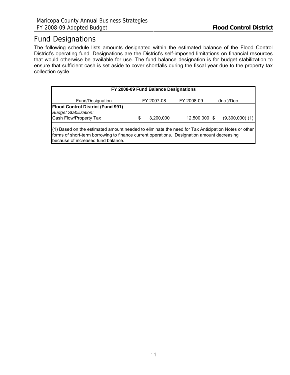## Fund Designations

The following schedule lists amounts designated within the estimated balance of the Flood Control District's operating fund. Designations are the District's self-imposed limitations on financial resources that would otherwise be available for use. The fund balance designation is for budget stabilization to ensure that sufficient cash is set aside to cover shortfalls during the fiscal year due to the property tax collection cycle.

| FY 2008-09 Fund Balance Designations                                                                                                                                                             |   |            |               |                     |  |  |  |  |  |  |  |  |
|--------------------------------------------------------------------------------------------------------------------------------------------------------------------------------------------------|---|------------|---------------|---------------------|--|--|--|--|--|--|--|--|
| Fund/Designation                                                                                                                                                                                 |   | FY 2007-08 | FY 2008-09    | (Inc.)/Dec.         |  |  |  |  |  |  |  |  |
| <b>Flood Control District (Fund 991)</b><br><b>Budget Stabilization:</b><br>Cash Flow/Property Tax                                                                                               | S | 3,200,000  | 12,500,000 \$ | $(9,300,000)$ $(1)$ |  |  |  |  |  |  |  |  |
| (1) Based on the estimated amount needed to eliminate the need for Tax Anticipation Notes or other<br>forms of short-term borrowing to finance current operations. Designation amount decreasing |   |            |               |                     |  |  |  |  |  |  |  |  |

because of increased fund balance.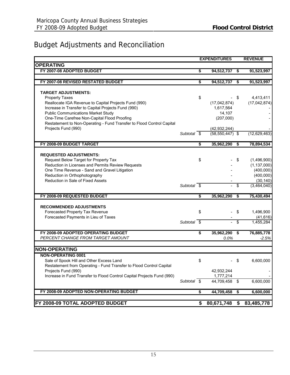## <span id="page-17-0"></span>Budget Adjustments and Reconciliation

| <b>OPERATING</b><br>FY 2007-08 ADOPTED BUDGET<br>\$<br>94,512,737 \$<br>91,523,997<br>FY 2007-08 REVISED RESTATED BUDGET<br>\$<br>91,523,997<br>94,512,737<br>\$<br><b>TARGET ADJUSTMENTS:</b><br><b>Property Taxes</b><br>\$<br>\$<br>4,413,411<br>Reallocate IGA Revenue to Capital Projects Fund (990)<br>(17,042,874)<br>(17,042,874)<br>Increase in Transfer to Capital Projects Fund (990)<br>1,617,564<br><b>Public Communications Market Study</b><br>14,107<br>One-Time Carefree Non-Capital Flood Proofing<br>(207,000)<br>Restatement to Non-Operating - Fund Transfer to Flood Control Capital<br>Projects Fund (990)<br>(42, 932, 244)<br>Subtotal \$<br>$(58, 550, 447)$ \$<br>(12,629,463)<br>S<br>FY 2008-09 BUDGET TARGET<br>35,962,290<br>78,894,534<br>- \$<br><b>REQUESTED ADJUSTMENTS:</b><br>Request Below Target for Property Tax<br>\$<br>\$<br>(1,496,900)<br>Reduction in Licenses and Permits Review Requests<br>(1, 137, 000)<br>One Time Revenue - Sand and Gravel Litigation<br>(400,000)<br>Reduction in Orthophotography<br>(400,000)<br>Reduction in Sale of Fixed Assets<br>(30, 140)<br>Subtotal $\overline{\$}$<br>\$<br>(3,464,040)<br>$\overline{a}$<br>FY 2008-09 REQUESTED BUDGET<br>\$<br>$\overline{\mathbf{3}}$<br>75,430,494<br>35,962,290<br><b>RECOMMENDED ADJUSTMENTS</b><br>Forecasted Property Tax Revenue<br>\$<br>\$<br>1,496,900<br>Forecasted Payments in Lieu of Taxes<br>(41, 616)<br>Subtotal \$<br>\$<br>1,455,284<br>÷.<br>76,885,778<br>FY 2008-09 ADOPTED OPERATING BUDGET<br>35,962,290 \$<br>\$<br>PERCENT CHANGE FROM TARGET AMOUNT<br>0.0%<br>$-2.5%$<br><b>NON-OPERATING</b><br><b>NON-OPERATING 0001</b><br>Sale of Spook Hill and Other Excess Land<br>\$<br>6,600,000<br>\$<br>Restatement from Operating - Fund Transfer to Flood Control Capital<br>Projects Fund (990)<br>42,932,244<br>Increase in Fund Transfer to Flood Control Capital Projects Fund (990)<br>1,777,214<br>Subtotal \$<br>44,709,458<br>- \$<br>6,600,000<br>FY 2008-09 ADOPTED NON-OPERATING BUDGET<br>\$<br>44,709,458<br>\$<br>6,600,000<br>FY 2008-09 TOTAL ADOPTED BUDGET<br>80,671,748<br>\$<br>83,485,778<br>\$ |  | <b>EXPENDITURES</b> | <b>REVENUE</b> |
|-------------------------------------------------------------------------------------------------------------------------------------------------------------------------------------------------------------------------------------------------------------------------------------------------------------------------------------------------------------------------------------------------------------------------------------------------------------------------------------------------------------------------------------------------------------------------------------------------------------------------------------------------------------------------------------------------------------------------------------------------------------------------------------------------------------------------------------------------------------------------------------------------------------------------------------------------------------------------------------------------------------------------------------------------------------------------------------------------------------------------------------------------------------------------------------------------------------------------------------------------------------------------------------------------------------------------------------------------------------------------------------------------------------------------------------------------------------------------------------------------------------------------------------------------------------------------------------------------------------------------------------------------------------------------------------------------------------------------------------------------------------------------------------------------------------------------------------------------------------------------------------------------------------------------------------------------------------------------------------------------------------------------------------------------------------------------------------------------------------------------------------------------------------------|--|---------------------|----------------|
|                                                                                                                                                                                                                                                                                                                                                                                                                                                                                                                                                                                                                                                                                                                                                                                                                                                                                                                                                                                                                                                                                                                                                                                                                                                                                                                                                                                                                                                                                                                                                                                                                                                                                                                                                                                                                                                                                                                                                                                                                                                                                                                                                                   |  |                     |                |
|                                                                                                                                                                                                                                                                                                                                                                                                                                                                                                                                                                                                                                                                                                                                                                                                                                                                                                                                                                                                                                                                                                                                                                                                                                                                                                                                                                                                                                                                                                                                                                                                                                                                                                                                                                                                                                                                                                                                                                                                                                                                                                                                                                   |  |                     |                |
|                                                                                                                                                                                                                                                                                                                                                                                                                                                                                                                                                                                                                                                                                                                                                                                                                                                                                                                                                                                                                                                                                                                                                                                                                                                                                                                                                                                                                                                                                                                                                                                                                                                                                                                                                                                                                                                                                                                                                                                                                                                                                                                                                                   |  |                     |                |
|                                                                                                                                                                                                                                                                                                                                                                                                                                                                                                                                                                                                                                                                                                                                                                                                                                                                                                                                                                                                                                                                                                                                                                                                                                                                                                                                                                                                                                                                                                                                                                                                                                                                                                                                                                                                                                                                                                                                                                                                                                                                                                                                                                   |  |                     |                |
|                                                                                                                                                                                                                                                                                                                                                                                                                                                                                                                                                                                                                                                                                                                                                                                                                                                                                                                                                                                                                                                                                                                                                                                                                                                                                                                                                                                                                                                                                                                                                                                                                                                                                                                                                                                                                                                                                                                                                                                                                                                                                                                                                                   |  |                     |                |
|                                                                                                                                                                                                                                                                                                                                                                                                                                                                                                                                                                                                                                                                                                                                                                                                                                                                                                                                                                                                                                                                                                                                                                                                                                                                                                                                                                                                                                                                                                                                                                                                                                                                                                                                                                                                                                                                                                                                                                                                                                                                                                                                                                   |  |                     |                |
|                                                                                                                                                                                                                                                                                                                                                                                                                                                                                                                                                                                                                                                                                                                                                                                                                                                                                                                                                                                                                                                                                                                                                                                                                                                                                                                                                                                                                                                                                                                                                                                                                                                                                                                                                                                                                                                                                                                                                                                                                                                                                                                                                                   |  |                     |                |
|                                                                                                                                                                                                                                                                                                                                                                                                                                                                                                                                                                                                                                                                                                                                                                                                                                                                                                                                                                                                                                                                                                                                                                                                                                                                                                                                                                                                                                                                                                                                                                                                                                                                                                                                                                                                                                                                                                                                                                                                                                                                                                                                                                   |  |                     |                |
|                                                                                                                                                                                                                                                                                                                                                                                                                                                                                                                                                                                                                                                                                                                                                                                                                                                                                                                                                                                                                                                                                                                                                                                                                                                                                                                                                                                                                                                                                                                                                                                                                                                                                                                                                                                                                                                                                                                                                                                                                                                                                                                                                                   |  |                     |                |
|                                                                                                                                                                                                                                                                                                                                                                                                                                                                                                                                                                                                                                                                                                                                                                                                                                                                                                                                                                                                                                                                                                                                                                                                                                                                                                                                                                                                                                                                                                                                                                                                                                                                                                                                                                                                                                                                                                                                                                                                                                                                                                                                                                   |  |                     |                |
|                                                                                                                                                                                                                                                                                                                                                                                                                                                                                                                                                                                                                                                                                                                                                                                                                                                                                                                                                                                                                                                                                                                                                                                                                                                                                                                                                                                                                                                                                                                                                                                                                                                                                                                                                                                                                                                                                                                                                                                                                                                                                                                                                                   |  |                     |                |
|                                                                                                                                                                                                                                                                                                                                                                                                                                                                                                                                                                                                                                                                                                                                                                                                                                                                                                                                                                                                                                                                                                                                                                                                                                                                                                                                                                                                                                                                                                                                                                                                                                                                                                                                                                                                                                                                                                                                                                                                                                                                                                                                                                   |  |                     |                |
|                                                                                                                                                                                                                                                                                                                                                                                                                                                                                                                                                                                                                                                                                                                                                                                                                                                                                                                                                                                                                                                                                                                                                                                                                                                                                                                                                                                                                                                                                                                                                                                                                                                                                                                                                                                                                                                                                                                                                                                                                                                                                                                                                                   |  |                     |                |
|                                                                                                                                                                                                                                                                                                                                                                                                                                                                                                                                                                                                                                                                                                                                                                                                                                                                                                                                                                                                                                                                                                                                                                                                                                                                                                                                                                                                                                                                                                                                                                                                                                                                                                                                                                                                                                                                                                                                                                                                                                                                                                                                                                   |  |                     |                |
|                                                                                                                                                                                                                                                                                                                                                                                                                                                                                                                                                                                                                                                                                                                                                                                                                                                                                                                                                                                                                                                                                                                                                                                                                                                                                                                                                                                                                                                                                                                                                                                                                                                                                                                                                                                                                                                                                                                                                                                                                                                                                                                                                                   |  |                     |                |
|                                                                                                                                                                                                                                                                                                                                                                                                                                                                                                                                                                                                                                                                                                                                                                                                                                                                                                                                                                                                                                                                                                                                                                                                                                                                                                                                                                                                                                                                                                                                                                                                                                                                                                                                                                                                                                                                                                                                                                                                                                                                                                                                                                   |  |                     |                |
|                                                                                                                                                                                                                                                                                                                                                                                                                                                                                                                                                                                                                                                                                                                                                                                                                                                                                                                                                                                                                                                                                                                                                                                                                                                                                                                                                                                                                                                                                                                                                                                                                                                                                                                                                                                                                                                                                                                                                                                                                                                                                                                                                                   |  |                     |                |
|                                                                                                                                                                                                                                                                                                                                                                                                                                                                                                                                                                                                                                                                                                                                                                                                                                                                                                                                                                                                                                                                                                                                                                                                                                                                                                                                                                                                                                                                                                                                                                                                                                                                                                                                                                                                                                                                                                                                                                                                                                                                                                                                                                   |  |                     |                |
|                                                                                                                                                                                                                                                                                                                                                                                                                                                                                                                                                                                                                                                                                                                                                                                                                                                                                                                                                                                                                                                                                                                                                                                                                                                                                                                                                                                                                                                                                                                                                                                                                                                                                                                                                                                                                                                                                                                                                                                                                                                                                                                                                                   |  |                     |                |
|                                                                                                                                                                                                                                                                                                                                                                                                                                                                                                                                                                                                                                                                                                                                                                                                                                                                                                                                                                                                                                                                                                                                                                                                                                                                                                                                                                                                                                                                                                                                                                                                                                                                                                                                                                                                                                                                                                                                                                                                                                                                                                                                                                   |  |                     |                |
|                                                                                                                                                                                                                                                                                                                                                                                                                                                                                                                                                                                                                                                                                                                                                                                                                                                                                                                                                                                                                                                                                                                                                                                                                                                                                                                                                                                                                                                                                                                                                                                                                                                                                                                                                                                                                                                                                                                                                                                                                                                                                                                                                                   |  |                     |                |
|                                                                                                                                                                                                                                                                                                                                                                                                                                                                                                                                                                                                                                                                                                                                                                                                                                                                                                                                                                                                                                                                                                                                                                                                                                                                                                                                                                                                                                                                                                                                                                                                                                                                                                                                                                                                                                                                                                                                                                                                                                                                                                                                                                   |  |                     |                |
|                                                                                                                                                                                                                                                                                                                                                                                                                                                                                                                                                                                                                                                                                                                                                                                                                                                                                                                                                                                                                                                                                                                                                                                                                                                                                                                                                                                                                                                                                                                                                                                                                                                                                                                                                                                                                                                                                                                                                                                                                                                                                                                                                                   |  |                     |                |
|                                                                                                                                                                                                                                                                                                                                                                                                                                                                                                                                                                                                                                                                                                                                                                                                                                                                                                                                                                                                                                                                                                                                                                                                                                                                                                                                                                                                                                                                                                                                                                                                                                                                                                                                                                                                                                                                                                                                                                                                                                                                                                                                                                   |  |                     |                |
|                                                                                                                                                                                                                                                                                                                                                                                                                                                                                                                                                                                                                                                                                                                                                                                                                                                                                                                                                                                                                                                                                                                                                                                                                                                                                                                                                                                                                                                                                                                                                                                                                                                                                                                                                                                                                                                                                                                                                                                                                                                                                                                                                                   |  |                     |                |
|                                                                                                                                                                                                                                                                                                                                                                                                                                                                                                                                                                                                                                                                                                                                                                                                                                                                                                                                                                                                                                                                                                                                                                                                                                                                                                                                                                                                                                                                                                                                                                                                                                                                                                                                                                                                                                                                                                                                                                                                                                                                                                                                                                   |  |                     |                |
|                                                                                                                                                                                                                                                                                                                                                                                                                                                                                                                                                                                                                                                                                                                                                                                                                                                                                                                                                                                                                                                                                                                                                                                                                                                                                                                                                                                                                                                                                                                                                                                                                                                                                                                                                                                                                                                                                                                                                                                                                                                                                                                                                                   |  |                     |                |
|                                                                                                                                                                                                                                                                                                                                                                                                                                                                                                                                                                                                                                                                                                                                                                                                                                                                                                                                                                                                                                                                                                                                                                                                                                                                                                                                                                                                                                                                                                                                                                                                                                                                                                                                                                                                                                                                                                                                                                                                                                                                                                                                                                   |  |                     |                |
|                                                                                                                                                                                                                                                                                                                                                                                                                                                                                                                                                                                                                                                                                                                                                                                                                                                                                                                                                                                                                                                                                                                                                                                                                                                                                                                                                                                                                                                                                                                                                                                                                                                                                                                                                                                                                                                                                                                                                                                                                                                                                                                                                                   |  |                     |                |
|                                                                                                                                                                                                                                                                                                                                                                                                                                                                                                                                                                                                                                                                                                                                                                                                                                                                                                                                                                                                                                                                                                                                                                                                                                                                                                                                                                                                                                                                                                                                                                                                                                                                                                                                                                                                                                                                                                                                                                                                                                                                                                                                                                   |  |                     |                |
|                                                                                                                                                                                                                                                                                                                                                                                                                                                                                                                                                                                                                                                                                                                                                                                                                                                                                                                                                                                                                                                                                                                                                                                                                                                                                                                                                                                                                                                                                                                                                                                                                                                                                                                                                                                                                                                                                                                                                                                                                                                                                                                                                                   |  |                     |                |
|                                                                                                                                                                                                                                                                                                                                                                                                                                                                                                                                                                                                                                                                                                                                                                                                                                                                                                                                                                                                                                                                                                                                                                                                                                                                                                                                                                                                                                                                                                                                                                                                                                                                                                                                                                                                                                                                                                                                                                                                                                                                                                                                                                   |  |                     |                |
|                                                                                                                                                                                                                                                                                                                                                                                                                                                                                                                                                                                                                                                                                                                                                                                                                                                                                                                                                                                                                                                                                                                                                                                                                                                                                                                                                                                                                                                                                                                                                                                                                                                                                                                                                                                                                                                                                                                                                                                                                                                                                                                                                                   |  |                     |                |
|                                                                                                                                                                                                                                                                                                                                                                                                                                                                                                                                                                                                                                                                                                                                                                                                                                                                                                                                                                                                                                                                                                                                                                                                                                                                                                                                                                                                                                                                                                                                                                                                                                                                                                                                                                                                                                                                                                                                                                                                                                                                                                                                                                   |  |                     |                |
|                                                                                                                                                                                                                                                                                                                                                                                                                                                                                                                                                                                                                                                                                                                                                                                                                                                                                                                                                                                                                                                                                                                                                                                                                                                                                                                                                                                                                                                                                                                                                                                                                                                                                                                                                                                                                                                                                                                                                                                                                                                                                                                                                                   |  |                     |                |
|                                                                                                                                                                                                                                                                                                                                                                                                                                                                                                                                                                                                                                                                                                                                                                                                                                                                                                                                                                                                                                                                                                                                                                                                                                                                                                                                                                                                                                                                                                                                                                                                                                                                                                                                                                                                                                                                                                                                                                                                                                                                                                                                                                   |  |                     |                |
|                                                                                                                                                                                                                                                                                                                                                                                                                                                                                                                                                                                                                                                                                                                                                                                                                                                                                                                                                                                                                                                                                                                                                                                                                                                                                                                                                                                                                                                                                                                                                                                                                                                                                                                                                                                                                                                                                                                                                                                                                                                                                                                                                                   |  |                     |                |
|                                                                                                                                                                                                                                                                                                                                                                                                                                                                                                                                                                                                                                                                                                                                                                                                                                                                                                                                                                                                                                                                                                                                                                                                                                                                                                                                                                                                                                                                                                                                                                                                                                                                                                                                                                                                                                                                                                                                                                                                                                                                                                                                                                   |  |                     |                |
|                                                                                                                                                                                                                                                                                                                                                                                                                                                                                                                                                                                                                                                                                                                                                                                                                                                                                                                                                                                                                                                                                                                                                                                                                                                                                                                                                                                                                                                                                                                                                                                                                                                                                                                                                                                                                                                                                                                                                                                                                                                                                                                                                                   |  |                     |                |
|                                                                                                                                                                                                                                                                                                                                                                                                                                                                                                                                                                                                                                                                                                                                                                                                                                                                                                                                                                                                                                                                                                                                                                                                                                                                                                                                                                                                                                                                                                                                                                                                                                                                                                                                                                                                                                                                                                                                                                                                                                                                                                                                                                   |  |                     |                |
|                                                                                                                                                                                                                                                                                                                                                                                                                                                                                                                                                                                                                                                                                                                                                                                                                                                                                                                                                                                                                                                                                                                                                                                                                                                                                                                                                                                                                                                                                                                                                                                                                                                                                                                                                                                                                                                                                                                                                                                                                                                                                                                                                                   |  |                     |                |
|                                                                                                                                                                                                                                                                                                                                                                                                                                                                                                                                                                                                                                                                                                                                                                                                                                                                                                                                                                                                                                                                                                                                                                                                                                                                                                                                                                                                                                                                                                                                                                                                                                                                                                                                                                                                                                                                                                                                                                                                                                                                                                                                                                   |  |                     |                |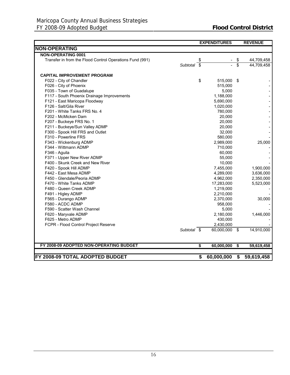|                                                          |             | <b>EXPENDITURES</b> |                 | <b>REVENUE</b>           |
|----------------------------------------------------------|-------------|---------------------|-----------------|--------------------------|
| <b>NON-OPERATING</b>                                     |             |                     |                 |                          |
| <b>NON-OPERATING 0001</b>                                |             |                     |                 |                          |
| Transfer in from the Flood Control Operations Fund (991) | Subtotal \$ | \$                  | \$<br>\$        | 44,709,458<br>44,709,458 |
|                                                          |             |                     |                 |                          |
| <b>CAPITAL IMPROVEMENT PROGRAM</b>                       |             |                     |                 |                          |
| F022 - City of Chandler                                  |             | \$<br>515,000 \$    |                 |                          |
| F026 - City of Phoenix                                   |             | 515,000             |                 |                          |
| F035 - Town of Guadalupe                                 |             | 5,000               |                 |                          |
| F117 - South Phoenix Drainage Improvements               |             | 1,188,000           |                 |                          |
| F121 - East Maricopa Floodway                            |             | 5,690,000           |                 |                          |
| F126 - Salt/Gila River                                   |             | 1,020,000           |                 |                          |
| F201 - White Tanks FRS No. 4                             |             | 780,000             |                 |                          |
| F202 - McMicken Dam                                      |             | 20,000              |                 |                          |
| F207 - Buckeye FRS No. 1                                 |             | 20,000              |                 |                          |
| F211 - Buckeye/Sun Valley ADMP                           |             | 20,000              |                 |                          |
| F300 - Spook Hill FRS and Outlet                         |             | 32,000              |                 |                          |
| F310 - Powerline FRS                                     |             | 580,000             |                 |                          |
| F343 - Wickenburg ADMP                                   |             | 2,989,000           |                 | 25,000                   |
| F344 - Wittmann ADMP                                     |             | 710,000             |                 |                          |
| F346 - Aguila                                            |             | 60,000              |                 |                          |
| F371 - Upper New River ADMP                              |             | 55,000              |                 |                          |
| F400 - Skunk Creek and New River                         |             | 10,000              |                 |                          |
| F420 - Spook Hill ADMP                                   |             | 7,455,000           |                 | 1,900,000                |
| F442 - East Mesa ADMP                                    |             | 4,289,000           |                 | 3,636,000                |
| F450 - Glendale/Peoria ADMP                              |             | 4,962,000           |                 | 2,350,000                |
| F470 - White Tanks ADMP                                  |             | 17,283,000          |                 | 5,523,000                |
| F480 - Queen Creek ADMP                                  |             | 1,219,000           |                 |                          |
| F491 - Higley ADMP                                       |             | 2,210,000           |                 |                          |
| F565 - Durango ADMP                                      |             | 2,370,000           |                 | 30,000                   |
| F580 - ACDC ADMP                                         |             | 958,000             |                 |                          |
| F590 - Scatter Wash Channel                              |             | 5,000               |                 |                          |
| F620 - Maryvale ADMP                                     |             | 2,180,000           |                 | 1,446,000                |
| F625 - Metro ADMP                                        |             | 430,000             |                 |                          |
| FCPR - Flood Control Project Reserve                     |             | 2,430,000           |                 |                          |
|                                                          | Subtotal \$ | $60,000,000$ \$     |                 | 14,910,000               |
|                                                          |             |                     |                 |                          |
| FY 2008-09 ADOPTED NON-OPERATING BUDGET                  |             | \$<br>60,000,000    | $\overline{\$}$ | 59,619,458               |
|                                                          |             |                     |                 |                          |
| FY 2008-09 TOTAL ADOPTED BUDGET                          |             | \$<br>60,000,000    | \$              | 59,619,458               |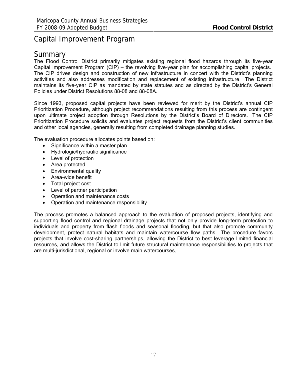## <span id="page-19-0"></span>Capital Improvement Program

## Summary

The Flood Control District primarily mitigates existing regional flood hazards through its five-year Capital Improvement Program (CIP) – the revolving five-year plan for accomplishing capital projects. The CIP drives design and construction of new infrastructure in concert with the District's planning activities and also addresses modification and replacement of existing infrastructure. The District maintains its five-year CIP as mandated by state statutes and as directed by the District's General Policies under District Resolutions 88-08 and 88-08A.

Since 1993, proposed capital projects have been reviewed for merit by the District's annual CIP Prioritization Procedure, although project recommendations resulting from this process are contingent upon ultimate project adoption through Resolutions by the District's Board of Directors. The CIP Prioritization Procedure solicits and evaluates project requests from the District's client communities and other local agencies, generally resulting from completed drainage planning studies.

The evaluation procedure allocates points based on:

- Significance within a master plan
- Hydrologic/hydraulic significance
- Level of protection
- Area protected
- Environmental quality
- Area-wide benefit
- Total project cost
- Level of partner participation
- Operation and maintenance costs
- Operation and maintenance responsibility

The process promotes a balanced approach to the evaluation of proposed projects, identifying and supporting flood control and regional drainage projects that not only provide long-term protection to individuals and property from flash floods and seasonal flooding, but that also promote community development, protect natural habitats and maintain watercourse flow paths. The procedure favors projects that involve cost-sharing partnerships, allowing the District to best leverage limited financial resources, and allows the District to limit future structural maintenance responsibilities to projects that are multi-jurisdictional, regional or involve main watercourses.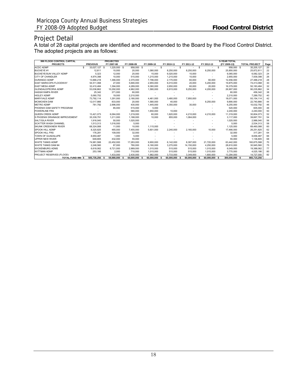## Project Detail

A total of 28 capital projects are identified and recommended to the Board by the Flood Control District. The adopted projects are as follows:

| 990 FLOOD CONTROL CAPITAL      |                     |     | <b>PROJECTED</b> |    |               |                          |    |                          |    |            |      |               |    | <b>5-YEAR TOTAL</b> |                      |      |
|--------------------------------|---------------------|-----|------------------|----|---------------|--------------------------|----|--------------------------|----|------------|------|---------------|----|---------------------|----------------------|------|
| <b>PROJECTS</b>                | <b>PREVIOUS</b>     |     | FY 2007-08       |    | FY 2008-09    | FY 2009-10               |    | FY 2010-11               |    | FY 2011-12 |      | FY 2012-13    |    | (FY 2009-13)        | <b>TOTAL PROJECT</b> | Page |
| <b>ACDC ADMP</b>               | \$<br>33,027,127 \$ |     | 1,220,000 \$     |    | 958,000 \$    | $\overline{\phantom{a}}$ | s  | $\overline{\phantom{a}}$ | s  | ٠          | s    |               | -S | 958,000 \$          | 35,205,127           | 20   |
| <b>BUCKEYE#1</b>               | 12.811              |     | 10,000           |    | 20,000        | 1,080,000                |    | 8,250,000                |    | 8.250.000  |      | 8,250,000     |    | 25,850,000          | 25,872,811           | 22   |
| BUCKEYE/SUN VALLEY ADMP        | 5,323               |     | 12,000           |    | 20,000        | 15,000                   |    | 6,020,000                |    | 10,000     |      |               |    | 6,065,000           | 6,082,323            | 24   |
| <b>CITY OF CHANDLER</b>        | 4,974,398           |     | 10,000           |    | 515,000       | 1,215,000                |    | 1,215,000                |    | 10,000     |      |               |    | 2,955,000           | 7,939,398            | 26   |
| <b>DURANGO ADMP</b>            | 13,666,218          |     | 1,366,000        |    | 2,370,000     | 7,796,000                |    | 2,170,000                |    | 60,000     |      | 60,000        |    | 12,456,000          | 27,488,218           | 28   |
| EAST MARICOPA FLOODWAY         | 54,511,068          |     | 27,000           |    | 5,690,000     | 2,955,000                |    | 6,010,000                |    | 20,000     |      | 5,200,000     |    | 19,875,000          | 74,413,068           | 30   |
| <b>EAST MESA ADMP</b>          | 32,410,484          |     | 1,394,000        |    | 4,289,000     | 9,360,000                |    | 2,650,000                |    | 60,000     |      | 20,000        |    | 16,379,000          | 50,183,484           | 32   |
| GLENDALE/PEORIA ADMP           | 53,036,862          |     | 10,292,000       |    | 4,962,000     | 1,580,000                |    | 6,915,000                |    | 9,250,000  |      | 4,200,000     |    | 26.907.000          | 90,235,862           | 34   |
| <b>HASSAYAMPA RIVER</b>        | 25,342              |     | 371,000          |    | 60,000        |                          |    |                          |    |            |      |               |    | 60,000              | 456,342              | 38   |
| <b>HIGLEY ADMP</b>             | 5,060,752           |     | 19,000           |    | 2.210.000     |                          |    |                          |    |            |      |               |    | 2,210,000           | 7.289.752            | 40   |
| <b>MARYVALE ADMP</b>           | 73,792,114          |     | 1,291,000        |    | 2,180,000     | 4,461,000                |    | 3,480,000                |    | 7,950,000  |      |               |    | 18,071,000          | 93,154,114           | 42   |
| <b>MCMICKEN DAM</b>            | 12.017.866          |     | 833,000          |    | 20,000        | 1,580,000                |    | 40,000                   |    | $\sim$     |      | 8,250,000     |    | 9,890,000           | 22,740,866           | 44   |
| <b>METRO ADMP</b>              | 781.792             |     | 2,996,000        |    | 430,000       | 1,445,000                |    | 4,350,000                |    | 30,000     |      |               |    | 6,255,000           | 10,032,792           | 46   |
| PHOENIX DAM SAFETY PROGRAM     |                     |     | 85,000           |    | 515,000       | 5,000                    |    |                          |    |            |      |               |    | 520,000             | 605,000              | 48   |
| <b>POWERLINE FRS</b>           |                     |     |                  |    | 580,000       | 1,650,000                |    | 10,000                   |    |            |      |               |    | 2,240,000           | 2,240,000            | 50   |
| QUEEN CREEK ADMP               | 13.421.073          |     | 6,064,000        |    | 1,219,000     | 60,000                   |    | 1,620,000                |    | 4,210,000  |      | 4,210,000     |    | 11,319,000          | 30,804,073           | 52   |
| S PHOENIX DRAINAGE IMPROVEMENT | 35,339,791          |     | 1,211,000        |    | 1,188,000     | 10,000                   |    | 855,000                  |    | 1,064,000  |      |               |    | 3,117,000           | 39,667,791           | 54   |
| <b>SALT/GILA RIVER</b>         | 1.916.040           |     | 50,000           |    | 1.020.000     |                          |    |                          |    |            |      |               |    | 1.020.000           | 2.986.040            | 56   |
| <b>SCATTER WASH CHANNEL</b>    | 1,513,313           |     | 1,016,000        |    | 5.000         |                          |    |                          |    |            |      |               |    | 5,000               | 2,534,313            | 58   |
| <b>SKUNK CREEK/NEW RIVER</b>   | 68,324,088          |     | 11,000           |    | 10,000        | 1,115,000                |    |                          |    |            |      |               |    | 1,125,000           | 69,460,088           | 60   |
| SPOOK HILL ADMP                | 8,320,825           |     | 465,000          |    | 7,455,000     | 5.601.000                |    | 2,240,000                |    | 2,160,000  |      | 10,000        |    | 17,466,000          | 26,251,825           | 62   |
| SPOOK HILL FRS                 | 176,281             |     | 109,000          |    | 32,000        |                          |    |                          |    |            |      |               |    | 32,000              | 317,281              | 64   |
| TOWN OF GUADALUPE              | 8,650,487           |     | 1,000            |    | 5,000         |                          |    |                          |    |            |      |               |    | 5,000               | 8,656,487            | 66   |
| UPPER NEW RIVER                | 649.805             |     | 432,000          |    | 55,000        |                          |    |                          |    |            |      |               |    | 55,000              | 1,136,805            | 68   |
| <b>WHITE TANKS ADMP</b>        | 74,981,588          |     | 22,452,000       |    | 17,283,000    | 9,900,000                |    | 6,142,000                |    | 8.397.000  |      | 21,720,000    |    | 63,442,000          | 160,875,588          | 70   |
| WHITE TANKS DAM #4             | 2,248,560           |     | 87,000           |    | 780,000       | 6,160,000                |    | 3,270,000                |    | 14,150,000 |      | 4,250,000     |    | 28,610,000          | 30,945,560           | 75   |
| <b>WICKENBURG ADMS</b>         | 6,618,062           |     | 6,721,000        |    | 2,989,000     | 1,015,000                |    | 515,000                  |    | 515,000    |      | 1,015,000     |    | 6,049,000           | 19,388,062           | 77   |
| <b>WITTMAN ADMP</b>            | 253,186             |     | 2,000            |    | 710,000       | 1,015,000                |    | 515,000                  |    | 515,000    |      | 1,015,000     |    | 3,770,000           | 4,025,186            | 80   |
| PROJECT RESERVES (FLOOD)       |                     |     | 1.433.000        |    | 2.430.000     | 1.982.000                |    | 3.733.000                |    | 3.349.000  |      | 1.800.000     |    | 13.294.000          | 14.727.000           | 82   |
| <b>TOTAL FUND 990 \$</b>       | 505.735.256         | - S | 59.980.000       | -S | 60.000.000 \$ | 60.000.000               | -S | 60.000.000               | -S | 60.000.000 | - \$ | 60.000.000 \$ |    | 300.000.000 \$      | 865,715,256          |      |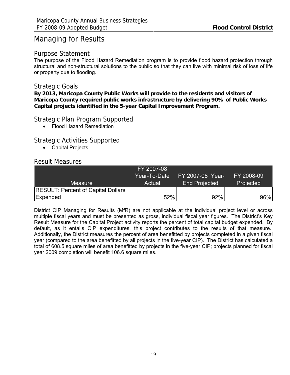## Managing for Results

### Purpose Statement

The purpose of the Flood Hazard Remediation program is to provide flood hazard protection through structural and non-structural solutions to the public so that they can live with minimal risk of loss of life or property due to flooding.

## Strategic Goals

**By 2013, Maricopa County Public Works will provide to the residents and visitors of Maricopa County required public works infrastructure by delivering 90% of Public Works Capital projects identified in the 5-year Capital Improvement Program.** 

## Strategic Plan Program Supported

• Flood Hazard Remediation

## Strategic Activities Supported

• Capital Projects

## Result Measures

|                                             | FY 2007-08   |                      |            |
|---------------------------------------------|--------------|----------------------|------------|
|                                             | Year-To-Date | FY 2007-08 Year-     | FY 2008-09 |
| <b>Measure</b>                              | Actual       | <b>End Projected</b> | Projected  |
| <b>RESULT: Percent of Capital Dollars  </b> |              |                      |            |
| Expended                                    | 52%          | 92%                  | 96%        |

District CIP Managing for Results (MfR) are not applicable at the individual project level or across multiple fiscal years and must be presented as gross, individual fiscal year figures. The District's Key Result Measure for the Capital Project activity reports the percent of total capital budget expended. By default, as it entails CIP expenditures, this project contributes to the results of that measure. Additionally, the District measures the percent of area benefitted by projects completed in a given fiscal year (compared to the area benefitted by all projects in the five-year CIP). The District has calculated a total of 608.5 square miles of area benefitted by projects in the five-year CIP; projects planned for fiscal year 2009 completion will benefit 106.6 square miles.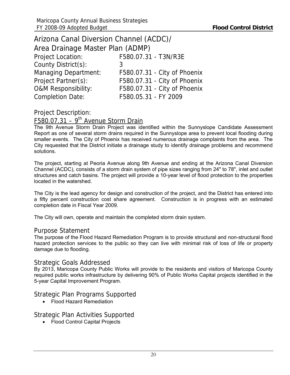<span id="page-22-0"></span>

|                                  | Arizona Canal Diversion Channel (ACDC)/ |  |  |  |  |  |  |  |  |  |  |  |
|----------------------------------|-----------------------------------------|--|--|--|--|--|--|--|--|--|--|--|
| Area Drainage Master Plan (ADMP) |                                         |  |  |  |  |  |  |  |  |  |  |  |
| <b>Project Location:</b>         | F580.07.31 - T3N/R3E                    |  |  |  |  |  |  |  |  |  |  |  |
| County District(s):              | 3                                       |  |  |  |  |  |  |  |  |  |  |  |
| <b>Managing Department:</b>      | F580.07.31 - City of Phoenix            |  |  |  |  |  |  |  |  |  |  |  |
| Project Partner(s):              | F580.07.31 - City of Phoenix            |  |  |  |  |  |  |  |  |  |  |  |
| <b>O&amp;M Responsibility:</b>   | F580.07.31 - City of Phoenix            |  |  |  |  |  |  |  |  |  |  |  |
| <b>Completion Date:</b>          | F580.05.31 - FY 2009                    |  |  |  |  |  |  |  |  |  |  |  |

Project Description:

F580.07.31 –  $9<sup>th</sup>$  Avenue Storm Drain

The 9th Avenue Storm Drain Project was identified within the Sunnyslope Candidate Assessment Report as one of several storm drains required in the Sunnyslope area to prevent local flooding during smaller events. The City of Phoenix has received numerous drainage complaints from the area. The City requested that the District initiate a drainage study to identify drainage problems and recommend solutions.

The project, starting at Peoria Avenue along 9th Avenue and ending at the Arizona Canal Diversion Channel (ACDC), consists of a storm drain system of pipe sizes ranging from 24" to 78", inlet and outlet structures and catch basins. The project will provide a 10-year level of flood protection to the properties located in the watershed.

The City is the lead agency for design and construction of the project, and the District has entered into a fifty percent construction cost share agreement. Construction is in progress with an estimated completion date in Fiscal Year 2009.

The City will own, operate and maintain the completed storm drain system.

#### Purpose Statement

The purpose of the Flood Hazard Remediation Program is to provide structural and non-structural flood hazard protection services to the public so they can live with minimal risk of loss of life or property damage due to flooding.

## Strategic Goals Addressed

By 2013, Maricopa County Public Works will provide to the residents and visitors of Maricopa County required public works infrastructure by delivering 90% of Public Works Capital projects identified in the 5-year Capital Improvement Program.

Strategic Plan Programs Supported

• Flood Hazard Remediation

Strategic Plan Activities Supported

• Flood Control Capital Projects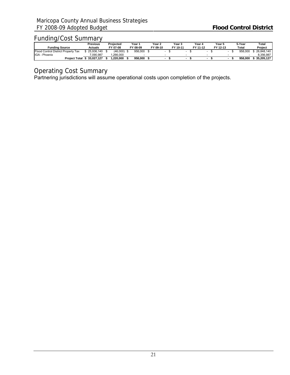## Funding/Cost Summary

|                                     | Previous   | Projected | Year า   | Year 2   | Year 3   | Year 4   | Year 5   | 5-Year  | Total      |  |
|-------------------------------------|------------|-----------|----------|----------|----------|----------|----------|---------|------------|--|
| <b>Funding Source</b>               | Actuals    | FY 07-08  | FY 08-09 | FY 09-10 | FY 10-11 | FY 11-12 | FY 12-13 | Total   | Project    |  |
| Flood Control District Property Tax | 25.936.140 | (46,000)  | 958,000  |          |          |          |          | 958,000 | 26.848.140 |  |
| IGA - Phoenix                       | 7.090.987  | .266.000  |          |          |          |          |          |         | 8.356.987  |  |
| <b>Project Total</b>                | 33.027.127 | .220.000  | 958.000  |          |          |          |          | 958.000 | 35.205.127 |  |

## Operating Cost Summary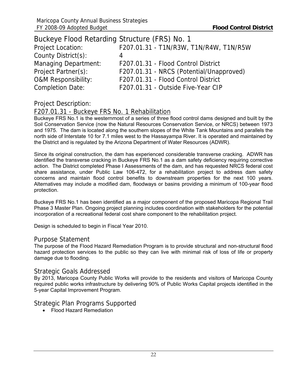<span id="page-24-0"></span>

| Buckeye Flood Retarding Structure (FRS) No. 1 |                                          |
|-----------------------------------------------|------------------------------------------|
| Project Location:                             | F207.01.31 - T1N/R3W, T1N/R4W, T1N/R5W   |
| County District(s):                           | 4                                        |
| <b>Managing Department:</b>                   | F207.01.31 - Flood Control District      |
| Project Partner(s):                           | F207.01.31 - NRCS (Potential/Unapproved) |
| <b>O&amp;M Responsibility:</b>                | F207.01.31 - Flood Control District      |
| <b>Completion Date:</b>                       | F207.01.31 - Outside Five-Year CIP       |

## Project Description:

## F207.01.31 - Buckeye FRS No. 1 Rehabilitation

Buckeye FRS No.1 is the westernmost of a series of three flood control dams designed and built by the Soil Conservation Service (now the Natural Resources Conservation Service, or NRCS) between 1973 and 1975. The dam is located along the southern slopes of the White Tank Mountains and parallels the north side of Interstate 10 for 7.1 miles west to the Hassayampa River. It is operated and maintained by the District and is regulated by the Arizona Department of Water Resources (ADWR).

Since its original construction, the dam has experienced considerable transverse cracking. ADWR has identified the transverse cracking in Buckeye FRS No.1 as a dam safety deficiency requiring corrective action. The District completed Phase I Assessments of the dam, and has requested NRCS federal cost share assistance, under Public Law 106-472, for a rehabilitation project to address dam safety concerns and maintain flood control benefits to downstream properties for the next 100 years. Alternatives may include a modified dam, floodways or basins providing a minimum of 100-year flood protection.

Buckeye FRS No.1 has been identified as a major component of the proposed Maricopa Regional Trail Phase 3 Master Plan. Ongoing project planning includes coordination with stakeholders for the potential incorporation of a recreational federal cost share component to the rehabilitation project.

Design is scheduled to begin in Fiscal Year 2010.

## Purpose Statement

The purpose of the Flood Hazard Remediation Program is to provide structural and non-structural flood hazard protection services to the public so they can live with minimal risk of loss of life or property damage due to flooding.

#### Strategic Goals Addressed

By 2013, Maricopa County Public Works will provide to the residents and visitors of Maricopa County required public works infrastructure by delivering 90% of Public Works Capital projects identified in the 5-year Capital Improvement Program.

## Strategic Plan Programs Supported

• Flood Hazard Remediation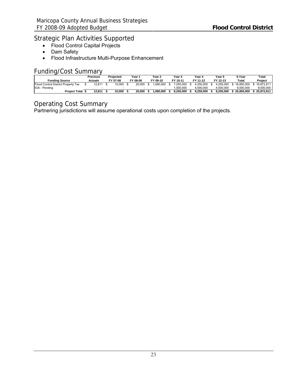## Strategic Plan Activities Supported

- Flood Control Capital Projects
- Dam Safety
- Flood Infrastructure Multi-Purpose Enhancement

## Funding/Cost Summary

|                                     | Previous | Projected | Year⊹    | Year 2   | Year 3    | Year 4    | Year 5    | 5-Year     | Total      |
|-------------------------------------|----------|-----------|----------|----------|-----------|-----------|-----------|------------|------------|
| <b>Funding Source</b>               | Actuals  | FY 07-08  | FY 08-09 | FY 09-10 | FY 10-11  | FY 11-12  | FY 12-13  | Total      | Project    |
| Flood Control District Property Tax | 12.811   | 10.000    | 20,000   | .080.000 | 7.250.000 | 4.250.000 | 4.250.000 | 16.850.000 | 16.872.811 |
| IGA - Pending                       |          |           |          |          | 1.000.000 | 000.000.  | 4.000.000 | 9.000.000  | 9.000.000  |
| <b>Project Total</b>                | 12.811   | 10.000    | 20.000   | .080.000 | 8.250.000 | 8.250.000 | 8.250.000 | 25.850.000 | 25.872.811 |

## Operating Cost Summary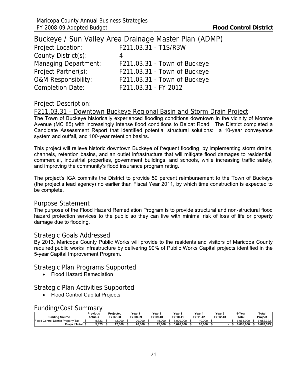<span id="page-26-0"></span>

|                                | Buckeye / Sun Valley Area Drainage Master Plan (ADMP) |
|--------------------------------|-------------------------------------------------------|
| <b>Project Location:</b>       | F211.03.31 - T1S/R3W                                  |
| County District(s):            | 4                                                     |
| <b>Managing Department:</b>    | F211.03.31 - Town of Buckeye                          |
| Project Partner(s):            | F211.03.31 - Town of Buckeye                          |
| <b>O&amp;M Responsibility:</b> | F211.03.31 - Town of Buckeye                          |
| <b>Completion Date:</b>        | F211.03.31 - FY 2012                                  |

## Project Description:

### F211.03.31 - Downtown Buckeye Regional Basin and Storm Drain Project

The Town of Buckeye historically experienced flooding conditions downtown in the vicinity of Monroe Avenue (MC 85) with increasingly intense flood conditions to Beloat Road. The District completed a Candidate Assessment Report that identified potential structural solutions: a 10-year conveyance system and outfall, and 100-year retention basins.

This project will relieve historic downtown Buckeye of frequent flooding by implementing storm drains, channels, retention basins, and an outlet infrastructure that will mitigate flood damages to residential, commercial, industrial properties, government buildings, and schools, while increasing traffic safety, and improving the community's flood insurance program rating.

The project's IGA commits the District to provide 50 percent reimbursement to the Town of Buckeye (the project's lead agency) no earlier than Fiscal Year 2011, by which time construction is expected to be complete.

#### Purpose Statement

The purpose of the Flood Hazard Remediation Program is to provide structural and non-structural flood hazard protection services to the public so they can live with minimal risk of loss of life or property damage due to flooding.

#### Strategic Goals Addressed

By 2013, Maricopa County Public Works will provide to the residents and visitors of Maricopa County required public works infrastructure by delivering 90% of Public Works Capital projects identified in the 5-year Capital Improvement Program.

#### Strategic Plan Programs Supported

• Flood Hazard Remediation

## Strategic Plan Activities Supported

• Flood Control Capital Projects

#### Funding/Cost Summary

| <b>Funding Source</b>                  | Previous<br>Actuals | Projected<br>FY 07-08 | Year 1<br>FY 08-09 | Year $\lambda$<br>FY 09-10 | Year 3<br>$10 - 11$<br>$\sim$ | Year 4<br>FY 11-12 | Year 5<br>FY 12-13 |  | 5-Year<br>Total | $\tau$ otal<br>Project |
|----------------------------------------|---------------------|-----------------------|--------------------|----------------------------|-------------------------------|--------------------|--------------------|--|-----------------|------------------------|
| Flood<br>Control District Property Tax | 5.323               | 12.000                | 20.000             | 5.000                      | 6.020.000                     | 10.000             |                    |  | 6.065.000       | 6.082.323              |
| <b>Project Total</b>                   | 5.323               | 12.000                | 20.000             | 15.000                     | 6.020.000                     | 10.000             |                    |  | 6.065.000       | 6.082.323              |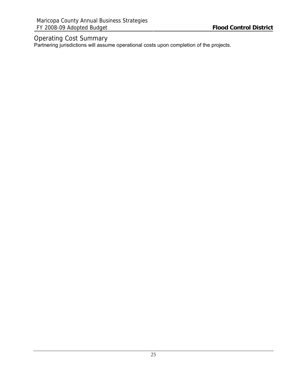## Operating Cost Summary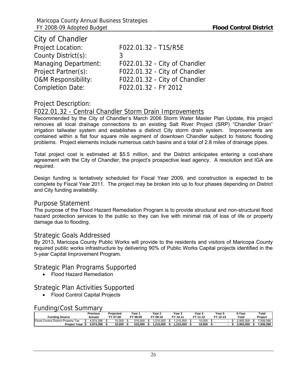<span id="page-28-0"></span>

| City of Chandler               |                               |
|--------------------------------|-------------------------------|
| <b>Project Location:</b>       | F022.01.32 - T1S/R5E          |
| County District(s):            | 3                             |
| <b>Managing Department:</b>    | F022.01.32 - City of Chandler |
| Project Partner(s):            | F022.01.32 - City of Chandler |
| <b>O&amp;M Responsibility:</b> | F022.01.32 - City of Chandler |
| <b>Completion Date:</b>        | F022.01.32 - FY 2012          |

## Project Description:

### F022.01.32 - Central Chandler Storm Drain Improvements

Recommended by the City of Chandler's March 2006 Storm Water Master Plan Update, this project removes all local drainage connections to an existing Salt River Project (SRP) "Chandler Drain" irrigation tailwater system and establishes a distinct City storm drain system. Improvements are contained within a flat four square mile segment of downtown Chandler subject to historic flooding problems. Project elements include numerous catch basins and a total of 2.8 miles of drainage pipes.

Total project cost is estimated at \$5.5 million, and the District anticipates entering a cost-share agreement with the City of Chandler, the project's prospective lead agency. A resolution and IGA are required.

Design funding is tentatively scheduled for Fiscal Year 2009, and construction is expected to be complete by Fiscal Year 2011. The project may be broken into up to four phases depending on District and City funding availability.

#### Purpose Statement

The purpose of the Flood Hazard Remediation Program is to provide structural and non-structural flood hazard protection services to the public so they can live with minimal risk of loss of life or property damage due to flooding.

#### Strategic Goals Addressed

By 2013, Maricopa County Public Works will provide to the residents and visitors of Maricopa County required public works infrastructure by delivering 90% of Public Works Capital projects identified in the 5-year Capital Improvement Program.

#### Strategic Plan Programs Supported

• Flood Hazard Remediation

## Strategic Plan Activities Supported

• Flood Control Capital Projects

#### Funding/Cost Summary

| <b>Funding Source</b>                       | Previous<br>Actuals | Projected<br>FY 07-08 | Year 1<br>FY 08-09 | Year $\lambda$<br>FY 09-10 | Year 5<br>$10 - 11$<br>$\sim$ | Year 4<br>FY 11-12 | Year 5<br>FY 12-13 |  | 5-Year<br>Total | Total<br>Project |
|---------------------------------------------|---------------------|-----------------------|--------------------|----------------------------|-------------------------------|--------------------|--------------------|--|-----------------|------------------|
| Flood<br>l Control District Property<br>Tax | .974.398            | 10.000                | <b>515.000</b>     | $.215.000$ ^               | 15.000                        | 10.000             |                    |  | :.955.000       | 7,939,398        |
| <b>Project Total</b>                        | 4.974.398           | 10.000                | 515.000            | 215.000<br>215             | .215.000<br>.24F              | 10.000             |                    |  | 2.955.000       | 7.939.398        |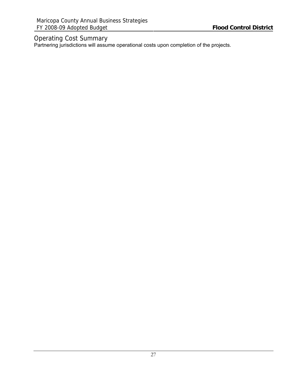## Operating Cost Summary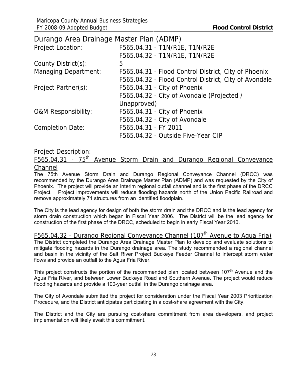<span id="page-30-0"></span>Durango Area Drainage Master Plan (ADMP)

| <b>Project Location:</b>       | F565.04.31 - T1N/R1E, T1N/R2E                         |
|--------------------------------|-------------------------------------------------------|
|                                | F565.04.32 - T1N/R1E, T1N/R2E                         |
| County District(s):            | 5                                                     |
| <b>Managing Department:</b>    | F565.04.31 - Flood Control District, City of Phoenix  |
|                                | F565.04.32 - Flood Control District, City of Avondale |
| Project Partner(s):            | F565.04.31 - City of Phoenix                          |
|                                | F565.04.32 - City of Avondale (Projected /            |
|                                | Unapproved)                                           |
| <b>O&amp;M Responsibility:</b> | F565.04.31 - City of Phoenix                          |
|                                | F565.04.32 - City of Avondale                         |
| <b>Completion Date:</b>        | F565.04.31 - FY 2011                                  |
|                                | F565.04.32 - Outside Five-Year CIP                    |

## Project Description:

F565.04.31 - 75th Avenue Storm Drain and Durango Regional Conveyance **Channel** 

The 75th Avenue Storm Drain and Durango Regional Conveyance Channel (DRCC) was recommended by the Durango Area Drainage Master Plan (ADMP) and was requested by the City of Phoenix. The project will provide an interim regional outfall channel and is the first phase of the DRCC Project. Project improvements will reduce flooding hazards north of the Union Pacific Railroad and remove approximately 71 structures from an identified floodplain.

The City is the lead agency for design of both the storm drain and the DRCC and is the lead agency for storm drain construction which began in Fiscal Year 2006. The District will be the lead agency for construction of the first phase of the DRCC, scheduled to begin in early Fiscal Year 2010.

## F565.04.32 - Durango Regional Conveyance Channel (107<sup>th</sup> Avenue to Agua Fria)

The District completed the Durango Area Drainage Master Plan to develop and evaluate solutions to mitigate flooding hazards in the Durango drainage area. The study recommended a regional channel and basin in the vicinity of the Salt River Project Buckeye Feeder Channel to intercept storm water flows and provide an outfall to the Agua Fria River.

This project constructs the portion of the recommended plan located between  $107<sup>th</sup>$  Avenue and the Agua Fria River, and between Lower Buckeye Road and Southern Avenue. The project would reduce flooding hazards and provide a 100-year outfall in the Durango drainage area.

The City of Avondale submitted the project for consideration under the Fiscal Year 2003 Prioritization Procedure, and the District anticipates participating in a cost-share agreement with the City.

The District and the City are pursuing cost-share commitment from area developers, and project implementation will likely await this commitment.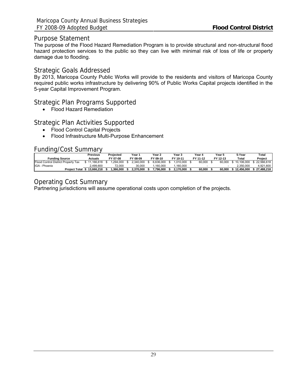### Purpose Statement

The purpose of the Flood Hazard Remediation Program is to provide structural and non-structural flood hazard protection services to the public so they can live with minimal risk of loss of life or property damage due to flooding.

### Strategic Goals Addressed

By 2013, Maricopa County Public Works will provide to the residents and visitors of Maricopa County required public works infrastructure by delivering 90% of Public Works Capital projects identified in the 5-year Capital Improvement Program.

## Strategic Plan Programs Supported

• Flood Hazard Remediation

## Strategic Plan Activities Supported

- Flood Control Capital Projects
- Flood Infrastructure Multi-Purpose Enhancement

### Funding/Cost Summary

|                                     | Previous   | Projected | Year '    | Year 2    | Year 3    | Year 4   | Year 5   | 5-Year     | Total      |
|-------------------------------------|------------|-----------|-----------|-----------|-----------|----------|----------|------------|------------|
| <b>Funding Source</b>               | Actuals    | FY 07-08  | FY 08-09  | FY 09-10  | FY 10-11  | FY 11-12 | FY 12-13 | Total      | Project    |
| Flood Control District Property Tax | .166.618   | 294.000   | 2.340.000 | 6.636.000 | 1.010.000 | 60.000   | 60.000   | 10.106.000 | 22.566.618 |
| IGA - Phoenix                       | 2.499.600  | 72.000    | 30.000    | .160.000  | .160.000  |          |          | 2.350.000  | 4.921.600  |
| <b>Project Total</b>                | 13.666.218 | .366.000  | 2.370.000 | 7.796.000 | 2.170.000 | 60.000   | 60.000   | 12.456.000 | 27.488.218 |

## Operating Cost Summary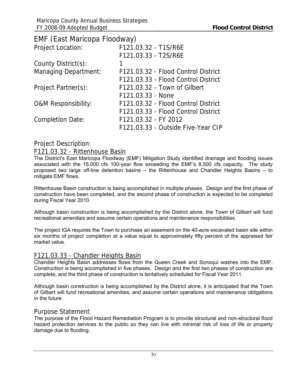<span id="page-32-0"></span>

| EMF (East Maricopa Floodway)   |                                     |
|--------------------------------|-------------------------------------|
| <b>Project Location:</b>       | F121.03.32 - T1S/R6E                |
|                                | F121.03.33 - T2S/R6E                |
| County District(s):            |                                     |
| <b>Managing Department:</b>    | F121.03.32 - Flood Control District |
|                                | F121.03.33 - Flood Control District |
| Project Partner(s):            | F121.03.32 - Town of Gilbert        |
|                                | F121.03.33 - None                   |
| <b>O&amp;M Responsibility:</b> | F121.03.32 - Flood Control District |
|                                | F121.03.33 - Flood Control District |
| <b>Completion Date:</b>        | F121.03.32 - FY 2012                |
|                                | F121.03.33 - Outside Five-Year CIP  |

## Project Description:

## F121.03.32 - Rittenhouse Basin

The District's East Maricopa Floodway (EMF) Mitigation Study identified drainage and flooding issues associated with the 15,000 cfs 100-year flow exceeding the EMF's 8,500 cfs capacity. The study proposed two large off-line detention basins – the Rittenhouse and Chandler Heights Basins – to mitigate EMF flows.

Rittenhouse Basin construction is being accomplished in multiple phases. Design and the first phase of construction have been completed, and the second phase of construction is expected to be completed during Fiscal Year 2010.

Although basin construction is being accomplished by the District alone, the Town of Gilbert will fund recreational amenities and assume certain operations and maintenance responsibilities.

The project IGA requires the Town to purchase an easement on the 40-acre excavated basin site within six months of project completion at a value equal to approximately fifty percent of the appraised fair market value.

## F121.03.33 - Chandler Heights Basin

Chandler Heights Basin addresses flows from the Queen Creek and Sonoqui washes into the EMF. Construction is being accomplished in five phases. Design and the first two phases of construction are complete, and the third phase of construction is tentatively scheduled for Fiscal Year 2011.

Although basin construction is being accomplished by the District alone, it is anticipated that the Town of Gilbert will fund recreational amenities, and assume certain operations and maintenance obligations in the future.

#### Purpose Statement

The purpose of the Flood Hazard Remediation Program is to provide structural and non-structural flood hazard protection services to the public so they can live with minimal risk of loss of life or property damage due to flooding.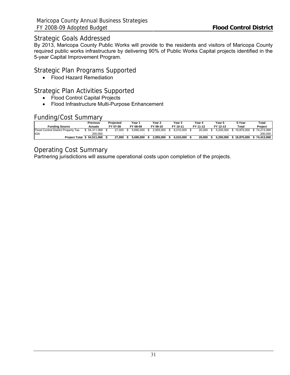## Strategic Goals Addressed

By 2013, Maricopa County Public Works will provide to the residents and visitors of Maricopa County required public works infrastructure by delivering 90% of Public Works Capital projects identified in the 5-year Capital Improvement Program.

## Strategic Plan Programs Supported

• Flood Hazard Remediation

## Strategic Plan Activities Supported

- Flood Control Capital Projects
- Flood Infrastructure Multi-Purpose Enhancement

## Funding/Cost Summary

|                                     | Previous       | Projected | Year '    | Year 2    | Year 3    | Year 4   | Year 5    | 5-Year     | Total      |
|-------------------------------------|----------------|-----------|-----------|-----------|-----------|----------|-----------|------------|------------|
| <b>Funding Source</b>               | <b>Actuals</b> | FY 07-08  | FY 08-09  | FY 09-10  | FY 10-11  | FY 11-12 | FY 12-13  | Total      | Project    |
| Flood Control District Property Tax | 54.311.068     | 27.000    | 5.690.000 | 2.955.000 | 6.010.000 | 20,000   | 5.200.000 | 19.875.000 | 74.213.068 |
| <b>I</b> IGA                        | 200.000        |           |           |           |           |          |           |            | 200.000    |
| <b>Project Total</b>                | 54.511.068     | 27.000    | 5.690.000 | 2.955.000 | 6.010.000 | 20.000   | 5.200.000 | 19.875.000 | 74.413.068 |

## Operating Cost Summary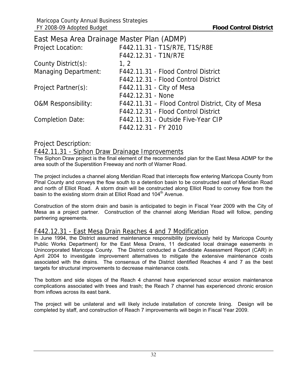<span id="page-34-0"></span>

| East Mesa Area Drainage Master Plan (ADMP) |                                                   |
|--------------------------------------------|---------------------------------------------------|
| <b>Project Location:</b>                   | F442.11.31 - T1S/R7E, T1S/R8E                     |
|                                            | F442.12.31 - T1N/R7E                              |
| County District(s):                        | 1, 2                                              |
| <b>Managing Department:</b>                | F442.11.31 - Flood Control District               |
|                                            | F442.12.31 - Flood Control District               |
| Project Partner(s):                        | F442.11.31 - City of Mesa                         |
|                                            | F442.12.31 - None                                 |
| <b>O&amp;M Responsibility:</b>             | F442.11.31 - Flood Control District, City of Mesa |
|                                            | F442.12.31 - Flood Control District               |
| <b>Completion Date:</b>                    | F442.11.31 - Outside Five-Year CIP                |
|                                            | F442.12.31 - FY 2010                              |

## Project Description:

## F442.11.31 - Siphon Draw Drainage Improvements

The Siphon Draw project is the final element of the recommended plan for the East Mesa ADMP for the area south of the Superstition Freeway and north of Warner Road.

The project includes a channel along Meridian Road that intercepts flow entering Maricopa County from Pinal County and conveys the flow south to a detention basin to be constructed east of Meridian Road and north of Elliot Road. A storm drain will be constructed along Elliot Road to convey flow from the basin to the existing storm drain at Elliot Road and 104<sup>th</sup> Avenue.

Construction of the storm drain and basin is anticipated to begin in Fiscal Year 2009 with the City of Mesa as a project partner. Construction of the channel along Meridian Road will follow, pending partnering agreements.

## F442.12.31 - East Mesa Drain Reaches 4 and 7 Modification

In June 1994, the District assumed maintenance responsibility (previously held by Maricopa County Public Works Department) for the East Mesa Drains, 11 dedicated local drainage easements in Unincorporated Maricopa County. The District conducted a Candidate Assessment Report (CAR) in April 2004 to investigate improvement alternatives to mitigate the extensive maintenance costs associated with the drains. The consensus of the District identified Reaches 4 and 7 as the best targets for structural improvements to decrease maintenance costs.

The bottom and side slopes of the Reach 4 channel have experienced scour erosion maintenance complications associated with trees and trash; the Reach 7 channel has experienced chronic erosion from inflows across its east bank.

The project will be unilateral and will likely include installation of concrete lining. Design will be completed by staff, and construction of Reach 7 improvements will begin in Fiscal Year 2009.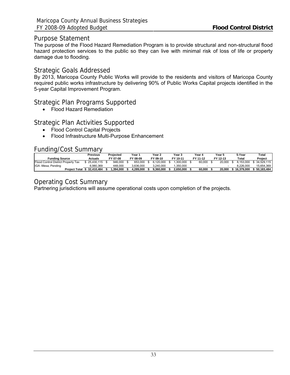### Purpose Statement

The purpose of the Flood Hazard Remediation Program is to provide structural and non-structural flood hazard protection services to the public so they can live with minimal risk of loss of life or property damage due to flooding.

### Strategic Goals Addressed

By 2013, Maricopa County Public Works will provide to the residents and visitors of Maricopa County required public works infrastructure by delivering 90% of Public Works Capital projects identified in the 5-year Capital Improvement Program.

## Strategic Plan Programs Supported

• Flood Hazard Remediation

## Strategic Plan Activities Supported

- Flood Control Capital Projects
- Flood Infrastructure Multi-Purpose Enhancement

### Funding/Cost Summary

|                                     | Previous   | Projected | Year า    | Year 2    | Year 3    | Year 4   | Year 5   | 5-Year     | Total      |
|-------------------------------------|------------|-----------|-----------|-----------|-----------|----------|----------|------------|------------|
| <b>Funding Source</b>               | Actuals    | FY 07-08  | FY 08-09  | FY 09-10  | FY 10-11  | FY 11-12 | FY 12-13 | Total      | Proiect    |
| Flood Control District Property Tax | 25.430.115 | 946.000   | 653,000   | 6.120.000 | .300.000  | 60.000   | 20,000   | 8.153.000  | 34.529.115 |
| IGA -Mesa, Pending                  | 6.980.369  | 448.000   | 3.636.000 | 3.240.000 | .350.000  |          |          | 8.226.000  | 15.654.369 |
| <b>Project Total</b>                | 32.410.484 | .394.000  | 4.289.000 | 9.360.000 | 2.650.000 | 60.000   | 20.000   | 16.379.000 | 50.183.484 |

## Operating Cost Summary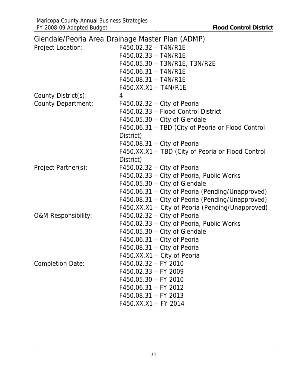|                                | Glendale/Peoria Area Drainage Master Plan (ADMP)  |
|--------------------------------|---------------------------------------------------|
| <b>Project Location:</b>       | F450.02.32 - T4N/R1E                              |
|                                | F450.02.33 - T4N/R1E                              |
|                                | F450.05.30 - T3N/R1E, T3N/R2E                     |
|                                | F450.06.31 - T4N/R1E                              |
|                                | F450.08.31 - T4N/R1E                              |
|                                | F450.XX.X1 - T4N/R1E                              |
| County District(s):            | 4                                                 |
| <b>County Department:</b>      | $F450.02.32 - City$ of Peoria                     |
|                                | F450.02.33 - Flood Control District               |
|                                | $F450.05.30 - City$ of Glendale                   |
|                                | F450.06.31 – TBD (City of Peoria or Flood Control |
|                                | District)                                         |
|                                | $F450.08.31 - City of Peoria$                     |
|                                | F450.XX.X1 - TBD (City of Peoria or Flood Control |
|                                | District)                                         |
| Project Partner(s):            | $F450.02.32 - City$ of Peoria                     |
|                                | F450.02.33 - City of Peoria, Public Works         |
|                                | F450.05.30 - City of Glendale                     |
|                                | F450.06.31 – City of Peoria (Pending/Unapproved)  |
|                                | F450.08.31 – City of Peoria (Pending/Unapproved)  |
|                                | F450.XX.X1 – City of Peoria (Pending/Unapproved)  |
| <b>O&amp;M Responsibility:</b> | $F450.02.32 - City$ of Peoria                     |
|                                | F450.02.33 - City of Peoria, Public Works         |
|                                | $F450.05.30 - City of Glendale$                   |
|                                | $F450.06.31 - City of Peoria$                     |
|                                | $F450.08.31 - City of Peoria$                     |
|                                | F450.XX.X1 - City of Peoria                       |
| <b>Completion Date:</b>        | F450.02.32 - FY 2010                              |
|                                | F450.02.33 - FY 2009                              |
|                                | F450.05.30 - FY 2010                              |
|                                | F450.06.31 - FY 2012                              |
|                                | F450.08.31 - FY 2013                              |
|                                | F450.XX.X1 - FY 2014                              |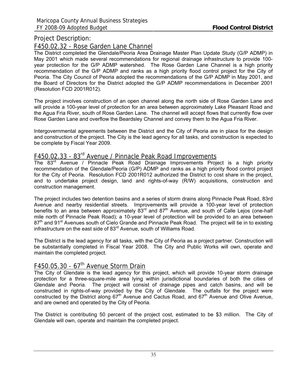### F450.02.32 - Rose Garden Lane Channel

The District completed the Glendale/Peoria Area Drainage Master Plan Update Study (G/P ADMP) in May 2001 which made several recommendations for regional drainage infrastructure to provide 100 year protection for the G/P ADMP watershed. The Rose Garden Lane Channel is a high priority recommendation of the G/P ADMP and ranks as a high priority flood control project for the City of Peoria. The City Council of Peoria adopted the recommendations of the G/P ADMP in May 2001, and the Board of Directors for the District adopted the G/P ADMP recommendations in December 2001 (Resolution FCD 2001R012).

The project involves construction of an open channel along the north side of Rose Garden Lane and will provide a 100-year level of protection for an area between approximately Lake Pleasant Road and the Agua Fria River, south of Rose Garden Lane. The channel will accept flows that currently flow over Rose Garden Lane and overflow the Beardsley Channel and convey them to the Agua Fria River.

Intergovernmental agreements between the District and the City of Peoria are in place for the design and construction of the project. The City is the lead agency for all tasks, and construction is expected to be complete by Fiscal Year 2009.

# F450.02.33 - 83rd Avenue / Pinnacle Peak Road Improvements

The 83<sup>rd</sup> Avenue / Pinnacle Peak Road Drainage Improvements Project is a high priority recommendation of the Glendale/Peoria (G/P) ADMP and ranks as a high priority flood control project for the City of Peoria. Resolution FCD 2001R012 authorized the District to cost share in the project, and to undertake project design, land and rights-of-way (R/W) acquisitions, construction and construction management.

The project includes two detention basins and a series of storm drains along Pinnacle Peak Road, 83rd Avenue and nearby residential streets. Improvements will provide a 100-year level of protection benefits to an area between approximately  $83<sup>rd</sup>$  and  $87<sup>th</sup>$  Avenue, and south of Calle Lejos (one-half mile north of Pinnacle Peak Road); a 10-year level of protection will be provided to an area between 87<sup>th</sup> and 91<sup>st</sup> Avenues south of Cielo Grande and Pinnacle Peak Road. The project will tie in to existing infrastructure on the east side of 83<sup>rd</sup> Avenue, south of Williams Road.

The District is the lead agency for all tasks, with the City of Peoria as a project partner. Construction will be substantially completed in Fiscal Year 2008. The City and Public Works will own, operate and maintain the completed project.

# F450.05.30 -  $67<sup>th</sup>$  Avenue Storm Drain

The City of Glendale is the lead agency for this project, which will provide 10-year storm drainage protection for a three-square-mile area lying within jurisdictional boundaries of both the cities of Glendale and Peoria. The project will consist of drainage pipes and catch basins, and will be constructed in rights-of-way provided by the City of Glendale. The outfalls for the project were constructed by the District along  $67<sup>th</sup>$  Avenue and Cactus Road, and  $67<sup>th</sup>$  Avenue and Olive Avenue, and are owned and operated by the City of Peoria.

The District is contributing 50 percent of the project cost, estimated to be \$3 million. The City of Glendale will own, operate and maintain the completed project.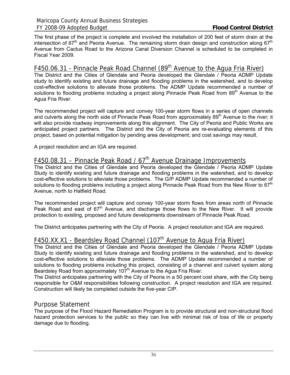The first phase of the project is complete and involved the installation of 200 feet of storm drain at the intersection of  $67<sup>th</sup>$  and Peoria Avenue. The remaining storm drain design and construction along  $67<sup>th</sup>$ Avenue from Cactus Road to the Arizona Canal Diversion Channel is scheduled to be completed in Fiscal Year 2009.

# F450.06.31 - Pinnacle Peak Road Channel (89<sup>th</sup> Avenue to the Agua Fria River)

The District and the Cities of Glendale and Peoria developed the Glendale / Peoria ADMP Update study to identify existing and future drainage and flooding problems in the watershed, and to develop cost-effective solutions to alleviate those problems. The ADMP Update recommended a number of solutions to flooding problems including a project along Pinnacle Peak Road from 89<sup>th</sup> Avenue to the Agua Fria River.

The recommended project will capture and convey 100-year storm flows in a series of open channels and culverts along the north side of Pinnacle Peak Road from approximately 89<sup>th</sup> Avenue to the river; it will also provide roadway improvements along this alignment. The City of Peoria and Public Works are anticipated project partners. The District and the City of Peoria are re-evaluating elements of this project, based on potential mitigation by pending area development; and cost savings may result.

A project resolution and an IGA are required.

# F450.08.31 – Pinnacle Peak Road /  $67<sup>th</sup>$  Avenue Drainage Improvements

The District and the Cities of Glendale and Peoria developed the Glendale / Peoria ADMP Update Study to identify existing and future drainage and flooding problems in the watershed, and to develop cost-effective solutions to alleviate those problems. The G/P ADMP Update recommended a number of solutions to flooding problems including a project along Pinnacle Peak Road from the New River to 67<sup>th</sup> Avenue, north to Hatfield Road.

The recommended project will capture and convey 100-year storm flows from areas north of Pinnacle Peak Road and east of  $67<sup>th</sup>$  Avenue, and discharge those flows to the New River. It will provide protection to existing, proposed and future developments downstream of Pinnacle Peak Road.

The District anticipates partnering with the City of Peoria. A project resolution and IGA are required.

# F450.XX.X1 - Beardsley Road Channel (107<sup>th</sup> Avenue to Agua Fria River)

The District and the Cities of Glendale and Peoria developed the Glendale / Peoria ADMP Update Study to identify existing and future drainage and flooding problems in the watershed, and to develop cost-effective solutions to alleviate those problems. The ADMP Update recommended a number of solutions to flooding problems including this project, consisting of a channel and culvert system along Beardsley Road from approximately  $107<sup>th</sup>$  Avenue to the Agua Fria River.

The District anticipates partnering with the City of Peoria in a 50 percent cost share, with the City being responsible for O&M responsibilities following construction. A project resolution and IGA are required. Construction will likely be completed outside the five-year CIP.

### Purpose Statement

The purpose of the Flood Hazard Remediation Program is to provide structural and non-structural flood hazard protection services to the public so they can live with minimal risk of loss of life or property damage due to flooding.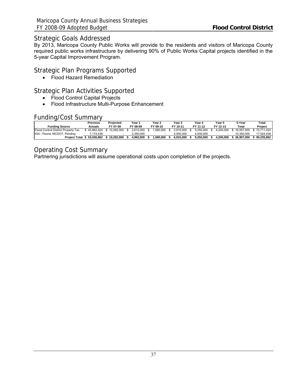## Strategic Goals Addressed

By 2013, Maricopa County Public Works will provide to the residents and visitors of Maricopa County required public works infrastructure by delivering 90% of Public Works Capital projects identified in the 5-year Capital Improvement Program.

## Strategic Plan Programs Supported

• Flood Hazard Remediation

## Strategic Plan Activities Supported

- Flood Control Capital Projects
- Flood Infrastructure Multi-Purpose Enhancement

# Funding/Cost Summary

|                                     | Previous   | Proiected  | Year 1    | Year 2   | Year 3    | Year 4    | Year 5    | 5-Year     | Total      |
|-------------------------------------|------------|------------|-----------|----------|-----------|-----------|-----------|------------|------------|
| <b>Funding Source</b>               | Actuals    | FY 07-08   | FY 08-09  | FY 09-10 | FY 10-11  | FY 11-12  | FY 12-13  | Total      | Project    |
| Flood Control District Property Tax | 45.862.424 | 10.292.000 | 2.612.000 | .580.000 | 2.915.000 | 5.250.000 | 4.200.000 | 16.557.000 | 72.711.424 |
| IGA - Peoria, MCDOT, Pending        | 7.174.438  |            | 2.350.000 |          | 4.000.000 | 4.000.000 |           | 10.350.000 | 17.524.438 |
| <b>Project Total</b>                | 53.036.862 | 10.292.000 | 4.962.000 | .580.000 | 6.915.000 | 9.250.000 | 4.200.000 | 26.907.000 | 90.235.862 |

# Operating Cost Summary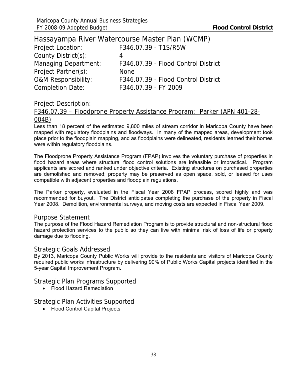|                                | Hassayampa River Watercourse Master Plan (WCMP) |
|--------------------------------|-------------------------------------------------|
| <b>Project Location:</b>       | F346.07.39 - T1S/R5W                            |
| County District(s):            | 4                                               |
| <b>Managing Department:</b>    | F346.07.39 - Flood Control District             |
| Project Partner(s):            | <b>None</b>                                     |
| <b>O&amp;M Responsibility:</b> | F346.07.39 - Flood Control District             |
| <b>Completion Date:</b>        | F346.07.39 - FY 2009                            |

### F346.07.39 – Floodprone Property Assistance Program: Parker (APN 401-28- 004B)

Less than 18 percent of the estimated 9,800 miles of stream corridor in Maricopa County have been mapped with regulatory floodplains and floodways. In many of the mapped areas, development took place prior to the floodplain mapping, and as floodplains were delineated, residents learned their homes were within regulatory floodplains.

The Floodprone Property Assistance Program (FPAP) involves the voluntary purchase of properties in flood hazard areas where structural flood control solutions are infeasible or impractical. Program applicants are scored and ranked under objective criteria. Existing structures on purchased properties are demolished and removed; property may be preserved as open space, sold, or leased for uses compatible with adjacent properties and floodplain regulations.

The Parker property, evaluated in the Fiscal Year 2008 FPAP process, scored highly and was recommended for buyout. The District anticipates completing the purchase of the property in Fiscal Year 2008. Demolition, environmental surveys, and moving costs are expected in Fiscal Year 2009.

#### Purpose Statement

The purpose of the Flood Hazard Remediation Program is to provide structural and non-structural flood hazard protection services to the public so they can live with minimal risk of loss of life or property damage due to flooding.

#### Strategic Goals Addressed

By 2013, Maricopa County Public Works will provide to the residents and visitors of Maricopa County required public works infrastructure by delivering 90% of Public Works Capital projects identified in the 5-year Capital Improvement Program.

Strategic Plan Programs Supported

• Flood Hazard Remediation

### Strategic Plan Activities Supported

• Flood Control Capital Projects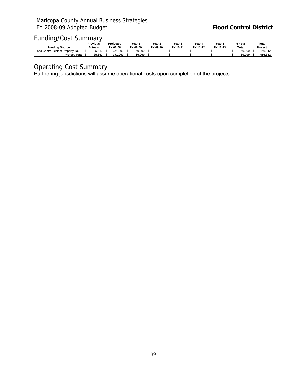|                                                   | Previous       | Proiected   | Year '       | Year 2   | Year 5   | Year 4   | Year 5   |  | 5-Year | Total   |
|---------------------------------------------------|----------------|-------------|--------------|----------|----------|----------|----------|--|--------|---------|
| Fundina Source                                    | <b>Actuals</b> | FY 07-08    | гv.<br>08-09 | FY 09-10 | FY 10-11 | FY 11-12 | FY 12-13 |  | Total  | Project |
| Eloor<br>Property<br>Tax<br>Control<br>I District | 25.342         | 371<br>.000 | 60,000       |          |          |          |          |  | 60.000 | 456.342 |
| <b>Project Total</b>                              | 25.342         | 371.000     | 60.000       |          |          |          |          |  | 60.000 | 456.342 |

Operating Cost Summary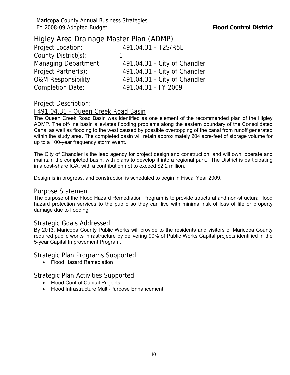| Higley Area Drainage Master Plan (ADMP) |                               |
|-----------------------------------------|-------------------------------|
| <b>Project Location:</b>                | F491.04.31 - T2S/R5E          |
| County District(s):                     |                               |
| <b>Managing Department:</b>             | F491.04.31 - City of Chandler |
| Project Partner(s):                     | F491.04.31 - City of Chandler |
| <b>O&amp;M Responsibility:</b>          | F491.04.31 - City of Chandler |
| <b>Completion Date:</b>                 | F491.04.31 - FY 2009          |

# F491.04.31 - Queen Creek Road Basin

The Queen Creek Road Basin was identified as one element of the recommended plan of the Higley ADMP. The off-line basin alleviates flooding problems along the eastern boundary of the Consolidated Canal as well as flooding to the west caused by possible overtopping of the canal from runoff generated within the study area. The completed basin will retain approximately 204 acre-feet of storage volume for up to a 100-year frequency storm event.

The City of Chandler is the lead agency for project design and construction, and will own, operate and maintain the completed basin, with plans to develop it into a regional park. The District is participating in a cost-share IGA, with a contribution not to exceed \$2.2 million.

Design is in progress, and construction is scheduled to begin in Fiscal Year 2009.

#### Purpose Statement

The purpose of the Flood Hazard Remediation Program is to provide structural and non-structural flood hazard protection services to the public so they can live with minimal risk of loss of life or property damage due to flooding.

#### Strategic Goals Addressed

By 2013, Maricopa County Public Works will provide to the residents and visitors of Maricopa County required public works infrastructure by delivering 90% of Public Works Capital projects identified in the 5-year Capital Improvement Program.

### Strategic Plan Programs Supported

• Flood Hazard Remediation

Strategic Plan Activities Supported

- Flood Control Capital Projects
- Flood Infrastructure Multi-Purpose Enhancement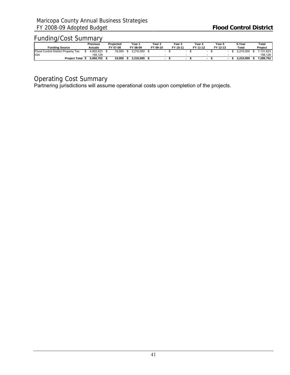|                                     | Previous  | Proiected | Year 1    | Year 2   | Year 3   | Year 4   | Year 5   |  | 5-Year    | Total     |
|-------------------------------------|-----------|-----------|-----------|----------|----------|----------|----------|--|-----------|-----------|
| <b>Funding Source</b>               | Actuals   | FY 07-08  | FY 08-09  | FY 09-10 | FY 10-11 | FY 11-12 | FY 12-13 |  | Total     | Project   |
| Flood Control District Property Tax | 4.902.623 | 19,000    | 2.210.000 |          |          |          |          |  | 2.210.000 | .131.623  |
| <b>IGA</b>                          | 158.129   |           |           |          |          |          |          |  |           | 158.129   |
| <b>Project Total</b>                | 5.060.752 | 19.000    | 2.210.000 |          |          |          |          |  | 2.210.000 | 7.289.752 |

# Operating Cost Summary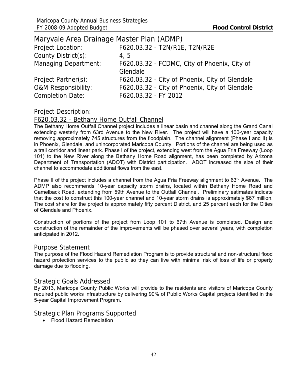| Maryvale Area Drainage Master Plan (ADMP) |                                                |
|-------------------------------------------|------------------------------------------------|
| Project Location:                         | F620.03.32 - T2N/R1E, T2N/R2E                  |
| County District(s):                       | 4, 5                                           |
| <b>Managing Department:</b>               | F620.03.32 - FCDMC, City of Phoenix, City of   |
|                                           | Glendale                                       |
| Project Partner(s):                       | F620.03.32 - City of Phoenix, City of Glendale |
| <b>O&amp;M Responsibility:</b>            | F620.03.32 - City of Phoenix, City of Glendale |
| <b>Completion Date:</b>                   | F620.03.32 - FY 2012                           |

## F620.03.32 - Bethany Home Outfall Channel

The Bethany Home Outfall Channel project includes a linear basin and channel along the Grand Canal extending westerly from 63rd Avenue to the New River. The project will have a 100-year capacity removing approximately 745 structures from the floodplain. The channel alignment (Phase I and II) is in Phoenix, Glendale, and unincorporated Maricopa County. Portions of the channel are being used as a trail corridor and linear park. Phase I of the project, extending west from the Agua Fria Freeway (Loop 101) to the New River along the Bethany Home Road alignment, has been completed by Arizona Department of Transportation (ADOT) with District participation. ADOT increased the size of their channel to accommodate additional flows from the east.

Phase II of the project includes a channel from the Agua Fria Freeway alignment to 63<sup>rd</sup> Avenue. The ADMP also recommends 10-year capacity storm drains, located within Bethany Home Road and Camelback Road, extending from 59th Avenue to the Outfall Channel. Preliminary estimates indicate that the cost to construct this 100-year channel and 10-year storm drains is approximately \$67 million. The cost share for the project is approximately fifty percent District, and 25 percent each for the Cities of Glendale and Phoenix.

Construction of portions of the project from Loop 101 to 67th Avenue is completed. Design and construction of the remainder of the improvements will be phased over several years, with completion anticipated in 2012.

#### Purpose Statement

The purpose of the Flood Hazard Remediation Program is to provide structural and non-structural flood hazard protection services to the public so they can live with minimal risk of loss of life or property damage due to flooding.

#### Strategic Goals Addressed

By 2013, Maricopa County Public Works will provide to the residents and visitors of Maricopa County required public works infrastructure by delivering 90% of Public Works Capital projects identified in the 5-year Capital Improvement Program.

Strategic Plan Programs Supported

• Flood Hazard Remediation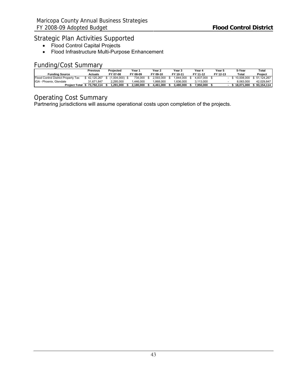# Strategic Plan Activities Supported

- Flood Control Capital Projects
- Flood Infrastructure Multi-Purpose Enhancement

# Funding/Cost Summary

|                                     | Previous   | Projected | Year '    | Year 2    | Year 3    | Year 4           | Year 5   | 5-Year      | Total        |
|-------------------------------------|------------|-----------|-----------|-----------|-----------|------------------|----------|-------------|--------------|
| <b>Funding Source</b>               | Actuals    | FY 07-08  | FY 08-09  | FY 09-10  | FY 10-11  | FY 11-12         | FY 12-13 | Total       | Project      |
| Flood Control District Property Tax | 42.120.267 | .004.000) | 734.000   | ?.593.000 | .844.000  | 4.837.000        |          | 。10.008.000 | \$51,124,267 |
| IGA - Phoenix, Glendale             | 31.671.847 | 2.295.000 | .446.000  | .868.000  | .636.000  | <u>? 113.000</u> |          | 8.063.000   | 42.029.847   |
| <b>Project Total</b>                | 73.792.114 | .291.000  | 2.180.000 | .461.000  | 3.480.000 | 7.950.000        |          | 18.071.000  | \$93.154.114 |

### Operating Cost Summary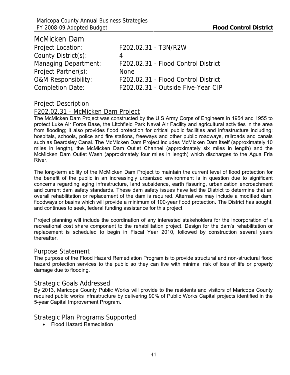| F202.02.31 - T3N/R2W                |
|-------------------------------------|
| 4                                   |
| F202.02.31 - Flood Control District |
| <b>None</b>                         |
| F202.02.31 - Flood Control District |
| F202.02.31 - Outside Five-Year CIP  |
|                                     |

McMicken Dam

## F202.02.31 - McMicken Dam Project

The McMicken Dam Project was constructed by the U.S Army Corps of Engineers in 1954 and 1955 to protect Luke Air Force Base, the Litchfield Park Naval Air Facility and agricultural activities in the area from flooding; it also provides flood protection for critical public facilities and infrastructure including: hospitals, schools, police and fire stations, freeways and other public roadways, railroads and canals such as Beardsley Canal. The McMicken Dam Project includes McMicken Dam itself (approximately 10 miles in length), the McMicken Dam Outlet Channel (approximately six miles in length) and the McMicken Dam Outlet Wash (approximately four miles in length) which discharges to the Agua Fria River.

The long-term ability of the McMicken Dam Project to maintain the current level of flood protection for the benefit of the public in an increasingly urbanized environment is in question due to significant concerns regarding aging infrastructure, land subsidence, earth fissuring, urbanization encroachment and current dam safety standards. These dam safety issues have led the District to determine that an overall rehabilitation or replacement of the dam is required. Alternatives may include a modified dam, floodways or basins which will provide a minimum of 100-year flood protection. The District has sought, and continues to seek, federal funding assistance for this project.

Project planning will include the coordination of any interested stakeholders for the incorporation of a recreational cost share component to the rehabilitation project. Design for the dam's rehabilitation or replacement is scheduled to begin in Fiscal Year 2010, followed by construction several years thereafter.

#### Purpose Statement

The purpose of the Flood Hazard Remediation Program is to provide structural and non-structural flood hazard protection services to the public so they can live with minimal risk of loss of life or property damage due to flooding.

#### Strategic Goals Addressed

By 2013, Maricopa County Public Works will provide to the residents and visitors of Maricopa County required public works infrastructure by delivering 90% of Public Works Capital projects identified in the 5-year Capital Improvement Program.

### Strategic Plan Programs Supported

• Flood Hazard Remediation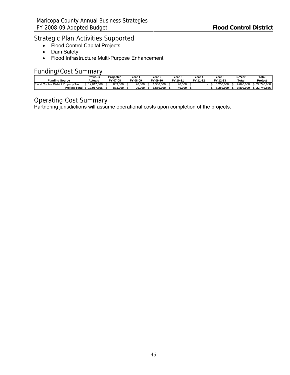# Strategic Plan Activities Supported

- Flood Control Capital Projects
- Dam Safety
- Flood Infrastructure Multi-Purpose Enhancement

# Funding/Cost Summary

|                                        | Previous   | Projected | Year .   | Year $\lambda$ | Year 5   | Year 4   | Year !    | 5-Year    | $\tau$ otal |
|----------------------------------------|------------|-----------|----------|----------------|----------|----------|-----------|-----------|-------------|
| <b>Funding Source</b>                  | Actuals    | FY 07-08  | FY 08-09 | FY 09-10       | FY 10-11 | FY 11-12 | FY 12-13  | Total     | Project     |
| Control District Property Tax<br>Flood | 12.017.866 | 833.000   | 20,000   | .580.000       | 40.000   |          | 8.250.000 | 9.890.000 | 22.740.866  |
| <b>Project Total</b>                   | 12.017.866 | 833.000   | 20.000   | .580.000       | 40.000   |          | 8.250.000 | 9.890.000 | 22.740.866  |

# Operating Cost Summary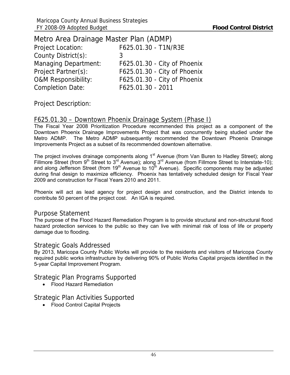| Metro Area Drainage Master Plan (ADMP) |                              |
|----------------------------------------|------------------------------|
| <b>Project Location:</b>               | F625.01.30 - T1N/R3E         |
| County District(s):                    | 3                            |
| <b>Managing Department:</b>            | F625.01.30 - City of Phoenix |
| Project Partner(s):                    | F625.01.30 - City of Phoenix |
| <b>O&amp;M Responsibility:</b>         | F625.01.30 - City of Phoenix |
| <b>Completion Date:</b>                | F625.01.30 - 2011            |

### F625.01.30 – Downtown Phoenix Drainage System (Phase I)

The Fiscal Year 2008 Prioritization Procedure recommended this project as a component of the Downtown Phoenix Drainage Improvements Project that was concurrently being studied under the Metro ADMP. The Metro ADMP subsequently recommended the Downtown Phoenix Drainage Improvements Project as a subset of its recommended downtown alternative.

The project involves drainage components along 1<sup>st</sup> Avenue (from Van Buren to Hadley Street); along Fillmore Street (from  $9^{th}$  Street to  $3^{rd}$  Avenue); along  $3^{rd}$  Avenue (from Fillmore Street to Interstate-10); and along Jefferson Street (from 19<sup>th</sup> Avenue to 10<sup>th</sup> Avenue). Specific components may be adjusted during final design to maximize efficiency. Phoenix has tentatively scheduled design for Fiscal Year 2009 and construction for Fiscal Years 2010 and 2011.

Phoenix will act as lead agency for project design and construction, and the District intends to contribute 50 percent of the project cost. An IGA is required.

### Purpose Statement

The purpose of the Flood Hazard Remediation Program is to provide structural and non-structural flood hazard protection services to the public so they can live with minimal risk of loss of life or property damage due to flooding.

### Strategic Goals Addressed

By 2013, Maricopa County Public Works will provide to the residents and visitors of Maricopa County required public works infrastructure by delivering 90% of Public Works Capital projects identified in the 5-year Capital Improvement Program.

Strategic Plan Programs Supported

• Flood Hazard Remediation

Strategic Plan Activities Supported

• Flood Control Capital Projects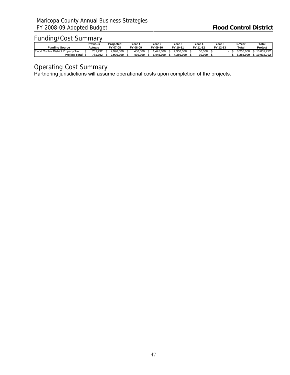|                                             | Previous | Proiected | Year 1         | Year 2   | Year 5    | Year 4   | Year 5   |  | 5-Year    | $\tau$ otal |
|---------------------------------------------|----------|-----------|----------------|----------|-----------|----------|----------|--|-----------|-------------|
| Fundina Source                              | Actuals  | FY 07-08  | гv.<br>$08-09$ | FY 09-10 | FY 10-11  | FY 11-12 | FY 12-13 |  | Total     | Project     |
| $F$ looo<br>J Control District Property Tax | 781.792  | 2.996.000 | 430.000        | 445.000. | .350.000  | 30,000   |          |  | 255.000 ن | 10.032.792  |
| <b>Project Total</b>                        | 781.792  | 2.996.000 | 430.000        | .445.000 | 1.350.000 | 30.000   |          |  | 6.255.000 | 10.032.792  |

Operating Cost Summary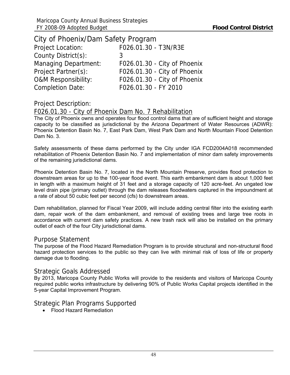| City of Phoenix/Dam Safety Program |                              |
|------------------------------------|------------------------------|
| <b>Project Location:</b>           | F026.01.30 - T3N/R3E         |
| County District(s):                | 3                            |
| <b>Managing Department:</b>        | F026.01.30 - City of Phoenix |
| Project Partner(s):                | F026.01.30 - City of Phoenix |
| <b>O&amp;M Responsibility:</b>     | F026.01.30 - City of Phoenix |
| <b>Completion Date:</b>            | F026.01.30 - FY 2010         |

#### F026.01.30 - City of Phoenix Dam No. 7 Rehabilitation

The City of Phoenix owns and operates four flood control dams that are of sufficient height and storage capacity to be classified as jurisdictional by the Arizona Department of Water Resources (ADWR): Phoenix Detention Basin No. 7, East Park Dam, West Park Dam and North Mountain Flood Detention Dam No. 3.

Safety assessments of these dams performed by the City under IGA FCD2004A018 recommended rehabilitation of Phoenix Detention Basin No. 7 and implementation of minor dam safety improvements of the remaining jurisdictional dams.

Phoenix Detention Basin No. 7, located in the North Mountain Preserve, provides flood protection to downstream areas for up to the 100-year flood event. This earth embankment dam is about 1,000 feet in length with a maximum height of 31 feet and a storage capacity of 120 acre-feet. An ungated low level drain pipe (primary outlet) through the dam releases floodwaters captured in the impoundment at a rate of about 50 cubic feet per second (cfs) to downstream areas.

Dam rehabilitation, planned for Fiscal Year 2009, will include adding central filter into the existing earth dam, repair work of the dam embankment, and removal of existing trees and large tree roots in accordance with current dam safety practices. A new trash rack will also be installed on the primary outlet of each of the four City jurisdictional dams.

#### Purpose Statement

The purpose of the Flood Hazard Remediation Program is to provide structural and non-structural flood hazard protection services to the public so they can live with minimal risk of loss of life or property damage due to flooding.

#### Strategic Goals Addressed

By 2013, Maricopa County Public Works will provide to the residents and visitors of Maricopa County required public works infrastructure by delivering 90% of Public Works Capital projects identified in the 5-year Capital Improvement Program.

### Strategic Plan Programs Supported

• Flood Hazard Remediation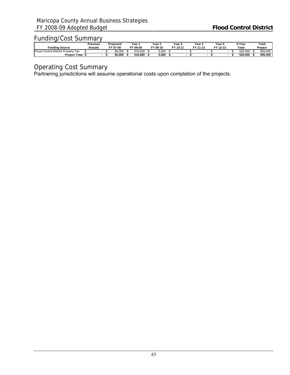|                                                                    | Previous       |  | Proiected | Year '                  | Year 2   | Year 5   | Year 4   | Year 5   |  | 5-Year  | Total   |
|--------------------------------------------------------------------|----------------|--|-----------|-------------------------|----------|----------|----------|----------|--|---------|---------|
| Fundina Source                                                     | <b>Actuals</b> |  | FY 07-08  | $\mathbf{v}$<br>$08-09$ | FY 09-10 | FY 10-11 | FY 11-12 | FY 12-13 |  | Total   | Project |
| Floog<br><b>Control District F</b><br>Property<br><sup>,</sup> Tax |                |  | 85.000    | 515.000                 | 5,000    |          |          |          |  | 520,000 | 605,000 |
| <b>Project Total</b>                                               |                |  | 85.000    | 515.000                 | 5.000    |          |          |          |  | 520.000 | 605.000 |

Operating Cost Summary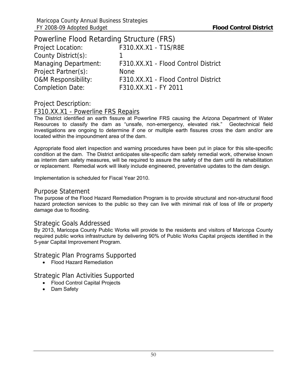| Powerline Flood Retarding Structure (FRS) |                                     |
|-------------------------------------------|-------------------------------------|
| <b>Project Location:</b>                  | F310.XX.X1 - T1S/R8E                |
| County District(s):                       |                                     |
| <b>Managing Department:</b>               | F310.XX.X1 - Flood Control District |
| Project Partner(s):                       | <b>None</b>                         |
| <b>O&amp;M Responsibility:</b>            | F310.XX.X1 - Flood Control District |
| <b>Completion Date:</b>                   | F310.XX.X1 - FY 2011                |

### F310.XX.X1 - Powerline FRS Repairs

The District identified an earth fissure at Powerline FRS causing the Arizona Department of Water Resources to classify the dam as "unsafe, non-emergency, elevated risk." Geotechnical field investigations are ongoing to determine if one or multiple earth fissures cross the dam and/or are located within the impoundment area of the dam.

Appropriate flood alert inspection and warning procedures have been put in place for this site-specific condition at the dam. The District anticipates site-specific dam safety remedial work, otherwise known as interim dam safety measures, will be required to assure the safety of the dam until its rehabilitation or replacement. Remedial work will likely include engineered, preventative updates to the dam design.

Implementation is scheduled for Fiscal Year 2010.

#### Purpose Statement

The purpose of the Flood Hazard Remediation Program is to provide structural and non-structural flood hazard protection services to the public so they can live with minimal risk of loss of life or property damage due to flooding.

#### Strategic Goals Addressed

By 2013, Maricopa County Public Works will provide to the residents and visitors of Maricopa County required public works infrastructure by delivering 90% of Public Works Capital projects identified in the 5-year Capital Improvement Program.

Strategic Plan Programs Supported

• Flood Hazard Remediation

Strategic Plan Activities Supported

- Flood Control Capital Projects
- Dam Safety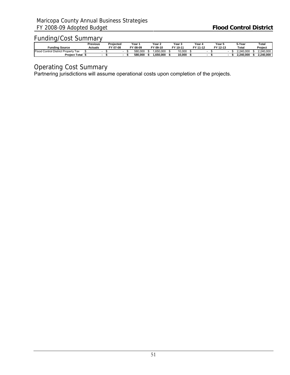|                                        | Previous | Proiected |  | Year 1                  | Year 2   | Year 5   | Year 4   | Year 5   |  | 5-Year    | Total     |
|----------------------------------------|----------|-----------|--|-------------------------|----------|----------|----------|----------|--|-----------|-----------|
| Fundina Source                         | Actuals  | FY 07-08  |  | $\mathbf{v}$<br>$08-09$ | FY 09-10 | FY 10-11 | FY 11-12 | FY 12-13 |  | Total     | Project   |
| Floog<br>Control District Property Tax |          |           |  | 580.000                 | .650.000 | 10.000   |          |          |  | 2.240.000 | 2.240.000 |
| <b>Project Total</b>                   |          |           |  | 580.000                 | .650.000 | 10.000   |          |          |  | 2.240.000 | 2.240.000 |

Operating Cost Summary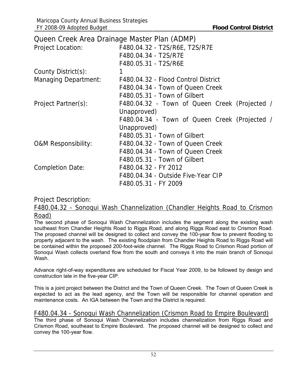|                                | Queen Creek Area Drainage Master Plan (ADMP)  |
|--------------------------------|-----------------------------------------------|
| <b>Project Location:</b>       | F480.04.32 - T2S/R6E, T2S/R7E                 |
|                                | F480.04.34 - T2S/R7E                          |
|                                | F480.05.31 - T2S/R6E                          |
| County District(s):            | 1                                             |
| <b>Managing Department:</b>    | F480.04.32 - Flood Control District           |
|                                | F480.04.34 - Town of Queen Creek              |
|                                | F480.05.31 - Town of Gilbert                  |
| Project Partner(s):            | F480.04.32 - Town of Queen Creek (Projected / |
|                                | Unapproved)                                   |
|                                | F480.04.34 - Town of Queen Creek (Projected / |
|                                | Unapproved)                                   |
|                                | F480.05.31 - Town of Gilbert                  |
| <b>O&amp;M Responsibility:</b> | F480.04.32 - Town of Queen Creek              |
|                                | F480.04.34 - Town of Queen Creek              |
|                                | F480.05.31 - Town of Gilbert                  |
| <b>Completion Date:</b>        | F480.04.32 - FY 2012                          |
|                                | F480.04.34 - Outside Five-Year CIP            |
|                                | F480.05.31 - FY 2009                          |

F480.04.32 - Sonoqui Wash Channelization (Chandler Heights Road to Crismon Road)

The second phase of Sonoqui Wash Channelization includes the segment along the existing wash southeast from Chandler Heights Road to Riggs Road, and along Riggs Road east to Crismon Road. The proposed channel will be designed to collect and convey the 100-year flow to prevent flooding to property adjacent to the wash. The existing floodplain from Chandler Heights Road to Riggs Road will be contained within the proposed 200-foot-wide channel. The Riggs Road to Crismon Road portion of Sonoqui Wash collects overland flow from the south and conveys it into the main branch of Sonoqui Wash.

Advance right-of-way expenditures are scheduled for Fiscal Year 2009, to be followed by design and construction late in the five-year CIP.

This is a joint project between the District and the Town of Queen Creek. The Town of Queen Creek is expected to act as the lead agency, and the Town will be responsible for channel operation and maintenance costs. An IGA between the Town and the District is required.

### F480.04.34 - Sonoqui Wash Channelization (Crismon Road to Empire Boulevard)

The third phase of Sonoqui Wash Channelization includes channelization from Riggs Road and Crismon Road, southeast to Empire Boulevard. The proposed channel will be designed to collect and convey the 100-year flow.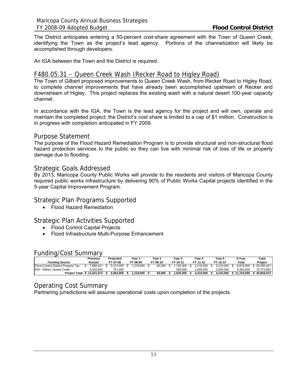The District anticipates entering a 50-percent cost-share agreement with the Town of Queen Creek, identifying the Town as the project's lead agency. Portions of the channelization will likely be accomplished through developers.

An IGA between the Town and the District is required.

#### F480.05.31 – Queen Creek Wash (Recker Road to Higley Road)

The Town of Gilbert proposed improvements to Queen Creek Wash, from Recker Road to Higley Road, to complete channel improvements that have already been accomplished upstream of Recker and downstream of Higley. This project replaces the existing wash with a natural desert 100-year capacity channel.

In accordance with the IGA, the Town is the lead agency for the project and will own, operate and maintain the completed project; the District's cost share is limited to a cap of \$1 million. Construction is in progress with completion anticipated in FY 2009.

#### Purpose Statement

The purpose of the Flood Hazard Remediation Program is to provide structural and non-structural flood hazard protection services to the public so they can live with minimal risk of loss of life or property damage due to flooding.

#### Strategic Goals Addressed

By 2013, Maricopa County Public Works will provide to the residents and visitors of Maricopa County required public works infrastructure by delivering 90% of Public Works Capital projects identified in the 5-year Capital Improvement Program.

### Strategic Plan Programs Supported

• Flood Hazard Remediation

### Strategic Plan Activities Supported

- Flood Control Capital Projects
- Flood Infrastructure Multi-Purpose Enhancement

#### Funding/Cost Summary

|                                     | Previous   | Projected | Year 1   | Year 2   | Year <sub>3</sub> | Year 4    | Year 5    | 5-Year     | Total      |
|-------------------------------------|------------|-----------|----------|----------|-------------------|-----------|-----------|------------|------------|
| <b>Funding Source</b>               | Actuals    | FY 07-08  | FY 08-09 | FY 09-10 | FY 10-11          | FY 11-12  | FY 12-13  | Total      | Project    |
| Flood Control District Property Tax | 7.898.421  | 5.313.000 | .219.000 | 60,000   | .120.000          | .210.000  | 2.210.000 | 3.819.000  | 20.030.421 |
| IGA - Gilbert, Queen Creek          | 5.522.652  | 751.000   |          |          | 500.000           | 2.000.000 | 2.000.000 | 4.500.000  | 10.773.652 |
| <b>Project Total</b>                | 13.421.073 | 6.064.000 | .219.000 | 60.000   | 1.620.000         | 4.210.000 | 4.210.000 | 11.319.000 | 30.804.073 |

#### Operating Cost Summary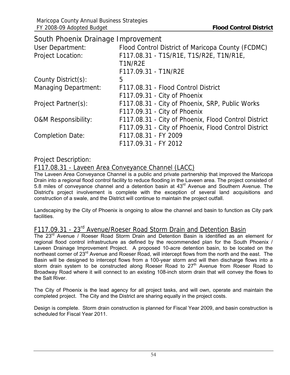| South Phoenix Drainage Improvement |                                                      |
|------------------------------------|------------------------------------------------------|
| User Department:                   | Flood Control District of Maricopa County (FCDMC)    |
| <b>Project Location:</b>           | F117.08.31 - T1S/R1E, T1S/R2E, T1N/R1E,              |
|                                    | T1N/R2E                                              |
|                                    | F117.09.31 - T1N/R2E                                 |
| County District(s):                | 5                                                    |
| <b>Managing Department:</b>        | F117.08.31 - Flood Control District                  |
|                                    | F117.09.31 - City of Phoenix                         |
| Project Partner(s):                | F117.08.31 - City of Phoenix, SRP, Public Works      |
|                                    | F117.09.31 - City of Phoenix                         |
| <b>O&amp;M Responsibility:</b>     | F117.08.31 - City of Phoenix, Flood Control District |
|                                    | F117.09.31 - City of Phoenix, Flood Control District |
| <b>Completion Date:</b>            | F117.08.31 - FY 2009                                 |
|                                    | F117.09.31 - FY 2012                                 |

## F117.08.31 - Laveen Area Conveyance Channel (LACC)

The Laveen Area Conveyance Channel is a public and private partnership that improved the Maricopa Drain into a regional flood control facility to reduce flooding in the Laveen area. The project consisted of 5.8 miles of conveyance channel and a detention basin at 43rd Avenue and Southern Avenue. The District's project involvement is complete with the exception of several land acquisitions and construction of a swale, and the District will continue to maintain the project outfall.

Landscaping by the City of Phoenix is ongoing to allow the channel and basin to function as City park facilities.

# F117.09.31 - 23rd Avenue/Roeser Road Storm Drain and Detention Basin

The 23<sup>rd</sup> Avenue / Roeser Road Storm Drain and Detention Basin is identified as an element for regional flood control infrastructure as defined by the recommended plan for the South Phoenix / Laveen Drainage Improvement Project. A proposed 10-acre detention basin, to be located on the northeast corner of 23<sup>rd</sup> Avenue and Roeser Road, will intercept flows from the north and the east. The Basin will be designed to intercept flows from a 100-year storm and will then discharge flows into a storm drain system to be constructed along Roeser Road to 27<sup>th</sup> Avenue from Roeser Road to Broadway Road where it will connect to an existing 108-inch storm drain that will convey the flows to the Salt River.

The City of Phoenix is the lead agency for all project tasks, and will own, operate and maintain the completed project. The City and the District are sharing equally in the project costs.

Design is complete. Storm drain construction is planned for Fiscal Year 2009, and basin construction is scheduled for Fiscal Year 2011.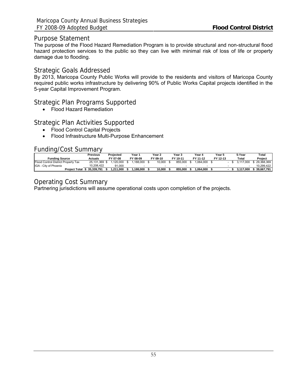#### Purpose Statement

The purpose of the Flood Hazard Remediation Program is to provide structural and non-structural flood hazard protection services to the public so they can live with minimal risk of loss of life or property damage due to flooding.

#### Strategic Goals Addressed

By 2013, Maricopa County Public Works will provide to the residents and visitors of Maricopa County required public works infrastructure by delivering 90% of Public Works Capital projects identified in the 5-year Capital Improvement Program.

### Strategic Plan Programs Supported

• Flood Hazard Remediation

## Strategic Plan Activities Supported

- Flood Control Capital Projects
- Flood Infrastructure Multi-Purpose Enhancement

#### Funding/Cost Summary

|                                     | Previous   | Projected | Year .   | Year 2   | Year 3   | Year 4   | Year 5   | 5-Year         | Total      |
|-------------------------------------|------------|-----------|----------|----------|----------|----------|----------|----------------|------------|
| <b>Funding Source</b>               | Actuals    | FY 07-08  | FY 08-09 | FY 09-10 | FY 10-11 | FY 11-12 | FY 12-13 | Total          | Proiect    |
| Flood Control District Property Tax | 25.131.369 | .120.000  | .188.000 | 10.000   | 855.000  | .064.000 |          | 000            | 29.368.369 |
| <b>IGA</b> - City of Phoenix        | 10.208.422 | 91.000    |          |          |          |          |          |                | 10.299.422 |
| <b>Project Total</b>                | 35.339.791 | .211.000  | .188.000 | 10.000   | 855.000  | .064.000 |          | 000.'<br>3.117 | 39.667.791 |

# Operating Cost Summary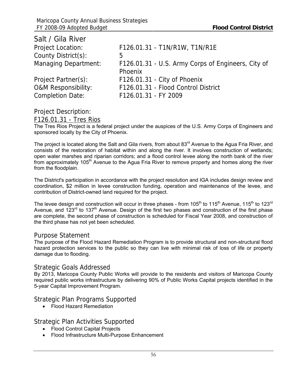| Salt / Gila River              |                                                    |
|--------------------------------|----------------------------------------------------|
| Project Location:              | F126.01.31 - T1N/R1W, T1N/R1E                      |
| County District(s):            | 5                                                  |
| <b>Managing Department:</b>    | F126.01.31 - U.S. Army Corps of Engineers, City of |
|                                | Phoenix                                            |
| Project Partner(s):            | F126.01.31 - City of Phoenix                       |
| <b>O&amp;M Responsibility:</b> | F126.01.31 - Flood Control District                |
| <b>Completion Date:</b>        | F126.01.31 - FY 2009                               |

F126.01.31 - Tres Rios

The Tres Rios Project is a federal project under the auspices of the U.S. Army Corps of Engineers and sponsored locally by the City of Phoenix.

The project is located along the Salt and Gila rivers, from about 83<sup>rd</sup> Avenue to the Agua Fria River, and consists of the restoration of habitat within and along the river. It involves construction of wetlands; open water marshes and riparian corridors; and a flood control levee along the north bank of the river from approximately 105<sup>th</sup> Avenue to the Agua Fria River to remove property and homes along the river from the floodplain.

The District's participation in accordance with the project resolution and IGA includes design review and coordination, \$2 million in levee construction funding, operation and maintenance of the levee, and contribution of District-owned land required for the project.

The levee design and construction will occur in three phases - from 105<sup>th</sup> to 115<sup>th</sup> Avenue, 115<sup>th</sup> to 123<sup>rd</sup> Avenue, and  $123^{rd}$  to  $137^{th}$  Avenue. Design of the first two phases and construction of the first phase are complete, the second phase of construction is scheduled for Fiscal Year 2008, and construction of the third phase has not yet been scheduled.

#### Purpose Statement

The purpose of the Flood Hazard Remediation Program is to provide structural and non-structural flood hazard protection services to the public so they can live with minimal risk of loss of life or property damage due to flooding.

#### Strategic Goals Addressed

By 2013, Maricopa County Public Works will provide to the residents and visitors of Maricopa County required public works infrastructure by delivering 90% of Public Works Capital projects identified in the 5-year Capital Improvement Program.

Strategic Plan Programs Supported

• Flood Hazard Remediation

### Strategic Plan Activities Supported

- Flood Control Capital Projects
- Flood Infrastructure Multi-Purpose Enhancement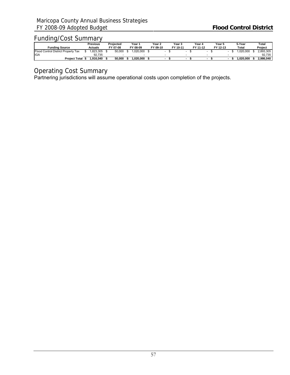|                                     | Previous | Proiected | Year '   | Year 2   | Year <b>S</b> | Year 4   | Year 5   |  | 5-Year    | Total     |
|-------------------------------------|----------|-----------|----------|----------|---------------|----------|----------|--|-----------|-----------|
| <b>Funding Source</b>               | Actuals  | FY 07-08  | FY 08-09 | FY 09-10 | FY 10-11      | FY 11-12 | FY 12-13 |  | Total     | Project   |
| Flood Control District Property Tax | .823.305 | 50,000    | .020.000 |          |               |          |          |  | .020.000  | 2.893.305 |
| <b>IGA</b>                          | 92.735   |           | -        |          |               |          |          |  |           | 92.735    |
| <b>Project Total</b>                | 916.040  | 50.000    | .020.000 |          |               |          |          |  | .020.000. | 2.986.040 |

# Operating Cost Summary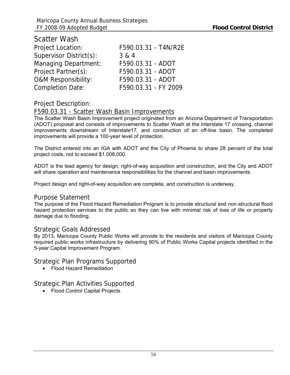| <b>Scatter Wash</b>            |                      |
|--------------------------------|----------------------|
| <b>Project Location:</b>       | F590.03.31 - T4N/R2E |
| Supervisor District(s):        | 3 & 4                |
| <b>Managing Department:</b>    | F590.03.31 - ADOT    |
| Project Partner(s):            | F590.03.31 - ADOT    |
| <b>O&amp;M Responsibility:</b> | F590.03.31 - ADOT    |
| <b>Completion Date:</b>        | F590.03.31 - FY 2009 |

### F590.03.31 - Scatter Wash Basin Improvements

The Scatter Wash Basin Improvement project originated from an Arizona Department of Transportation (ADOT) proposal and consists of improvements to Scatter Wash at the Interstate 17 crossing, channel improvements downstream of Interstate17, and construction of an off-line basin. The completed improvements will provide a 100-year level of protection.

The District entered into an IGA with ADOT and the City of Phoenix to share 28 percent of the total project costs, not to exceed \$1,008,000.

ADOT is the lead agency for design, right-of-way acquisition and construction, and the City and ADOT will share operation and maintenance responsibilities for the channel and basin improvements.

Project design and right-of-way acquisition are complete, and construction is underway.

#### Purpose Statement

The purpose of the Flood Hazard Remediation Program is to provide structural and non-structural flood hazard protection services to the public so they can live with minimal risk of loss of life or property damage due to flooding.

#### Strategic Goals Addressed

By 2013, Maricopa County Public Works will provide to the residents and visitors of Maricopa County required public works infrastructure by delivering 90% of Public Works Capital projects identified in the 5-year Capital Improvement Program.

### Strategic Plan Programs Supported

• Flood Hazard Remediation

### Strategic Plan Activities Supported

• Flood Control Capital Projects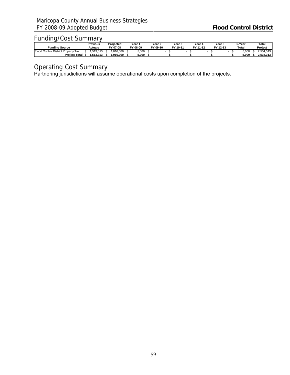|                                                    | Previous  | Proiected | Year 1      | Year 2   | Year 5   | Year 4   | Year 5   |  | 5-Year | Total     |
|----------------------------------------------------|-----------|-----------|-------------|----------|----------|----------|----------|--|--------|-----------|
| Fundina Source                                     | Actuals   | FY 07-08  | cν<br>08-09 | FY 09-10 | FY 10-11 | FY 11-12 | FY 12-13 |  | Total  | Project   |
| Eloor.<br>Property<br>Tax<br>District I<br>Control | .513.313  | .016.000  | 5,000       |          |          |          |          |  | 000.د  | 2.534.313 |
| <b>Project Total</b>                               | 1.513.313 | .016.000  | 5.000       |          |          |          |          |  | 5.000  | 2.534.313 |

Operating Cost Summary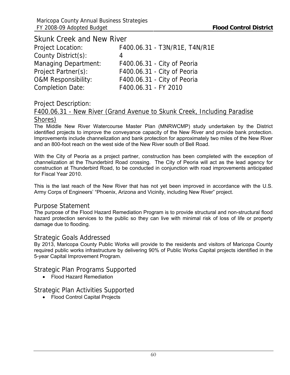| <b>Skunk Creek and New River</b> |                               |
|----------------------------------|-------------------------------|
| <b>Project Location:</b>         | F400.06.31 - T3N/R1E, T4N/R1E |
| County District(s):              | 4                             |
| <b>Managing Department:</b>      | F400.06.31 - City of Peoria   |
| Project Partner(s):              | F400.06.31 - City of Peoria   |
| <b>O&amp;M Responsibility:</b>   | F400.06.31 - City of Peoria   |
| <b>Completion Date:</b>          | F400.06.31 - FY 2010          |

## F400.06.31 - New River (Grand Avenue to Skunk Creek, Including Paradise Shores)

The Middle New River Watercourse Master Plan (MNRWCMP) study undertaken by the District identified projects to improve the conveyance capacity of the New River and provide bank protection. Improvements include channelization and bank protection for approximately two miles of the New River and an 800-foot reach on the west side of the New River south of Bell Road.

With the City of Peoria as a project partner, construction has been completed with the exception of channelization at the Thunderbird Road crossing. The City of Peoria will act as the lead agency for construction at Thunderbird Road, to be conducted in conjunction with road improvements anticipated for Fiscal Year 2010.

This is the last reach of the New River that has not yet been improved in accordance with the U.S. Army Corps of Engineers' "Phoenix, Arizona and Vicinity, including New River" project.

#### Purpose Statement

The purpose of the Flood Hazard Remediation Program is to provide structural and non-structural flood hazard protection services to the public so they can live with minimal risk of loss of life or property damage due to flooding.

### Strategic Goals Addressed

By 2013, Maricopa County Public Works will provide to the residents and visitors of Maricopa County required public works infrastructure by delivering 90% of Public Works Capital projects identified in the 5-year Capital Improvement Program.

### Strategic Plan Programs Supported

• Flood Hazard Remediation

# Strategic Plan Activities Supported

• Flood Control Capital Projects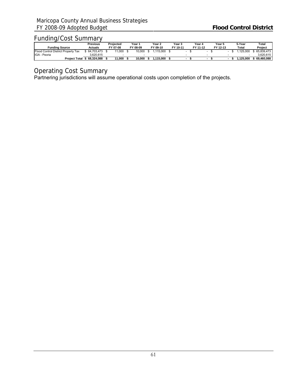|                                     | Previous   | Proiected | Year 1   | Year 2   | Year 3   | Year 4   | Year 5   | 5-Year   | Total      |
|-------------------------------------|------------|-----------|----------|----------|----------|----------|----------|----------|------------|
| <b>Funding Source</b>               | Actuals    | FY 07-08  | FY 08-09 | FY 09-10 | FY 10-11 | FY 11-12 | FY 12-13 | Total    | Project    |
| Flood Control District Property Tax | 64.703.473 | 11,000    | 10.000   | .115.000 |          |          |          | .125.000 | 65.839.473 |
| IGA - Peoria                        | 3.620.615  |           |          |          |          |          |          |          | 3.620.615  |
| <b>Project Total</b>                | 68.324.088 | 11.000    | 10.000   | .115.000 |          |          |          | .125.000 | 69.460.088 |

# Operating Cost Summary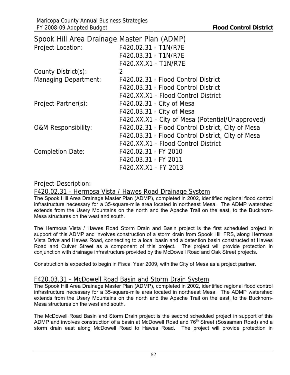| Spook Hill Area Drainage Master Plan (ADMP) |                                                   |
|---------------------------------------------|---------------------------------------------------|
| <b>Project Location:</b>                    | F420.02.31 - T1N/R7E                              |
|                                             | F420.03.31 - T1N/R7E                              |
|                                             | F420.XX.X1 - T1N/R7E                              |
| County District(s):                         | 2                                                 |
| <b>Managing Department:</b>                 | F420.02.31 - Flood Control District               |
|                                             | F420.03.31 - Flood Control District               |
|                                             | F420.XX.X1 - Flood Control District               |
| Project Partner(s):                         | F420.02.31 - City of Mesa                         |
|                                             | F420.03.31 - City of Mesa                         |
|                                             | F420.XX.X1 - City of Mesa (Potential/Unapproved)  |
| <b>O&amp;M Responsibility:</b>              | F420.02.31 - Flood Control District, City of Mesa |
|                                             | F420.03.31 - Flood Control District, City of Mesa |
|                                             | F420.XX.X1 - Flood Control District               |
| <b>Completion Date:</b>                     | F420.02.31 - FY 2010                              |
|                                             | F420.03.31 - FY 2011                              |
|                                             | F420.XX.X1 - FY 2013                              |

### F420.02.31 - Hermosa Vista / Hawes Road Drainage System

The Spook Hill Area Drainage Master Plan (ADMP), completed in 2002, identified regional flood control infrastructure necessary for a 35-square-mile area located in northeast Mesa. The ADMP watershed extends from the Usery Mountains on the north and the Apache Trail on the east, to the Buckhorn-Mesa structures on the west and south.

The Hermosa Vista / Hawes Road Storm Drain and Basin project is the first scheduled project in support of this ADMP and involves construction of a storm drain from Spook Hill FRS, along Hermosa Vista Drive and Hawes Road, connecting to a local basin and a detention basin constructed at Hawes Road and Culver Street as a component of this project. The project will provide protection in conjunction with drainage infrastructure provided by the McDowell Road and Oak Street projects.

Construction is expected to begin in Fiscal Year 2009, with the City of Mesa as a project partner.

# F420.03.31 - McDowell Road Basin and Storm Drain System

The Spook Hill Area Drainage Master Plan (ADMP), completed in 2002, identified regional flood control infrastructure necessary for a 35-square-mile area located in northeast Mesa. The ADMP watershed extends from the Usery Mountains on the north and the Apache Trail on the east, to the Buckhorn-Mesa structures on the west and south.

The McDowell Road Basin and Storm Drain project is the second scheduled project in support of this ADMP and involves construction of a basin at McDowell Road and 76<sup>th</sup> Street (Sossaman Road) and a storm drain east along McDowell Road to Hawes Road. The project will provide protection in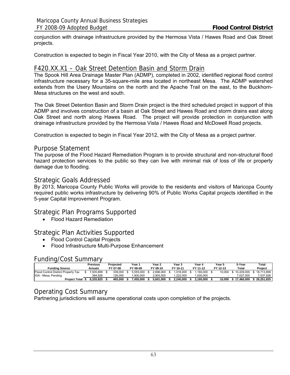conjunction with drainage infrastructure provided by the Hermosa Vista / Hawes Road and Oak Street projects.

Construction is expected to begin in Fiscal Year 2010, with the City of Mesa as a project partner.

### F420.XX.X1 – Oak Street Detention Basin and Storm Drain

The Spook Hill Area Drainage Master Plan (ADMP), completed in 2002, identified regional flood control infrastructure necessary for a 35-square-mile area located in northeast Mesa. The ADMP watershed extends from the Usery Mountains on the north and the Apache Trail on the east, to the Buckhorn-Mesa structures on the west and south.

The Oak Street Detention Basin and Storm Drain project is the third scheduled project in support of this ADMP and involves construction of a basin at Oak Street and Hawes Road and storm drains east along Oak Street and north along Hawes Road. The project will provide protection in conjunction with drainage infrastructure provided by the Hermosa Vista / Hawes Road and McDowell Road projects.

Construction is expected to begin in Fiscal Year 2012, with the City of Mesa as a project partner.

#### Purpose Statement

The purpose of the Flood Hazard Remediation Program is to provide structural and non-structural flood hazard protection services to the public so they can live with minimal risk of loss of life or property damage due to flooding.

#### Strategic Goals Addressed

By 2013, Maricopa County Public Works will provide to the residents and visitors of Maricopa County required public works infrastructure by delivering 90% of Public Works Capital projects identified in the 5-year Capital Improvement Program.

#### Strategic Plan Programs Supported

• Flood Hazard Remediation

#### Strategic Plan Activities Supported

- Flood Control Capital Projects
- Flood Infrastructure Multi-Purpose Enhancement

#### Funding/Cost Summary

|                                     | Previous  | Projected |          | Year า |           |  | Year 2    | Year 3 |            | Year 4 |           | Year 5 |          |  | 5-Year     |  | Total      |
|-------------------------------------|-----------|-----------|----------|--------|-----------|--|-----------|--------|------------|--------|-----------|--------|----------|--|------------|--|------------|
| <b>Funding Source</b>               | Actuals   |           | FY 07-08 |        | FY 08-09  |  | FY 09-10  |        | FY 10-11   |        | FY 11-12  |        | FY 12-13 |  | Total      |  | Project    |
| Flood Control District Property Tax | 7.935.899 |           | 339,000  |        | 5.555.000 |  | 2.696.000 |        | 1.018.000  |        | .160.000  |        | 10.000   |  | 10.439.000 |  | 18.713.899 |
| IGA - Mesa, Pending                 | 384.926   |           | 126,000  |        | .900.000  |  | 2.905.000 |        | $-222.000$ |        | .000.000  |        |          |  | 7.027.000  |  | 7.537.926  |
| <b>Project Total</b>                | 8.320.825 |           | 465.000  |        | 455.000   |  | 5.601.000 |        | 2.240.000  |        | 2.160.000 |        | 10.000   |  | 17.466.000 |  | 26.251.825 |

### Operating Cost Summary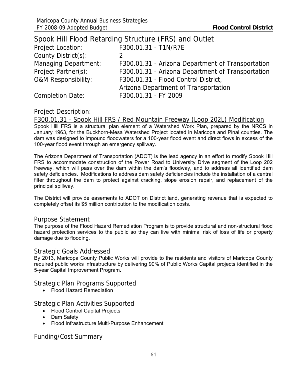|                                | Spook Hill Flood Retarding Structure (FRS) and Outlet |
|--------------------------------|-------------------------------------------------------|
| Project Location:              | F300.01.31 - T1N/R7E                                  |
| County District(s):            |                                                       |
| <b>Managing Department:</b>    | F300.01.31 - Arizona Department of Transportation     |
| Project Partner(s):            | F300.01.31 - Arizona Department of Transportation     |
| <b>O&amp;M Responsibility:</b> | F300.01.31 - Flood Control District,                  |
|                                | Arizona Department of Transportation                  |
| <b>Completion Date:</b>        | F300.01.31 - FY 2009                                  |

F300.01.31 - Spook Hill FRS / Red Mountain Freeway (Loop 202L) Modification

Spook Hill FRS is a structural plan element of a Watershed Work Plan, prepared by the NRCS in January 1963, for the Buckhorn-Mesa Watershed Project located in Maricopa and Pinal counties. The dam was designed to impound floodwaters for a 100-year flood event and direct flows in excess of the 100-year flood event through an emergency spillway.

The Arizona Department of Transportation (ADOT) is the lead agency in an effort to modify Spook Hill FRS to accommodate construction of the Power Road to University Drive segment of the Loop 202 freeway, which will pass over the dam within the dam's floodway, and to address all identified dam safety deficiencies. Modifications to address dam safety deficiencies include the installation of a central filter throughout the dam to protect against cracking, slope erosion repair, and replacement of the principal spillway.

The District will provide easements to ADOT on District land, generating revenue that is expected to completely offset its \$5 million contribution to the modification costs.

#### Purpose Statement

The purpose of the Flood Hazard Remediation Program is to provide structural and non-structural flood hazard protection services to the public so they can live with minimal risk of loss of life or property damage due to flooding.

#### Strategic Goals Addressed

By 2013, Maricopa County Public Works will provide to the residents and visitors of Maricopa County required public works infrastructure by delivering 90% of Public Works Capital projects identified in the 5-year Capital Improvement Program.

Strategic Plan Programs Supported

• Flood Hazard Remediation

#### Strategic Plan Activities Supported

- Flood Control Capital Projects
- Dam Safety
- Flood Infrastructure Multi-Purpose Enhancement

# Funding/Cost Summary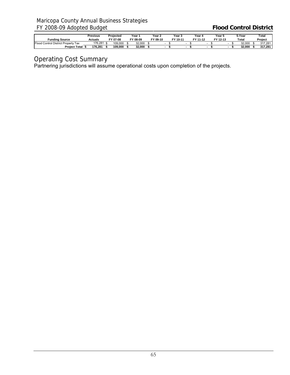# Maricopa County Annual Business Strategies FY 2008-09 Adopted Budget **Flood Control District**

|                                          | Previous | Proiected | Year '   | Year 2   | Year 3   | Year 4   | Year 5   | 5-Year | Total   |
|------------------------------------------|----------|-----------|----------|----------|----------|----------|----------|--------|---------|
| <b>Funding Source</b>                    | Actuals  | FY 07-08  | FY 08-09 | FY 09-10 | FY 10-11 | FY 11-12 | FY 12-13 | Total  | Project |
| J Control District Property Tax<br>Flood | 176.281  | 109,000   | 32.000   |          |          |          |          | 32.000 | 317.281 |
| <b>Project Total</b>                     | 176.281  | 109.000   | 32.000   |          |          |          |          | 32.000 | 317.281 |

## Operating Cost Summary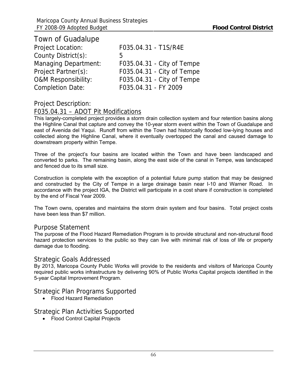| Town of Guadalupe                                         |  |
|-----------------------------------------------------------|--|
| <b>Project Location:</b><br>F035.04.31 - T1S/R4E          |  |
| County District(s):<br>b                                  |  |
| <b>Managing Department:</b><br>F035.04.31 - City of Tempe |  |
| Project Partner(s):<br>F035.04.31 - City of Tempe         |  |
| <b>O&amp;M Responsibility:</b>                            |  |
| F035.04.31 - FY 2009<br><b>Completion Date:</b>           |  |
| F035.04.31 - City of Tempe                                |  |

### F035.04.31 – ADOT Pit Modifications

This largely-completed project provides a storm drain collection system and four retention basins along the Highline Canal that capture and convey the 10-year storm event within the Town of Guadalupe and east of Avenida del Yaqui. Runoff from within the Town had historically flooded low-lying houses and collected along the Highline Canal, where it eventually overtopped the canal and caused damage to downstream property within Tempe.

Three of the project's four basins are located within the Town and have been landscaped and converted to parks. The remaining basin, along the east side of the canal in Tempe, was landscaped and fenced due to its small size.

Construction is complete with the exception of a potential future pump station that may be designed and constructed by the City of Tempe in a large drainage basin near I-10 and Warner Road. In accordance with the project IGA, the District will participate in a cost share if construction is completed by the end of Fiscal Year 2009.

The Town owns, operates and maintains the storm drain system and four basins. Total project costs have been less than \$7 million.

#### Purpose Statement

The purpose of the Flood Hazard Remediation Program is to provide structural and non-structural flood hazard protection services to the public so they can live with minimal risk of loss of life or property damage due to flooding.

### Strategic Goals Addressed

By 2013, Maricopa County Public Works will provide to the residents and visitors of Maricopa County required public works infrastructure by delivering 90% of Public Works Capital projects identified in the 5-year Capital Improvement Program.

Strategic Plan Programs Supported

• Flood Hazard Remediation

Strategic Plan Activities Supported

• Flood Control Capital Projects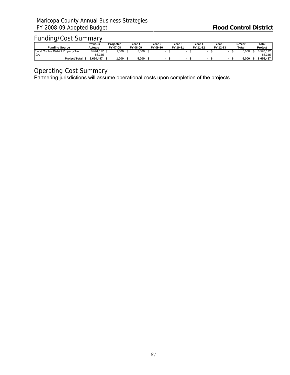|                                     | Previous     | Projected | Year '   | Year 2   | Year 3   | Year 4   | Year 5   | 5-Year | Total     |
|-------------------------------------|--------------|-----------|----------|----------|----------|----------|----------|--------|-----------|
| <b>Funding Source</b>               | Actuals      | FY 07-08  | FY 08-09 | FY 09-10 | FY 10-11 | FY 11-12 | FY 12-13 | Total  | Project   |
| Flood Control District Property Tax | 8,564,172 \$ | .000      | 5.000    |          |          | -        |          | 5.000  | 8.570.172 |
| <b>I</b> IGA                        | 86.315       |           | -        |          |          |          |          |        | 86.315    |
| <b>Project Total</b>                | 8.650.487    | 000. ا    | 5.000    |          |          |          |          | 5.000  | 8.656.487 |

# Operating Cost Summary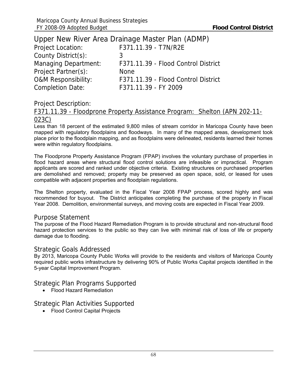|                                | Upper New River Area Drainage Master Plan (ADMP) |
|--------------------------------|--------------------------------------------------|
| <b>Project Location:</b>       | F371.11.39 - T7N/R2E                             |
| County District(s):            | 3                                                |
| <b>Managing Department:</b>    | F371.11.39 - Flood Control District              |
| Project Partner(s):            | <b>None</b>                                      |
| <b>O&amp;M Responsibility:</b> | F371.11.39 - Flood Control District              |
| <b>Completion Date:</b>        | F371.11.39 - FY 2009                             |

# F371.11.39 - Floodprone Property Assistance Program: Shelton (APN 202-11- 023C)

Less than 18 percent of the estimated 9,800 miles of stream corridor in Maricopa County have been mapped with regulatory floodplains and floodways. In many of the mapped areas, development took place prior to the floodplain mapping, and as floodplains were delineated, residents learned their homes were within regulatory floodplains.

The Floodprone Property Assistance Program (FPAP) involves the voluntary purchase of properties in flood hazard areas where structural flood control solutions are infeasible or impractical. Program applicants are scored and ranked under objective criteria. Existing structures on purchased properties are demolished and removed; property may be preserved as open space, sold, or leased for uses compatible with adjacent properties and floodplain regulations.

The Shelton property, evaluated in the Fiscal Year 2008 FPAP process, scored highly and was recommended for buyout. The District anticipates completing the purchase of the property in Fiscal Year 2008. Demolition, environmental surveys, and moving costs are expected in Fiscal Year 2009.

#### Purpose Statement

The purpose of the Flood Hazard Remediation Program is to provide structural and non-structural flood hazard protection services to the public so they can live with minimal risk of loss of life or property damage due to flooding.

#### Strategic Goals Addressed

By 2013, Maricopa County Public Works will provide to the residents and visitors of Maricopa County required public works infrastructure by delivering 90% of Public Works Capital projects identified in the 5-year Capital Improvement Program.

Strategic Plan Programs Supported

• Flood Hazard Remediation

### Strategic Plan Activities Supported

• Flood Control Capital Projects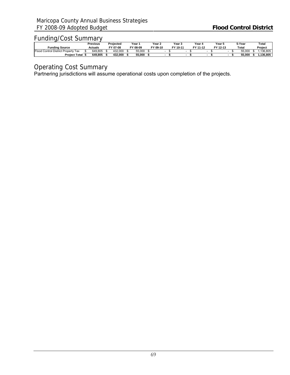|                                                          | Previous       | Proiected | Year '       | Year 2   | Year 5   | Year 4   | Year 5   |  | 5-Year | Total    |
|----------------------------------------------------------|----------------|-----------|--------------|----------|----------|----------|----------|--|--------|----------|
| Fundina Source                                           | <b>Actuals</b> | FY 07-08  | гv.<br>08-09 | FY 09-10 | FY 10-11 | FY 11-12 | FY 12-13 |  | Total  | Project  |
| <b>Eloor</b><br>Property<br>Tax<br>Control<br>District I | 649.805        | 432.000   | 55.000       |          |          |          |          |  | 55,000 | 136.805  |
| <b>Project Total</b>                                     | 649.805        | 432.000   | 55.000       |          |          |          |          |  | 55.000 | .136.805 |

Operating Cost Summary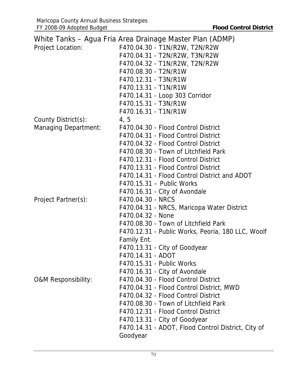|                                | White Tanks - Agua Fria Area Drainage Master Plan (ADMP) |
|--------------------------------|----------------------------------------------------------|
| <b>Project Location:</b>       | F470.04.30 - T1N/R2W, T2N/R2W                            |
|                                | F470.04.31 - T2N/R2W, T3N/R2W                            |
|                                | F470.04.32 - T1N/R2W, T2N/R2W                            |
|                                | F470.08.30 - T2N/R1W                                     |
|                                | F470.12.31 - T3N/R1W                                     |
|                                | F470.13.31 - T1N/R1W                                     |
|                                | F470.14.31 - Loop 303 Corridor                           |
|                                | F470.15.31 - T3N/R1W                                     |
|                                | F470.16.31 - T1N/R1W                                     |
| County District(s):            | 4, 5                                                     |
| <b>Managing Department:</b>    | F470.04.30 - Flood Control District                      |
|                                | F470.04.31 - Flood Control District                      |
|                                | F470.04.32 - Flood Control District                      |
|                                | F470.08.30 - Town of Litchfield Park                     |
|                                | F470.12.31 - Flood Control District                      |
|                                | F470.13.31 - Flood Control District                      |
|                                | F470.14.31 - Flood Control District and ADOT             |
|                                | F470.15.31 - Public Works                                |
|                                | F470.16.31 - City of Avondale                            |
| Project Partner(s):            | F470.04.30 - NRCS                                        |
|                                | F470.04.31 - NRCS, Maricopa Water District               |
|                                | F470.04.32 - None                                        |
|                                | F470.08.30 - Town of Litchfield Park                     |
|                                | F470.12.31 - Public Works, Peoria, 180 LLC, Woolf        |
|                                | Family Ent.                                              |
|                                | F470.13.31 - City of Goodyear                            |
|                                | F470.14.31 - ADOT                                        |
|                                | F470.15.31 - Public Works                                |
|                                | F470.16.31 - City of Avondale                            |
| <b>O&amp;M Responsibility:</b> | F470.04.30 - Flood Control District                      |
|                                | F470.04.31 - Flood Control District, MWD                 |
|                                | F470.04.32 - Flood Control District                      |
|                                | F470.08.30 - Town of Litchfield Park                     |
|                                | F470.12.31 - Flood Control District                      |
|                                | F470.13.31 - City of Goodyear                            |
|                                | F470.14.31 - ADOT, Flood Control District, City of       |
|                                | Goodyear                                                 |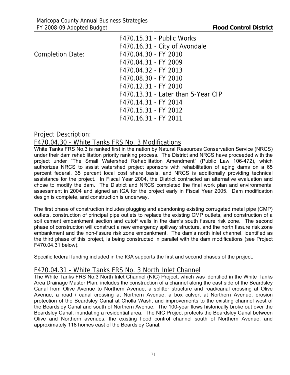|                         | F470.15.31 - Public Works          |
|-------------------------|------------------------------------|
|                         | F470.16.31 - City of Avondale      |
| <b>Completion Date:</b> | F470.04.30 - FY 2010               |
|                         | F470.04.31 - FY 2009               |
|                         | F470.04.32 - FY 2013               |
|                         | F470.08.30 - FY 2010               |
|                         | F470.12.31 - FY 2010               |
|                         | F470.13.31 - Later than 5-Year CIP |
|                         | F470.14.31 - FY 2014               |
|                         | F470.15.31 - FY 2012               |
|                         | F470.16.31 - FY 2011               |

## Project Description:

## F470.04.30 - White Tanks FRS No. 3 Modifications

White Tanks FRS No.3 is ranked first in the nation by Natural Resources Conservation Service (NRCS) under their dam rehabilitation priority ranking process. The District and NRCS have proceeded with the project under "The Small Watershed Rehabilitation Amendment" (Public Law 106-472), which authorizes NRCS to assist watershed project sponsors with rehabilitation of aging dams on a 65 percent federal, 35 percent local cost share basis, and NRCS is additionally providing technical assistance for the project. In Fiscal Year 2004, the District contracted an alternative evaluation and chose to modify the dam. The District and NRCS completed the final work plan and environmental assessment in 2004 and signed an IGA for the project early in Fiscal Year 2005. Dam modification design is complete, and construction is underway.

The first phase of construction includes plugging and abandoning existing corrugated metal pipe (CMP) outlets, construction of principal pipe outlets to replace the existing CMP outlets, and construction of a soil cement embankment section and cutoff walls in the dam's south fissure risk zone. The second phase of construction will construct a new emergency spillway structure, and the north fissure risk zone embankment and the non-fissure risk zone embankment. The dam's north inlet channel, identified as the third phase of this project, is being constructed in parallel with the dam modifications (see Project F470.04.31 below).

Specific federal funding included in the IGA supports the first and second phases of the project.

## F470.04.31 - White Tanks FRS No. 3 North Inlet Channel

The White Tanks FRS No.3 North Inlet Channel (NIC) Project, which was identified in the White Tanks Area Drainage Master Plan, includes the construction of a channel along the east side of the Beardsley Canal from Olive Avenue to Northern Avenue, a splitter structure and road/canal crossing at Olive Avenue, a road / canal crossing at Northern Avenue, a box culvert at Northern Avenue, erosion protection of the Beardsley Canal at Cholla Wash, and improvements to the existing channel west of the Beardsley Canal and south of Northern Avenue. The 100-year flows historically broke out over the Beardsley Canal, inundating a residential area. The NIC Project protects the Beardsley Canal between Olive and Northern avenues, the existing flood control channel south of Northern Avenue, and approximately 118 homes east of the Beardsley Canal.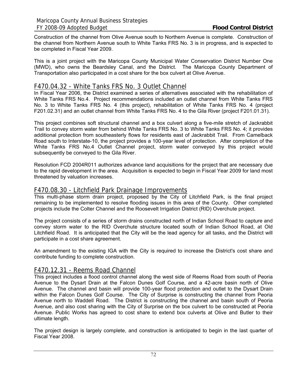Construction of the channel from Olive Avenue south to Northern Avenue is complete. Construction of the channel from Northern Avenue south to White Tanks FRS No. 3 is in progress, and is expected to be completed in Fiscal Year 2009.

This is a joint project with the Maricopa County Municipal Water Conservation District Number One (MWD), who owns the Beardsley Canal, and the District. The Maricopa County Department of Transportation also participated in a cost share for the box culvert at Olive Avenue.

#### F470.04.32 - White Tanks FRS No. 3 Outlet Channel

In Fiscal Year 2006, the District examined a series of alternatives associated with the rehabilitation of White Tanks FRS No.4. Project recommendations included an outlet channel from White Tanks FRS No. 3 to White Tanks FRS No. 4 (this project), rehabilitation of White Tanks FRS No. 4 (project F201.02.31) and an outlet channel from White Tanks FRS No. 4 to the Gila River (project F201.01.31).

This project combines soft structural channel and a box culvert along a five-mile stretch of Jackrabbit Trail to convey storm water from behind White Tanks FRS No. 3 to White Tanks FRS No. 4; it provides additional protection from southeasterly flows for residents east of Jackrabbit Trail. From Camelback Road south to Interstate-10, the project provides a 100-year level of protection. After completion of the White Tanks FRS No.4 Outlet Channel project, storm water conveyed by this project would subsequently be conveyed to the Gila River.

Resolution FCD 2004R011 authorizes advance land acquisitions for the project that are necessary due to the rapid development in the area. Acquisition is expected to begin in Fiscal Year 2009 for land most threatened by valuation increases.

#### F470.08.30 - Litchfield Park Drainage Improvements

This multi-phase storm drain project, proposed by the City of Litchfield Park, is the final project remaining to be implemented to resolve flooding issues in this area of the County. Other completed projects include the Colter Channel and the Roosevelt Irrigation District (RID) Overchute project.

The project consists of a series of storm drains constructed north of Indian School Road to capture and convey storm water to the RID Overchute structure located south of Indian School Road, at Old Litchfield Road. It is anticipated that the City will be the lead agency for all tasks, and the District will participate in a cost share agreement.

An amendment to the existing IGA with the City is required to increase the District's cost share and contribute funding to complete construction.

## F470.12.31 - Reems Road Channel

This project includes a flood control channel along the west side of Reems Road from south of Peoria Avenue to the Dysart Drain at the Falcon Dunes Golf Course, and a 42-acre basin north of Olive Avenue. The channel and basin will provide 100-year flood protection and outlet to the Dysart Drain within the Falcon Dunes Golf Course. The City of Surprise is constructing the channel from Peoria Avenue north to Waddell Road. The District is constructing the channel and basin south of Peoria Avenue, and also cost sharing with the City of Surprise on the box culvert to be constructed at Peoria Avenue. Public Works has agreed to cost share to extend box culverts at Olive and Butler to their ultimate length.

The project design is largely complete, and construction is anticipated to begin in the last quarter of Fiscal Year 2008.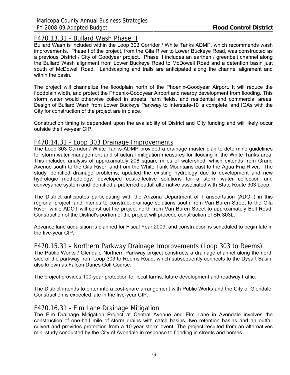## F470.13.31 - Bullard Wash Phase II

Bullard Wash is included within the Loop 303 Corridor / White Tanks ADMP, which recommends wash improvements. Phase I of the project, from the Gila River to Lower Buckeye Road, was constructed as a previous District / City of Goodyear project. Phase II includes an earthen / greenbelt channel along the Bullard Wash alignment from Lower Buckeye Road to McDowell Road and a detention basin just south of McDowell Road. Landscaping and trails are anticipated along the channel alignment and within the basin.

The project will channelize the floodplain north of the Phoenix-Goodyear Airport. It will reduce the floodplain width, and protect the Phoenix-Goodyear Airport and nearby development from flooding. This storm water would otherwise collect in streets, farm fields, and residential and commercial areas. Design of Bullard Wash from Lower Buckeye Parkway to Interstate-10 is complete, and IGAs with the City for construction of the project are in place.

Construction timing is dependent upon the availability of District and City funding and will likely occur outside the five-year CIP.

## F470.14.31 - Loop 303 Drainage Improvements

The Loop 303 Corridor / White Tanks ADMP provided a drainage master plan to determine guidelines for storm water management and structural mitigation measures for flooding in the White Tanks area. This included analysis of approximately 208 square miles of watershed, which extends from Grand Avenue south to the Gila River, and from the White Tank Mountains east to the Agua Fria River. The study identified drainage problems, updated the existing hydrology due to development and new hydrologic methodology, developed cost-effective solutions for a storm water collection and conveyance system and identified a preferred outfall alternative associated with State Route 303 Loop.

The District anticipates participating with the Arizona Department of Transportation (ADOT) in this regional project, and intends to construct drainage solutions south from Van Buren Street to the Gila River, while ADOT will construct the project north from Van Buren Street to approximately Bell Road. Construction of the District's portion of the project will precede construction of SR 303L.

Advance land acquisition is planned for Fiscal Year 2009, and construction is scheduled to begin late in the five-year CIP.

## F470.15.31 - Northern Parkway Drainage Improvements (Loop 303 to Reems)

The Public Works / Glendale Northern Parkway project constructs a drainage channel along the north side of the parkway from Loop 303 to Reems Road, which subsequently connects to the Dysart Basin, also known as Falcon Dunes Golf Course.

The project provides 100-year protection for local farms, future development and roadway traffic.

The District intends to enter into a cost-share arrangement with Public Works and the City of Glendale. Construction is expected late in the five-year CIP.

## F470.16.31 - Elm Lane Drainage Mitigation

The Elm Drainage Mitigation Project at Central Avenue and Elm Lane in Avondale involves the construction of one-half mile of storm drains with catch basins, two retention basins and an outfall culvert and provides protection from a 10-year storm event. The project resulted from an alternatives mini-study conducted by the City of Avondale in response to flooding in streets and homes.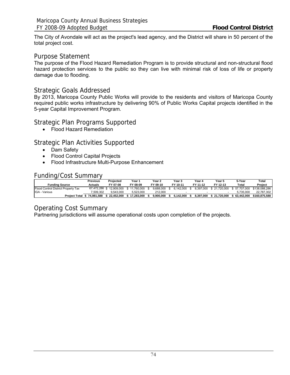The City of Avondale will act as the project's lead agency, and the District will share in 50 percent of the total project cost.

### Purpose Statement

The purpose of the Flood Hazard Remediation Program is to provide structural and non-structural flood hazard protection services to the public so they can live with minimal risk of loss of life or property damage due to flooding.

### Strategic Goals Addressed

By 2013, Maricopa County Public Works will provide to the residents and visitors of Maricopa County required public works infrastructure by delivering 90% of Public Works Capital projects identified in the 5-year Capital Improvement Program.

#### Strategic Plan Programs Supported

• Flood Hazard Remediation

## Strategic Plan Activities Supported

- Dam Safety
- Flood Control Capital Projects
- Flood Infrastructure Multi-Purpose Enhancement

### Funding/Cost Summary

|                                     | Previous   | Projected    | Year '       | Year 2    | Year 3    | Year 4    | Year 5       | 5-Year       | Total         |
|-------------------------------------|------------|--------------|--------------|-----------|-----------|-----------|--------------|--------------|---------------|
| <b>Funding Source</b>               | Actuals    | FY 07-08     | FY 08-09     | FY 09-10  | FY 10-11  | FY 11-12  | FY 12-13     | Total        | Project       |
| Flood Control District Property Tax | 67.472.286 | \$12.909.000 | \$11.760.000 | 9.688.000 | 6.142.000 | 8.397.000 | } 21.720.000 | 57.707.000 ن | \$138,088,286 |
| IGA - Various                       | 7.509.302  | 9.543.000    | 5.523.000    | 212,000   |           |           |              | 5.735.000    | 22.787.302    |
| <b>Project Total \$</b>             | 74.981.588 | 22.452.000   | 17.283.000   | 9.900.000 | 6.142.000 | 8.397.000 | 21.720.000   | 63.442.000   | \$160.875.588 |

## Operating Cost Summary

Partnering jurisdictions will assume operational costs upon completion of the projects.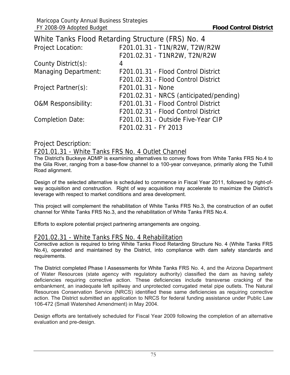|                                | White Tanks Flood Retarding Structure (FRS) No. 4 |
|--------------------------------|---------------------------------------------------|
| <b>Project Location:</b>       | F201.01.31 - T1N/R2W, T2W/R2W                     |
|                                | F201.02.31 - T1NR2W, T2N/R2W                      |
| County District(s):            | 4                                                 |
| <b>Managing Department:</b>    | F201.01.31 - Flood Control District               |
|                                | F201.02.31 - Flood Control District               |
| Project Partner(s):            | F201.01.31 - None                                 |
|                                | F201.02.31 - NRCS (anticipated/pending)           |
| <b>O&amp;M Responsibility:</b> | F201.01.31 - Flood Control District               |
|                                | F201.02.31 - Flood Control District               |
| <b>Completion Date:</b>        | F201.01.31 - Outside Five-Year CIP                |
|                                | F201.02.31 - FY 2013                              |

## Project Description:

## F201.01.31 - White Tanks FRS No. 4 Outlet Channel

The District's Buckeye ADMP is examining alternatives to convey flows from White Tanks FRS No.4 to the Gila River, ranging from a base-flow channel to a 100-year conveyance, primarily along the Tuthill Road alignment.

Design of the selected alternative is scheduled to commence in Fiscal Year 2011, followed by right-ofway acquisition and construction. Right of way acquisition may accelerate to maximize the District's leverage with respect to market conditions and area development.

This project will complement the rehabilitation of White Tanks FRS No.3, the construction of an outlet channel for White Tanks FRS No.3, and the rehabilitation of White Tanks FRS No.4.

Efforts to explore potential project partnering arrangements are ongoing.

## F201.02.31 - White Tanks FRS No. 4 Rehabilitation

Corrective action is required to bring White Tanks Flood Retarding Structure No. 4 (White Tanks FRS No.4), operated and maintained by the District, into compliance with dam safety standards and requirements.

The District completed Phase I Assessments for White Tanks FRS No. 4, and the Arizona Department of Water Resources (state agency with regulatory authority) classified the dam as having safety deficiencies requiring corrective action. These deficiencies include transverse cracking of the embankment, an inadequate left spillway and unprotected corrugated metal pipe outlets. The Natural Resources Conservation Service (NRCS) identified these same deficiencies as requiring corrective action. The District submitted an application to NRCS for federal funding assistance under Public Law 106-472 (Small Watershed Amendment) in May 2004.

Design efforts are tentatively scheduled for Fiscal Year 2009 following the completion of an alternative evaluation and pre-design.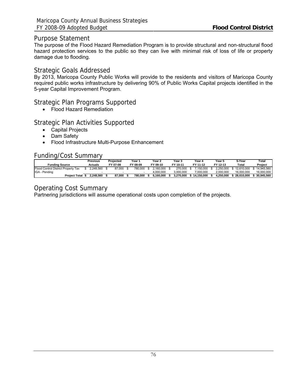### Purpose Statement

The purpose of the Flood Hazard Remediation Program is to provide structural and non-structural flood hazard protection services to the public so they can live with minimal risk of loss of life or property damage due to flooding.

### Strategic Goals Addressed

By 2013, Maricopa County Public Works will provide to the residents and visitors of Maricopa County required public works infrastructure by delivering 90% of Public Works Capital projects identified in the 5-year Capital Improvement Program.

## Strategic Plan Programs Supported

• Flood Hazard Remediation

## Strategic Plan Activities Supported

- Capital Projects
- Dam Safety
- Flood Infrastructure Multi-Purpose Enhancement

## Funding/Cost Summary

|                                     | Previous  | Projected | Year '   | Year 2    | Year 3    | Year 4     | Year 5    | 5-Year     | Total      |
|-------------------------------------|-----------|-----------|----------|-----------|-----------|------------|-----------|------------|------------|
| <b>Funding Source</b>               | Actuals   | FY 07-08  | FY 08-09 | FY 09-10  | FY 10-11  | FY 11-12   | FY 12-13  | Total      | Project    |
| Flood Control District Property Tax | 2.248.560 | 87.000    | 780.000  | 2.160.000 | 270.000   | 7.150.000  | 2.250.000 | 12.610.000 | 14.945.560 |
| IGA - Pending                       |           |           |          | 4.000.000 | 3.000.000 | 7.000.000  | 2.000.000 | 16.000.000 | 16.000.000 |
| <b>Project Total</b>                | 2.248.560 | 87.000    | 780.000  | 6.160.000 | 3.270.000 | 14.150.000 | 4.250.000 | 28.610.000 | 30.945.560 |

## Operating Cost Summary

Partnering jurisdictions will assume operational costs upon completion of the projects.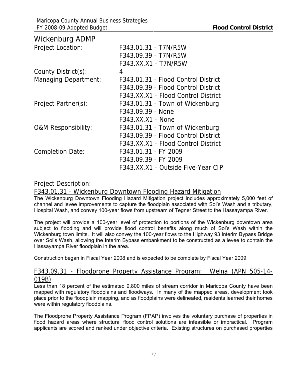| <b>Wickenburg ADMP</b>         |                                     |
|--------------------------------|-------------------------------------|
| <b>Project Location:</b>       | F343.01.31 - T7N/R5W                |
|                                | F343.09.39 - T7N/R5W                |
|                                | F343.XX.X1 - T7N/R5W                |
| County District(s):            | 4                                   |
| <b>Managing Department:</b>    | F343.01.31 - Flood Control District |
|                                | F343.09.39 - Flood Control District |
|                                | F343.XX.X1 - Flood Control District |
| Project Partner(s):            | F343.01.31 - Town of Wickenburg     |
|                                | F343.09.39 - None                   |
|                                | F343.XX.X1 - None                   |
| <b>O&amp;M Responsibility:</b> | F343.01.31 - Town of Wickenburg     |
|                                | F343.09.39 - Flood Control District |
|                                | F343.XX.X1 - Flood Control District |
| <b>Completion Date:</b>        | F343.01.31 - FY 2009                |
|                                | F343.09.39 - FY 2009                |
|                                | F343.XX.X1 - Outside Five-Year CIP  |

## Project Description:

F343.01.31 - Wickenburg Downtown Flooding Hazard Mitigation

The Wickenburg Downtown Flooding Hazard Mitigation project includes approximately 5,000 feet of channel and levee improvements to capture the floodplain associated with Sol's Wash and a tributary, Hospital Wash, and convey 100-year flows from upstream of Tegner Street to the Hassayampa River.

The project will provide a 100-year level of protection to portions of the Wickenburg downtown area subject to flooding and will provide flood control benefits along much of Sol's Wash within the Wickenburg town limits. It will also convey the 100-year flows to the Highway 93 Interim Bypass Bridge over Sol's Wash, allowing the Interim Bypass embankment to be constructed as a levee to contain the Hassayampa River floodplain in the area.

Construction began in Fiscal Year 2008 and is expected to be complete by Fiscal Year 2009.

## F343.09.31 - Floodprone Property Assistance Program: Welna (APN 505-14- 019B)

Less than 18 percent of the estimated 9,800 miles of stream corridor in Maricopa County have been mapped with regulatory floodplains and floodways. In many of the mapped areas, development took place prior to the floodplain mapping, and as floodplains were delineated, residents learned their homes were within regulatory floodplains.

The Floodprone Property Assistance Program (FPAP) involves the voluntary purchase of properties in flood hazard areas where structural flood control solutions are infeasible or impractical. Program applicants are scored and ranked under objective criteria. Existing structures on purchased properties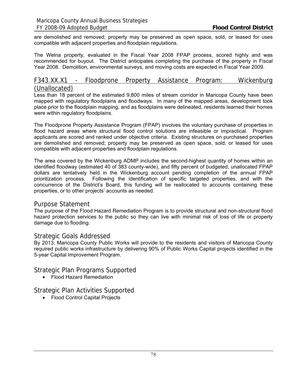are demolished and removed; property may be preserved as open space, sold, or leased for uses compatible with adjacent properties and floodplain regulations.

The Welna property, evaluated in the Fiscal Year 2008 FPAP process, scored highly and was recommended for buyout. The District anticipates completing the purchase of the property in Fiscal Year 2008. Demolition, environmental surveys, and moving costs are expected in Fiscal Year 2009.

### F343.XX.X1 - Floodprone Property Assistance Program: Wickenburg (Unallocated)

Less than 18 percent of the estimated 9,800 miles of stream corridor in Maricopa County have been mapped with regulatory floodplains and floodways. In many of the mapped areas, development took place prior to the floodplain mapping, and as floodplains were delineated, residents learned their homes were within regulatory floodplains.

The Floodprone Property Assistance Program (FPAP) involves the voluntary purchase of properties in flood hazard areas where structural flood control solutions are infeasible or impractical. Program applicants are scored and ranked under objective criteria. Existing structures on purchased properties are demolished and removed; property may be preserved as open space, sold, or leased for uses compatible with adjacent properties and floodplain regulations.

The area covered by the Wickenburg ADMP includes the second-highest quantity of homes within an identified floodway (estimated 40 of 383 county-wide), and fifty percent of budgeted, unallocated FPAP dollars are tentatively held in the Wickenburg account pending completion of the annual FPAP prioritization process. Following the identification of specific targeted properties, and with the concurrence of the District's Board, this funding will be reallocated to accounts containing these properties, or to other projects' accounts as needed.

#### Purpose Statement

The purpose of the Flood Hazard Remediation Program is to provide structural and non-structural flood hazard protection services to the public so they can live with minimal risk of loss of life or property damage due to flooding.

#### Strategic Goals Addressed

By 2013, Maricopa County Public Works will provide to the residents and visitors of Maricopa County required public works infrastructure by delivering 90% of Public Works Capital projects identified in the 5-year Capital Improvement Program.

Strategic Plan Programs Supported

• Flood Hazard Remediation

Strategic Plan Activities Supported

• Flood Control Capital Projects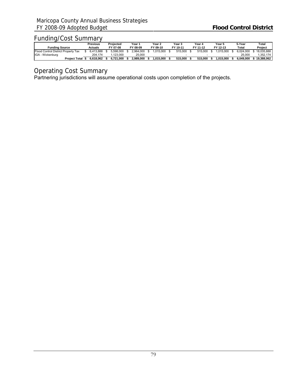## Funding/Cost Summary

|                                     | Previous       | Projected | Year ∖    | Year 2   | Year 3 |          |  | Year 4   | Year 5    | 5-Year    | Total      |
|-------------------------------------|----------------|-----------|-----------|----------|--------|----------|--|----------|-----------|-----------|------------|
| <b>Funding Source</b>               | <b>Actuals</b> | FY 07-08  | FY 08-09  | FY 09-10 |        | FY 10-11 |  | FY 11-12 | FY 12-13  | Total     | Project    |
| Flood Control District Property Tax | 6.413.888      | 5.598.000 | 2.964.000 | .015.000 |        | 515.000  |  | 515,000  | .015.000  | 6.024.000 | 18.035.888 |
| IGA - Wickenburg                    | 204.174        | .123.000  | 25,000    |          |        |          |  |          |           | 25.000    | .352.174   |
| <b>Project Total</b>                | 6.618.062      | 6.721.000 | 2.989.000 | .015.000 |        | 515.000  |  | 515.000  | 1.015.000 | 6.049.000 | 19.388.062 |

## Operating Cost Summary

Partnering jurisdictions will assume operational costs upon completion of the projects.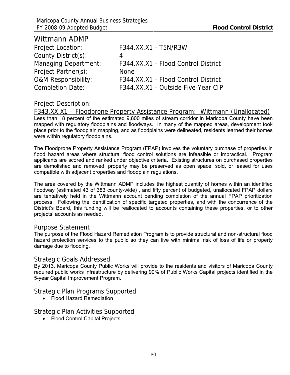| <b>Wittmann ADMP</b>           |                                     |
|--------------------------------|-------------------------------------|
| <b>Project Location:</b>       | F344.XX.X1 - T5N/R3W                |
| County District(s):            | 4                                   |
| <b>Managing Department:</b>    | F344.XX.X1 - Flood Control District |
| Project Partner(s):            | <b>None</b>                         |
| <b>O&amp;M Responsibility:</b> | F344.XX.X1 - Flood Control District |
| <b>Completion Date:</b>        | F344.XX.X1 - Outside Five-Year CIP  |

## Project Description:

F343.XX.X1 – Floodprone Property Assistance Program: Wittmann (Unallocated) Less than 18 percent of the estimated 9,800 miles of stream corridor in Maricopa County have been mapped with regulatory floodplains and floodways. In many of the mapped areas, development took place prior to the floodplain mapping, and as floodplains were delineated, residents learned their homes were within regulatory floodplains.

The Floodprone Property Assistance Program (FPAP) involves the voluntary purchase of properties in flood hazard areas where structural flood control solutions are infeasible or impractical. Program applicants are scored and ranked under objective criteria. Existing structures on purchased properties are demolished and removed; property may be preserved as open space, sold, or leased for uses compatible with adjacent properties and floodplain regulations.

The area covered by the Wittmann ADMP includes the highest quantity of homes within an identified floodway (estimated 43 of 383 county-wide) , and fifty percent of budgeted, unallocated FPAP dollars are tentatively held in the Wittmann account pending completion of the annual FPAP prioritization process. Following the identification of specific targeted properties, and with the concurrence of the District's Board, this funding will be reallocated to accounts containing these properties, or to other projects' accounts as needed.

#### Purpose Statement

The purpose of the Flood Hazard Remediation Program is to provide structural and non-structural flood hazard protection services to the public so they can live with minimal risk of loss of life or property damage due to flooding.

## Strategic Goals Addressed

By 2013, Maricopa County Public Works will provide to the residents and visitors of Maricopa County required public works infrastructure by delivering 90% of Public Works Capital projects identified in the 5-year Capital Improvement Program.

Strategic Plan Programs Supported

• Flood Hazard Remediation

Strategic Plan Activities Supported

• Flood Control Capital Projects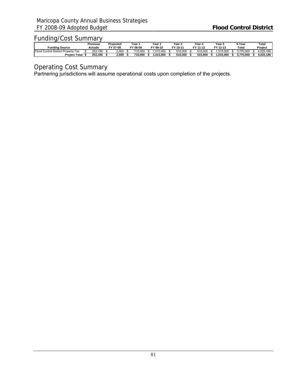## Funding/Cost Summary

|                                          | Previous |         | Proiected | Year 1 |                   |  | Year 2   | Year 5 |          |  | Year 4   | Year 5         | 5-Year    | Total     |
|------------------------------------------|----------|---------|-----------|--------|-------------------|--|----------|--------|----------|--|----------|----------------|-----------|-----------|
| Fundina Source                           |          | Actuals | FY 07-08  |        | $\sim$<br>$08-09$ |  | FY 09-10 |        | FY 10-11 |  | FY 11-12 | FY 12-13       | Total     | Project   |
| Eloog<br>I Control District Property Tax |          | 253.186 | 2.000     |        | 710.000           |  | .015.000 |        | 515.000  |  | 515.000  | .015.000       | .770.000  | 4.025.186 |
| <b>Project Total</b>                     |          | 253.186 | 2.000     |        | 710.000           |  | .015.000 |        | 515.000  |  | 515.000  | 15.000<br>.015 | 3.770.000 | 4.025.186 |

Operating Cost Summary

Partnering jurisdictions will assume operational costs upon completion of the projects.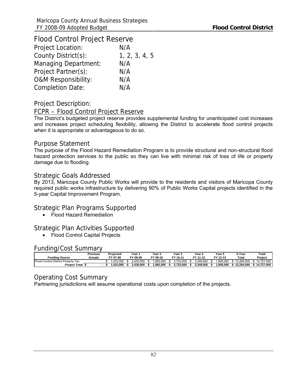| <b>Flood Control Project Reserve</b> |               |
|--------------------------------------|---------------|
| <b>Project Location:</b>             | N/A           |
| County District(s):                  | 1, 2, 3, 4, 5 |
| <b>Managing Department:</b>          | N/A           |
| Project Partner(s):                  | N/A           |
| <b>O&amp;M Responsibility:</b>       | N/A           |
| <b>Completion Date:</b>              | N/A           |

## Project Description:

### FCPR – Flood Control Project Reserve

The District's budgeted project reserve provides supplemental funding for unanticipated cost increases and increases project scheduling flexibility, allowing the District to accelerate flood control projects when it is appropriate or advantageous to do so.

### Purpose Statement

The purpose of the Flood Hazard Remediation Program is to provide structural and non-structural flood hazard protection services to the public so they can live with minimal risk of loss of life or property damage due to flooding.

### Strategic Goals Addressed

By 2013, Maricopa County Public Works will provide to the residents and visitors of Maricopa County required public works infrastructure by delivering 90% of Public Works Capital projects identified in the 5-year Capital Improvement Program.

## Strategic Plan Programs Supported

• Flood Hazard Remediation

## Strategic Plan Activities Supported

• Flood Control Capital Projects

#### Funding/Cost Summary

|                                          | Previous | Projected | Year .    | Year $\lambda$ | Year 3    | Year 4    | Year 5   | 5-Year     | Total      |
|------------------------------------------|----------|-----------|-----------|----------------|-----------|-----------|----------|------------|------------|
| Fundina Source                           | Actuals  | FY 07-08  | FY 08-09  | FY 09-10       | FY 10-11  | FY 11-12  | FY 12-13 | Total      | Project    |
| Floog<br>J Control District Property Tax |          | .433.000  | 2.430.000 | .982.000       | 3.733.000 | 3.349.000 | 800.000  | 13.294.000 | 14.727.000 |
| <b>Project Total</b>                     |          | .433.000  | 2.430.000 | .982.000       | 3.733.000 | 3.349.000 | .800.000 | 13.294.000 | 14,727,000 |

## Operating Cost Summary

Partnering jurisdictions will assume operational costs upon completion of the projects.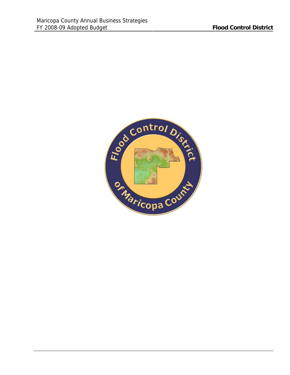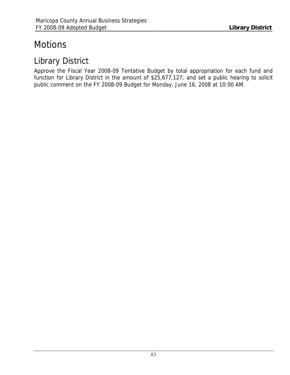# **Motions**

# Library District

Approve the Fiscal Year 2008-09 Tentative Budget by total appropriation for each fund and function for Library District in the amount of \$25,677,127; and set a public hearing to solicit public comment on the FY 2008-09 Budget for Monday, June 16, 2008 at 10:00 AM.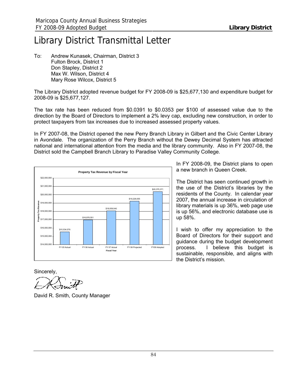# Library District Transmittal Letter

To: Andrew Kunasek, Chairman, District 3 Fulton Brock, District 1 Don Stapley, District 2 Max W. Wilson, District 4 Mary Rose Wilcox, District 5

The Library District adopted revenue budget for FY 2008-09 is \$25,677,130 and expenditure budget for 2008-09 is \$25,677,127.

The tax rate has been reduced from \$0.0391 to \$0.0353 per \$100 of assessed value due to the direction by the Board of Directors to implement a 2% levy cap, excluding new construction, in order to protect taxpayers from tax increases due to increased assessed property values.

In FY 2007-08, the District opened the new Perry Branch Library in Gilbert and the Civic Center Library in Avondale. The organization of the Perry Branch without the Dewey Decimal System has attracted national and international attention from the media and the library community. Also in FY 2007-08, the District sold the Campbell Branch Library to Paradise Valley Community College.



In FY 2008-09, the District plans to open a new branch in Queen Creek.

The District has seen continued growth in the use of the District's libraries by the residents of the County. In calendar year 2007, the annual increase in circulation of library materials is up 36%, web page use is up 56%, and electronic database use is up 58%.

I wish to offer my appreciation to the Board of Directors for their support and guidance during the budget development process. I believe this budget is sustainable, responsible, and aligns with the District's mission.

Sincerely,

David R. Smith, County Manager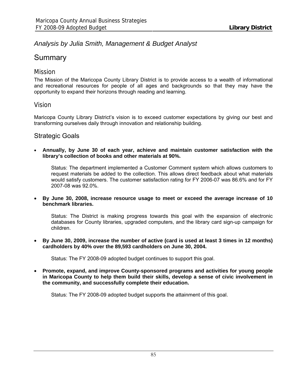## *Analysis by Julia Smith, Management & Budget Analyst*

## **Summary**

## Mission

The Mission of the Maricopa County Library District is to provide access to a wealth of informational and recreational resources for people of all ages and backgrounds so that they may have the opportunity to expand their horizons through reading and learning.

## Vision

Maricopa County Library District's vision is to exceed customer expectations by giving our best and transforming ourselves daily through innovation and relationship building.

## Strategic Goals

• **Annually, by June 30 of each year, achieve and maintain customer satisfaction with the library's collection of books and other materials at 90%.**

Status: The department implemented a Customer Comment system which allows customers to request materials be added to the collection. This allows direct feedback about what materials would satisfy customers. The customer satisfaction rating for FY 2006-07 was 86.6% and for FY 2007-08 was 92.0%.

• **By June 30, 2008, increase resource usage to meet or exceed the average increase of 10 benchmark libraries.**

Status: The District is making progress towards this goal with the expansion of electronic databases for County libraries, upgraded computers, and the library card sign-up campaign for children.

• **By June 30, 2009, increase the number of active (card is used at least 3 times in 12 months) cardholders by 40% over the 89,593 cardholders on June 30, 2004.**

Status: The FY 2008-09 adopted budget continues to support this goal.

• **Promote, expand, and improve County-sponsored programs and activities for young people in Maricopa County to help them build their skills, develop a sense of civic involvement in the community, and successfully complete their education.**

Status: The FY 2008-09 adopted budget supports the attainment of this goal.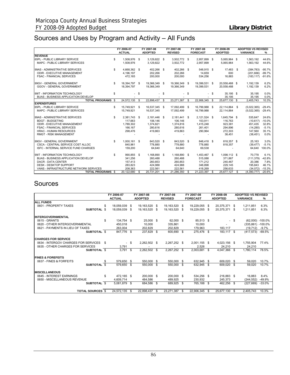## Sources and Uses by Program and Activity – All Funds

|                                                      |    | FY 2006-07<br><b>ACTUAL</b> |        | FY 2007-08<br><b>ADOPTED</b> |      | FY 2007-08<br><b>REVISED</b> |      | FY 2007-08<br><b>FORECAST</b> |        | FY 2008-09<br><b>ADOPTED</b> | <b>ADOPTED VS REVISED</b><br><b>VARIANCE</b><br>% |
|------------------------------------------------------|----|-----------------------------|--------|------------------------------|------|------------------------------|------|-------------------------------|--------|------------------------------|---------------------------------------------------|
| <b>REVENUE</b>                                       |    |                             |        |                              |      |                              |      |                               |        |                              |                                                   |
| 65PL - PUBLIC LIBRARY SERVICE                        | \$ | 1,508,976 \$                |        | 3,129,822 \$                 |      | 3,502,772 \$                 |      | 2,957,899 \$                  |        | 5,065,964 \$                 | 44.6%<br>1,563,192                                |
| MAPC - PUBLIC LIBRARY SERVICES                       |    | 1,508,976                   |        | 3,129,822                    |      | 3,502,772                    |      | 2.957.899                     |        | 5.065.964                    | 1.563.192<br>44.6%                                |
| 99AS - ADMINISTRATIVE SERVICES                       | \$ | 4,668,362 \$                |        | 402,266 \$                   |      | 402,266 \$                   |      | 548,915 \$                    |        | 17,483 \$                    | $-95.7%$<br>(384, 783)                            |
| ODIR - EXECUTIVE MANAGEMENT                          |    | 4,196,197                   |        | 202,266                      |      | 202,266                      |      | 14,659                        |        | 600                          | $-99.7%$<br>(201, 666)                            |
| <b>FSAC - FINANCIAL SERVICES</b>                     |    | 472,165                     |        | 200,000                      |      | 200,000                      |      | 534,256                       |        | 16,883                       | $-91.6%$<br>(183.117)                             |
| 99GV - GENERAL GOVERNMENT                            | \$ | 18,394,797 \$               |        | 19,366,349 \$                |      | 19,366,349 \$                |      | 19,399,531 \$                 |        | 20,558,488 \$                | 1,192,139<br>6.2%                                 |
| GGOV - GENERAL GOVERNMENT                            |    | 18,394,797                  |        | 19,366,349                   |      | 19,366,349                   |      | 19,399,531                    |        | 20,558,488                   | 6.2%<br>1,192,139                                 |
|                                                      |    |                             |        |                              |      |                              |      |                               |        |                              |                                                   |
| 99IT - INFORMATION TECHNOLOGY                        | \$ |                             | $-$ \$ | ٠                            | -\$  |                              | -\$  |                               | $-$ \$ | 35,195 \$                    | 0.0%<br>35,195                                    |
| <b>BUAS - BUSINESS APPLICATION DEVELOP</b>           |    |                             |        |                              |      |                              |      |                               |        | 35,195                       | 0.0%<br>35,195                                    |
| <b>TOTAL PROGRAMS \$</b>                             |    | 24,572,135                  | S.     | 22,898,437                   | - \$ | 23,271,387                   | S.   | 22,906,345 \$                 |        | 25,677,130 \$                | 2,405,743<br>10.3%                                |
| <b>EXPENDITURES</b><br>65PL - PUBLIC LIBRARY SERVICE |    |                             |        |                              |      | 17.092.499 \$                |      |                               |        |                              | $-29.4%$                                          |
| MAPC - PUBLIC LIBRARY SERVICES                       | \$ | 15,749,921<br>15,749,921    | \$     | 16,537,345 \$<br>16,537,345  |      | 17,092,499                   |      | 16,799,988 \$<br>16,799,988   |        | 22,114,864 \$<br>22,114,864  | (5,022,365)<br>(5,022,365)<br>$-29.4%$            |
|                                                      |    |                             |        |                              |      |                              |      |                               |        |                              |                                                   |
| 99AS - ADMINISTRATIVE SERVICES                       | \$ | 2,381,743                   | - \$   | 2,181,446 \$                 |      | 2,181,441 \$                 |      | 2,121,524 \$                  |        | 1,645,794 \$                 | 24.6%<br>535,647                                  |
| <b>BDGT - BUDGETING</b>                              |    | 117,663                     |        | 106,146                      |      | 106,146                      |      | 153,911                       |        | 116,763                      | (10, 617)<br>$-10.0%$                             |
| ODIR - EXECUTIVE MANAGEMENT                          |    | 1,789,302                   |        | 1,374,821                    |      | 1,374,816                    |      | 1,415,248                     |        | 923,381                      | 32.8%<br>451,435                                  |
| <b>FSAC - FINANCIAL SERVICES</b>                     |    | 166,167                     |        | 280,616                      |      | 280,616                      |      | 261,401                       |        | 294,896                      | (14, 280)<br>$-5.1%$                              |
| <b>HRAC - HUMAN RESOURCES</b>                        |    | 298,476                     |        | 419,863                      |      | 419,863                      |      | 290,964                       |        | 272,303                      | 147,560<br>35.1%                                  |
| <b>RMGT - RISK MANAGEMENT</b>                        |    |                             |        |                              |      |                              |      |                               |        | 38,451                       | 0.0%<br>(38, 451)                                 |
| 99GV - GENERAL GOVERNMENT                            | S  | 1,000,161 \$                |        | 843,520 \$                   |      | 843,520 \$                   |      | 848,418 \$                    |        | 818,357 \$                   | 3.0%<br>25,163                                    |
| CSCA - CENTRAL SERVICE COST ALLOC                    |    | 840,961                     |        | 778,880                      |      | 778,880                      |      | 778,880                       |        | 818,357                      | $-5.1%$<br>(39, 477)                              |
| <b>ISFC - INTERNAL SERVICE FUND CHARGES</b>          |    | 159,200                     |        | 64.640                       |      | 64,640                       |      | 69,538                        |        |                              | 100.0%<br>64.640                                  |
| 99IT - INFORMATION TECHNOLOGY                        | \$ | 990,855                     | \$     | 1,168,890 \$                 |      | 1,168,890 \$                 |      | 1,453,467 \$                  |        | 1,098,112 \$                 | 70.778<br>6.1%                                    |
| <b>BUAS - BUSINESS APPLICATION DEVELOP</b>           |    | 341,256                     |        | 260,488                      |      | 260,488                      |      | 515,088                       |        | 371,867                      | (111, 379)<br>$-42.8%$                            |
| <b>DACR - DATA CENTER</b>                            |    | 157,413                     |        | 260,853                      |      | 260,853                      |      | 171,212                       |        | 240,467                      | 7.8%<br>20,386                                    |
| <b>DESK - DESKTOP SUPPORT</b>                        |    | 283,823                     |        | 424,988                      |      | 424,988                      |      | 348,898                       |        | 229,145                      | 46.1%<br>195,843                                  |
| VANS - INFRASTRUCTURE NETWORK SERVICES               |    | 208,363                     |        | 222,561                      |      | 222,561                      |      | 418,269                       |        | 256,633                      | (34,072)<br>$-15.3%$                              |
| <b>TOTAL PROGRAMS \$</b>                             |    | 20.122.680                  | S.     | 20.731.201 \$                |      | 21.286.350                   | - \$ | 21,223,397 \$                 |        | 25.677.127 \$                | (4.390.777)<br>$-20.6%$                           |

## Sources

|                                      | FY 2006-07      |              | FY 2007-08     | FY 2007-08     |      | FY 2007-08      | FY 2008-09     | <b>ADOPTED VS REVISED</b> |                   |                  |
|--------------------------------------|-----------------|--------------|----------------|----------------|------|-----------------|----------------|---------------------------|-------------------|------------------|
|                                      | <b>ACTUAL</b>   |              | <b>ADOPTED</b> | <b>REVISED</b> |      | <b>FORECAST</b> | <b>ADOPTED</b> |                           | <b>VARIANCE</b>   | ℅                |
| <b>ALL FUNDS</b>                     |                 |              |                |                |      |                 |                |                           |                   |                  |
| 0601 - PROPERTY TAXES                | 18,059,039<br>S | - \$         | 19,163,520 \$  | 19,163,520 \$  |      | 19,229,055 \$   | 20,375,371 \$  |                           | 1,211,851         | 6.3%             |
| SUBTOTAL \$                          | 18,059,039      | - \$         | 19,163,520 \$  | 19,163,520 \$  |      | 19,229,055 \$   | 20,375,371 \$  |                           | 1.211.851         | 6.3%             |
| <b>INTERGOVERNMENTAL</b>             |                 |              |                |                |      |                 |                |                           |                   |                  |
| 0615 - GRANTS                        | \$              | 134,754 \$   | 25,000 \$      | 62,000 \$      |      | 85,513 \$       | $\sim$         | - \$                      |                   | (62,000) -100.0% |
| 0620 - OTHER INTERGOVERNMENTAL       | 450,018         |              | 10.000         | 335,861        |      | 10,000          | $\sim$         |                           | (335,861) -100.0% |                  |
| 0621 - PAYMENTS IN LIEU OF TAXES     | 263,004         |              | 202,829        | 202,829        |      | 179.963         | 183,117        |                           | (19, 712)         | -9.7%            |
| SUBTOTAL \$                          |                 | 847,776 \$   | 237,829 \$     | 600,690 \$     |      | 275,476 \$      | 183,117 \$     |                           | (417, 573)        | -69.5%           |
| <b>CHARGES FOR SERVICE</b>           |                 |              |                |                |      |                 |                |                           |                   |                  |
| 0634 - INTERGOV CHARGES FOR SERVICES | \$.             | - \$         | 2,262,502 \$   | 2,267,252 \$   |      | 2,001,155 \$    | 4,023,156 \$   |                           | 1,755,904         | 77.4%            |
| 0635 - OTHER CHARGES FOR SERVICES    |                 | 3,791        |                |                |      | 2,526           | 24,210         |                           | 24,210            |                  |
| SUBTOTAL \$                          |                 | 3,791<br>\$  | 2,262,502 \$   | 2,267,252 \$   |      | 2,003,681 \$    | 4,047,366 \$   |                           | 1,780,114         | 78.5%            |
| <b>FINES &amp; FOREFEITS</b>         |                 |              |                |                |      |                 |                |                           |                   |                  |
| 0637 - FINES & FORFEITS              | S               | 579,650 \$   | 550,000 \$     | 550,000 \$     |      | 632,945 \$      | 609,020 \$     |                           | 59,020            | 10.7%            |
| SUBTOTAL \$                          |                 | 579,650 \$   | 550,000 \$     | 550,000 \$     |      | 632,945 \$      | 609,020 \$     |                           | 59,020            | 10.7%            |
| <b>MISCELLANEOUS</b>                 |                 |              |                |                |      |                 |                |                           |                   |                  |
| 0645 - INTEREST EARNINGS             | \$              | 472,165 \$   | 200,000 \$     | 200,000 \$     |      | 534,256 \$      | 216,883 \$     |                           | 16,883            | 8.4%             |
| 0650 - MISCELLANEOUS REVENUE         | 4,609,714       |              | 484,586        | 489,925        |      | 230,932         | 245,373        |                           | (244, 552)        | $-49.9%$         |
| SUBTOTAL \$                          |                 | 5,081,879 \$ | 684,586 \$     | 689,925 \$     |      | 765,188 \$      | 462,256 \$     |                           | (227, 669)        | $-33.0%$         |
| <b>TOTAL SOURCES</b> \$              | 24,572,135 \$   |              | 22,898,437 \$  | 23,271,387     | - \$ | 22,906,345 \$   | 25,677,130     | - \$                      | 2,405,743         | 10.3%            |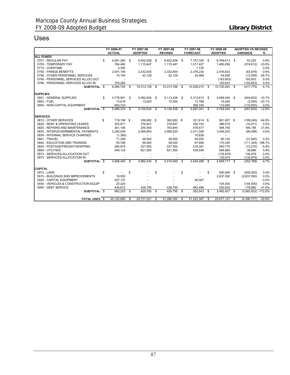## Uses

|                                      | FY 2006-07<br><b>ACTUAL</b> |     | FY 2007-08<br><b>ADOPTED</b> | FY 2007-08<br><b>REVISED</b> | FY 2007-08<br><b>FORECAST</b> |              |      | FY 2008-09<br><b>ADOPTED</b> |      | <b>ADOPTED VS REVISED</b><br><b>VARIANCE</b> | %         |
|--------------------------------------|-----------------------------|-----|------------------------------|------------------------------|-------------------------------|--------------|------|------------------------------|------|----------------------------------------------|-----------|
| <b>ALL FUNDS</b>                     |                             |     |                              |                              |                               |              |      |                              |      |                                              |           |
| 0701 - REGULAR PAY                   | \$<br>6,081,264             | -\$ | 6,822,938                    | \$<br>6,822,938              | \$                            | 7,107,330 \$ |      | 6,769,613 \$                 |      | 53,325                                       | 0.8%      |
| 0705 - TEMPORARY PAY                 | 764,480                     |     | 1,115,447                    | 1,115,447                    |                               | 1.017.427    |      | 1,490,059                    |      | (374, 612)                                   | $-33.6%$  |
| 0710 - OVERTIME                      | 4,395                       |     |                              |                              |                               | 1,735        |      |                              |      | $\sim$                                       | 0.0%      |
| 0750 - FRINGE BENEFITS               | 2,041,195                   |     | 2,332,625                    | 2,332,654                    |                               | 2,376,234    |      | 2,416,633                    |      | (83,979)                                     | $-3.6%$   |
| 0790 - OTHER PERSONNEL SERVICES      | 14,105                      |     | 42.129                       | 42.129                       |                               | 25,489       |      | 54,638                       |      | (12.509)                                     | $-29.7%$  |
| 0795 - PERSONNEL SERVICES ALLOC-OUT  |                             |     |                              |                              |                               |              |      | (193, 653)                   |      | 193,653                                      | 0.0%      |
| 0796 - PERSONNEL SERVICES ALLOC-IN   | 379,265                     |     |                              |                              |                               |              |      | 193,653                      |      | (193, 653)                                   | 0.0%      |
| SUBTOTAL \$                          | 9,284,704                   | \$  | 10,313,139                   | \$<br>10,313,168             | \$                            | 10,528,215   | - \$ | 10,730,943 \$                |      | (417, 775)                                   | $-4.1%$   |
| <b>SUPPLIES</b>                      |                             |     |                              |                              |                               |              |      |                              |      |                                              |           |
| 0801 - GENERAL SUPPLIES              | \$<br>4,778,991             | \$  | 5,092,834                    | \$<br>5,113,438              | - \$                          | 5,313,813 \$ |      | 5,658,040 \$                 |      | (544, 602)                                   | $-10.7%$  |
| 0803 - FUEL                          | 13,618                      |     | 13,000                       | 13,000                       |                               | 13.788       |      | 16.000                       |      | (3,000)                                      | $-23.1%$  |
| 0804 - NON-CAPITAL EQUIPMENT         | 693,724                     |     |                              |                              |                               | 369,740      |      | 110,000                      |      | (110.000)                                    | 0.0%      |
| SUBTOTAL \$                          | 5.486.333                   | \$  | 5.105.834                    | \$<br>5.126.438              | \$                            | 5.697.341    | - \$ | 5.784.040 \$                 |      | (657, 602)                                   | $-12.8%$  |
| <b>SERVICES</b>                      |                             |     |                              |                              |                               |              |      |                              |      |                                              |           |
| 0812 - OTHER SERVICES                | \$<br>718,199 \$            |     | 336,682 \$                   | 362,682 \$                   |                               | 331,814 \$   |      | 561,927 \$                   |      | (199, 245)                                   | $-54.9%$  |
| 0820 - RENT & OPERATING LEASES       | 253.871                     |     | 376.847                      | 376.847                      |                               | 392.743      |      | 386,918                      |      | (10,071)                                     | 0.0%      |
| 0825 - REPAIRS AND MAINTENANCE       | 301.106                     |     | 255.400                      | 763.945                      |                               | 479.577      |      | 598.750                      |      | 165.195                                      | 21.6%     |
| 0830 - INTERGOVERNMENTAL PAYMENTS    | 2,240,549                   |     | 2,956,954                    | 2,956,925                    |                               | 2,411,048    |      | 3,046,023                    |      | (89,098)                                     | $-3.0%$   |
| 0839 - INTERNAL SERVICE CHARGES      | (1,380)                     |     |                              |                              |                               | 10.638       |      | $\sim$                       |      | $\overline{a}$                               |           |
| 0841 - TRAVEL                        | 71,308                      |     | 48.500                       | 48.500                       |                               | 93.935       |      | 80.100                       |      | (31.600)                                     | 0.0%      |
| 0842 - EDUCATION AND TRAINING        | 55,788                      |     | 59,000                       | 59,000                       |                               | 67,606       |      | 170,345                      |      | $(111, 345) - 188.7%$                        |           |
| 0843 - POSTAGE/FREIGHT/SHIPPING      | 280.875                     |     | 227.500                      | 227,500                      |                               | 218,391      |      | 240.770                      |      | (13, 270)                                    | $-5.8%$   |
| 0850 - UTILITIES                     | 548.124                     |     | 621.550                      | 621.550                      |                               | 439,546      |      | 584.884                      |      | 36.666                                       | 5.9%      |
| 0872 - SERVICES-ALLOCATION OUT       |                             |     |                              |                              |                               |              |      | (135, 879)                   |      | 135,879                                      | 0.0%      |
| 0873 - SERVICES-ALLOCATION IN        |                             |     |                              |                              |                               |              |      | 135,879                      |      | (135, 879)                                   | 0.0%      |
| SUBTOTAL <sub>S</sub>                | 4.468.440                   | \$  | 4.882.433                    | \$<br>5.416.949              | \$                            | 4.445.298    | Ŝ.   | 5,669,717 \$                 |      | (252, 768)                                   | $-4.7%$   |
| <b>CAPITAL</b>                       |                             |     |                              |                              |                               |              |      |                              |      |                                              |           |
| 0910 - LAND                          | \$                          | \$  |                              | \$                           | \$                            |              | \$   | 500.000 \$                   |      | (500.000)                                    | 0.0%      |
| 0915 - BUILDINGS AND IMPROVEMENTS    | 19,050                      |     |                              |                              |                               |              |      | 2,637,092                    |      | (2,637,092)                                  | 0.0%      |
| 0920 - CAPITAL EQUIPMENT             | 407,157                     |     |                              |                              |                               | 90,047       |      | $\sim$                       |      | $\blacksquare$                               | 0.0%      |
| 0930 - VEHICLES & CONSTRUCTION EQUIP | 20.324                      |     |                              |                              |                               |              |      | 104.500                      |      | (104.500)                                    | 0.0%      |
| 0950 - DEBT SERVICE                  | 436,672                     |     | 429,795                      | 429,795                      |                               | 462,496      |      | 250,835                      |      | 178,960                                      | 41.6%     |
| SUBTOTAL <sub>S</sub>                | 883,203                     | \$  | 429.795                      | \$<br>429.795                | \$                            | 552,543      | \$   | 3,492,427                    | - \$ | (3,062,632)                                  | $-712.6%$ |
| <b>TOTAL USES \$</b>                 | 20,122,680                  | \$  | 20,731,201                   | \$<br>21,286,350             | \$                            | 21,223,397   | -S   | 25,677,127                   | -\$  | (4,390,777)                                  | $-20.6%$  |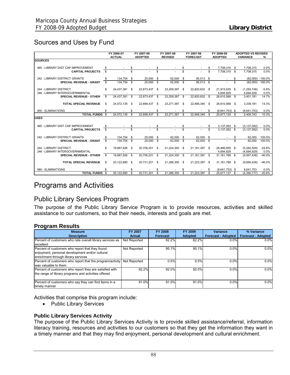## Sources and Uses by Fund

|                                    |              | FY 2006-07    |      | FY 2007-08     |      | FY 2007-08     |      | FY 2007-08      |      | FY 2008-09       |      | <b>ADOPTED VS REVISED</b> |            |
|------------------------------------|--------------|---------------|------|----------------|------|----------------|------|-----------------|------|------------------|------|---------------------------|------------|
|                                    |              | <b>ACTUAL</b> |      | <b>ADOPTED</b> |      | <b>REVISED</b> |      | <b>FORECAST</b> |      | <b>ADOPTED</b>   |      | <b>VARIANCE</b>           | $\%$       |
| <b>SOURCES</b>                     |              |               |      |                |      |                |      |                 |      |                  |      |                           |            |
| 465 - LIBRARY DIST CAP IMPROVEMENT | S            |               |      |                | S    |                |      |                 | S    | 7,708,315        | \$   | 7.708.315                 | 0.0%       |
| <b>CAPITAL PROJECTS</b>            | \$           |               | \$   |                | S    |                | \$   |                 | \$   | 7.708.315        | \$   | 7.708.315                 | 0.0%       |
| 242 - LIBRARY DISTRICT GRANTS      | \$           | 134,754 \$    |      | 25,000         | \$   | 62.000         | \$   | 85,513 \$       |      |                  | \$   | (62.000)                  | $-100.0\%$ |
| <b>SPECIAL REVENUE - GRANT</b>     | $\mathbf{s}$ | 134.754       | -S   | $25,000$ \$    |      | 62.000 \$      |      | 85.513 \$       |      |                  | \$.  | (62.000)                  | $-100.0\%$ |
| 244 - LIBRARY DISTRICT             | \$.          | 24,437,381    | - \$ | 22,873,437 \$  |      | 23,209,387     | - \$ | 22,820,832 \$   |      | 21,915,639 \$    |      | (1,293,748)               | $-5.6%$    |
| 246 - LIBRARY INTERGOVERNMENTAL    |              |               |      |                |      |                |      |                 |      | 4,694,929        |      | 4.694.929                 | 0.0%       |
| <b>SPECIAL REVENUE - OTHER</b>     | - \$         | 24,437,381    | - \$ | 22,873,437     | - \$ | 23,209,387     | \$   | 22.820.832 \$   |      | 26,610,568       | \$   | 3,401,181                 | 14.7%      |
| <b>TOTAL SPECIAL REVENUE</b>       | \$           | 24,572,135 \$ |      | 22,898,437 \$  |      | 23,271,387 \$  |      | 22,906,345 \$   |      | 26,610,568 \$    |      | 3,339,181                 | 14.3%      |
| 900 - ELIMINATIONS                 |              |               |      |                |      |                |      |                 |      | $(8,641,753)$ \$ |      | (8,641,753)               | 0.0%       |
| <b>TOTAL FUNDS \$</b>              |              | 24,572,135    | \$   | 22,898,437     | \$   | 23,271,387     | \$   | 22,906,345      | \$   | 25,677,130       | \$   | 2,405,743                 | 10.3%      |
| <b>USES</b>                        |              |               |      |                |      |                |      |                 |      |                  |      |                           |            |
| 465 - LIBRARY DIST CAP IMPROVEMENT | \$           |               | \$   |                | \$   |                | \$   |                 | S    | 3,137,092        | \$   | (3, 137, 092)             | 0.0%       |
| <b>CAPITAL PROJECTS</b>            | \$.          |               | S    |                | S    |                |      |                 | \$   | 3,137,092        | \$   | (3, 137, 092)             | 0.0%       |
| 242 - LIBRARY DISTRICT GRANTS      | £.           | 134,754 \$    |      | 25,000 \$      |      | 62.000 \$      |      | 62,000 \$       |      |                  |      | 62.000                    | 100.0%     |
| <b>SPECIAL REVENUE - GRANT</b>     | \$           | 134,754 \$    |      | $25,000$ \$    |      | 62,000         | - \$ | 62.000          | \$   |                  |      | 62.000                    | 100.0%     |
| 244 - LIBRARY DISTRICT             | \$           | 19.987.926    | - \$ | 20,706,201     | -S   | 21,224,350     | - \$ | 21.161.397 \$   |      | 26,486,859       | - \$ | (5,262,509)               | $-24.8%$   |
| 246 - LIBRARY INTERGOVERNMENTAL    |              |               |      |                |      |                |      |                 |      | 4,694,929        |      | (4,694,929)               | 0.0%       |
| <b>SPECIAL REVENUE - OTHER</b>     | \$           | 19.987.926    | - \$ | 20.706.201     | - \$ | 21,224,350     | -S   | 21.161.397      | \$   | 31.181.788       | - \$ | (9,957,438)               | $-46.9%$   |
| <b>TOTAL SPECIAL REVENUE</b>       | \$           | 20,122,680 \$ |      | 20,731,201     | -S   | 21,286,350     | - \$ | 21,223,397      | - \$ | 31, 181, 788 \$  |      | (9,895,438)               | $-46.5%$   |
| 980 - ELIMINATIONS                 |              |               | £.   |                |      |                |      |                 |      | $(8.641.753)$ \$ |      | 8.641.753                 | 0.0%       |
| <b>TOTAL FUNDS \$</b>              |              | 20.122.680    | \$   | 20,731,201     | \$   | 21,286,350     | \$   | 21,223,397      | \$.  | 25,677,127 \$    |      | (4,390,777)               | $-20.6%$   |

## Programs and Activities

## Public Library Services Program

The purpose of the Public Library Service Program is to provide resources, activities and skilled assistance to our customers, so that their needs, interests and goals are met.

#### **Program Results**

| <b>Measure</b>                                            | <b>FY 2007</b> | <b>FY 2008</b>  | FY 2009        | Variance                  | % Variance                |
|-----------------------------------------------------------|----------------|-----------------|----------------|---------------------------|---------------------------|
| <b>Description</b>                                        | <b>Actual</b>  | <b>Forecast</b> | <b>Adopted</b> | <b>Forecast - Adopted</b> | <b>Forecast - Adopted</b> |
| Percent of customers who rate overall library services as | Not Reported   | 62.2%           | 62.2%          | 0.0%                      | 0.0%                      |
| excellent                                                 |                |                 |                |                           |                           |
| Percent of customers who report that they found           | Not Reported   | 95.1%           | 95.1%          | 0.0%                      | 0.0%                      |
| enjoyment, personal development and/or cultural           |                |                 |                |                           |                           |
| enrichment through library services                       |                |                 |                |                           |                           |
| Percent of customers who report that the program/activity | Not Reported   | 0.5%            | 0.5%           | 0.0%                      | 0.0%                      |
| was valuable to them                                      |                |                 |                |                           |                           |
| Percent of customers who report they are satisfied with   | 92.2%          | 92.0%           | 92.0%          | 0.0%                      | 0.0%                      |
| the range of library programs and activities offered      |                |                 |                |                           |                           |
|                                                           |                |                 |                |                           |                           |
| Percent of customers who say they can find items in a     | 91.0%          | 91.0%           | 91.0%          | 0.0%                      | 0.0%                      |
| timely manner                                             |                |                 |                |                           |                           |

Activities that comprise this program include:

• Public Library Services

#### **Public Library Services Activity**

The purpose of the Public Library Services Activity is to provide skilled assistance/referral, information literacy training, resources and activities to our customers so that they get the information they want in a timely manner and that they may find enjoyment, personal development and cultural enrichment.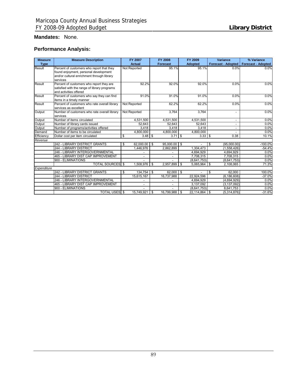#### **Mandates:** None.

## **Performance Analysis:**

| <b>Measure</b> | <b>Measure Description</b>                                                                                                       | <b>FY 2007</b>           | <b>FY 2008</b>      | FY 2009              | <b>Variance</b>           | % Variance                |
|----------------|----------------------------------------------------------------------------------------------------------------------------------|--------------------------|---------------------|----------------------|---------------------------|---------------------------|
| <b>Type</b>    |                                                                                                                                  | <b>Actual</b>            | <b>Forecast</b>     | <b>Adopted</b>       | <b>Forecast - Adopted</b> | <b>Forecast - Adopted</b> |
| Result         | Percent of customers who report that they<br>found enjoyment, personal development<br>and/or cultural enrichment through library | Not Reported             | 95.1%               | 95.1%                | 0.0%                      | 0.0%                      |
| Result         | services<br>Percent of customers who report they are<br>satisfied with the range of library programs<br>and activities offered   | 92.2%                    | 92.0%               | 92.0%                | 0.0%                      | 0.0%                      |
| Result         | Percent of customers who say they can find<br>items in a timely manner                                                           | 91.0%                    | 91.0%               | 91.0%                | 0.0%                      | 0.0%                      |
| Result         | Percent of customers who rate overall library<br>services as excellent                                                           | Not Reported             | 62.2%               | 62.2%                | 0.0%                      | 0.0%                      |
| Output         | Number of customers who rate overall library<br>services                                                                         | Not Reported             | 3.764               | 3,764                | $\blacksquare$            | 0.0%                      |
| Output         | Number of items circulated                                                                                                       | 4,531,500                | 4,531,500           | 4,531,500            | $\overline{\phantom{a}}$  | 0.0%                      |
| Output         | Number of library cards issued                                                                                                   | 52,643                   | 52,643              | 52,643               |                           | 0.0%                      |
| Output         | Number of programs/activities offered                                                                                            | 3.418                    | 3.418               | 3.418                |                           | 0.0%                      |
| Demand         | Number of items to be circulated                                                                                                 | 4,800,000                | 4,800,000           | 4,800,000            |                           | 0.0%                      |
| Efficiency     | Dollar cost per item circulated                                                                                                  | \$<br>$3.48$ \$          | $3.71$ \$           | $3.33$ \$            | 0.38                      | 10.1%                     |
| Revenue        |                                                                                                                                  |                          |                     |                      |                           |                           |
|                | 242 - LIBRARY DISTRICT GRANTS                                                                                                    | 62.000.00<br>\$          | 95,000.00 \$<br>\$  |                      | \$<br>(95,000.00)         | $-100.0%$                 |
|                | 244 - LIBRARY DISTRICT                                                                                                           | 1,446,976                | 2,862,899           | 1,304,473            | (1,558,426)               | $-54.4%$                  |
|                | - LIBRARY INTERGOVERNMENTAL<br>246                                                                                               |                          |                     | 4,694,929            | 4,694,929                 | 0.0%                      |
|                | 465 - LIBRARY DIST CAP IMPROVEMENT                                                                                               | $\overline{\phantom{a}}$ |                     | 7,708,315            | 7,708,315                 | 0.0%                      |
|                | 900 - ELIMINATIONS                                                                                                               |                          |                     | (8,641,753)          | (8,641,753)               | 0.0%                      |
|                | <b>TOTAL SOURCES</b> \$                                                                                                          | 1,508,976                | \$<br>2.957.899     | \$<br>$5,065,964$ \$ | 2,108,065                 | 71.3%                     |
| Expenditure    |                                                                                                                                  |                          |                     |                      |                           |                           |
|                | 242 - LIBRARY DISTRICT GRANTS                                                                                                    | 134, 754<br>\$           | $62,000$ \ \$<br>\$ |                      | \$<br>62,000              | 100.0%                    |
|                | 244 - LIBRARY DISTRICT                                                                                                           | 15,615,167               | 16,737,988          | 22,924,596           | (6, 186, 608)             | $-37.0%$                  |
|                | 246 - LIBRARY INTERGOVERNMENTAL                                                                                                  |                          |                     | 4,694,929            | (4,694,929)               | 0.0%                      |
|                | 465 - LIBRARY DIST CAP IMPROVEMENT                                                                                               | $\overline{a}$           |                     | 3,137,092            | (3, 137, 092)             | 0.0%                      |
|                | 900 - ELIMINATIONS                                                                                                               |                          |                     | (8,641,753)          | 8,641,753                 | 0.0%                      |
|                | <b>TOTAL USES</b> \$                                                                                                             | 15.749.921               | 16.799.988<br>\$    | 22,114,864 \$<br>\$  | (5,314,876)               | $-31.6%$                  |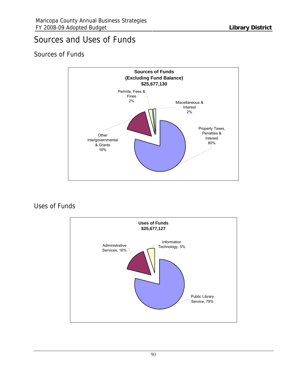## Sources and Uses of Funds

## Sources of Funds



Uses of Funds

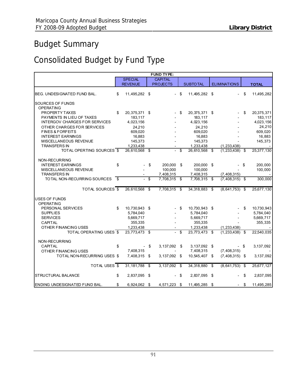# Budget Summary

# Consolidated Budget by Fund Type

|                                      |      |                |      | FUND TYPE:                |      |                 |      |                     |                  |
|--------------------------------------|------|----------------|------|---------------------------|------|-----------------|------|---------------------|------------------|
|                                      |      | <b>SPECIAL</b> |      | <b>CAPITAL</b>            |      |                 |      |                     |                  |
|                                      |      | <b>REVENUE</b> |      | <b>PROJECTS</b>           |      | <b>SUBTOTAL</b> |      | <b>ELIMINATIONS</b> | <b>TOTAL</b>     |
| BEG. UNDESIGNATED FUND BAL.          | \$   | 11,495,282 \$  |      |                           | - \$ | 11,495,282 \$   |      |                     | \$<br>11,495,282 |
| SOURCES OF FUNDS                     |      |                |      |                           |      |                 |      |                     |                  |
| OPERATING                            |      |                |      |                           |      |                 |      |                     |                  |
| PROPERTY TAXES                       | \$   | 20,375,371 \$  |      |                           | \$   | 20,375,371 \$   |      |                     | \$<br>20,375,371 |
| PAYMENTS IN LIEU OF TAXES            |      | 183,117        |      |                           |      | 183,117         |      |                     | 183,117          |
| <b>INTERGOV CHARGES FOR SERVICES</b> |      | 4,023,156      |      |                           |      | 4,023,156       |      |                     | 4,023,156        |
| OTHER CHARGES FOR SERVICES           |      | 24,210         |      |                           |      | 24,210          |      |                     | 24,210           |
| <b>FINES &amp; FORFEITS</b>          |      | 609,020        |      |                           |      | 609,020         |      |                     | 609,020          |
| <b>INTEREST EARNINGS</b>             |      | 16,883         |      |                           |      | 16,883          |      |                     | 16,883           |
| MISCELLANEOUS REVENUE                |      | 145,373        |      |                           |      | 145,373         |      |                     | 145,373          |
| <b>TRANSFERS IN</b>                  |      | 1,233,438      |      |                           |      | 1,233,438       |      | (1, 233, 438)       |                  |
| TOTAL OPERTING SOURCES \$            |      | 26,610,568 \$  |      | $\overline{a}$            | \$   | 26,610,568 \$   |      | $(1,233,438)$ \$    | 25,377,130       |
| NON-RECURRING                        |      |                |      |                           |      |                 |      |                     |                  |
| <b>INTEREST EARNINGS</b>             | \$   |                | \$   | 200,000                   | \$   | 200,000 \$      |      |                     | \$<br>200,000    |
| MISCELLANEOUS REVENUE                |      |                |      | 100,000                   |      | 100,000         |      |                     | 100,000          |
| <b>TRANSFERS IN</b>                  |      |                |      | 7,408,315                 |      | 7,408,315       |      | (7, 408, 315)       |                  |
| TOTAL NON-RECURRING SOURCES          | - \$ |                | \$   | 7,708,315 \$              |      | 7,708,315 \$    |      | $(7,408,315)$ \$    | 300,000          |
|                                      |      |                |      |                           |      |                 |      |                     |                  |
| TOTAL SOURCES \$                     |      | 26,610,568 \$  |      | $7,708,315$ \$            |      | 34,318,883 \$   |      | $(8,641,753)$ \$    | 25,677,130       |
| <b>USES OF FUNDS</b>                 |      |                |      |                           |      |                 |      |                     |                  |
| <b>OPERATING</b>                     |      |                |      |                           |      |                 |      |                     |                  |
| PERSONAL SERVICES                    | \$   | 10,730,943 \$  |      |                           | \$   | 10,730,943 \$   |      |                     | \$<br>10,730,943 |
| <b>SUPPLIES</b>                      |      | 5,784,040      |      |                           |      | 5,784,040       |      |                     | 5,784,040        |
| <b>SERVICES</b>                      |      | 5,669,717      |      |                           |      | 5,669,717       |      |                     | 5,669,717        |
| CAPITAL                              |      | 355,335        |      |                           |      | 355,335         |      |                     | 355,335          |
| OTHER FINANCING USES                 |      | 1,233,438      |      |                           |      | 1,233,438       |      | (1, 233, 438)       |                  |
| TOTAL OPERATING USES \$              |      | 23,773,473 \$  |      | $\mathbb{Z}^{\mathbb{Z}}$ | \$   | $23,773,473$ \$ |      | $(1,233,438)$ \$    | 22,540,035       |
| NON-RECURRING                        |      |                |      |                           |      |                 |      |                     |                  |
| CAPITAL                              | \$   |                | - \$ | 3,137,092 \$              |      | 3,137,092 \$    |      |                     | \$<br>3,137,092  |
| OTHER FINANCING USES                 |      | 7,408,315      |      |                           |      | 7,408,315       |      | (7, 408, 315)       |                  |
| TOTAL NON-RECURRING USES \$          |      | 7,408,315      | \$   | 3,137,092 \$              |      | 10,545,407 \$   |      | $(7,408,315)$ \$    | 3,137,092        |
|                                      |      |                |      |                           |      |                 |      |                     |                  |
| TOTAL USES \$                        |      | 31, 181, 788   | \$   | $3,137,092$ \$            |      | 34,318,880      | - \$ | $(8,641,753)$ \$    | 25,677,127       |
| <b>STRUCTURAL BALANCE</b>            | \$   | 2,837,095 \$   |      |                           | \$   | 2,837,095 \$    |      |                     | \$<br>2,837,095  |
|                                      |      |                |      |                           |      |                 |      |                     |                  |
| ENDING UNDESIGNATED FUND BAL.        | \$   | 6,924,062 \$   |      | 4,571,223 \$              |      | 11,495,285 \$   |      |                     | \$<br>11,495,285 |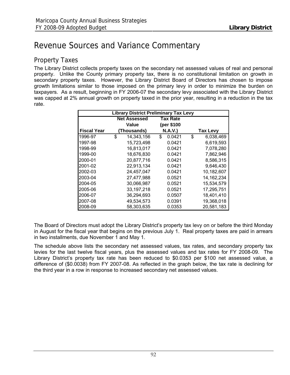# Revenue Sources and Variance Commentary

## Property Taxes

The Library District collects property taxes on the secondary net assessed values of real and personal property. Unlike the County primary property tax, there is no constitutional limitation on growth in secondary property taxes. However, the Library District Board of Directors has chosen to impose growth limitations similar to those imposed on the primary levy in order to minimize the burden on taxpayers. As a result, beginning in FY 2006-07 the secondary levy associated with the Library District was capped at 2% annual growth on property taxed in the prior year, resulting in a reduction in the tax rate.

|                    | <b>Library District Preliminary Tax Levy</b> |              |                 |
|--------------------|----------------------------------------------|--------------|-----------------|
|                    | <b>Net Assessed</b>                          | Tax Rate     |                 |
|                    | Value                                        | (per \$100   |                 |
| <b>Fiscal Year</b> | (Thousands)                                  | N.A.V.)      | <b>Tax Levy</b> |
| 1996-97            | \$<br>14,343,156                             | 0.0421<br>\$ | \$<br>6,038,469 |
| 1997-98            | 15,723,498                                   | 0.0421       | 6,619,593       |
| 1998-99            | 16,813,017                                   | 0.0421       | 7,078,280       |
| 1999-00            | 18,676,830                                   | 0.0421       | 7,862,946       |
| 2000-01            | 20,877,716                                   | 0.0421       | 8,586,315       |
| 2001-02            | 22,913,134                                   | 0.0421       | 9,646,430       |
| 2002-03            | 24,457,047                                   | 0.0421       | 10,182,607      |
| 2003-04            | 27.477.988                                   | 0.0521       | 14.162.234      |
| 2004-05            | 30,066,987                                   | 0.0521       | 15,534,579      |
| 2005-06            | 33, 197, 218                                 | 0.0521       | 17,295,751      |
| 2006-07            | 36,294,693                                   | 0.0507       | 18,401,410      |
| 2007-08            | 49,534,573                                   | 0.0391       | 19,368,018      |
| 2008-09            | 58,303,635                                   | 0.0353       | 20,581,183      |

The Board of Directors must adopt the Library District's property tax levy on or before the third Monday in August for the fiscal year that begins on the previous July 1. Real property taxes are paid in arrears in two installments, due November 1 and May 1.

The schedule above lists the secondary net assessed values, tax rates, and secondary property tax levies for the last twelve fiscal years, plus the assessed values and tax rates for FY 2008-09. The Library District's property tax rate has been reduced to \$0.0353 per \$100 net assessed value, a difference of (\$0.0038) from FY 2007-08. As reflected in the graph below, the tax rate is declining for the third year in a row in response to increased secondary net assessed values.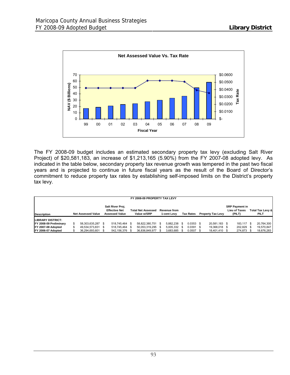

The FY 2008-09 budget includes an estimated secondary property tax levy (excluding Salt River Project) of \$20,581,183, an increase of \$1,213,165 (5.90%) from the FY 2007-08 adopted levy. As indicated in the table below, secondary property tax revenue growth was tempered in the past two fiscal years and is projected to continue in future fiscal years as the result of the Board of Director's commitment to reduce property tax rates by establishing self-imposed limits on the District's property tax levy.

|                        |                           |                                                                   | FY 2008-09 PROPERTY TAX LEVY             |      |                                    |      |                  |                          |                                                         |                                     |
|------------------------|---------------------------|-------------------------------------------------------------------|------------------------------------------|------|------------------------------------|------|------------------|--------------------------|---------------------------------------------------------|-------------------------------------|
| <b>Description</b>     | <b>Net Assessed Value</b> | Salt River Proj.<br><b>Effective Net</b><br><b>Assessed Value</b> | <b>Total Net Assessed</b><br>Value w/SRP |      | <b>Revenue from</b><br>1-cent Levv |      | <b>Tax Rates</b> | <b>Property Tax Levy</b> | <b>SRP Payment in</b><br><b>Lieu of Taxes</b><br>(PILT) | <b>Total Tax Levy &amp;</b><br>PILT |
| LIBRARY DISTRICT:      |                           |                                                                   |                                          |      |                                    |      |                  |                          |                                                         |                                     |
| FY 2008-09 Preliminary | 58,303,635,287 \$         | 518.745.464 \$                                                    | 58.822.380.751                           | - \$ | 5.882.238                          | - \$ | $0.0353$ \$      | 20.581.183 \$            | 183.117 \$                                              | 20,764,300                          |
| IFY 2007-08 Adopted    | 49.534.573.831 \$         | 518.745.464 \$                                                    | 50.053.319.295 \$                        |      | 5.005.332                          | - \$ | $0.0391$ \$      | 19.368.018 \$            | 202,829 \$                                              | 19,570,847                          |
| FY 2006-07 Adopted     | 36,294,693,601 \$         | 542,156,376 \$                                                    | 36,836,849,977                           |      | 3,683,685                          |      | $0.0507$ \$      | 18,401,410 \$            | 274,873 \$                                              | 18,676,283                          |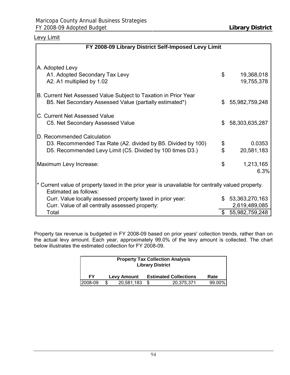## Levy Limit

| FY 2008-09 Library District Self-Imposed Levy Limit                                                                                                     |          |                                   |
|---------------------------------------------------------------------------------------------------------------------------------------------------------|----------|-----------------------------------|
| A. Adopted Levy<br>A1. Adopted Secondary Tax Levy<br>A2. A1 multiplied by 1.02                                                                          | \$       | 19,368,018<br>19,755,378          |
| B. Current Net Assessed Value Subject to Taxation in Prior Year<br>B5. Net Secondary Assessed Value (partially estimated*)                              | \$       | 55,982,759,248                    |
| C. Current Net Assessed Value<br>C5. Net Secondary Assessed Value                                                                                       | \$       | 58,303,635,287                    |
| D. Recommended Calculation<br>D3. Recommended Tax Rate (A2. divided by B5. Divided by 100)<br>D5. Recommended Levy Limit (C5. Divided by 100 times D3.) | \$<br>\$ | 0.0353<br>20,581,183              |
| Maximum Levy Increase:                                                                                                                                  | \$       | 1,213,165<br>6.3%                 |
| * Current value of property taxed in the prior year is unavailable for centrally valued property.<br>Estimated as follows:                              |          |                                   |
| Curr. Value locally assessed property taxed in prior year:<br>Curr. Value of all centrally assessed property:                                           |          | \$53,363,270,163<br>2,619,489,085 |
| Total                                                                                                                                                   | \$.      | 55,982,759,248                    |

Property tax revenue is budgeted in FY 2008-09 based on prior years' collection trends, rather than on the actual levy amount. Each year, approximately 99.0% of the levy amount is collected. The chart below illustrates the estimated collection for FY 2008-09.

| <b>Property Tax Collection Analysis</b><br><b>Library District</b> |  |                    |     |                              |        |  |  |  |  |  |  |  |
|--------------------------------------------------------------------|--|--------------------|-----|------------------------------|--------|--|--|--|--|--|--|--|
| FΥ                                                                 |  | <b>Levy Amount</b> |     | <b>Estimated Collections</b> | Rate   |  |  |  |  |  |  |  |
| 2008-09                                                            |  | 20,581,183         | \$. | 20,375,371                   | 99.00% |  |  |  |  |  |  |  |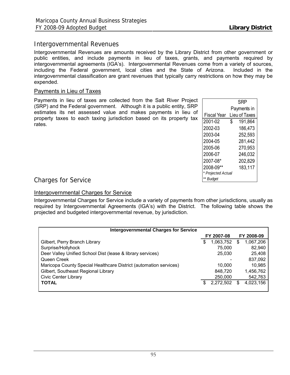## Intergovernmental Revenues

Intergovernmental Revenues are amounts received by the Library District from other government or public entities, and include payments in lieu of taxes, grants, and payments required by intergovernmental agreements (IGA's). Intergovernmental Revenues come from a variety of sources, including the Federal government, local cities and the State of Arizona. Included in the intergovernmental classification are grant revenues that typically carry restrictions on how they may be expended.

#### Payments in Lieu of Taxes

Payments in lieu of taxes are collected from the Salt River Project (SRP) and the Federal government. Although it is a public entity, SRP estimates its net assessed value and makes payments in lieu of property taxes to each taxing jurisdiction based on its property tax rates.

|                    | SRP           |
|--------------------|---------------|
|                    | Payments in   |
| Fiscal Year        | Lieu of Taxes |
| 2001-02            | \$<br>191,864 |
| 2002-03            | 186,473       |
| 2003-04            | 252,593       |
| 2004-05            | 281,442       |
| 2005-06            | 270,953       |
| 2006-07            | 246,032       |
| 2007-08*           | 202,829       |
| 2008-09**          | 183,117       |
| * Projected Actual |               |
| Budget             |               |

Charges for Service

#### Intergovernmental Charges for Service

Intergovernmental Charges for Service include a variety of payments from other jurisdictions, usually as required by Intergovernmental Agreements (IGA's) with the District. The following table shows the projected and budgeted intergovernmental revenue, by jurisdiction.

| <b>Intergovernmental Charges for Service</b>                      |                 |                 |
|-------------------------------------------------------------------|-----------------|-----------------|
|                                                                   | FY 2007-08      | FY 2008-09      |
| Gilbert, Perry Branch Library                                     | \$<br>1,063,752 | \$<br>1,067,206 |
| Surprise/Hollyhock                                                | 75.000          | 82,940          |
| Deer Valley Unified School Dist (lease & library services)        | 25,030          | 25,408          |
| Queen Creek                                                       |                 | 837,092         |
| Maricopa County Special Healthcare District (automation services) | 10.000          | 10,985          |
| Gilbert, Southeast Regional Library                               | 848,720         | 1,456,762       |
| <b>Civic Center Library</b>                                       | 250,000         | 542,763         |
| <b>TOTAL</b>                                                      | 2,272,502       | 4,023,156       |
|                                                                   |                 |                 |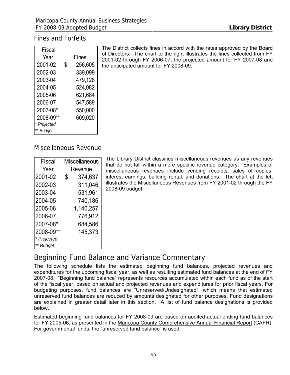## Fines and Forfeits

| Fiscal        |               |
|---------------|---------------|
| Year          | Fines         |
| 2001-02       | \$<br>256,605 |
| 2002-03       | 339,099       |
| 2003-04       | 479,128       |
| 2004-05       | 524,082       |
| 2005-06       | 621,684       |
| 2006-07       | 547,589       |
| 2007-08*      | 550,000       |
| 2008-09**     | 609,020       |
| * Projected   |               |
| <b>Budget</b> |               |

The District collects fines in accord with the rates approved by the Board of Directors. The chart to the right illustrates the fines collected from FY 2001-02 through FY 2006-07, the projected amount for FY 2007-08 and the anticipated amount for FY 2008-09.

## Miscellaneous Revenue

| Fiscal      |         | <b>Miscellaneous</b> |  |  |  |  |  |  |  |
|-------------|---------|----------------------|--|--|--|--|--|--|--|
| Year        | Revenue |                      |  |  |  |  |  |  |  |
| 2001-02     | \$      | 374,637              |  |  |  |  |  |  |  |
| 2002-03     |         | 311,046              |  |  |  |  |  |  |  |
| 2003-04     |         | 531,961              |  |  |  |  |  |  |  |
| 2004-05     |         | 740,186              |  |  |  |  |  |  |  |
| 2005-06     |         | 1,140,257            |  |  |  |  |  |  |  |
| 2006-07     |         | 776,912              |  |  |  |  |  |  |  |
| 2007-08*    |         | 684,586              |  |  |  |  |  |  |  |
| 2008-09**   |         | 145,373              |  |  |  |  |  |  |  |
| * Projected |         |                      |  |  |  |  |  |  |  |
| ** Budget   |         |                      |  |  |  |  |  |  |  |

The Library District classifies miscellaneous revenues as any revenues that do not fall within a more specific revenue category. Examples of miscellaneous revenues include vending receipts, sales of copies, interest earnings, building rental, and donations. The chart at the left illustrates the Miscellaneous Revenues from FY 2001-02 through the FY 2008-09 budget.

## Beginning Fund Balance and Variance Commentary

The following schedule lists the estimated beginning fund balances, projected revenues and expenditures for the upcoming fiscal year, as well as resulting estimated fund balances at the end of FY 2007-08. "Beginning fund balance" represents resources accumulated within each fund as of the start of the fiscal year, based on actual and projected revenues and expenditures for prior fiscal years. For budgeting purposes, fund balances are "Unreserved/Undesignated", which means that estimated unreserved fund balances are reduced by amounts designated for other purposes. Fund designations are explained in greater detail later in this section. A list of fund balance designations is provided below.

Estimated beginning fund balances for FY 2008-09 are based on audited actual ending fund balances for FY 2005-06, as presented in the Maricopa County Comprehensive Annual Financial Report (CAFR). For governmental funds, the "unreserved fund balance" is used.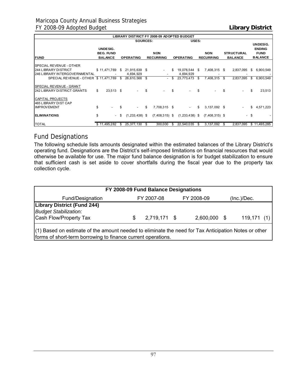|                                                                                                |                                                |      | <b>LIBRARY DISTRICT FY 2008-09 ADOPTED BUDGET</b> |      |                                |    |                         |    |                                |      |                                     |      |                                                                   |
|------------------------------------------------------------------------------------------------|------------------------------------------------|------|---------------------------------------------------|------|--------------------------------|----|-------------------------|----|--------------------------------|------|-------------------------------------|------|-------------------------------------------------------------------|
|                                                                                                |                                                |      | <b>SOURCES:</b>                                   |      |                                |    | USES:                   |    |                                |      |                                     |      |                                                                   |
| <b>FUND</b>                                                                                    | UNDESIG.<br><b>BEG. FUND</b><br><b>BALANCE</b> |      | <b>OPERATING</b>                                  |      | <b>NON</b><br><b>RECURRING</b> |    | <b>OPERATING</b>        |    | <b>NON</b><br><b>RECURRING</b> |      | <b>STRUCTURAL</b><br><b>BALANCE</b> |      | <b>UNDESIG.</b><br><b>ENDING</b><br><b>FUND</b><br><b>BALANCE</b> |
| SPECIAL REVENUE - OTHER<br><b>244 LIBRARY DISTRICT</b><br><b>246 LIBRARY INTERGOVERNMENTAL</b> | \$11,471,769                                   | \$   | 21,915,639<br>4,694,929                           | - \$ | $\sim$                         | S  | 19,078,544<br>4,694,929 | S. | 7,408,315                      | - \$ | 2,837,095                           | S.   | 6,900,549                                                         |
| SPECIAL REVENUE - OTHER \$11,471,769                                                           |                                                | S.   | 26,610,568                                        | \$   | $\overline{\phantom{a}}$       | \$ | 23,773,473              | S. | 7,408,315                      | \$   | 2,837,095                           | S.   | 6,900,549                                                         |
| SPECIAL REVENUE - GRANT<br>1242 LIBRARY DISTRICT GRANTS                                        | \$<br>23,513 \$                                |      |                                                   | \$   |                                |    |                         |    |                                |      |                                     |      | 23,513                                                            |
| CAPITAL PROJECTS<br>465 LIBRARY DIST CAP<br><b>IMPROVEMENT</b>                                 | \$<br>$\overline{\phantom{a}}$                 | S    | $\sim$                                            | \$   | 7,708,315 \$                   |    | $\sim$                  | \$ | 3,137,092 \$                   |      |                                     | \$   | 4,571,223                                                         |
| <b>IELIMINATIONS</b>                                                                           | \$<br>$\sim$                                   | - \$ | $(1,233,438)$ \$                                  |      | $(7,408,315)$ \$               |    | $(1,233,438)$ \$        |    | $(7,408,315)$ \$               |      |                                     | - \$ |                                                                   |
| <b>TOTAL</b>                                                                                   | \$11,495,282                                   | S    | 25, 377, 130                                      | S    | 300,000                        | S  | 22,540,035              | -S | 3,137,092                      | -S   | 2,837,095                           |      | \$11,495,285                                                      |

## Fund Designations

The following schedule lists amounts designated within the estimated balances of the Library District's operating fund. Designations are the District's self-imposed limitations on financial resources that would otherwise be available for use. The major fund balance designation is for budget stabilization to ensure that sufficient cash is set aside to cover shortfalls during the fiscal year due to the property tax collection cycle.

| FY 2008-09 Fund Balance Designations                                                                  |     |              |  |              |  |            |  |  |  |  |  |  |  |
|-------------------------------------------------------------------------------------------------------|-----|--------------|--|--------------|--|------------|--|--|--|--|--|--|--|
| Fund/Designation<br>FY 2008-09<br>FY 2007-08<br>(Inc.)/Dec.                                           |     |              |  |              |  |            |  |  |  |  |  |  |  |
| <b>Library District (Fund 244)</b><br><b>Budget Stabilization:</b><br>Cash Flow/Property Tax          | \$. | 2,719,171 \$ |  | 2,600,000 \$ |  | 119,171(1) |  |  |  |  |  |  |  |
| l(1) Based on estimate of the amount needed to eliminate the need for Tay Anticination Notes or other |     |              |  |              |  |            |  |  |  |  |  |  |  |

of the amount needed to eliminate the need for Tax Anticipation Notes or other forms of short-term borrowing to finance current operations.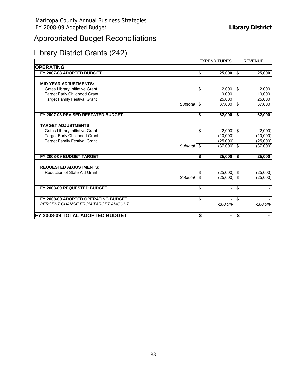# Appropriated Budget Reconciliations

## Library District Grants (242)

|                                     |     | <b>EXPENDITURES</b> |                         | <b>REVENUE</b> |
|-------------------------------------|-----|---------------------|-------------------------|----------------|
| <b>OPERATING</b>                    |     |                     |                         |                |
| FY 2007-08 ADOPTED BUDGET           | \$  | $25,000$ \$         |                         | 25,000         |
|                                     |     |                     |                         |                |
| <b>MID-YEAR ADJUSTMENTS:</b>        |     |                     |                         |                |
| Gates Library Initiative Grant      | \$  | 2,000               | - \$                    | 2,000          |
| <b>Target Early Childhood Grant</b> |     | 10,000              |                         | 10,000         |
| <b>Target Family Festival Grant</b> |     | 25.000              |                         | 25,000         |
| Subtotal \$                         |     | 37,000 \$           |                         | 37,000         |
| FY 2007-08 REVISED RESTATED BUDGET  | \$  | 62,000              | $\overline{\bullet}$    | 62,000         |
|                                     |     |                     |                         |                |
| <b>TARGET ADJUSTMENTS:</b>          |     |                     |                         |                |
| Gates Library Initiative Grant      | \$  | $(2,000)$ \$        |                         | (2,000)        |
| <b>Target Early Childhood Grant</b> |     | (10,000)            |                         | (10,000)       |
| <b>Target Family Festival Grant</b> |     | (25,000)            |                         | (25,000)       |
| Subtotal \$                         |     | $(37,000)$ \$       |                         | (37,000)       |
| FY 2008-09 BUDGET TARGET            | \$  | 25,000              | $\overline{\mathbf{s}}$ | 25,000         |
|                                     |     |                     |                         |                |
| <b>REQUESTED ADJUSTMENTS:</b>       |     |                     |                         |                |
| Reduction of State Aid Grant        | \$. | $(25,000)$ \$       |                         | (25,000)       |
| Subtotal $\overline{\$}$            |     | $(25,000)$ \$       |                         | (25,000)       |
| FY 2008-09 REQUESTED BUDGET         | S   | $\sim$              | S,                      |                |
|                                     |     |                     |                         |                |
| FY 2008-09 ADOPTED OPERATING BUDGET | \$  |                     | .<br>S                  |                |
| PERCENT CHANGE FROM TARGET AMOUNT   |     | $-100.0\%$          |                         | $-100.0\%$     |
| FY 2008-09 TOTAL ADOPTED BUDGET     | \$  |                     | \$                      |                |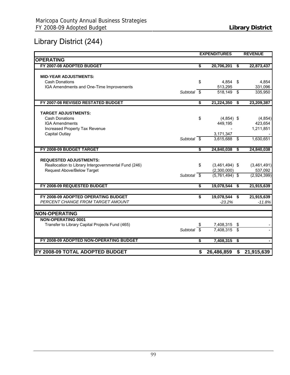# Library District (244)

|                                                      |    | <b>EXPENDITURES</b> |                      | <b>REVENUE</b> |
|------------------------------------------------------|----|---------------------|----------------------|----------------|
| <b>OPERATING</b>                                     |    |                     |                      |                |
| FY 2007-08 ADOPTED BUDGET                            | \$ | 20,706,201          | - \$                 | 22,873,437     |
|                                                      |    |                     |                      |                |
| <b>MID-YEAR ADJUSTMENTS:</b>                         |    |                     |                      |                |
| <b>Cash Donations</b>                                | \$ | $4,854$ \$          |                      | 4,854          |
| IGA Amendments and One-Time Improvements             |    | 513,295             |                      | 331,096        |
| Subtotal \$                                          |    | 518.149 \$          |                      | 335,950        |
| FY 2007-08 REVISED RESTATED BUDGET                   | \$ | 21,224,350          | $\overline{\bullet}$ | 23,209,387     |
|                                                      |    |                     |                      |                |
| <b>TARGET ADJUSTMENTS:</b>                           |    |                     |                      |                |
| <b>Cash Donations</b>                                | \$ | $(4,854)$ \$        |                      | (4, 854)       |
| <b>IGA Amendments</b>                                |    | 449,195             |                      | 423,654        |
| Increased Property Tax Revenue                       |    |                     |                      | 1,211,851      |
| Capital Outlay                                       |    | 3,171,347           |                      |                |
| Subtotal \$                                          |    | $3,615,688$ \$      |                      | 1,630,651      |
| FY 2008-09 BUDGET TARGET                             | \$ | 24,840,038          | \$                   | 24,840,038     |
|                                                      |    |                     |                      |                |
| <b>REQUESTED ADJUSTMENTS:</b>                        |    |                     |                      |                |
| Reallocation to Library Intergovernmental Fund (246) | \$ | $(3,461,494)$ \$    |                      | (3,461,491)    |
| Request Above/Below Target                           |    | (2,300,000)         |                      | 537,092        |
| Subtotal $\overline{\$}$                             |    | $(5,761,494)$ \$    |                      | (2,924,399)    |
| FY 2008-09 REQUESTED BUDGET                          | \$ | 19,078,544          | $\sqrt{5}$           | 21,915,639     |
| FY 2008-09 ADOPTED OPERATING BUDGET                  | \$ | 19,078,544 \$       |                      | 21,915,639     |
| PERCENT CHANGE FROM TARGET AMOUNT                    |    | $-23.2%$            |                      | $-11.8%$       |
|                                                      |    |                     |                      |                |
| <b>NON-OPERATING</b>                                 |    |                     |                      |                |
| <b>NON-OPERATING 0001</b>                            |    |                     |                      |                |
| Transfer to Library Capital Projects Fund (465)      | S  | 7,408,315           | \$                   |                |
| Subtotal \$                                          |    | 7,408,315           | - \$                 |                |
| FY 2008-09 ADOPTED NON-OPERATING BUDGET              | \$ | 7,408,315           | $\sqrt[6]{3}$        |                |
|                                                      |    |                     |                      |                |
| FY 2008-09 TOTAL ADOPTED BUDGET                      | \$ | 26,486,859          |                      | \$21,915,639   |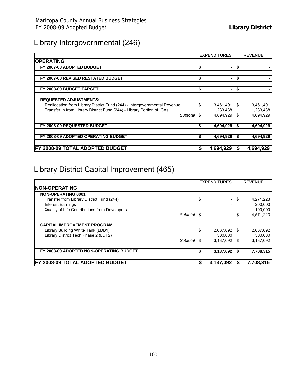## Library Intergovernmental (246)

|                                                                           | <b>EXPENDITURES</b>  |    | <b>REVENUE</b> |
|---------------------------------------------------------------------------|----------------------|----|----------------|
| <b>OPERATING</b>                                                          |                      |    |                |
| FY 2007-08 ADOPTED BUDGET                                                 | \$<br>$\blacksquare$ | \$ |                |
| FY 2007-08 REVISED RESTATED BUDGET                                        | \$                   |    |                |
| FY 2008-09 BUDGET TARGET                                                  | \$                   | S  |                |
| <b>REQUESTED ADJUSTMENTS:</b>                                             |                      |    |                |
| Reallocation from Library District Fund (244) - Intergovernmental Revenue | \$<br>3,461,491 \$   |    | 3,461,491      |
| Transfer In from Library District Fund (244) - Library Portion of IGAs    | 1,233,438            |    | 1,233,438      |
| Subtotal \$                                                               | 4,694,929            | \$ | 4,694,929      |
| FY 2008-09 REQUESTED BUDGET                                               | 4,694,929            |    | 4,694,929      |
| FY 2008-09 ADOPTED OPERATING BUDGET                                       | \$<br>4,694,929      |    | 4,694,929      |
|                                                                           |                      |    |                |
| IFY 2008-09 TOTAL ADOPTED BUDGET                                          | 4,694,929            | S  | 4,694,929      |

# Library District Capital Improvement (465)

|                                               |             | <b>EXPENDITURES</b> |      | <b>REVENUE</b> |
|-----------------------------------------------|-------------|---------------------|------|----------------|
| <b>INON-OPERATING</b>                         |             |                     |      |                |
| <b>NON-OPERATING 0001</b>                     |             |                     |      |                |
| Transfer from Library District Fund (244)     |             | \$                  | - \$ | 4,271,223      |
| <b>Interest Earnings</b>                      |             |                     |      | 200,000        |
| Quality of Life Contributions from Developers |             |                     |      | 100,000        |
|                                               | Subtotal \$ | $\sim$              | \$   | 4,571,223      |
| <b>CAPITAL IMPROVEMENT PROGRAM</b>            |             |                     |      |                |
| Library Building White Tank (LDB1)            |             | \$<br>2,637,092 \$  |      | 2,637,092      |
| Library District Tech Phase 2 (LDT2)          |             | 500.000             |      | 500,000        |
|                                               | Subtotal \$ | 3,137,092 \$        |      | 3,137,092      |
| FY 2008-09 ADOPTED NON-OPERATING BUDGET       |             | 3,137,092           | - \$ | 7,708,315      |
| <b>IFY 2008-09 TOTAL ADOPTED BUDGET</b>       |             | 3,137,092           |      | 7,708,315      |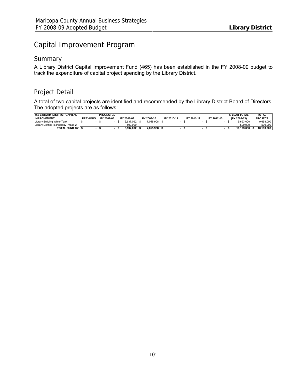## Capital Improvement Program

## **Summary**

A Library District Capital Improvement Fund (465) has been established in the FY 2008-09 budget to track the expenditure of capital project spending by the Library District.

## Project Detail

A total of two capital projects are identified and recommended by the Library District Board of Directors. The adopted projects are as follows:

| <b>465 LIBRARY DISTRICT CAPITAL</b> |                 | <b>PROJECTED</b> |            |            |            |            |            | <b>5-YEAR TOTAL</b> | <b>TOTAL</b>   |
|-------------------------------------|-----------------|------------------|------------|------------|------------|------------|------------|---------------------|----------------|
| <b>IIMPROVEMENT</b>                 | <b>PREVIOUS</b> | FY 2007-08       | FY 2008-09 | FY 2009-10 | FY 2010-11 | FY 2011-12 | FY 2012-13 | (FY 2009-13)        | <b>PROJECT</b> |
| Library Building White Tank         |                 |                  | 2.637.092  | 055.908    |            |            |            | 9.693.000           | 9.693.000      |
| Library District Technology Phase 2 |                 |                  | 500,000    |            |            |            |            | 500.000             | 500.000        |
| TOTAL FUND 465                      |                 |                  | 3.137.092  | 7.055.908  |            |            |            | 10.193.000          | 10.193.000     |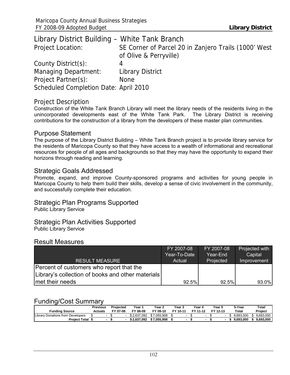| Library District Building - White Tank Branch |                                                      |
|-----------------------------------------------|------------------------------------------------------|
| Project Location:                             | SE Corner of Parcel 20 in Zanjero Trails (1000' West |
|                                               | of Olive & Perryville)                               |
| County District(s):                           | 4                                                    |
| Managing Department:                          | <b>Library District</b>                              |
| Project Partner(s):                           | <b>None</b>                                          |
| Scheduled Completion Date: April 2010         |                                                      |

### Project Description

Construction of the White Tank Branch Library will meet the library needs of the residents living in the unincorporated developments east of the White Tank Park. The Library District is receiving contributions for the construction of a library from the developers of these master plan communities.

### Purpose Statement

The purpose of the Library District Building – White Tank Branch project is to provide library service for the residents of Maricopa County so that they have access to a wealth of informational and recreational resources for people of all ages and backgrounds so that they may have the opportunity to expand their horizons through reading and learning.

### Strategic Goals Addressed

Promote, expand, and improve County-sponsored programs and activities for young people in Maricopa County to help them build their skills, develop a sense of civic involvement in the community, and successfully complete their education.

## Strategic Plan Programs Supported

Public Library Service

# Strategic Plan Activities Supported

Public Library Service

## Result Measures

|                                                   | FY 2007-08   | FY 2007-08 | Projected with |
|---------------------------------------------------|--------------|------------|----------------|
|                                                   | Year-To-Date | Year-End   | Capital        |
| <b>RESULT MEASURE</b>                             | Actual       | Projected  | Improvement    |
| Percent of customers who report that the          |              |            |                |
| Library's collection of books and other materials |              |            |                |
| Imet their needs                                  | 92.5%        | 92.5%      | 93.0%          |

## Funding/Cost Summary

|                                        | <b>Previous</b> |   | Projected | Year 1      | Year 2      | Year <sub>3</sub> | Year 4   | Year 5   | 5-Year    | Total     |
|----------------------------------------|-----------------|---|-----------|-------------|-------------|-------------------|----------|----------|-----------|-----------|
| <b>Funding Source</b>                  | Actuals         |   | FY 07-08  | FY 08-09    | FY 09-10    | FY 10-11          | FY 11-12 | FY 12-13 | Total     | Project   |
| Library<br>/ Donations from Developers |                 |   |           | \$2.637.092 | \$7.055.908 |                   |          |          | 9.693.000 | 9.693.000 |
| <b>Project Total</b>                   |                 | - |           | \$2.637.092 | \$7.055.908 |                   |          |          | 9.693.000 | 9.693.000 |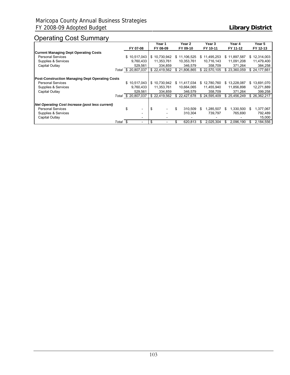## Operating Cost Summary

|                                                        |       |                     |     | Year 1       | Year 2        |   | Year 3       |    | Year 4       |     | Year 5       |
|--------------------------------------------------------|-------|---------------------|-----|--------------|---------------|---|--------------|----|--------------|-----|--------------|
|                                                        |       | FY 07-08            |     | FY 08-09     | FY 09-10      |   | FY 10-11     |    | FY 11-12     |     | FY 12-13     |
| <b>Current Managing Dept Operating Costs</b>           |       |                     |     |              |               |   |              |    |              |     |              |
| <b>Personal Services</b>                               |       | \$10,517,043        |     | \$10,730,942 | \$11,106,525  |   | \$11,495,253 |    | \$11.897.587 | \$  | 12,314,003   |
| Supplies & Services                                    |       | 9,760,433           |     | 11,353,761   | 10,353,761    |   | 10,716,143   |    | 11,091,208   |     | 11,479,400   |
| Capital Outlay                                         |       | 529,561             |     | 334.859      | 346.579       |   | 358.709      |    | 371.264      |     | 384,258      |
|                                                        |       | Total \$ 20,807,037 |     | \$22,419,562 | \$21.806.865  |   | \$22,570,105 |    | \$23.360.059 |     | \$24,177,661 |
| <b>Post-Construction Managing Dept Operating Costs</b> |       |                     |     |              |               |   |              |    |              |     |              |
| <b>Personal Services</b>                               |       | \$10,517,043        |     | \$10,730,942 | \$11,417,034  |   | \$12,780,760 |    | \$13,228,087 | \$. | 13,691,070   |
| Supplies & Services                                    |       | 9,760,433           |     | 11,353,761   | 10,664,065    |   | 11,455,940   |    | 11,856,898   |     | 12,271,889   |
| Capital Outlay                                         |       | 529,561             |     | 334,859      | 346,579       |   | 358.709      |    | 371,264      |     | 399,258      |
|                                                        |       | Total \$ 20,807,037 |     | \$22,419,562 | \$22,427,678  |   | \$24.595.409 |    | \$25,456,249 |     | \$26,362,217 |
| Net Operating Cost Increase (post less current)        |       |                     |     |              |               |   |              |    |              |     |              |
| <b>Personal Services</b>                               |       | \$                  | -\$ |              | \$<br>310.509 | S | 1.285.507    | S. | 1.330.500    | S   | 1,377,067    |
| Supplies & Services                                    |       |                     |     |              | 310.304       |   | 739.797      |    | 765.690      |     | 792,489      |
| Capital Outlay                                         |       |                     |     |              |               |   |              |    |              |     | 15,000       |
|                                                        | Total | -\$                 | \$  |              | \$<br>620.813 |   | 2.025.304    |    | 2.096.190    |     | 2,184,556    |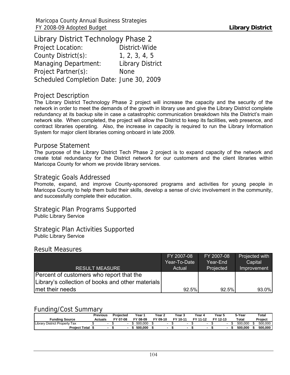Library District Technology Phase 2 Project Location: District-Wide County District(s): 1, 2, 3, 4, 5 Managing Department: Library District Project Partner(s): None Scheduled Completion Date: June 30, 2009

#### Project Description

The Library District Technology Phase 2 project will increase the capacity and the security of the network in order to meet the demands of the growth in library use and give the Library District complete redundancy at its backup site in case a catastrophic communication breakdown hits the District's main network site. When completed, the project will allow the District to keep its facilities, web presence, and contract libraries operating. Also, the increase in capacity is required to run the Library Information System for major client libraries coming onboard in late 2009.

#### Purpose Statement

The purpose of the Library District Tech Phase 2 project is to expand capacity of the network and create total redundancy for the District network for our customers and the client libraries within Maricopa County for whom we provide library services.

### Strategic Goals Addressed

Promote, expand, and improve County-sponsored programs and activities for young people in Maricopa County to help them build their skills, develop a sense of civic involvement in the community, and successfully complete their education.

Strategic Plan Programs Supported Public Library Service

Strategic Plan Activities Supported Public Library Service

#### Result Measures

|                                                   | FY 2007-08   | FY 2007-08 | Projected with |
|---------------------------------------------------|--------------|------------|----------------|
|                                                   | Year-To-Date | Year-End   | Capital        |
| <b>RESULT MEASURE</b>                             | Actual       | Projected  | Improvement    |
| Percent of customers who report that the          |              |            |                |
| Library's collection of books and other materials |              |            |                |
| Imet their needs                                  | 92.5%        | 92.5%      | 93.0%          |

## Funding/Cost Summary

| <b>Funding Source</b>               | Previous<br>Actuals | Projected<br>FY 07-08 | Year '<br>FY 08-09 | Year 2<br>FY 09-10 | Year 3<br>FY 10-11 | Year 4<br>FY 11-12 | Year !<br>FY 12-13 | 5-Year<br>Total | Total<br>Project |
|-------------------------------------|---------------------|-----------------------|--------------------|--------------------|--------------------|--------------------|--------------------|-----------------|------------------|
| Library<br>District Property<br>Tax |                     |                       | 500.000            |                    |                    |                    |                    | 500.000         | 500.000          |
| <b>Proiect Total</b>                |                     |                       | 500.000            |                    |                    |                    |                    | 500.000         | 500,000          |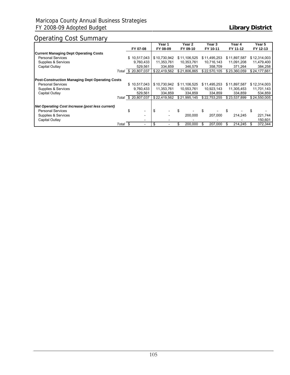## Operating Cost Summary

|                                                        |          |                                | Year 1       | Year 2        | Year 3        | Year 4        | Year 5       |
|--------------------------------------------------------|----------|--------------------------------|--------------|---------------|---------------|---------------|--------------|
|                                                        |          | FY 07-08                       | FY 08-09     | FY 09-10      | FY 10-11      | FY 11-12      | FY 12-13     |
| <b>Current Managing Dept Operating Costs</b>           |          |                                |              |               |               |               |              |
| <b>Personal Services</b>                               |          | \$10,517,043                   | \$10,730,942 | \$11,106,525  | \$11,495,253  | \$11,897,587  | \$12,314,003 |
| Supplies & Services                                    |          | 9,760,433                      | 11,353,761   | 10,353,761    | 10,716,143    | 11,091,208    | 11,479,400   |
| Capital Outlay                                         |          | 529,561                        | 334.859      | 346.579       | 358.709       | 371.264       | 384,258      |
|                                                        |          | Total \$ 20,807,037            | \$22,419,562 | \$21,806,865  | \$22,570,105  | \$23,360,059  | \$24,177,661 |
| <b>Post-Construction Managing Dept Operating Costs</b> |          |                                |              |               |               |               |              |
| <b>Personal Services</b>                               |          | \$10,517,043                   | \$10,730,942 | \$11,106,525  | \$11,495,253  | \$11,897,587  | \$12,314,003 |
| Supplies & Services                                    |          | 9,760,433                      | 11,353,761   | 10,553,761    | 10,923,143    | 11,305,453    | 11,701,143   |
| Capital Outlay                                         |          | 529.561                        | 334.859      | 334.859       | 334.859       | 334.859       | 534,859      |
|                                                        |          | Total \$ 20,807,037            | \$22,419,562 | \$21,995,145  | \$22,753,255  | \$23,537,899  | \$24,550,005 |
| Net Operating Cost Increase (post less current)        |          |                                |              |               |               |               |              |
| <b>Personal Services</b>                               |          | \$<br>$\overline{\phantom{0}}$ | \$           |               | \$            |               |              |
| Supplies & Services                                    |          | $\overline{\phantom{0}}$       |              | 200.000       | 207.000       | 214.245       | 221,744      |
| Capital Outlay                                         |          |                                |              |               |               |               | 150,601      |
|                                                        | Total \$ |                                | \$           | \$<br>200,000 | \$<br>207,000 | \$<br>214,245 | 372,344      |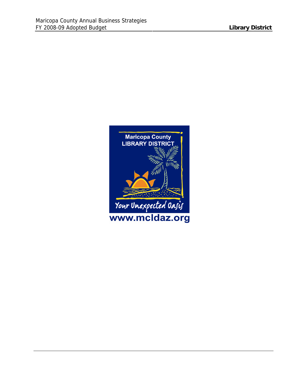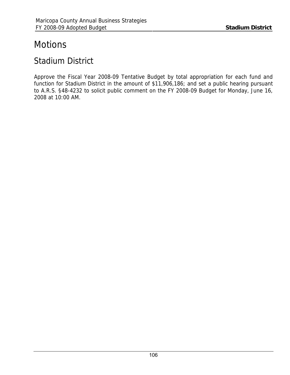# **Motions**

## Stadium District

Approve the Fiscal Year 2008-09 Tentative Budget by total appropriation for each fund and function for Stadium District in the amount of \$11,906,186; and set a public hearing pursuant to A.R.S. §48-4232 to solicit public comment on the FY 2008-09 Budget for Monday, June 16, 2008 at 10:00 AM.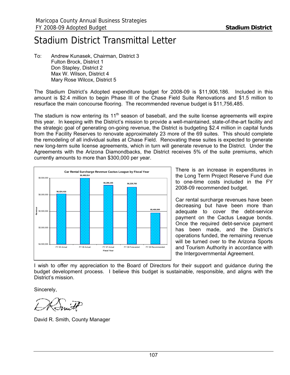# Stadium District Transmittal Letter

To: Andrew Kunasek, Chairman, District 3 Fulton Brock, District 1 Don Stapley, District 2 Max W. Wilson, District 4 Mary Rose Wilcox, District 5

The Stadium District's Adopted expenditure budget for 2008-09 is \$11,906,186. Included in this amount is \$2.4 million to begin Phase III of the Chase Field Suite Renovations and \$1.5 million to resurface the main concourse flooring. The recommended revenue budget is \$11,756,485.

The stadium is now entering its  $11<sup>th</sup>$  season of baseball, and the suite license agreements will expire this year. In keeping with the District's mission to provide a well-maintained, state-of-the-art facility and the strategic goal of generating on-going revenue, the District is budgeting \$2.4 million in capital funds from the Facility Reserves to renovate approximately 23 more of the 69 suites. This should complete the remodeling of all individual suites at Chase Field. Renovating these suites is expected to generate new long-term suite license agreements, which in turn will generate revenue to the District. Under the Agreements with the Arizona Diamondbacks, the District receives 5% of the suite premiums, which currently amounts to more than \$300,000 per year.



There is an increase in expenditures in the Long Term Project Reserve Fund due to one-time costs included in the FY 2008-09 recommended budget.

Car rental surcharge revenues have been decreasing but have been more than adequate to cover the debt-service payment on the Cactus League bonds. Once the required debt-service payment has been made, and the District's operations funded, the remaining revenue will be turned over to the Arizona Sports and Tourism Authority in accordance with the Intergovernmental Agreement.

I wish to offer my appreciation to the Board of Directors for their support and guidance during the budget development process. I believe this budget is sustainable, responsible, and aligns with the District's mission.

Sincerely,

David R. Smith, County Manager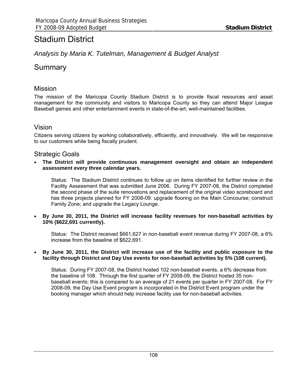## Stadium District

## *Analysis by Maria K. Tutelman, Management & Budget Analyst*

## Summary

## Mission

The mission of the Maricopa County Stadium District is to provide fiscal resources and asset management for the community and visitors to Maricopa County so they can attend Major League Baseball games and other entertainment events in state-of-the-art, well-maintained facilities.

## Vision

Citizens serving citizens by working collaboratively, efficiently, and innovatively. We will be responsive to our customers while being fiscally prudent.

## Strategic Goals

• **The District will provide continuous management oversight and obtain an independent assessment every three calendar years.** 

Status: The Stadium District continues to follow up on items identified for further review in the Facility Assessment that was submitted June 2006. During FY 2007-08, the District completed the second phase of the suite renovations and replacement of the original video scoreboard and has three projects planned for FY 2008-09: upgrade flooring on the Main Concourse; construct Family Zone; and upgrade the Legacy Lounge.

• **By June 30, 2011, the District will increase facility revenues for non-baseball activities by 10% (\$622,691 currently).**

Status: The District received \$661,627 in non-baseball event revenue during FY 2007-08, a 6% increase from the baseline of \$622,691.

#### • **By June 30, 2011, the District will increase use of the facility and public exposure to the facility through District and Day Use events for non-baseball activities by 5% (108 current).**

Status: During FY 2007-08, the District hosted 102 non-baseball events, a 6% decrease from the baseline of 108. Through the first quarter of FY 2008-09, the District hosted 35 nonbaseball events; this is compared to an average of 21 events per quarter in FY 2007-08. For FY 2008-09, the Day Use Event program is incorporated in the District Event program under the booking manager which should help increase facility use for non-baseball activities.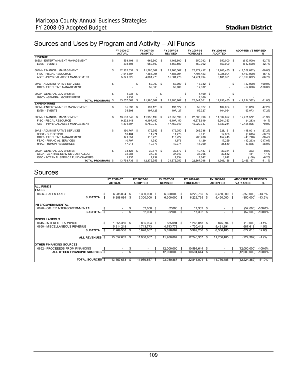## Sources and Uses by Program and Activity – All Funds

|                                      |    | FY 2006-07    |          | FY 2007-08     | FY 2007-08<br>FY 2007-08 |                | FY 2008-09 |                 |    | <b>ADOPTED VS REVISED</b> |            |                |           |
|--------------------------------------|----|---------------|----------|----------------|--------------------------|----------------|------------|-----------------|----|---------------------------|------------|----------------|-----------|
|                                      |    | <b>ACTUAL</b> |          | <b>ADOPTED</b> |                          | <b>REVISED</b> |            | <b>FORECAST</b> |    | <b>ADOPTED</b>            |            |                | %         |
| <b>REVENUE</b>                       |    |               |          |                |                          |                |            |                 |    |                           |            |                |           |
| 68EM - ENTERTAINMENT MANAGEMENT      | \$ | 593,193 \$    |          | 662,500        | \$.                      | 1,162,500 \$   |            | 550,092 \$      |    | 550,000 \$                |            | (612,500)      | $-52.7%$  |
| <b>EVEN - EVENTS</b>                 |    | 593,193       |          | 662,500        |                          | 1.162.500      |            | 550.092         |    | 550.000                   |            | (612,500)      | $-52.7%$  |
| 68FM - FINANCIAL MANAGEMENT          | \$ | 12.962.532 \$ |          | 11.266.367 \$  |                          | 22.766.367 \$  |            | 22.272.417 \$   |    | 11,206,485 \$             |            | (11,559,882)   | $-50.8%$  |
| FISC - FISCAL RESOURCE               |    | 7.641.507     |          | 7.185.094      |                          | 7.185.094      |            | 7.497.423       |    | 6.025.094                 |            | (1.160.000)    | $-16.1%$  |
| ASST - PHYSICAL ASSET MANAGEMENT     |    | 5,321,025     |          | 4,081,273      |                          | 15,581,273     |            | 14,774,994      |    | 5,181,391                 |            | (10, 399, 882) | $-66.7%$  |
| 99AS - ADMINISTRATIVE SERVICES       | S  |               | - \$     | 52.000 \$      |                          | 52,000 \$      |            | 17.332 \$       |    | ÷.                        | -S         | (52,000)       | $-100.0%$ |
| <b>ODIR - EXECUTIVE MANAGEMENT</b>   |    |               |          | 52,000         |                          | 52,000         |            | 17,332          |    |                           |            | (52,000)       | $-100.0%$ |
| 99GV - GENERAL GOVERNMENT            | \$ | 1,938 \$      |          |                | $-$ \$                   |                | S          | 1.160S          |    | $\overline{\phantom{a}}$  | \$         |                |           |
| <b>GGOV - GENERAL GOVERNMENT</b>     |    | 1.938         |          |                |                          |                |            | 1.160           |    |                           |            |                |           |
| <b>TOTAL PROGRAMS \$</b>             |    | 13,557,663    | <b>S</b> | 11.980.867     | S                        | 23,980,867     | -S         | 22,841,001      | S  | 11.756.485 \$             |            | (12, 224, 382) | $-51.0%$  |
| <b>EXPENDITURES</b>                  |    |               |          |                |                          |                |            |                 |    |                           |            |                |           |
| 68EM - ENTERTAINMENT MANAGEMENT      | \$ | 35.698        | - \$     | 197.125 \$     |                          | 197.127 \$     |            | 59,327 \$       |    | 104.054 \$                |            | 93,073         | 47.2%     |
| <b>EVEN - EVENTS</b>                 |    | 35.698        |          | 197,125        |                          | 197.127        |            | 59,327          |    | 104,054                   |            | 93,073         | 47.2%     |
| 68FM - FINANCIAL MANAGEMENT          | \$ | 13.533.846 \$ |          | 11.956.199     | S.                       | 23,956,199 \$  |            | 22,500,996 \$   |    | 11,534,627 \$             |            | 12.421.572     | 51.9%     |
| FISC - FISCAL RESOURCE               |    | 9,232,148     |          | 6,197,150      |                          | 6.197.150      |            | 6,578,649       |    | 6,201,383                 |            | (4, 233)       | $-0.1%$   |
| ASST - PHYSICAL ASSET MANAGEMENT     |    | 4.301.697     |          | 5.759.049      |                          | 17.759.049     |            | 15.922.347      |    | 5,333,244                 |            | 12,425,805     | 70.0%     |
| 99AS - ADMINISTRATIVE SERVICES       | \$ | 190,767 \$    |          | 179,352 \$     |                          | 179,350 \$     |            | 266,338 \$      |    | 228,151 \$                |            | (48, 801)      | $-27.2%$  |
| BDGT - BUDGETING                     |    | 10.404        |          | 11.274         |                          | 11.273         |            | 9,011           |    | 17.888                    |            | (6,615)        | $-58.7%$  |
| ODIR - EXECUTIVE MANAGEMENT          |    | 121.651       |          | 113.725        |                          | 113.727        |            | 200,438         |    | 157,445                   |            | (43, 718)      | $-38.4%$  |
| <b>FSAC - FINANCIAL SERVICES</b>     |    | 10.797        |          | 4.980          |                          | 4.976          |            | 11.129          |    | 17.269                    |            | (12, 293)      | $-247.0%$ |
| <b>HRAC - HUMAN RESOURCES</b>        |    | 47.914        |          | 49,373         |                          | 49.374         |            | 45.760          |    | 35.549                    |            | 13,825         | 28.0%     |
| 99GV - GENERAL GOVERNMENT            | \$ | 33,425 \$     |          | 39.677 \$      |                          | 39.677 \$      |            | 40,437 \$       |    | 39,354 \$                 |            | 323            | 0.8%      |
| CSCA - CENTRAL SERVICE COST ALLOC    |    | 32,288        |          | 37,943         |                          | 37,943         |            | 38,795          |    | 37,512                    |            | 431            | 1.1%      |
| ISFC - INTERNAL SERVICE FUND CHARGES |    | 1.137         |          | 1.734          |                          | 1.734          |            | 1.642           |    | 1.842                     |            | (108)          | $-6.2%$   |
| <b>TOTAL PROGRAMS \$</b>             |    | 13,793,736    | - \$     | 12,372,353     | S.                       | 24,372,353 \$  |            | 22,867,098      | S. | 11,906,186                | $^{\circ}$ | 12,466,167     | 51.1%     |

## Sources

|                                 |    | FY 2006-07    | FY 2007-08 |                | FY 2007-08 | FY 2007-08     |      |                 | FY 2008-09 |                | <b>ADOPTED VS REVISED</b> |                 |            |
|---------------------------------|----|---------------|------------|----------------|------------|----------------|------|-----------------|------------|----------------|---------------------------|-----------------|------------|
|                                 |    | <b>ACTUAL</b> |            | <b>ADOPTED</b> |            | <b>REVISED</b> |      | <b>FORECAST</b> |            | <b>ADOPTED</b> |                           | <b>VARIANCE</b> | %          |
| <b>ALL FUNDS</b>                |    |               |            |                |            |                |      |                 |            |                |                           |                 |            |
| <b>TAXES</b>                    |    |               |            |                |            |                |      |                 |            |                |                           |                 |            |
| 0606 - SALES TAXES              |    | 6,288,094     | S          | 6,300,000      | -8         | 6,300,000      | -SS  | 6,229,765 \$    |            | 5,450,000      | -S                        | (850,000)       | $-13.5%$   |
| SUBTOTAL \$                     |    | 6,288,094     | \$         | 6,300,000      | S          | 6,300,000      | \$   | 6,229,765       | S          | 5,450,000      | \$                        | (850,000)       | $-13.5%$   |
| <b>INTERGOVERNMENTAL</b>        |    |               |            |                |            |                |      |                 |            |                |                           |                 |            |
| 0620 - OTHER INTERGOVERNMENTAL  |    |               | \$         | 52,000 \$      |            | 52,000         | - \$ | 17,332 \$       |            |                | \$                        | (52,000)        | $-100.0\%$ |
| SUBTOTAL \$                     |    |               | \$         | 52,000         | \$         | 52,000         | \$   | 17,332 \$       |            |                | S                         | (52,000)        | $-100.0\%$ |
| <b>IMISCELLANEOUS</b>           |    |               |            |                |            |                |      |                 |            |                |                           |                 |            |
| 0645 - INTEREST EARNINGS        | \$ | 1,355,350     | - \$       | 885,094 \$     |            | 885,094 \$     |      | 1,268,818 \$    |            | 875,094        | - \$                      | (10,000)        | $-1.1%$    |
| 0650 - MISCELLANEOUS REVENUE    |    | 5.914.218     |            | 4.743.773      |            | 4.743.773      |      | 4.730.442       |            | 5,431,391      |                           | 687,618         | 14.5%      |
| SUBTOTAL \$                     |    | 7,269,568     | \$         | 5,628,867 \$   |            | 5,628,867      | -S   | 5,999,260       | - \$       | 6,306,485      | -S                        | 677,618         | 12.0%      |
| ALL REVENUES \$                 |    | 13,557,662    | \$         | 11,980,867     | - \$       | 11,980,867     | \$   | 12,246,357      | \$         | 11,756,485     | \$                        | (224, 382)      | $-1.9%$    |
| <b>OTHER FINANCING SOURCES</b>  |    |               |            |                |            |                |      |                 |            |                |                           |                 |            |
| 0652 - PROCEEEDS FROM FINANCING | S. |               |            |                | S          | 12,000,000     | -SS  | 10,594,644 \$   |            |                | \$                        | (12,000,000)    | $-100.0\%$ |
| ALL OTHER FINANCING SOURCES \$  |    |               | \$         | $\sim$         |            | 12,000,000     | \$   | 10,594,644      | \$         | $\sim$         | \$                        | (12,000,000)    | $-100.0\%$ |
| <b>TOTAL SOURCES</b> \$         |    | 13,557,663    | \$.        | 11,980,867     | -S         | 23,980,867     | S    | 22,841,001      | \$.        | 11,756,485     | S                         | (12, 224, 382)  | $-51.0%$   |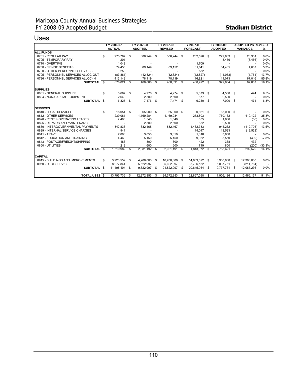## Uses

|                                     |    | FY 2006-07    |          | FY 2007-08     |     | FY 2007-08     | FY 2007-08 |                 |          | FY 2008-09     | <b>ADOPTED VS REVISED</b> |                 |          |
|-------------------------------------|----|---------------|----------|----------------|-----|----------------|------------|-----------------|----------|----------------|---------------------------|-----------------|----------|
|                                     |    | <b>ACTUAL</b> |          | <b>ADOPTED</b> |     | <b>REVISED</b> |            | <b>FORECAST</b> |          | <b>ADOPTED</b> |                           | <b>VARIANCE</b> | %        |
| <b>ALL FUNDS</b>                    |    |               |          |                |     |                |            |                 |          |                |                           |                 |          |
| 0701 - REGULAR PAY                  | \$ | 273,787       | \$       | 306,244        | \$  | 306,244        | -S         | 232,526         | - \$     | 279,883 \$     |                           | 26,361          | 8.6%     |
| 0705 - TEMPORARY PAY                |    | 201           |          |                |     |                |            |                 |          | 8,456          |                           | (8, 456)        | 0.0%     |
| 0710 - OVERTIME                     |    | 1.049         |          |                |     |                |            | 1,709           |          |                |                           |                 | 0.0%     |
| 0750 - FRINGE BENEFITS              |    | 74,455        |          | 89,149         |     | 89,152         |            | 61,841          |          | 84,465         |                           | 4,687           | 5.3%     |
| 0790 - OTHER PERSONNEL SERVICES     |    | 250           |          |                |     |                |            | 852             |          |                |                           |                 | 0.0%     |
| 0795 - PERSONNEL SERVICES ALLOC-OUT |    | (83, 861)     |          | (12, 824)      |     | (12, 824)      |            | (12, 827)       |          | (11, 073)      |                           | (1,751)         | 13.7%    |
| 0796 - PERSONNEL SERVICES ALLOC-IN  |    | 412,143       |          | 78,119         |     | 78,119         |            | 116,821         |          | 11,073         |                           | 67,046          | 85.8%    |
| SUBTOTAL \$                         |    | 678,024 \$    |          | 460,688        | \$  | 460,691 \$     |            | 400,922 \$      |          | 372,804 \$     |                           | 87.887          | 19.1%    |
| <b>SUPPLIES</b>                     |    |               |          |                |     |                |            |                 |          |                |                           |                 |          |
| 0801 - GENERAL SUPPLIES             | \$ | $3,687$ \$    |          | 4,976 \$       |     | 4,974 \$       |            | $5,373$ \$      |          | $4,500$ \$     |                           | 474             | 9.5%     |
| 0804 - NON-CAPITAL EQUIPMENT        |    | 2.640         |          | 2,500          |     | 2,500          |            | 877             |          | 2,500          |                           |                 | $0.0\%$  |
| SUBTOTAL \$                         |    | 6,327         | S.       | 7,476          | \$  | 7,474          | - \$       | 6,250           | <b>S</b> | 7,000          | - \$                      | 474             | 6.3%     |
|                                     |    |               |          |                |     |                |            |                 |          |                |                           |                 |          |
| <b>SERVICES</b>                     |    |               |          |                |     |                |            |                 |          |                |                           |                 |          |
| 0810 - LEGAL SERVICES               | S  | 18.054 \$     |          | 65,000 \$      |     | 65.000 \$      |            | 30,661 \$       |          | 65.000 \$      |                           |                 | 0.0%     |
| 0812 - OTHER SERVICES               |    | 239,081       |          | 1,169,284      |     | 1,169,284      |            | 273,803         |          | 750,162        |                           | 419,122         | 35.8%    |
| 0820 - RENT & OPERATING LEASES      |    | 2,400         |          | 1,540          |     | 1,540          |            | 835             |          | 1,606          |                           | (66)            | 0.0%     |
| 0825 - REPAIRS AND MAINTENANCE      |    |               |          | 2,500          |     | 2,500          |            | 832             |          | 2,500          |                           |                 | 0.0%     |
| 0830 - INTERGOVERNMENTAL PAYMENTS   |    | 1,342,838     |          | 832,468        |     | 832,467        |            | 1,482,333       |          | 945,262        |                           | (112, 795)      | $-13.5%$ |
| 0839 - INTERNAL SERVICE CHARGES     |    | 941           |          |                |     |                |            | 14,017          |          | 13,523         |                           | (13, 523)       |          |
| 0841 - TRAVEL                       |    | 2,800         |          | 3,850          |     | 3,850          |            | 1,318           |          | 3,850          |                           |                 | 0.0%     |
| 0842 - EDUCATION AND TRAINING       |    | 4,469         |          | 5,150          |     | 5,150          |            | 9,032           |          | 5,550          |                           | (400)           | $-7.8%$  |
| 0843 - POSTAGE/FREIGHT/SHIPPING     |    | 186           |          | 800            |     | 800            |            | 422             |          | 368            |                           | 432             | 1        |
| 0850 - UTILITIES                    |    | 212           |          | 600            |     | 600            |            | 719             |          | 800            |                           | (200)           | $-33.3%$ |
| SUBTOTAL \$                         |    | 1.610.982     | \$       | 2.081.192      | \$  | 2,081,191      | - \$       | 1.813.972 \$    |          | 1.788.621      | - \$                      | 292,570         | 14.1%    |
| <b>CAPITAL</b>                      |    |               |          |                |     |                |            |                 |          |                |                           |                 |          |
| 0915 - BUILDINGS AND IMPROVEMENTS   | £. | 3,220,559     | <b>S</b> | 4,200,000 \$   |     | 16,200,000     | \$         | 14,939,822 \$   |          | 3,900,000 \$   |                           | 12,300,000      | 0.0%     |
| 0950 - DEBT SERVICE                 |    | 8,277,844     |          | 5,622,997      |     | 5.622.997      |            | 5,706,132       |          | 5,837,761      |                           | (214, 764)      |          |
| SUBTOTAL \$                         |    | 11.498.404    | \$       | 9.822.997      | -\$ | 21.822.997     | - \$       | 20,645,954      | - \$     | 9.737.761 \$   |                           | 12.085.236      | 0.0%     |
| <b>TOTAL USES S</b>                 |    | 13,793,736    | \$       | 12,372,353     | S   | 24,372,353     | S          | 22.867.098      | -\$      | 11,906,186     | \$                        | 12.466.167      | 51.1%    |
|                                     |    |               |          |                |     |                |            |                 |          |                |                           |                 |          |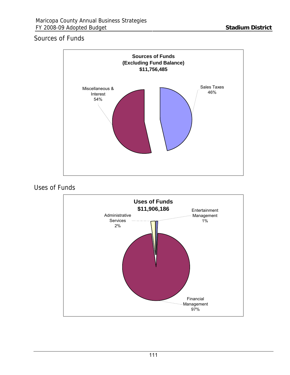## Sources of Funds



## Uses of Funds

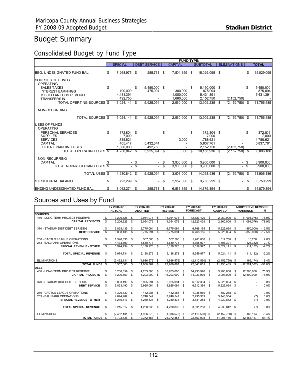## Budget Summary

## Consolidated Budget by Fund Type

|                                                |                |                      |      |                         |     | <b>FUND TYPE:</b>      |     |                         |    |                     |    |                        |
|------------------------------------------------|----------------|----------------------|------|-------------------------|-----|------------------------|-----|-------------------------|----|---------------------|----|------------------------|
|                                                | <b>SPECIAL</b> |                      |      | <b>DEBT SERVICE</b>     |     | <b>CAPITAL</b>         |     | <b>SUBTOTAL</b>         |    | <b>ELIMINATIONS</b> |    | <b>TOTAL</b>           |
| BEG. UNDESIGNATED FUND BAL.                    | \$             | 7,268,975            | \$   | 255,761                 | \$  | 7,504,359              | \$  | 15,029,095              | \$ |                     | S  | 15,029,095             |
| SOURCES OF FUNDS<br><b>OPERATING</b>           |                |                      |      |                         |     |                        |     |                         |    |                     |    |                        |
| <b>SALES TAXES</b><br><b>INTEREST EARNINGS</b> | \$             | 100.000              | S    | 5,450,000 \$<br>475,094 |     | 300.000                | S   | 5.450.000 \$<br>875,094 |    |                     |    | 5.450.000<br>875,094   |
| MISCELLANEOUS REVENUE<br><b>TRANSFERS IN</b>   |                | 4,431,391<br>492,750 |      |                         |     | 1.000.000<br>1,660,000 |     | 5,431,391<br>2,152,750  |    | (2, 152, 750)       |    | 5,431,391              |
| TOTAL OPERTING SOURCES \$                      |                | 5,024,141            | \$   | 5.925.094               | \$  | 2.960.000              | \$  | 13.909.235              | S  | $(2, 152, 750)$ \$  |    | 11,756,485             |
| NON-RECURRING                                  |                |                      |      |                         |     |                        |     |                         |    |                     |    |                        |
| TOTAL SOURCES \$                               |                | 5,024,141            |      | 5,925,094               | \$. | 2.960.000              | S   | 13,909,235              | S  | (2, 152, 750)       |    | 11.756.485             |
| <b>USES OF FUNDS</b><br><b>OPERATING</b>       |                |                      |      |                         |     |                        |     |                         |    |                     |    |                        |
| PERSONAL SERVICES<br><b>SUPPLIES</b>           | \$             | 372.804 \$<br>7,000  |      |                         | \$  |                        | S   | 372.804<br>7,000        | S  |                     |    | 372.804<br>7,000       |
| <b>SERVICES</b><br>CAPITAL                     |                | 1,785,621<br>405,417 |      | 5,432,344               |     | 3.000                  |     | 1,788,621<br>5,837,761  |    |                     |    | 1,788,621<br>5,837,761 |
| OTHER FINANCING USES                           |                | 1,660,000            |      | 492.750                 |     |                        |     | 2,152,750               |    | (2, 152, 750)       |    |                        |
| TOTAL OPERATING USES \$                        |                | 4,230,842            | - \$ | 5,925,094 \$            |     | 3.000                  | \$  | 10.158.936              | S  | (2, 152, 750)       | S  | 8,006,186              |
| NON-RECURRING<br>CAPITAL                       |                |                      | - \$ |                         | \$  | 3,900,000              | S   | 3,900,000               | \$ |                     | S. | 3,900,000              |
| TOTAL NON-RECURRING USES \$                    |                |                      | \$   |                         | \$  | 3,900,000              | \$  | 3,900,000               | \$ |                     | \$ | 3,900,000              |
| <b>TOTAL USES \$</b>                           |                | 4.230.842            |      | 5.925.094               | -S  | 3,903,000              | \$. | 14,058,936              | S  | (2.152.750)         |    | 11,906,186             |
| <b>STRUCTURAL BALANCE</b>                      | \$             | 793.299              | - \$ | ۰.                      | \$  | 2,957,000              | \$  | 3,750,299 \$            |    |                     | S  | 3,750,299              |
| ENDING UNDESIGNATED FUND BAL.                  |                | 8,062,274 \$         |      | 255.761                 | \$  | 6,561,359              | S   | 14,879,394 \$           |    |                     |    | 14,879,394             |

## Sources and Uses by Fund

|                                  |           | FY 2006-07       |           | FY 2007-08       |              | FY 2007-08       | FY 2007-08 |                    | FY 2008-09 |                    | <b>ADOPTED VS REVISED</b> |                 |          |
|----------------------------------|-----------|------------------|-----------|------------------|--------------|------------------|------------|--------------------|------------|--------------------|---------------------------|-----------------|----------|
|                                  |           | <b>ACTUAL</b>    |           | <b>ADOPTED</b>   |              | <b>REVISED</b>   |            | <b>FORECAST</b>    |            | <b>ADOPTED</b>     |                           | <b>VARIANCE</b> | ℅        |
| <b>SOURCES</b>                   |           |                  |           |                  |              |                  |            |                    |            |                    |                           |                 |          |
| 450 - LONG TERM PROJECT RESERVE  | \$.       | 3,206,625        | - \$      | 2,054,076        | - \$         | 14,054,076       | -S         | 12,623,429         | - \$       | 2,960,000          | - \$                      | (11,094,076)    | $-78.9%$ |
| <b>CAPITAL PROJECTS</b>          | \$        | 3.206.625        | - \$      | 2.054.076        | - \$         | 14.054.076       | -S         | 12.623.429         | - \$       | 2,960,000          | - \$                      | (11,094,076)    | $-78.9%$ |
| 370 - STADIUM DIST DEBT SERIES02 | \$        | 6,838,435        | - \$      | 6,775,094 \$     |              | 6,775,094        | S          | 6,768,155          | - \$       | 5.925.094 \$       |                           | (850.000)       | $-12.5%$ |
| <b>DEBT SERVICE</b>              | \$        | 6.838.435        | \$        | 6,775,094        | <b>S</b>     | 6.775.094        | -S         | 6.768.155          | - \$       | 5.925.094          | - \$                      | (850.000)       | $-12.5%$ |
| 250 - CACTUS LEAGUE OPERATIONS   | S         | 1,540,835 \$     |           | 507,500 \$       |              | 507,500 \$       |            | 1,201,000 \$       |            | 517,750 \$         |                           | 10.250          | 2.0%     |
| 253 - BALLPARK OPERATIONS        |           | 4.433.899        |           | 4.630.773        |              | 4.630.773        |            | 4.358.977          |            | 4.506.391          |                           | (124.382)       | $-2.7%$  |
| <b>SPECIAL REVENUE - OTHER</b>   | \$.       | 5,974,734 \$     |           | 5,138,273 \$     |              | 5,138,273 \$     |            | 5.559.977 \$       |            | 5.024.141 \$       |                           | (114, 132)      | $-2.2%$  |
| <b>TOTAL SPECIAL REVENUE</b>     | \$        | 5,974,734 \$     |           | 5,138,273 \$     |              | 5,138,273 \$     |            | 5,559,977 \$       |            | 5,024,141 \$       |                           | (114, 132)      | $-2.2%$  |
| <b>ELIMINATIONS</b>              | S         | $(2,462,131)$ \$ |           | $(1,986,576)$ \$ |              | $(1,986,576)$ \$ |            | $(2, 110, 560)$ \$ |            | $(2, 152, 750)$ \$ |                           | (166.174)       | 8.4%     |
| <b>TOTAL FUNDS</b>               | <b>\$</b> | 13.557.663       | <b>\$</b> | 11,980,867       | $\mathbf{s}$ | 23.980.867       | \$.        | 22.841.001         | $^{\circ}$ | 11,756,485         | - \$                      | (12,224,382)    | $-51.0%$ |
| <b>IUSES</b>                     |           |                  |           |                  |              |                  |            |                    |            |                    |                           |                 |          |
| 450 - LONG TERM PROJECT RESERVE  | \$        | 3,206,859        | -S        | 4,203,000        | £.           | 16.203.000       | \$         | 14,933,976         | £.         | 3.903.000          | £.                        | 12,300,000      | 75.9%    |
| <b>CAPITAL PROJECTS</b>          | \$        | 3,206,859        | - \$      | 4,203,000        | - \$         | 16,203,000       | \$         | 14,933,976         | S.         | 3,903,000          | S                         | 12.300.000      | 75.9%    |
| 370 - STADIUM DIST DEBT SERIES02 | S         | 6,833,490 \$     |           | 5.925.094        | <b>S</b>     | 5.925.094        | -S         | 6.512.394          | - \$       | 5.925.094 \$       |                           |                 | 0.0%     |
| <b>DEBT SERVICE</b>              | £.        | 6.833.490        | - \$      | 5.925.094        | <b>S</b>     | 5.925.094        | -S         | 6,512,394          | <b>S</b>   | 5,925,094 \$       |                           |                 | 0.0%     |
| 250 - CACTUS LEAGUE OPERATIONS   | S         | 1.320.530 \$     |           | 482.288 \$       |              | 482.288 \$       |            | 1.035.969 \$       |            | 482.288 \$         |                           |                 | 0.0%     |
| 253 - BALLPARK OPERATIONS        |           | 4,894,987        |           | 3.748.547        |              | 3.748.547        |            | 2,495,319          |            | 3,748,554          |                           | (7)             | 0.0%     |
| <b>SPECIAL REVENUE - OTHER</b>   | \$        | 6,215,517 \$     |           | 4,230,835 \$     |              | 4,230,835 \$     |            | 3,531,288 \$       |            | 4,230,842 \$       |                           | (7)             | 0.0%     |
| <b>TOTAL SPECIAL REVENUE</b>     | \$        | 6,215,517 \$     |           | 4,230,835 \$     |              | 4,230,835 \$     |            | 3,531,288 \$       |            | 4,230,842 \$       |                           | (7)             | 0.0%     |
| <b>ELIMINATIONS</b>              | S         | $(2,462,131)$ \$ |           | $(1.986.576)$ \$ |              | $(1,986,576)$ \$ |            | $(2.110.560)$ \$   |            | $(2.152.750)$ \$   |                           | 166.174         | $-8.4%$  |
| <b>TOTAL FUNDS \$</b>            |           | 13.793.736       | - \$      | 12.372.353       | \$.          | 24.372.353       | \$.        | 22.867.098         | \$.        | 11,906,186         | S                         | 12.466.167      | 51.1%    |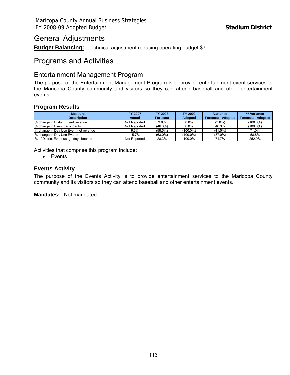## General Adjustments

**Budget Balancing:** Technical adjustment reducing operating budget \$7.

## Programs and Activities

## Entertainment Management Program

The purpose of the Entertainment Management Program is to provide entertainment event services to the Maricopa County community and visitors so they can attend baseball and other entertainment events.

## **Program Results**

| <b>Measure</b>                        | <b>FY 2007</b> | <b>FY 2008</b>  | FY 2009        | Variance                  | % Variance                |
|---------------------------------------|----------------|-----------------|----------------|---------------------------|---------------------------|
| <b>Description</b>                    | Actual         | <b>Forecast</b> | <b>Adopted</b> | <b>Forecast - Adopted</b> | <b>Forecast - Adopted</b> |
| % change in District Event revenue    | Not Reported   | $3.8\%$         | $0.0\%$        | $(3.8\%)$                 | $(100.0\%)$               |
| % change in Event participants        | Not Reported   | $(46.3\%)$      | $0.0\%$        | 46.3%                     | $(100.0\%)$               |
| % change in Day Use Event net revenue | $9.3\%$        | (58.5%)         | (100.0%)       | (41.5%)                   | 71.0%                     |
| % change in Day Use Events            | 15.7%          | $(63.0\%)$      | (100.0%)       | $(37.0\%)$                | 58.8%                     |
| % of District Event usage days booked | Not Reported   | 28.3%           | 100.0%         | 71.7%                     | 252.9%                    |

Activities that comprise this program include:

• Events

## **Events Activity**

The purpose of the Events Activity is to provide entertainment services to the Maricopa County community and its visitors so they can attend baseball and other entertainment events.

**Mandates:** Not mandated.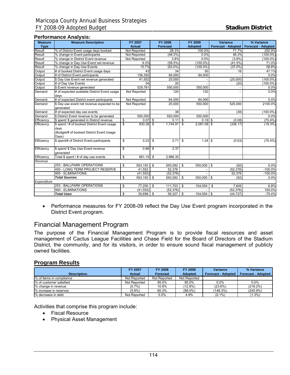#### **Performance Analysis:**

| <b>Measure</b> | <b>Measure Description</b>                   | <b>FY 2007</b>          | FY 2008                  | FY 2009                       | Variance                  | % Variance                |
|----------------|----------------------------------------------|-------------------------|--------------------------|-------------------------------|---------------------------|---------------------------|
| <b>Type</b>    |                                              | <b>Actual</b>           | <b>Forecast</b>          | <b>Adopted</b>                | <b>Forecast - Adopted</b> | <b>Forecast - Adopted</b> |
| Result         | % of District Event usage days booked        | Not Reported            | 28.3%                    | 100.0%                        | 71.7%                     | 252.9%                    |
| Result         | % change in Event participants               | Not Reported            | (46.3%)                  | 0.0%                          | 46.3%                     | $(100.0\%)$               |
| Result         | % change in District Event revenue           | Not Reported            | 3.8%                     | 0.0%                          | (3.8%)                    | $(100.0\%)$               |
| Result         | % change in Day Use Event net revenue        | 9.3%                    | (58.5%)                  | $(100.0\%)$                   | (41.5%)                   | 71.0%                     |
| Result         | % change in Day Use Events                   | 15.7%                   | $(63.0\%)$               | $(100.0\%)$                   | $(37.0\%)$                | 58.8%                     |
| Output         | # of booked District Event usage days        | 43                      | 34                       | 50                            | 16                        | 47.1%                     |
| Output         | # of District Event participants             | 156,392                 | 84,000                   | 84,000                        |                           | 0.0%                      |
| Output         | \$ Day Use Event net revenue generated       | 41,552                  | 25,000                   |                               | (25,000)                  | $(100.0\%)$               |
| Output         | # of Day Use Events                          | 54                      | 20                       |                               | (20)                      | $(100.0\%)$               |
| Output         | \$ Event revenue generated                   | 529,781                 | 550,000                  | 550,000                       |                           | 0.0%                      |
| Demand         | # of expected available District Event usage | Not Reported            | 120                      | 120                           |                           | 0.0%                      |
|                | days                                         |                         |                          |                               |                           |                           |
| Demand         | # of expected District event participants    | Not Reported            | 84,000                   | 84,000                        |                           | 0.0%                      |
| Demand         | \$ Day use event net revenue expected to be  | Not Reported            | 25,000                   | 550,000                       | 525,000                   | 2100.0%                   |
|                | generated                                    |                         |                          |                               |                           |                           |
| Demand         | # of expected day use events                 |                         | 38                       |                               | (38)                      | $(100.0\%)$               |
| Demand         | \$ District Event revenue to be generated    | 550,000                 | 550,000                  | 550,000                       |                           | 0.0%                      |
| Efficiency     | \$ spent/ \$ generated in District revenue   | \$<br>$0.07$ \$         | $0.11$ \$                | $0.19$ \$                     | (0.08)                    | $(75.4\%)$                |
| Efficiency     | \$ spent / # of booked District Event usage  | \$<br>830.28            | \$<br>1,744.91           | $2,081.08$ \$<br>$\mathbf{s}$ | (336.17)                  | (19.3%)                   |
|                | days                                         |                         |                          |                               |                           |                           |
|                | (Budget/# of booked District Event Usage     |                         |                          |                               |                           |                           |
|                | Davs)                                        |                         |                          |                               |                           |                           |
| Efficiency     | \$ spent/# of District Event participants    | \$<br>0.23              | \$<br>0.71               | \$                            | (0.53)                    | $(75.4\%)$                |
|                |                                              |                         |                          |                               |                           |                           |
| Efficiency     | \$ spent/ \$ Day Use Event revenue           | \$<br>$0.86$ $\sqrt{5}$ | 2.37                     |                               |                           |                           |
|                | generated                                    |                         |                          |                               |                           |                           |
| Efficiency     | Total \$ spent / # of day use events         | \$<br>$661.15$ \$       | 2,966.35                 |                               |                           |                           |
| Revenue        |                                              |                         |                          |                               |                           |                           |
|                | 253 - BALLPARK OPERATIONS                    | 593,193<br>\$           | $\sqrt{3}$<br>550,092 \$ | 550,000                       | l \$<br>(92)              | 0.0%                      |
|                | 450 - LONG TERM PROJECT RESERVE              | 41,552                  | 52,376                   |                               | (52, 376)                 | $-100.0%$                 |
|                | 900 - ELIMINATIONS                           | (41, 552)               | (52, 376)                |                               | 52.376                    | $-100.0%$                 |
|                | <b>Total Sources</b>                         | 593,193<br>\$           | \$<br>550,092            | 550,000<br>\$                 | \$<br>(92)                | 0.0%                      |
| Expenditure    |                                              |                         |                          |                               |                           |                           |
|                | 253 - BALLPARK OPERATIONS                    | 77,250<br>\$            | - \$<br>111,703          | - \$<br>104,054               | \$<br>7,649               | 6.8%                      |
|                | 900 - ELIMINATIONS                           | (41, 552)               | (52, 376)                |                               | (52, 376)                 | 100.0%                    |
|                | <b>Total Uses</b>                            | \$<br>35,698            | l \$<br>59,327           | \$<br>104,054                 | \$<br>(44, 727)           | $-75.4%$                  |

• Performance measures for FY 2008-09 reflect the Day Use Event program incorporated in the District Event program.

## Financial Management Program

The purpose of the Financial Management Program is to provide fiscal resources and asset management of Cactus League Facilities and Chase Field for the Board of Directors of the Stadium District, the community, and for its visitors, in order to ensure sound fiscal management of publicly owned facilities.

## **Program Results**

|                          | <b>FY 2007</b> | <b>FY 2008</b>  | FY 2009        | <b>Variance</b>           | % Variance                |
|--------------------------|----------------|-----------------|----------------|---------------------------|---------------------------|
| <b>Description</b>       | Actual         | <b>Forecast</b> | <b>Adopted</b> | <b>Forecast - Adopted</b> | <b>Forecast - Adopted</b> |
| % of items in compliance | Not Reported   | Not Reported    | Not Reported   |                           |                           |
| % of customer satisfied  | Not Reported   | 95.0%           | 95.0%          | $0.0\%$                   | $0.0\%$                   |
| % change in revenue      | $(0.7\%)$      | 10.8%           | $(12.8\%)$     | (23.6%)                   | $(218.2\%)$               |
| % increase in reserves   | $(5.8\%)$      | 60.3%           | $(88.0\%)$     | (148.3%)                  | $(245.9\%)$               |
| % decrease in debt       | Not Reported   | 5.0%            | 4.9%           | $(0.1\%)$                 | $(1.3\%)$                 |

Activities that comprise this program include:

- Fiscal Resource
- Physical Asset Management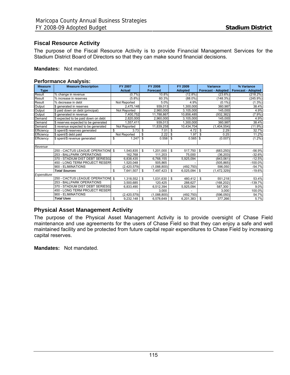## **Fiscal Resource Activity**

The purpose of the Fiscal Resource Activity is to provide Financial Management Services for the Stadium District Board of Directors so that they can make sound financial decisions.

#### **Mandates:** Not mandated.

#### **Performance Analysis:**

| <b>Measure</b> | <b>Measure Description</b>           | <b>FY 2007</b>  | <b>FY 2008</b>    | <b>FY 2009</b>         | <b>Variance</b>           | % Variance                |  |
|----------------|--------------------------------------|-----------------|-------------------|------------------------|---------------------------|---------------------------|--|
| <b>Type</b>    |                                      | <b>Actual</b>   | <b>Forecast</b>   | <b>Adopted</b>         | <b>Forecast - Adopted</b> | <b>Forecast - Adopted</b> |  |
| Result         | % change in revenue                  | (0.7%           | 10.8%             | $(12.8\%)$             | (23.6%)                   | (218.2%)                  |  |
| Result         | % increase in reserves               | (5.8%)          | 60.3%             | $(88.0\%$              | (148.3%)                  | (245.9%)                  |  |
| Result         | % decrease in debt                   | Not Reported    | 5.0%              | 4.9%                   | (0.1%                     | $(1.3\%)$                 |  |
| Output         | \$ generated in reserves             | 2,475,148       | 939,013           | 1.300.000              | 360,987                   | 38.4%                     |  |
| Output         | \$ paid down on debt (principal)     | Not Reported    | 2.960.000         | 3.105.000              | 145.000                   | 4.9%                      |  |
| Output         | \$ generated in revenue              | 7,400,752       | 11,788,867        | 10,856,485             | (932, 382)                | $(7.9\%)$                 |  |
| Demand         | \$ expected to be paid down on debt  | 2,820,000       | 2,960,000         | 3,105,000              | 145,000                   | 4.9%                      |  |
| Demand         | \$ reserves expected to be generated | 1,557,411       | 939.013           | 1,300,000              | 360.987                   | 38.4%                     |  |
| Demand         | \$ revenue expected to be generated  | Not Reported    | 11,839,258        | 10,434,704             | (1,404,554)               | $(11.9\%)$                |  |
| Efficiency     | \$ spent/\$ reserves generated       | \$<br>3.73      | \$<br>7.01        | \$<br>4.72             | <b>S</b><br>2.29          | 32.7%                     |  |
| Efficiency     | \$ spent/\$ debt paid                | Not Reported    | 2.22<br>\$        | 1.97<br>\$             | 0.25<br>- \$              | 11.2%                     |  |
| Efficiency     | \$ spent/\$ revenue generated        | \$<br>1.247     | \$<br>0.558       | $0.565$ \$<br>\$       | (0.007)                   | $(1.2\%)$                 |  |
| Revenue        |                                      |                 |                   |                        |                           |                           |  |
|                | 250 - CACTUS LEAGUE OPERATIONS \$    | 1,540,835       | \$<br>1.201.000   | 517.750<br>- \$        | <b>S</b><br>(683, 250)    | $-56.9%$                  |  |
|                | 253 - BALLPARK OPERATIONS            | 162.768         | 111.203           | 75.000                 | (36, 203)                 | $-32.6%$                  |  |
|                | 370 - STADIUM DIST DEBT SERIES02     | 6,838,435       | 6,768,155         | 5,925,094              | (843,061)                 | $-12.5%$                  |  |
|                | 450 - LONG TERM PROJECT RESERY       | 1.520.048       | 505,865           |                        | (505.865)                 | $-100.0%$                 |  |
|                | 900 - ELIMINATIONS                   | (2, 420, 579)   | (1,088,800)       | (492, 750)             | 596,050                   | $-54.7%$                  |  |
|                | <b>Total Sources</b>                 | \$<br>7,641,507 | - \$<br>7,497,423 | - \$<br>$6,025,094$ \$ | (1,472,329)               | $-19.6%$                  |  |
| Expenditure    |                                      |                 |                   |                        |                           |                           |  |
|                | 250 - CACTUS LEAGUE OPERATIONS \$    | 1,318,552       | 1,031,630<br>- \$ | - \$<br>$480,412$ \$   | 551,218                   | 53.4%                     |  |
|                | 253 - BALLPARK OPERATIONS            | 3,500,685       | 120.425           | 288.627                | (168, 202)                | -139.7%                   |  |
|                | 370 - STADIUM DIST DEBT SERIES02     | 6,833,490       | 6,512,394         | 5,925,094              | 587,300                   | 9.0%                      |  |
|                | 450 - LONG TERM PROJECT RESERY       |                 | 3,000             |                        | 3,000                     | 100.0%                    |  |
|                | 900 - ELIMINATIONS                   | (2,420,579)     | (1,088,800)       | (492, 750)             | (596, 050)                | 54.7%                     |  |
|                | <b>Total Uses</b>                    | \$<br>9,232,148 | \$<br>6,578,649   | 6,201,383<br>\$        | \$<br>377,266             | 5.7%                      |  |

## **Physical Asset Management Activity**

The purpose of the Physical Asset Management Activity is to provide oversight of Chase Field maintenance and use agreements for the users of Chase Field so that they can enjoy a safe and well maintained facility and be protected from future capital repair expenditures to Chase Field by increasing capital reserves.

**Mandates:** Not mandated.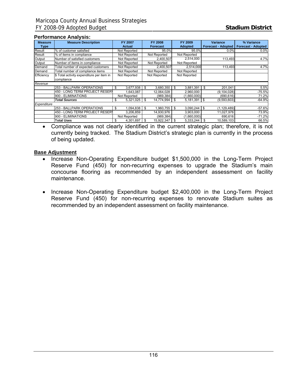#### **Performance Analysis:**

| <b>Measure</b> | <b>Measure Description</b>                | FY 2007         | <b>FY 2008</b>         | <b>FY 2009</b>   | <b>Variance</b>             | % Variance                |
|----------------|-------------------------------------------|-----------------|------------------------|------------------|-----------------------------|---------------------------|
| <b>Type</b>    |                                           | Actual          | <b>Forecast</b>        | <b>Adopted</b>   | <b>Forecast - Adopted  </b> | <b>Forecast - Adopted</b> |
| Result         | % of customer satisfied                   | Not Reported    | 95.0%                  | 95.0%            | 0.0%                        | 0.0%                      |
| Result         | % of items in compliance                  | Not Reported    | Not Reported           | Not Reported     |                             |                           |
| Output         | Number of satisfied customers             | Not Reported    | 2,400,507              | 2,514,000        | 113,493                     | 4.7%                      |
| Output         | Number of items in compliance             | Not Reported    | Not Reported           | Not Reported     |                             |                           |
| Demand         | Total number of expected customers        | Not Reported    | 2,400,507              | 2,514,000        | 113,493                     | 4.7%                      |
| Demand         | Total number of compliance items          | Not Reported    | Not Reported           | Not Reported     |                             |                           |
| Efficiency     | \$ Total activity expenditure per item in | Not Reported    | Not Reported           | Not Reported     |                             |                           |
|                | compliance                                |                 |                        |                  |                             |                           |
| Revenue        |                                           |                 |                        |                  |                             |                           |
|                | 253 - BALLPARK OPERATIONS                 | 3.677.938<br>\$ | $3,680,350$ \$<br>- \$ | 3.881.391        | 201,041<br>\$               | 5.5%                      |
|                | 450 - LONG TERM PROJECT RESERY            | .643,087        | 12,064,028             | 2,960,000        | (9, 104, 028)               | $-75.5%$                  |
|                | 900 - ELIMINATIONS                        | Not Reported    | (969,384)              | (1,660,000)      | (690, 616)                  | 71.2%                     |
|                | <b>Total Sources</b>                      | 5.321.025<br>\$ | 14,774,994 \$<br>-\$   | 5,181,391        | l s<br>(9,593,603)          | $-64.9%$                  |
| Expenditure    |                                           |                 |                        |                  |                             |                           |
|                | 253 - BALLPARK OPERATIONS                 | 1.094.838<br>\$ | 1.960.755<br>\$        | 3,090,244<br>S   | (1.129.489)<br>l s          | $-57.6%$                  |
|                | 450 - LONG TERM PROJECT RESERY            | 3,206,859       | 14,930,976             | 3,903,000        | 11,027,976                  | 73.9%                     |
|                | 900 - ELIMINATIONS                        | Not Reported    | (969,384)              | (1,660,000)      | 690,616                     | $-71.2%$                  |
|                | Total Uses                                | 4,301,697<br>\$ | \$.<br>15,922,347      | 5,333,244<br>\$. | \$<br>10,589,103            | 66.5%                     |

• Compliance was not clearly identified in the current strategic plan; therefore, it is not currently being tracked. The Stadium District's strategic plan is currently in the process of being updated.

#### **Base Adjustment**

- Increase Non-Operating Expenditure budget \$1,500,000 in the Long-Term Project Reserve Fund (450) for non-recurring expenses to upgrade the Stadium's main concourse flooring as recommended by an independent assessment on facility maintenance.
- Increase Non-Operating Expenditure budget \$2,400,000 in the Long-Term Project Reserve Fund (450) for non-recurring expenses to renovate Stadium suites as recommended by an independent assessment on facility maintenance.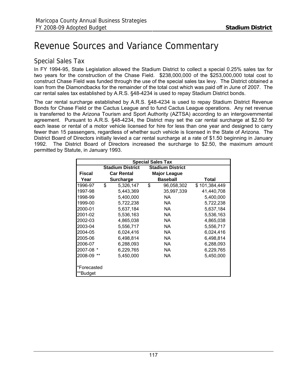# Revenue Sources and Variance Commentary

## Special Sales Tax

In FY 1994-95, State Legislation allowed the Stadium District to collect a special 0.25% sales tax for two years for the construction of the Chase Field. \$238,000,000 of the \$253,000,000 total cost to construct Chase Field was funded through the use of the special sales tax levy. The District obtained a loan from the Diamondbacks for the remainder of the total cost which was paid off in June of 2007. The car rental sales tax established by A.R.S. §48-4234 is used to repay Stadium District bonds.

The car rental surcharge established by A.R.S. §48-4234 is used to repay Stadium District Revenue Bonds for Chase Field or the Cactus League and to fund Cactus League operations. Any net revenue is transferred to the Arizona Tourism and Sport Authority (AZTSA) according to an intergovernmental agreement. Pursuant to A.R.S. §48-4234, the District may set the car rental surcharge at \$2.50 for each lease or rental of a motor vehicle licensed for hire for less than one year and designed to carry fewer than 15 passengers, regardless of whether such vehicle is licensed in the State of Arizona. The District Board of Directors initially levied a car rental surcharge at a rate of \$1.50 beginning in January 1992. The District Board of Directors increased the surcharge to \$2.50, the maximum amount permitted by Statute, in January 1993.

| <b>Special Sales Tax</b> |    |                         |    |                         |               |  |  |  |  |
|--------------------------|----|-------------------------|----|-------------------------|---------------|--|--|--|--|
|                          |    | <b>Stadium District</b> |    | <b>Stadium District</b> |               |  |  |  |  |
| <b>Fiscal</b>            |    | <b>Car Rental</b>       |    | <b>Major League</b>     |               |  |  |  |  |
| Year                     |    | <b>Surcharge</b>        |    | <b>Baseball</b>         | Total         |  |  |  |  |
| 1996-97                  | \$ | 5,326,147               | \$ | 96,058,302              | \$101,384,449 |  |  |  |  |
| 1997-98                  |    | 5,443,369               |    | 35,997,339              | 41,440,708    |  |  |  |  |
| 1998-99                  |    | 5,400,000               |    | NA.                     | 5,400,000     |  |  |  |  |
| 1999-00                  |    | 5,722,238               |    | NA.                     | 5,722,238     |  |  |  |  |
| 2000-01                  |    | 5,637,184               |    | NA.                     | 5,637,184     |  |  |  |  |
| 2001-02                  |    | 5,536,163               |    | NA.                     | 5,536,163     |  |  |  |  |
| 2002-03                  |    | 4,865,038               |    | NA.                     | 4,865,038     |  |  |  |  |
| 2003-04                  |    | 5,556,717               |    | NA.                     | 5,556,717     |  |  |  |  |
| 2004-05                  |    | 6,024,416               |    | NA.                     | 6,024,416     |  |  |  |  |
| 2005-06                  |    | 6,498,814               |    | <b>NA</b>               | 6,498,814     |  |  |  |  |
| 2006-07                  |    | 6,288,093               |    | NA                      | 6,288,093     |  |  |  |  |
| 2007-08 *                |    | 6,229,765               |    | NA.                     | 6,229,765     |  |  |  |  |
| $***$<br>2008-09         |    | 5,450,000               |    | NA.                     | 5,450,000     |  |  |  |  |
| *Forecasted<br>**Budget  |    |                         |    |                         |               |  |  |  |  |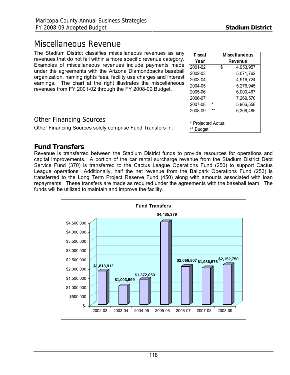## Miscellaneous Revenue

The Stadium District classifies miscellaneous revenues as any revenues that do not fall within a more specific revenue category. Examples of miscellaneous revenues include payments made under the agreements with the Arizona Diamondbacks baseball organization, naming rights fees, facility use charges and interest earnings. The chart at the right illustrates the miscellaneous revenues from FY 2001-02 through the FY 2008-09 Budget.

| <b>Fiscal</b>          | <b>Miscellaneous</b> |           |  |  |  |  |
|------------------------|----------------------|-----------|--|--|--|--|
| Year                   |                      | Revenue   |  |  |  |  |
| 2001-02                | \$                   | 4.953.957 |  |  |  |  |
| 2002-03                |                      | 5,071,762 |  |  |  |  |
| 2003-04                |                      | 4,916,724 |  |  |  |  |
| 2004-05                |                      | 5,276,945 |  |  |  |  |
| 2005-06                |                      | 6,000,467 |  |  |  |  |
| 2006-07                |                      | 7,269,570 |  |  |  |  |
| 2007-08                | $\star$              | 5,966,558 |  |  |  |  |
| 2008-09                | **                   | 6,306,485 |  |  |  |  |
|                        |                      |           |  |  |  |  |
| * Projected Actual     |                      |           |  |  |  |  |
| $***$<br><b>Budget</b> |                      |           |  |  |  |  |

## Other Financing Sources

Other Financing Sources solely comprise Fund Transfers In.

## **Fund Transfers**

Revenue is transferred between the Stadium District funds to provide resources for operations and capital improvements. A portion of the car rental surcharge revenue from the Stadium District Debt Service Fund (370) is transferred to the Cactus League Operations Fund (250) to support Cactus League operations Additionally, half the net revenue from the Ballpark Operations Fund (253) is transferred to the Long Term Project Reserve Fund (450) along with amounts associated with loan repayments. These transfers are made as required under the agreements with the baseball team. The funds will be utilized to maintain and improve the facility.

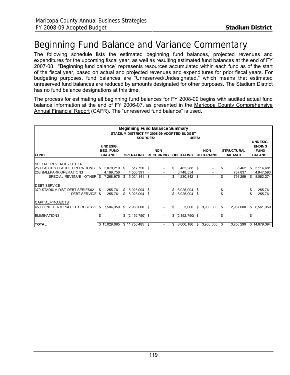# Beginning Fund Balance and Variance Commentary

The following schedule lists the estimated beginning fund balances, projected revenues and expenditures for the upcoming fiscal year, as well as resulting estimated fund balances at the end of FY 2007-08. "Beginning fund balance" represents resources accumulated within each fund as of the start of the fiscal year, based on actual and projected revenues and expenditures for prior fiscal years. For budgeting purposes, fund balances are "Unreserved/Undesignated," which means that estimated unreserved fund balances are reduced by amounts designated for other purposes. The Stadium District has no fund balance designations at this time.

The process for estimating all beginning fund balances for FY 2008-09 begins with audited actual fund balance information at the end of FY 2006-07, as presented in the Maricopa County Comprehensive Annual Financial Report (CAFR). The "unreserved fund balance" is used.

| <b>Beginning Fund Balance Summary</b>                          |      |                              |    |                         |    |                          |     |                         |    |                |    |                   |    |                              |  |                |
|----------------------------------------------------------------|------|------------------------------|----|-------------------------|----|--------------------------|-----|-------------------------|----|----------------|----|-------------------|----|------------------------------|--|----------------|
| STADIUM DISTRICT FY 2008-09 ADOPTED BUDGET                     |      |                              |    |                         |    |                          |     |                         |    |                |    |                   |    |                              |  |                |
|                                                                |      |                              |    | <b>SOURCES:</b>         |    |                          |     | USES:                   |    |                |    |                   |    | <b>UNDESIG.</b>              |  |                |
|                                                                |      | UNDESIG.<br><b>BEG. FUND</b> |    |                         |    | <b>NON</b>               |     |                         |    | <b>NON</b>     |    | <b>STRUCTURAL</b> |    | <b>ENDING</b><br><b>FUND</b> |  |                |
| <b>FUND</b>                                                    |      | <b>BALANCE</b>               |    | <b>OPERATING</b>        |    | <b>RECURRING</b>         |     | <b>OPERATING</b>        |    |                |    | <b>RECURRING</b>  |    | <b>BALANCE</b>               |  | <b>BALANCE</b> |
| <b>SPECIAL REVENUE - OTHER</b>                                 |      |                              |    |                         |    |                          |     |                         |    |                |    |                   |    |                              |  |                |
| <b>250 CACTUS LEAGUE OPERATIONS</b><br>253 BALLPARK OPERATIONS | \$   | 3,079,219 \$<br>4,189,756    |    | 517,750 \$<br>4,506,391 |    |                          | \$. | 482,288 \$<br>3,748,554 |    |                | \$ | 35,462<br>757,837 | \$ | 3,114,681<br>4,947,593       |  |                |
| SPECIAL REVENUE - OTHER \$7,268,975                            |      |                              | \$ | $5,024,141$ \$          |    |                          | \$  | 4,230,842               | \$ |                | \$ | 793,299           | \$ | 8,062,274                    |  |                |
| <b>DEBT SERVICE</b>                                            |      |                              |    |                         |    |                          |     |                         |    |                |    |                   |    |                              |  |                |
| 370 STADIUM DIST DEBT SERIES02                                 | - \$ | 255,761                      |    | \$5,925,094             | -S |                          | S.  | 5,925,094 \$            |    |                |    |                   |    | 255,761                      |  |                |
| DEBT SERVICE \$                                                |      | 255,761                      | \$ | 5,925,094               | \$ | $\overline{\phantom{a}}$ | \$  | 5,925,094               | \$ | $\overline{a}$ | \$ |                   | \$ | 255,761                      |  |                |
| <b>CAPITAL PROJECTS</b>                                        |      |                              |    |                         |    |                          |     |                         |    |                |    |                   |    |                              |  |                |
| 450 LONG TERM PROJECT RESERVE \$                               |      | 7,504,359                    |    | $$2,960,000$ \$         |    | $\sim$                   | \$  | 3,000                   | \$ | 3,900,000 \$   |    | 2,957,000         | S  | 6,561,359                    |  |                |
| <b>ELIMINATIONS</b>                                            | \$   | $\sim$                       |    | $$$ (2,152,750) \$      |    | $\sim$                   |     | $$$ (2,152,750) \$      |    |                | \$ |                   | \$ |                              |  |                |
| <b>TOTAL</b>                                                   |      | \$15,029,095                 |    | \$11,756,485            |    |                          | S   | 8,006,186               | S. | 3,900,000      |    | 3,750,299         |    | \$14,879,394                 |  |                |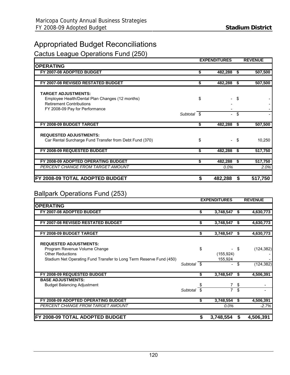## Appropriated Budget Reconciliations

Cactus League Operations Fund (250)

|                                                         |    | <b>EXPENDITURES</b> |      | <b>REVENUE</b> |
|---------------------------------------------------------|----|---------------------|------|----------------|
| <b>OPERATING</b>                                        |    |                     |      |                |
| FY 2007-08 ADOPTED BUDGET                               | \$ | 482,288             | - \$ | 507,500        |
|                                                         |    |                     |      |                |
| FY 2007-08 REVISED RESTATED BUDGET                      | \$ | 482,288             | -\$  | 507,500        |
|                                                         |    |                     |      |                |
| <b>TARGET ADJUSTMENTS:</b>                              |    |                     |      |                |
| Employee Health/Dental Plan Changes (12 months)         | \$ |                     | \$   |                |
| <b>Retirement Contributions</b>                         |    |                     |      |                |
| FY 2008-09 Pay for Performance                          |    |                     |      |                |
| Subtotal \$                                             |    | $\sim$              | \$   |                |
|                                                         |    |                     |      |                |
| FY 2008-09 BUDGET TARGET                                | S. | 482,288             | S    | 507,500        |
|                                                         |    |                     |      |                |
| <b>REQUESTED ADJUSTMENTS:</b>                           |    |                     |      |                |
| Car Rental Surcharge Fund Transfer from Debt Fund (370) | \$ |                     | - \$ | 10,250         |
|                                                         |    |                     |      |                |
| FY 2008-09 REQUESTED BUDGET                             | S. | 482,288             | - 56 | 517,750        |
|                                                         |    |                     |      |                |
| FY 2008-09 ADOPTED OPERATING BUDGET                     | \$ | 482,288             | -\$  | 517,750        |
| PERCENT CHANGE FROM TARGET AMOUNT                       |    | $0.0\%$             |      | 2.0%           |
|                                                         |    |                     |      |                |
| FY 2008-09 TOTAL ADOPTED BUDGET                         | S  | 482,288             | S    | 517,750        |

## Ballpark Operations Fund (253)

|                                                                     |             |    | <b>EXPENDITURES</b> |    | <b>REVENUE</b> |
|---------------------------------------------------------------------|-------------|----|---------------------|----|----------------|
| <b>OPERATING</b>                                                    |             |    |                     |    |                |
| FY 2007-08 ADOPTED BUDGET                                           |             | \$ | 3,748,547           |    | 4,630,773      |
| FY 2007-08 REVISED RESTATED BUDGET                                  |             | \$ | 3,748,547           | \$ | 4,630,773      |
|                                                                     |             |    |                     |    |                |
| FY 2008-09 BUDGET TARGET                                            |             | \$ | 3,748,547           | S  | 4,630,773      |
| <b>REQUESTED ADJUSTMENTS:</b>                                       |             |    |                     |    |                |
| Program Revenue Volume Change                                       |             | \$ |                     | \$ | (124, 382)     |
| <b>Other Reductions</b>                                             |             |    | (155, 924)          |    |                |
| Stadium Net Operating Fund Transfer to Long Term Reserve Fund (450) |             |    | 155,924             |    |                |
|                                                                     | Subtotal \$ |    | Ξ.                  | \$ | (124, 382)     |
| FY 2008-09 REQUESTED BUDGET                                         |             | \$ | 3,748,547           | S  | 4,506,391      |
| <b>BASE ADJUSTMENTS:</b>                                            |             |    |                     |    |                |
| <b>Budget Balancing Adjustment</b>                                  |             | \$ |                     | \$ |                |
|                                                                     | Subtotal    | \$ | $\overline{7}$      | \$ | ۰              |
| FY 2008-09 ADOPTED OPERATING BUDGET                                 |             | S. | 3,748,554           | S. | 4,506,391      |
| <b>PERCENT CHANGE FROM TARGET AMOUNT</b>                            |             |    | 0.0%                |    | $-2.7%$        |
| FY 2008-09 TOTAL ADOPTED BUDGET                                     |             | S  | 3,748,554           | S  | 4,506,391      |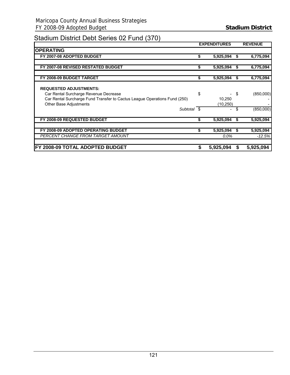## Stadium District Debt Series 02 Fund (370)

|                                                                                                                                                                               | <b>EXPENDITURES</b>       |     | <b>REVENUE</b> |
|-------------------------------------------------------------------------------------------------------------------------------------------------------------------------------|---------------------------|-----|----------------|
| <b>OPERATING</b>                                                                                                                                                              |                           |     |                |
| FY 2007-08 ADOPTED BUDGET                                                                                                                                                     | 5,925,094                 |     | 6,775,094      |
|                                                                                                                                                                               |                           |     |                |
| FY 2007-08 REVISED RESTATED BUDGET                                                                                                                                            | \$<br>5,925,094           | S   | 6,775,094      |
|                                                                                                                                                                               |                           |     |                |
| FY 2008-09 BUDGET TARGET                                                                                                                                                      | \$<br>5,925,094           | S   | 6,775,094      |
| <b>REQUESTED ADJUSTMENTS:</b><br>Car Rental Surcharge Revenue Decrease<br>Car Rental Surcharge Fund Transfer to Cactus League Operations Fund (250)<br>Other Base Adjustments | \$<br>10,250<br>(10, 250) | -\$ | (850,000)      |
| Subtotal \$                                                                                                                                                                   |                           | \$  | (850,000)      |
| FY 2008-09 REQUESTED BUDGET                                                                                                                                                   | \$<br>5,925,094           |     | 5,925,094      |
| FY 2008-09 ADOPTED OPERATING BUDGET                                                                                                                                           | 5,925,094                 | S   | 5,925,094      |
| <b>PERCENT CHANGE FROM TARGET AMOUNT</b>                                                                                                                                      | $0.0\%$                   |     | $-12.5%$       |
| FY 2008-09 TOTAL ADOPTED BUDGET                                                                                                                                               | 5,925,094                 | S   | 5,925,094      |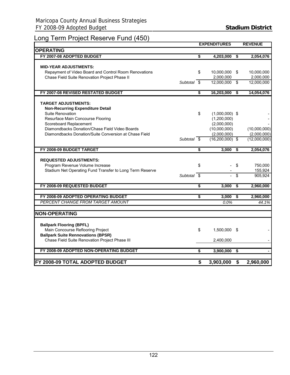## Long Term Project Reserve Fund (450)

|                                                          |             |    | <b>EXPENDITURES</b> |                                      | <b>REVENUE</b> |
|----------------------------------------------------------|-------------|----|---------------------|--------------------------------------|----------------|
| <b>OPERATING</b>                                         |             |    |                     |                                      |                |
| FY 2007-08 ADOPTED BUDGET                                |             | S  | 4,203,000           | \$                                   | 2,054,076      |
|                                                          |             |    |                     |                                      |                |
| <b>MID-YEAR ADJUSTMENTS:</b>                             |             |    |                     |                                      |                |
| Repayment of Video Board and Control Room Renovations    |             | \$ | 10,000,000          | - \$                                 | 10,000,000     |
| Chase Field Suite Renovation Project Phase II            |             |    | 2,000,000           |                                      | 2,000,000      |
|                                                          | Subtotal \$ |    | 12,000,000          | \$                                   | 12,000,000     |
|                                                          |             |    |                     |                                      |                |
| FY 2007-08 REVISED RESTATED BUDGET                       |             | \$ | 16,203,000          | $\overline{\mathbf{s}}$              | 14,054,076     |
|                                                          |             |    |                     |                                      |                |
| <b>TARGET ADJUSTMENTS:</b>                               |             |    |                     |                                      |                |
| <b>Non-Recurring Expenditure Detail</b>                  |             |    |                     |                                      |                |
| Suite Renovation                                         |             | \$ | $(1,000,000)$ \$    |                                      |                |
| Resurface Main Concourse Flooring                        |             |    | (1,200,000)         |                                      |                |
| Scoreboard Replacement                                   |             |    | (2,000,000)         |                                      |                |
| Diamondbacks Donation/Chase Field Video Boards           |             |    | (10,000,000)        |                                      | (10,000,000)   |
| Diamondbacks Donation/Suite Conversion at Chase Field    |             |    | (2,000,000)         |                                      | (2,000,000)    |
|                                                          | Subtotal \$ |    | $(16,200,000)$ \$   |                                      | (12,000,000)   |
|                                                          |             |    |                     |                                      |                |
| FY 2008-09 BUDGET TARGET                                 |             | \$ | 3,000               | \$                                   | 2,054,076      |
|                                                          |             |    |                     |                                      |                |
| <b>REQUESTED ADJUSTMENTS:</b>                            |             |    |                     |                                      |                |
| Program Revenue Volume Increase                          |             | \$ |                     | \$                                   | 750,000        |
| Stadium Net Operating Fund Transfer to Long Term Reserve |             |    |                     |                                      | 155,924        |
|                                                          | Subtotal \$ |    | L.                  | \$                                   | 905,924        |
| FY 2008-09 REQUESTED BUDGET                              |             | \$ | 3,000               | $\overline{\boldsymbol{\mathsf{s}}}$ | 2,960,000      |
|                                                          |             |    |                     |                                      |                |
| FY 2008-09 ADOPTED OPERATING BUDGET                      |             | \$ | 3,000               | - \$                                 | 2,960,000      |
| PERCENT CHANGE FROM TARGET AMOUNT                        |             |    | $0.0\%$             |                                      | 44.1%          |
|                                                          |             |    |                     |                                      |                |
| <b>NON-OPERATING</b>                                     |             |    |                     |                                      |                |
|                                                          |             |    |                     |                                      |                |
| <b>Ballpark Flooring (BPFL)</b>                          |             |    |                     |                                      |                |
| Main Concourse Reflooring Project                        |             | \$ | 1,500,000           | - \$                                 |                |
| <b>Ballpark Suite Rennovations (BPSR)</b>                |             |    |                     |                                      |                |
| Chase Field Suite Renovation Project Phase III           |             |    | 2,400,000           |                                      |                |
|                                                          |             |    |                     |                                      |                |
| FY 2008-09 ADOPTED NON-OPERATING BUDGET                  |             | \$ | 3,900,000           | $\overline{\bullet}$                 |                |
|                                                          |             |    |                     |                                      |                |
| FY 2008-09 TOTAL ADOPTED BUDGET                          |             | \$ | 3,903,000           | \$                                   | 2,960,000      |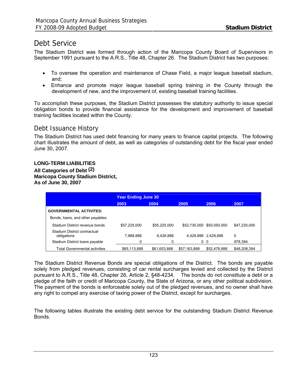## Debt Service

The Stadium District was formed through action of the Maricopa County Board of Supervisors in September 1991 pursuant to the A.R.S., Title 48, Chapter 26. The Stadium District has two purposes:

- To oversee the operation and maintenance of Chase Field, a major league baseball stadium, and;
- Enhance and promote major league baseball spring training in the County through the development of new, and the improvement of, existing baseball training facilities.

To accomplish these purposes, the Stadium District possesses the statutory authority to issue special obligation bonds to provide financial assistance for the development and improvement of baseball training facilities located within the County.

## Debt Issuance History

The Stadium District has used debt financing for many years to finance capital projects. The following chart illustrates the amount of debt, as well as categories of outstanding debt for the fiscal year ended June 30, 2007.

## **LONG-TERM LIABILITIES**

**All Categories of Debt (2) Maricopa County Stadium District, As of June 30, 2007** 

|                                             | <b>Year Ending June 30</b> |              |              |                     |              |  |  |
|---------------------------------------------|----------------------------|--------------|--------------|---------------------|--------------|--|--|
|                                             | 2003                       | 2004         | 2005         | 2006                | 2007         |  |  |
| <b>GOVERNMENTAL ACTIVITES:</b>              |                            |              |              |                     |              |  |  |
| Bonds, loans, and other payables:           |                            |              |              |                     |              |  |  |
| Stadium District revenue bonds              | \$57,225,000               | \$55,225,000 | \$52,735,000 | \$50.050.000        | \$47,230,000 |  |  |
| Stadium District contractual<br>obligations | 7,888,888                  | 6.428.888    |              | 4,428,888 2,428,888 | 0            |  |  |
| Stadium District Ioans payable              | 0                          | 0            |              | 0 <sub>0</sub>      | 978,394      |  |  |
| <b>Total Governmental activities</b>        | \$65,113,888               | \$61,653,888 | \$57,163,888 | \$52.478.888        | \$48,208,394 |  |  |

The Stadium District Revenue Bonds are special obligations of the District. The bonds are payable solely from pledged revenues, consisting of car rental surcharges levied and collected by the District pursuant to A.R.S., Title 48, Chapter 26, Article 2, §48-4234. The bonds do not constitute a debt or a pledge of the faith or credit of Maricopa County, the State of Arizona, or any other political subdivision. The payment of the bonds is enforceable solely out of the pledged revenues, and no owner shall have any right to compel any exercise of taxing power of the District, except for surcharges.

The following tables illustrate the existing debt service for the outstanding Stadium District Revenue Bonds.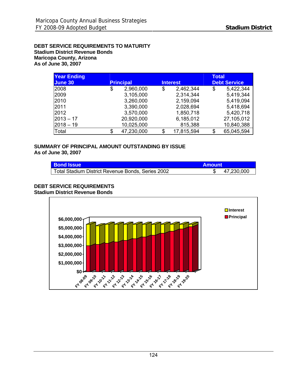**DEBT SERVICE REQUIREMENTS TO MATURITY Stadium District Revenue Bonds Maricopa County, Arizona As of June 30, 2007** 

| <b>Year Ending</b><br>June 30 |    | <b>Principal</b> |    | <b>Interest</b> | Total | <b>Debt Service</b> |
|-------------------------------|----|------------------|----|-----------------|-------|---------------------|
| 2008                          | \$ | 2,960,000        | \$ | 2,462,344       | \$    | 5,422,344           |
| 2009                          |    | 3,105,000        |    | 2,314,344       |       | 5,419,344           |
| 2010                          |    | 3,260,000        |    | 2,159,094       |       | 5,419,094           |
| 2011                          |    | 3,390,000        |    | 2,028,694       |       | 5,418,694           |
| 2012                          |    | 3,570,000        |    | 1,850,718       |       | 5,420,718           |
| $ 2013 - 17$                  |    | 20,920,000       |    | 6,185,012       |       | 27,105,012          |
| $ 2018 - 19$                  |    | 10,025,000       |    | 815,388         |       | 10,840,388          |
| Total                         | S  | 47,230,000       | S  | 17,815,594      | \$    | 65,045,594          |

#### **SUMMARY OF PRINCIPAL AMOUNT OUTSTANDING BY ISSUE As of June 30, 2007**

| <b>Bond Issue</b>                                 | <b>Amount</b> |            |
|---------------------------------------------------|---------------|------------|
| Total Stadium District Revenue Bonds, Series 2002 |               | 47,230,000 |

#### **DEBT SERVICE REQUIREMENTS Stadium District Revenue Bonds**

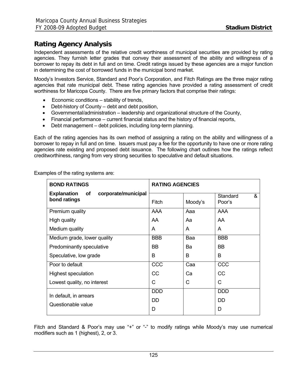## **Rating Agency Analysis**

Independent assessments of the relative credit worthiness of municipal securities are provided by rating agencies. They furnish letter grades that convey their assessment of the ability and willingness of a borrower to repay its debt in full and on time. Credit ratings issued by these agencies are a major function in determining the cost of borrowed funds in the municipal bond market.

Moody's Investors Service, Standard and Poor's Corporation, and Fitch Ratings are the three major rating agencies that rate municipal debt. These rating agencies have provided a rating assessment of credit worthiness for Maricopa County. There are five primary factors that comprise their ratings:

- Economic conditions stability of trends,
- Debt-history of County debt and debt position,
- Governmental/administration leadership and organizational structure of the County,
- Financial performance current financial status and the history of financial reports,
- Debt management debt policies, including long-term planning.

Each of the rating agencies has its own method of assigning a rating on the ability and willingness of a borrower to repay in full and on time. Issuers must pay a fee for the opportunity to have one or more rating agencies rate existing and proposed debt issuance. The following chart outlines how the ratings reflect creditworthiness, ranging from very strong securities to speculative and default situations.

Examples of the rating systems are:

| <b>BOND RATINGS</b>                                             | <b>RATING AGENCIES</b> |         |                         |  |  |  |  |
|-----------------------------------------------------------------|------------------------|---------|-------------------------|--|--|--|--|
| <b>Explanation</b><br>corporate/municipal<br>οf<br>bond ratings | Fitch                  | Moody's | &<br>Standard<br>Poor's |  |  |  |  |
| Premium quality                                                 | <b>AAA</b>             | Aaa     | AAA                     |  |  |  |  |
| High quality                                                    | AA                     | Aa      | AA                      |  |  |  |  |
| Medium quality                                                  | A                      | A       | A                       |  |  |  |  |
| Medium grade, lower quality                                     | <b>BBB</b>             | Baa     | <b>BBB</b>              |  |  |  |  |
| Predominantly speculative                                       | BB                     | Ba      | BB                      |  |  |  |  |
| Speculative, low grade                                          | B                      | B       | В                       |  |  |  |  |
| Poor to default                                                 | CCC                    | Caa     | CCC                     |  |  |  |  |
| <b>Highest speculation</b>                                      | cc                     | Ca      | <b>CC</b>               |  |  |  |  |
| Lowest quality, no interest                                     | С                      | С       | C                       |  |  |  |  |
| In default, in arrears                                          | <b>DDD</b>             |         | <b>DDD</b>              |  |  |  |  |
|                                                                 | <b>DD</b>              |         | DD.                     |  |  |  |  |
| Questionable value                                              | D                      |         | D                       |  |  |  |  |

Fitch and Standard & Poor's may use "+" or "-" to modify ratings while Moody's may use numerical modifiers such as 1 (highest), 2, or 3.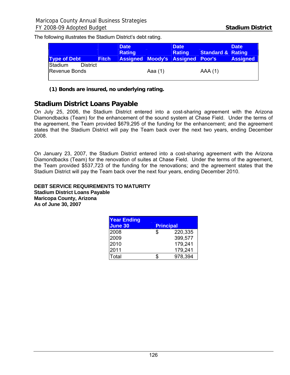The following illustrates the Stadium District's debt rating.

| <b>Type of Debt</b>                         | <b>Fitch</b> | <b>Date</b><br><b>Rating</b> |         | <b>Date</b><br><b>Rating</b><br><b>Assigned Moody's Assigned Poor's</b> | <b>Standard &amp; Rating</b> | <b>Date</b><br><b>Assigned</b> |
|---------------------------------------------|--------------|------------------------------|---------|-------------------------------------------------------------------------|------------------------------|--------------------------------|
| Stadium<br><b>District</b><br>Revenue Bonds |              |                              | Aaa (1) |                                                                         | AAA(1)                       |                                |

**(1) Bonds are insured, no underlying rating.** 

## **Stadium District Loans Payable**

On July 25, 2006, the Stadium District entered into a cost-sharing agreement with the Arizona Diamondbacks (Team) for the enhancement of the sound system at Chase Field. Under the terms of the agreement, the Team provided \$679,295 of the funding for the enhancement; and the agreement states that the Stadium District will pay the Team back over the next two years, ending December 2008.

On January 23, 2007, the Stadium District entered into a cost-sharing agreement with the Arizona Diamondbacks (Team) for the renovation of suites at Chase Field. Under the terms of the agreement, the Team provided \$537,723 of the funding for the renovations; and the agreement states that the Stadium District will pay the Team back over the next four years, ending December 2010.

#### **DEBT SERVICE REQUIREMENTS TO MATURITY Stadium District Loans Payable Maricopa County, Arizona As of June 30, 2007**

| <b>Year Ending</b><br><b>June 30</b> |   | <b>Principal</b> |
|--------------------------------------|---|------------------|
| 2008                                 | S | 220,335          |
| 2009                                 |   | 399,577          |
| 2010                                 |   | 179,241          |
| 2011                                 |   | 179,241          |
| Total                                |   | 978,394          |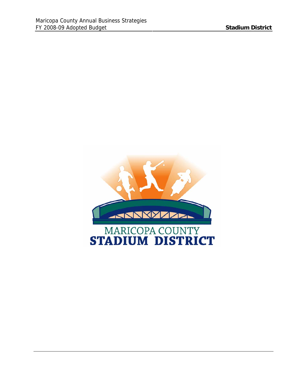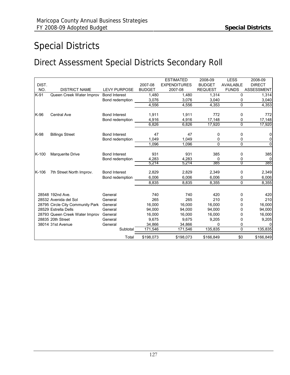# Special Districts

# Direct Assessment Special Districts Secondary Roll

|         |                                  |                      |               | <b>ESTIMATED</b>    | 2008-09        | <b>LESS</b>      | 2008-09           |
|---------|----------------------------------|----------------------|---------------|---------------------|----------------|------------------|-------------------|
| DIST.   |                                  |                      | 2007-08       | <b>EXPENDITURES</b> | <b>BUDGET</b>  | <b>AVAILABLE</b> | <b>DIRECT</b>     |
| NO.     | <b>DISTRICT NAME</b>             | <b>LEVY PURPOSE</b>  | <b>BUDGET</b> | 2007-08             | <b>REQUEST</b> | <b>FUNDS</b>     | <b>ASSESSMENT</b> |
| K-91    | Queen Creek Water Improv         | <b>Bond Interest</b> | 1,480         | 1,480               | 1,314          | 0                | 1,314             |
|         |                                  | Bond redemption      | 3,076         | 3,076               | 3,040          | 0                | 3,040             |
|         |                                  |                      | 4,556         | 4.556               | 4,353          | 0                | 4,353             |
| K-96    | <b>Central Ave</b>               | <b>Bond Interest</b> | 1,911         | 1,911               | 772            | 0                | 772               |
|         |                                  | Bond redemption      | 4,916         | 4,916               | 17,148         | 0                | 17,148            |
|         |                                  |                      | 6,826         | 6,826               | 17,920         | 0                | 17,920            |
| K-98    | <b>Billings Street</b>           | <b>Bond Interest</b> | 47            | 47                  | 0              | 0                | 0                 |
|         |                                  | Bond redemption      | 1.049         | 1,049               | 0              | 0                | 0                 |
|         |                                  |                      | 1.096         | 1.096               | 0              | $\Omega$         | $\overline{0}$    |
|         |                                  |                      |               |                     |                |                  |                   |
| $K-100$ | Marquerite Drive                 | <b>Bond Interest</b> | 931           | 931                 | 385            | 0                | 385               |
|         |                                  | Bond redemption      | 4,283         | 4,283               | $\Omega$       | 0                | 0                 |
|         |                                  |                      | 5,214         | 5,214               | 385            | $\overline{0}$   | 385               |
| K-106   | 7th Street North Improv.         | <b>Bond Interest</b> | 2,829         | 2,829               | 2,349          | 0                | 2,349             |
|         |                                  | Bond redemption      | 6,006         | 6,006               | 6,006          | 0                | 6,006             |
|         |                                  |                      | 8,835         | 8,835               | 8,355          | 0                | 8,355             |
|         |                                  |                      |               |                     |                |                  |                   |
|         | 28548 192nd Ave.                 | General              | 740           | 740                 | 420            | 0                | 420               |
|         | 28532 Avenida del Sol            | General              | 265           | 265                 | 210            | 0                | 210               |
|         | 28795 Circle City Community Park | General              | 16.000        | 16.000              | 16.000         | 0                | 16,000            |
|         | 28529 Estrella Dells             | General              | 94,000        | 94,000              | 94,000         | 0                | 94,000            |
|         | 28793 Queen Creek Water Improv   | General              | 16,000        | 16,000              | 16,000         | 0                | 16,000            |
|         | 28835 20th Street                | General              | 9.675         | 9,675               | 9,205          | 0                | 9,205             |
|         | 38014 31st Avenue                | General              | 34,866        | 34,866              | <sup>0</sup>   | 0                |                   |
|         |                                  | Subtotal             | 171,546       | 171,546             | 135,835        | 0                | 135,835           |
|         |                                  | Total                | \$198,073     | \$198,073           | \$166,849      | \$0              | \$166,849         |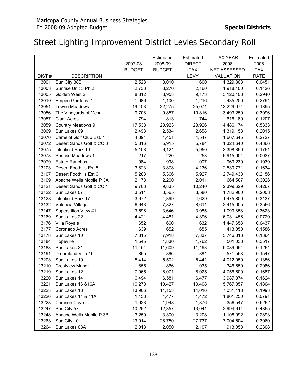# Street Lighting Improvement District Levies Secondary Roll

|       |                          |               | Estimated     | Estimated     | TAX YEAR         | Estimated   |
|-------|--------------------------|---------------|---------------|---------------|------------------|-------------|
|       |                          | 2007-08       | 2008-09       | <b>DIRECT</b> | 2008             | 2008        |
|       |                          | <b>BUDGET</b> | <b>BUDGET</b> | <b>TAX</b>    | NET ASSESSED     | <b>TAX</b>  |
| DIST# | <b>DESCRIPTION</b>       |               |               | <b>LEVY</b>   | <b>VALUATION</b> | <b>RATE</b> |
| 13001 | Sun City 38B             | 2,523         | 3,010         | 600           | 1,329,308        | 0.0451      |
| 13003 | Sunrise Unit 5 Ph 2      | 2,733         | 3,270         | 2,160         | 1,918,100        | 0.1126      |
| 13005 | Golden West 2            | 8,812         | 8,953         | 9,173         | 3,120,408        | 0.2940      |
| 13010 | <b>Empire Gardens 2</b>  | 1,086         | 1,100         | 1,216         | 435,200          | 0.2794      |
| 13051 | <b>Towne Meadows</b>     | 19,403        | 22,275        | 25,071        | 13,229,074       | 0.1895      |
| 13056 | The Vineyards of Mesa    | 9,708         | 9,857         | 10,816        | 3,493,250        | 0.3096      |
| 13057 | <b>Clark Acres</b>       | 794           | 813           | 744           | 616,180          | 0.1207      |
| 13059 | Country Meadows 9        | 17,538        | 20,923        | 23,926        | 4,486,174        | 0.5333      |
| 13069 | Sun Lakes 09             | 2,493         | 2,534         | 2,658         | 1,319,158        | 0.2015      |
| 13070 | Camelot Golf Club Est. 1 | 4,391         | 4,451         | 4,547         | 1,667,645        | 0.2727      |
| 13072 | Desert Sands Golf & CC 3 | 5,816         | 5,915         | 5,784         | 1,324,640        | 0.4366      |
| 13075 | Litchfield Park 19       | 5,108         | 6,124         | 5,950         | 3,398,850        | 0.1751      |
| 13078 | Sunrise Meadows 1        | 217           | 220           | 253           | 6,915,904        | 0.0037      |
| 13079 | <b>Estate Ranchos</b>    | 984           | 998           | 1,007         | 969,230          | 0.1039      |
| 13103 | Desert Foothills Est 5   | 3,823         | 3,878         | 4,136         | 2,530,771        | 0.1634      |
| 13107 | Desert Foothills Est 6   | 5,283         | 5,366         | 5,927         | 2,749,438        | 0.2156      |
| 13109 | Apache Wells Mobile P 3A | 2,173         | 2,200         | 2,011         | 664,507          | 0.3026      |
| 13121 | Desert Sands Golf & CC 4 | 9,703         | 9,835         | 10,240        | 2,399,629        | 0.4267      |
| 13122 | Sun Lakes 07             | 3,514         | 3,565         | 3,580         | 1,782,900        | 0.2008      |
| 13128 | Litchfield Park 17       | 3,672         | 4,399         | 4,629         | 1,475,800        | 0.3137      |
| 13132 | Valencia Village         | 6,643         | 7,827         | 8,611         | 2,415,005        | 0.3566      |
| 13147 | Superstition View #1     | 3,596         | 3,646         | 3,985         | 1,099,858        | 0.3623      |
| 13169 | Sun Lakes 22             | 4,421         | 4,481         | 4,396         | 6,031,456        | 0.0729      |
| 13176 | Villa Royale             | 652           | 660           | 632           | 1,447,658        | 0.0437      |
| 13177 | Coronado Acres           | 639           | 652           | 655           | 413,050          | 0.1586      |
| 13178 | Sun Lakes 10             | 7,815         | 7,918         | 7,837         | 5,746,813        | 0.1364      |
| 13184 | Hopeville                | 1,545         | 1,830         | 1,762         | 501,038          | 0.3517      |
| 13188 | Sun Lakes 21             | 11,454        | 11,609        | 11,493        | 9,089,054        | 0.1264      |
| 13191 | Dreamland Villa-19       | 855           | 866           | 884           | 571,558          | 0.1547      |
| 13203 | Sun Lakes 19             | 5,414         | 5,502         | 5,441         | 4,012,050        | 0.1356      |
| 13210 | <b>Crestview Manor</b>   | 855           | 866           | 1,035         | 346,650          | 0.2986      |
| 13219 | Sun Lakes 12             | 7,965         | 8,071         | 8,025         | 4,756,600        | 0.1687      |
| 13220 | Sun Lakes 14             | 6,494         | 6,581         | 6,477         | 3,987,874        | 0.1624      |
| 13221 | Sun Lakes 16 & 16A       | 10,278        | 10,427        | 10,408        | 5,767,857        | 0.1804      |
| 13223 | Sun Lakes 18             | 13,906        | 14,153        | 14,016        | 7,031,118        | 0.1993      |
| 13226 | Sun Lakes 11 & 11A       | 1,458         | 1,477         | 1,472         | 1,861,250        | 0.0791      |
| 13228 | <b>Crimson Cove</b>      | 1,923         | 1,948         | 1,876         | 356,547          | 0.5262      |
| 13247 | Sun City 57              | 10,252        | 12,357        | 13,041        | 2,994,614        | 0.4355      |
| 13248 | Apache Wells Mobile P 3B | 3,259         | 3,300         | 3,208         | 1,108,992        | 0.2893      |
| 13263 | Sun City 10              | 23,914        | 28,750        | 27,737        | 7,004,504        | 0.3960      |
| 13264 | Sun Lakes 03A            | 2,018         | 2,050         | 2,107         | 913,058          | 0.2308      |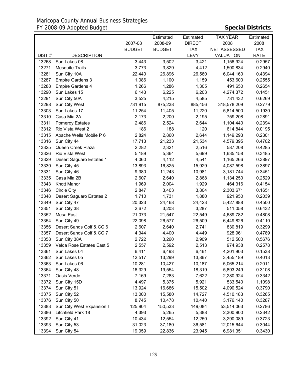## Maricopa County Annual Business Strategies FY 2008-09 Adopted Budget **Special Districts**

|                |                           |                  | Estimated        | Estimated        | <b>TAX YEAR</b>        | Estimated        |
|----------------|---------------------------|------------------|------------------|------------------|------------------------|------------------|
|                |                           | 2007-08          | 2008-09          | <b>DIRECT</b>    | 2008                   | 2008             |
|                |                           | <b>BUDGET</b>    | <b>BUDGET</b>    | <b>TAX</b>       | NET ASSESSED           | <b>TAX</b>       |
| DIST#          | <b>DESCRIPTION</b>        |                  |                  | LEVY             | <b>VALUATION</b>       | <b>RATE</b>      |
| 13268          | Sun Lakes 08              | 3,443            | 3,502            | 3,421            | 1,156,924              | 0.2957           |
| 13271          | <b>Mesquite Trails</b>    | 3,773            | 3,829            | 4,412            | 1,500,834              | 0.2940           |
| 13281          | Sun City 10A              | 22,440           | 26,896           | 26,560           | 6,044,160              | 0.4394           |
| 13287          | Empire Gardens 3          | 1,086            | 1,100            | 1,159            | 453,600                | 0.2555           |
| 13288          | <b>Empire Gardens 4</b>   | 1,266            | 1,286            | 1,305            | 491,650                | 0.2654           |
| 13290          | Sun Lakes 15              | 6,143            | 6,225            | 6,203            | 4,274,372              | 0.1451           |
| 13291          | Sun City 50A              | 3,525            | 4,215            | 4,585            | 731,432                | 0.6269           |
| 13298          | Sun City West             | 731,915          | 875,238          | 885,456          | 318,578,209            | 0.2779           |
| 13303          | Sun Lakes 17              | 11,254           | 11,405           | 11,220           | 5,814,500              | 0.1930           |
| 13310          | Casa Mia 2A               | 2,173            | 2,200            | 2,195            | 759,208                | 0.2891           |
| 13311          | <b>Pomeroy Estates</b>    | 2,486            | 2,524            | 2,644            | 1,104,440              | 0.2394           |
| 13312          | Rio Vista West 2          | 186              | 188              | 120              | 614,844                | 0.0195           |
| 13315          | Apache Wells Mobile P 6   | 2,824            | 2,860            | 2,644            | 1,149,293              | 0.2301           |
| 13316          | Sun City 44               | 17,713           | 21,233           | 21,534           | 4,579,395              | 0.4702           |
| 13325          | Queen Creek Plaza         | 2,282            | 2,321            | 2,516            | 587,208                | 0.4285           |
| 13326          | Rio Vista West            | 5,189            | 5,364            | 5,699            | 1,635,158              | 0.3485           |
| 13329          | Desert Saguaro Estates 1  | 4,060            | 4,112            | 4,541            | 1,165,266              | 0.3897           |
| 13330          | Sun City 45               | 13,893           | 16,825           | 15,929           | 4,087,598              | 0.3897           |
| 13331          | Sun City 46               | 9,380            | 11,243           | 10,981           | 3,181,744              | 0.3451           |
| 13335          | Casa Mia 2B               | 2,607            | 2,640            | 2,868            | 1,134,250              | 0.2529           |
| 13343          | Knott Manor               | 1,969            | 2,004            | 1,929            | 464,316                | 0.4154           |
| 13346          | <b>Circle City</b>        | 2,847            | 3,403            | 3,804            | 2,303,671              | 0.1651           |
| 13348          | Desert Saguaro Estates 2  | 1,710            | 1,731            | 1,880            | 921,950                | 0.2039           |
| 13349          | Sun City 47               | 20,323           | 24,468           | 24,423           | 5,427,888              | 0.4500           |
| 13351          | Sun City 38               | 2,672            | 3,203            | 3,287            | 511,058                | 0.6432           |
| 13352          | Mesa East                 | 21,073           | 21,547           | 22,549           | 4,689,782              | 0.4808           |
| 13354          | Sun City 49               | 22,098           | 26,577           | 26,509           | 6,449,826              | 0.4110           |
| 13356          | Desert Sands Golf & CC 6  | 2,607            | 2,640            | 2,741            | 830,819                | 0.3299           |
| 13357          | Desert Sands Golf & CC 7  | 4,344            | 4,400            | 4,449            | 928,961                | 0.4789           |
| 13358          | Sun City 38A              | 2,722            | 3,260            | 2,909            | 512,500                | 0.5676           |
| 13359          | Velda Rose Estates East 5 | 2,557            | 2,592            | 2,513            | 974,938                | 0.2578           |
| 13361          | Sun Lakes 04              | 6,411            | 6,493            | 6,461            | 4,201,903              | 0.1538           |
| 13362          | Sun Lakes 05              | 12,517           | 13,299           | 13,867           | 3,455,189              | 0.4013           |
| 13363          | Sun Lakes 06              | 10,281           | 10,427           | 10,187           | 5,065,214              | 0.2011           |
| 13364          | Sun City 48               | 16,329           | 19,554           | 18,319           | 5,893,249              | 0.3108           |
| 13371          | Oasis Verde               | 7,169            | 7,283            | 7,622            | 2,280,924              | 0.3342           |
| 13372          | Sun City 15D              | 4,497            | 5,375            | 5,921            | 533,540                | 1.1098           |
| 13374          | Sun City 51               |                  |                  |                  |                        |                  |
| 13375          | Sun City 52               | 13,924<br>13,000 | 16,686<br>15,580 | 15,502<br>14,727 | 4,090,524<br>4,510,183 | 0.3790<br>0.3265 |
| 13376          | Sun City 50               | 8,745            | 10,478           | 10,440           |                        | 0.3287           |
| 13383          | Sun City West Expansion I |                  |                  |                  | 3,176,140              |                  |
|                |                           | 125,904          | 150,533          | 149,084          | 53,514,063             | 0.2786           |
| 13386          | Litchfield Park 18        | 4,393            | 5,265            | 5,388            | 2,300,900              | 0.2342           |
| 13392<br>13393 | Sun City 41               | 10,434           | 12,554           | 12,250           | 3,290,089              | 0.3723           |
|                | Sun City 53               | 31,023           | 37,180           | 36,581           | 12,015,644             | 0.3044           |
| 13394          | Sun City 54               | 19,059           | 22,836           | 23,945           | 6,981,351              | 0.3430           |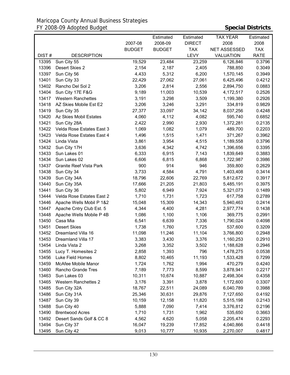## Maricopa County Annual Business Strategies FY 2008-09 Adopted Budget **Special Districts**

|       |                                |               | Estimated     | Estimated     | TAX YEAR            | Estimated   |
|-------|--------------------------------|---------------|---------------|---------------|---------------------|-------------|
|       |                                | 2007-08       | 2008-09       | <b>DIRECT</b> | 2008                | 2008        |
|       |                                | <b>BUDGET</b> | <b>BUDGET</b> | <b>TAX</b>    | <b>NET ASSESSED</b> | <b>TAX</b>  |
| DIST# | <b>DESCRIPTION</b>             |               |               | <b>LEVY</b>   | <b>VALUATION</b>    | <b>RATE</b> |
| 13395 | Sun City 55                    | 19,529        | 23,484        | 23,259        | 6,126,846           | 0.3796      |
| 13396 | Desert Skies 2                 | 2,154         | 2,187         | 2,405         | 788,850             | 0.3049      |
| 13397 | Sun City 56                    | 4,433         | 5,312         | 6,200         | 1,570,145           | 0.3949      |
| 13401 | Sun City 33                    | 22,429        | 27,062        | 27,061        | 6,425,496           | 0.4212      |
| 13402 | Rancho Del Sol 2               | 3,206         | 2,814         | 2,556         | 2,894,750           | 0.0883      |
| 13404 | Sun City 17E F&G               | 9,189         | 11,003        | 10,539        | 4,172,517           | 0.2526      |
| 13417 | <b>Western Ranchettes</b>      | 3,191         | 3,298         | 3,509         | 1,199,380           | 0.2926      |
| 13418 | AZ Skies Mobile Est E2         | 3,206         | 3,246         | 3,291         | 334,819             | 0.9829      |
| 13419 | Sun City 35                    | 27,377        | 33,097        | 34,142        | 8,037,256           | 0.4248      |
| 13420 | Az Skies Mobil Estates         | 4,060         | 4,112         | 4,082         | 595,740             | 0.6852      |
| 13421 | Sun City 28A                   | 2,422         | 2,990         | 2,930         | 1,372,281           | 0.2135      |
| 13422 | Velda Rose Estates East 3      | 1,069         | 1,082         | 1,079         | 489,700             | 0.2203      |
| 13423 | Velda Rose Estates East 4      | 1,496         | 1,515         | 1,471         | 371,267             | 0.3962      |
| 13424 | Linda Vista                    | 3,861         | 3,954         | 4,515         | 1,189,558           | 0.3796      |
| 13432 | Sun City 17H                   | 3,636         | 4,342         | 4,742         | 1,396,656           | 0.3395      |
| 13433 | Sun Lakes 01                   | 6,333         | 6,915         | 7,143         | 1,839,649           | 0.3883      |
| 13434 | Sun Lakes 02                   | 6,606         | 6,815         | 6,868         | 1,722,987           | 0.3986      |
| 13437 | <b>Granite Reef Vista Park</b> | 900           | 914           | 946           | 359,800             | 0.2629      |
| 13438 | Sun City 34                    | 3,733         | 4,584         | 4,791         | 1,403,408           | 0.3414      |
| 13439 | Sun City 34A                   | 18,796        | 22,606        | 22,769        | 5,812,672           | 0.3917      |
| 13440 | Sun City 35A                   | 17,666        | 21,205        | 21,803        | 5,485,191           | 0.3975      |
| 13441 | Sun City 36                    | 5,802         | 6,949         | 7,924         | 5,321,073           | 0.1489      |
| 13444 | Velda Rose Estates East 2      | 1,710         | 1,731         | 1,723         | 617,758             | 0.2789      |
| 13446 | Apache Wells Mobil P 1&2       | 15,048        | 15,309        | 14,343        | 5,940,463           | 0.2414      |
| 13447 | Apache Cntry Club Est. 5       | 4,344         | 4,400         | 4,281         | 2,977,774           | 0.1438      |
| 13448 | Apache Wells Mobile P 4B       | 1,086         | 1,100         | 1,106         | 369,775             | 0.2991      |
| 13450 | Casa Mia                       | 6,541         | 6,639         | 7,336         | 1,790,024           | 0.4098      |
| 13451 | <b>Desert Skies</b>            | 1,738         | 1,760         | 1,725         | 537,600             | 0.3209      |
| 13452 | Dreamland Villa 16             | 11,098        | 11,246        | 11,104        | 3,766,800           | 0.2948      |
| 13453 | Dreamland Villa 17             | 3,383         | 3,430         | 3,376         | 1,160,253           | 0.2910      |
| 13454 | Linda Vista 2                  | 3,268         | 3,352         | 3,502         | 1,188,628           | 0.2946      |
| 13455 | Lucy T. Homesites 2            | 2,858         | 1,393         | 796           | 1,478,275           | 0.0538      |
| 13456 | Luke Field Homes               | 8,802         | 10,465        | 11,193        | 1,533,428           | 0.7299      |
| 13459 | McAfee Mobile Manor            | 1,724         | 1,762         | 1,994         | 470,279             | 0.4240      |
| 13460 | Rancho Grande Tres             | 7,189         | 7,773         | 8,599         | 3,878,941           | 0.2217      |
| 13463 | Sun Lakes 03                   | 10,311        | 10,674        | 10,887        | 2,498,304           | 0.4358      |
| 13465 | Western Ranchettes 2           | 3,176         | 3,391         | 3,878         | 1,172,600           | 0.3307      |
| 13485 | Sun City 32A                   | 18,767        | 22,511        | 24,089        | 6,040,789           | 0.3988      |
| 13486 | Sun City 31A                   | 25,346        | 30,631        | 29,876        | 7,127,650           | 0.4192      |
| 13487 | Sun City 39                    | 10,159        | 12,158        | 11,820        | 5,515,198           | 0.2143      |
| 13488 | Sun City 40                    | 5,888         | 7,090         | 7,414         | 3,376,812           | 0.2196      |
| 13490 | <b>Brentwood Acres</b>         | 1,710         | 1,731         | 1,962         | 535,650             | 0.3663      |
| 13492 | Desert Sands Golf & CC 8       | 4,562         | 4,620         | 5,058         | 2,205,474           | 0.2293      |
| 13494 | Sun City 37                    | 16,047        | 19,239        | 17,852        | 4,040,866           | 0.4418      |
| 13495 | Sun City 42                    | 9,013         | 10,777        | 10,935        | 2,270,007           | 0.4817      |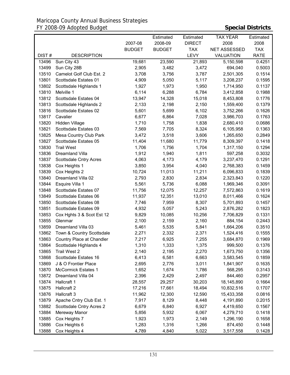|       |                            |               | Estimated     | Estimated     | <b>TAX YEAR</b>     | Estimated   |
|-------|----------------------------|---------------|---------------|---------------|---------------------|-------------|
|       |                            | 2007-08       | 2008-09       | <b>DIRECT</b> | 2008                | 2008        |
|       |                            | <b>BUDGET</b> | <b>BUDGET</b> | <b>TAX</b>    | <b>NET ASSESSED</b> | <b>TAX</b>  |
| DIST# | <b>DESCRIPTION</b>         |               |               | <b>LEVY</b>   | <b>VALUATION</b>    | <b>RATE</b> |
| 13496 | Sun City 43                | 19,681        | 23,590        | 21,893        | 5,150,598           | 0.4251      |
| 13499 | Sun City 28B               | 2,905         | 3,482         | 3,472         | 694,040             | 0.5003      |
| 13510 | Camelot Golf Club Est. 2   | 3,708         | 3,756         | 3,787         | 2,501,305           | 0.1514      |
| 13801 | Scottsdale Estates 01      | 4,909         | 5,050         | 5,117         | 3,208,237           | 0.1595      |
| 13802 | Scottsdale Highlands 1     | 1,927         | 1,973         | 1,950         | 1,714,950           | 0.1137      |
| 13810 | Melville 1                 | 6,114         | 6,288         | 6,784         | 3,412,858           | 0.1988      |
| 13812 | Scottsdale Estates 04      | 13,947        | 14,328        | 15,018        | 8,453,808           | 0.1776      |
| 13813 | Scottsdale Highlands 2     | 2,133         | 2,198         | 2,150         | 1,559,400           | 0.1379      |
| 13816 | Scottsdale Estates 02      | 5,601         | 5,699         | 6,102         | 3,752,266           | 0.1626      |
| 13817 | Cavalier                   | 6,677         | 6,864         | 7,028         | 3,986,703           | 0.1763      |
| 13820 | Hidden Village             | 1,710         | 1,758         | 1,838         | 2,680,410           | 0.0686      |
| 13821 | Scottsdale Estates 03      | 7,569         | 7,705         | 8,324         | 6,105,958           | 0.1363      |
| 13825 | Mesa Country Club Park     | 3,472         | 3,518         | 3,606         | 1,265,650           | 0.2849      |
| 13827 | Scottsdale Estates 05      | 11,404        | 11,680        | 11,779        | 8,309,397           | 0.1418      |
| 13830 | <b>Trail West</b>          | 1,706         | 1,756         | 1,704         | 1,317,150           | 0.1294      |
| 13836 | Dreamland Villa            | 1,912         | 1,940         | 1,811         | 597,258             | 0.3032      |
| 13837 | Scottsdale Cntry Acres     | 4,063         | 4,173         | 4,179         | 3,237,470           | 0.1291      |
| 13838 | Cox Heights 1              | 3,850         | 3,954         | 4,040         | 2,768,383           | 0.1459      |
| 13839 | Cox Heights 2              | 10,724        | 11,013        | 11,211        | 6,096,833           | 0.1839      |
| 13840 | Dreamland Villa 02         | 2,793         | 2,830         | 2,834         | 2,323,843           | 0.1220      |
| 13844 | Esquire Villa 1            | 5,561         | 5,736         | 6,088         | 1,969,346           | 0.3091      |
| 13848 | Scottsdale Estates 07      | 11,756        | 12,075        | 12,257        | 7,572,863           | 0.1619      |
| 13849 | Scottsdale Estates 06      | 11,937        | 12,351        | 13,010        | 8,011,466           | 0.1624      |
| 13850 | Scottsdale Estates 08      | 7,746         | 7,959         | 8,307         | 5,701,893           | 0.1457      |
| 13851 | Scottsdale Estates 09      | 4,932         | 5,057         | 5,243         | 2,876,282           | 0.1823      |
| 13853 | Cox Hghts 3 & Scot Est 12  | 9,829         | 10,085        | 10,256        | 7,706,829           | 0.1331      |
| 13855 | Glenmar                    | 2,100         | 2,159         | 2,160         | 884,154             | 0.2443      |
| 13859 | Dreamland Villa 03         | 5,461         | 5,535         | 5,841         | 1,664,206           | 0.3510      |
| 13862 | Town & Country Scottsdale  | 2,271         | 2,332         | 2,371         | 1,524,416           | 0.1555      |
| 13863 | Country Place at Chandler  | 7,217         | 6,925         | 7,255         | 3,684,870           | 0.1969      |
| 13864 | Scottsdale Highlands 4     | 1,310         | 1,333         | 1,375         | 999,500             | 0.1376      |
| 13865 | Trail West 2               | 2,140         | 2,195         | 2,270         | 1,673,750           | 0.1356      |
| 13868 | Scottsdale Estates 16      | 6,413         | 6,581         | 6,663         | 3,583,545           | 0.1859      |
| 13869 | J & O Frontier Place       | 2,695         | 2,776         | 3,011         | 1,841,907           | 0.1635      |
| 13870 | <b>McCormick Estates 1</b> | 1,652         | 1,674         | 1,786         | 568,295             | 0.3143      |
| 13872 | Dreamland Villa 04         | 2,396         | 2,429         | 2,497         | 844,460             | 0.2957      |
| 13874 | Hallcraft 1                | 28,557        | 29,257        | 30,203        | 18,145,890          | 0.1664      |
| 13875 | Hallcraft 2                | 17,216        | 17,661        | 18,494        | 10,832,516          | 0.1707      |
| 13876 | Hallcraft 3                | 11,962        | 12,300        | 12,590        | 15,433,358          | 0.0816      |
| 13879 | Apache Cntry Club Est. 1   | 7,917         | 8,129         | 8,448         | 4,191,890           | 0.2015      |
| 13882 | Scottsdale Cntry Acres 2   | 6,679         | 6,840         | 6,927         | 4,419,650           | 0.1567      |
| 13884 | Mereway Manor              | 5,856         | 5,932         | 6,067         | 4,279,710           | 0.1418      |
| 13885 | Cox Heights 7              | 1,923         | 1,973         | 2,149         | 1,296,190           | 0.1658      |
| 13886 | Cox Heights 6              | 1,283         | 1,316         | 1,266         | 874,450             | 0.1448      |
| 13888 | Cox Heights 4              | 4,789         | 4,840         | 5,022         | 3,517,558           | 0.1428      |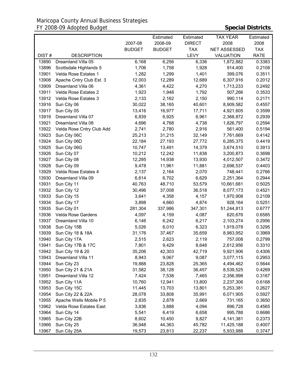## Maricopa County Annual Business Strategies FY 2008-09 Adopted Budget **Special Districts**

|       |                           |               | Estimated     | Estimated     | <b>TAX YEAR</b>     | Estimated   |
|-------|---------------------------|---------------|---------------|---------------|---------------------|-------------|
|       |                           | 2007-08       | 2008-09       | <b>DIRECT</b> | 2008                | 2008        |
|       |                           | <b>BUDGET</b> | <b>BUDGET</b> | <b>TAX</b>    | <b>NET ASSESSED</b> | <b>TAX</b>  |
| DIST# | <b>DESCRIPTION</b>        |               |               | LEVY          | VALUATION           | <b>RATE</b> |
| 13890 | Dreamland Villa 05        | 6,168         | 6,256         | 6,336         | 1,872,882           | 0.3383      |
| 13896 | Scottsdale Highlands 5    | 1,706         | 1,758         | 1,928         | 914,400             | 0.2108      |
| 13901 | Velda Rose Estates 1      | 1,282         | 1,299         | 1,401         | 399,076             | 0.3511      |
| 13908 | Apache Cntry Club Est. 3  | 12,003        | 12,289        | 12,689        | 6,307,916           | 0.2012      |
| 13909 | Dreamland Villa 06        | 4,361         | 4,422         | 4,270         | 1,713,233           | 0.2492      |
| 13911 | Velda Rose Estates 2      | 1,923         | 1,948         | 1,792         | 507,266             | 0.3533      |
| 13912 | Velda Rose Estates 3      | 2,133         | 2,162         | 2,150         | 990,114             | 0.2171      |
| 13916 | Sun City 06               | 30,022        | 38,165        | 40,601        | 8,909,582           | 0.4557      |
| 13917 | Sun City 05               | 13,416        | 16,977        | 17,711        | 4,921,605           | 0.3599      |
| 13919 | Dreamland Villa 07        | 6,839         | 6,925         | 6,961         | 2,368,872           | 0.2939      |
| 13921 | Dreamland Villa 08        | 4,696         | 4,768         | 4,738         | 1,826,797           | 0.2594      |
| 13922 | Velda Rose Cntry Club Add | 2,741         | 2,780         | 2,916         | 561,400             | 0.5194      |
| 13923 | Sun City 06C              | 25,213        | 31,215        | 32,149        | 7,761,669           | 0.4142      |
| 13924 | Sun City 06D              | 22,184        | 27,193        | 27,772        | 6,285,375           | 0.4419      |
| 13925 | Sun City 06G              | 10,747        | 13,491        | 14,379        | 3,674,510           | 0.3913      |
| 13926 | Sun City 07               | 10,212        | 12,242        | 11,838        | 3,200,873           | 0.3698      |
| 13927 | Sun City 08               | 12,295        | 14,938        | 13,930        | 4,012,507           | 0.3472      |
| 13928 | Sun City 09               | 9,478         | 11,961        | 11,881        | 2,698,537           | 0.4403      |
| 13929 | Velda Rose Estates 4      | 2,137         | 2,164         | 2,070         | 748,441             | 0.2766      |
| 13930 | Dreamland Villa 09        | 6,614         | 6,702         | 6,629         | 2,251,364           | 0.2944      |
| 13931 | Sun City 11               | 40,763        | 48,710        | 53,579        | 10,661,681          | 0.5025      |
| 13932 | Sun City 12               | 30,496        | 37,008        | 36,518        | 8,077,173           | 0.4521      |
| 13933 | Sun City 15               | 3,641         | 4,358         | 4,157         | 1,970,908           | 0.2109      |
| 13934 | Sun City 17               | 3,898         | 4,660         | 4,874         | 928,164             | 0.5251      |
| 13935 | Sun City 01               | 281,304       | 337,986       | 347,301       | 51,244,813          | 0.6777      |
| 13936 | Velda Rose Gardens        | 4,097         | 4,159         | 4,087         | 620,676             | 0.6585      |
| 13937 | Dreamland Villa 10        | 6,146         | 6,242         | 6,217         | 2,103,274           | 0.2956      |
| 13938 | Sun City 15B              | 5,026         | 6,010         | 6,323         | 1,919,078           | 0.3295      |
| 13939 | Sun City 18 & 18A         | 31,176        | 37,467        | 35,659        | 8,983,952           | 0.3969      |
| 13940 | Sun City 17A              | 2,515         | 2,623         | 2,119         | 757,008             | 0.2799      |
| 13941 | Sun City 17B & 17C        | 7,801         | 9,429         | 8,648         | 2,612,956           | 0.3310      |
| 13942 | Sun City 19 & 20          | 35,206        | 42,303        | 42,719        | 9,921,906           | 0.4306      |
| 13943 | Dreamland Villa 11        | 8,943         | 9,067         | 9,087         | 3,077,115           | 0.2953      |
| 13944 | Sun City 23               | 19,888        | 23,828        | 25,365        | 4,494,462           | 0.5644      |
| 13950 | Sun City 21 & 21A         | 31,582        | 38,128        | 36,457        | 8,539,525           | 0.4269      |
| 13951 | Dreamland Villa 12        | 7,424         | 7,538         | 7,465         | 2,356,998           | 0.3167      |
| 13952 | Sun City 11A              | 10,760        | 12,941        | 13,800        | 2,237,306           | 0.6168      |
| 13953 | Sun City 15C              | 11,445        | 13,703        | 13,801        | 5,253,381           | 0.2627      |
| 13954 | Sun City 22 & 22A         | 28,078        | 33,808        | 35,991        | 6,071,905           | 0.5927      |
| 13955 | Apache Wells Mobile P 5   | 2,835         | 2,878         | 2,669         | 731,165             | 0.3650      |
| 13962 | Velda Rose Estates East   | 3,836         | 3,888         | 4,094         | 896,728             | 0.4565      |
| 13964 | Sun City 14               | 5,541         | 6,419         | 6,658         | 995,788             | 0.6686      |
| 13965 | Sun City 22B              | 8,602         | 10,450        | 9,827         | 4,141,381           | 0.2373      |
| 13966 | Sun City 25               | 36,948        | 44,363        | 45,782        | 11,425,188          | 0.4007      |
| 13967 | Sun City 25A              | 19,573        | 23,813        | 22,237        | 5,933,988           | 0.3747      |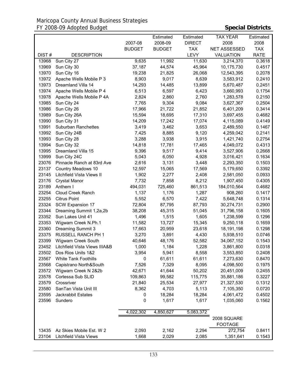|       |                               |               | Estimated     | Estimated     | <b>TAX YEAR</b>     | Estimated   |
|-------|-------------------------------|---------------|---------------|---------------|---------------------|-------------|
|       |                               | 2007-08       | 2008-09       | <b>DIRECT</b> | 2008                | 2008        |
|       |                               | <b>BUDGET</b> | <b>BUDGET</b> | <b>TAX</b>    | <b>NET ASSESSED</b> | <b>TAX</b>  |
| DIST# | <b>DESCRIPTION</b>            |               |               | LEVY          | <b>VALUATION</b>    | <b>RATE</b> |
| 13968 | Sun City 27                   | 9,635         | 11,992        | 11,630        | 3,214,370           | 0.3618      |
| 13969 | Sun City 30                   | 37,187        | 44,574        | 45,964        | 10,175,730          | 0.4517      |
| 13970 | Sun City 16                   | 19,238        | 21,825        | 26,068        | 12,543,395          | 0.2078      |
| 13972 | Apache Wells Mobile P 3       | 8,903         | 9,017         | 8,639         | 3,583,912           | 0.2410      |
| 13973 | Dreamland Villa 14            | 14,293        | 14,485        | 13,899        | 5,670,487           | 0.2451      |
| 13974 | Apache Wells Mobile P 4       | 6,513         | 6,597         | 6,423         | 3,660,993           | 0.1754      |
| 13978 | Apache Wells Mobile P 4A      | 2,824         | 2,860         | 2,760         | 1,283,578           | 0.2150      |
| 13985 | Sun City 24                   | 7,765         | 9,304         | 9,084         | 3,627,367           | 0.2504      |
| 13986 | Sun City 26                   | 17,966        | 21,722        | 21,852        | 6,401,209           | 0.3414      |
| 13989 | Sun City 26A                  | 15,594        | 18,695        | 17,310        | 3,697,455           | 0.4682      |
| 13990 | Sun City 31                   | 14,209        | 17,242        | 17,074        | 4,115,089           | 0.4149      |
| 13991 | Suburban Ranchettes           | 3,419         | 3,462         | 3,653         | 2,489,550           | 0.1467      |
| 13992 | Sun City 24B                  | 7,425         | 8,885         | 9,120         | 4,259,042           | 0.2141      |
| 13993 | Sun City 28                   | 3,288         | 3,938         | 3,915         | 1,421,740           | 0.2754      |
| 13994 | Sun City 32                   | 14,818        | 17,781        | 17,465        | 4,049,072           | 0.4313      |
| 13995 | Dreamland Villa 15            | 9,396         | 9,517         | 9,414         | 3,527,906           | 0.2668      |
| 13999 | Sun City 24C                  | 5,043         | 6,050         | 4,928         | 3,016,421           | 0.1634      |
| 23076 | Pinnacle Ranch at 83rd Ave    | 2,616         | 3,131         | 3,448         | 2,293,350           | 0.1503      |
| 23137 | Country Meadows 10            | 12,597        | 15,065        | 17,569        | 5,179,650           | 0.3392      |
| 23145 | Litchfield Vista Views II     | 1,902         | 2,277         | 2,408         | 2,581,050           | 0.0933      |
| 23176 | <b>Crystal Manor</b>          | 7,732         | 7,858         | 8,212         | 1,907,450           | 0.4305      |
| 23189 | Anthem I                      | 494,031       | 725,460       | 861,513       | 184,010,564         | 0.4682      |
| 23254 | Cloud Creek Ranch             | 1,137         | 1,176         | 1,287         | 908,260             | 0.1417      |
| 23255 | <b>Citrus Point</b>           | 5,552         | 6,570         | 7,422         | 5,648,748           | 0.1314      |
| 23324 | SCW Expansion 17              | 72,804        | 87,795        | 87,793        | 30,274,731          | 0.2900      |
| 23344 | Dreaming Summit 1,2a,2b       | 38,208        | 45,315        | 51,045        | 31,796,158          | 0.1605      |
| 23352 | Sun Lakes Unit 41             | 1,496         | 1,515         | 1,605         | 1,238,599           | 0.1296      |
| 23353 | Wigwam Creek N.Ph.1           | 11,582        | 13,727        | 15,345        | 9,250,118           | 0.1659      |
| 23360 | Dreaming Summit 3             | 17,663        | 20,959        | 23,618        | 18,191,198          | 0.1298      |
| 23375 | RUSSELL RANCH PH 1            | 3,270         | 3,891         | 4,430         | 5,938,510           | 0.0746      |
| 23399 | Wigwam Creek South            | 40,646        | 48,176        | 52,582        | 34,067,152          | 0.1543      |
| 23452 | Litchfield Vista Views IIIA&B | 1,000         | 1,184         | 1,228         | 3,861,800           | 0.0318      |
| 23502 | Dos Rios Units 1&2            | 3,954         | 5,941         | 8,558         | 3,553,850           | 0.2408      |
| 23567 | <b>White Tank Foothills</b>   | 0             | 61,611        | 61,611        | 7,273,630           | 0.8470      |
| 23568 | Capistrano North&South        | 7,526         | 7,329         | 8,095         | 4,098,500           | 0.1975      |
| 23572 | Wigwam Creek N 2&2b           | 42,671        | 41,644        | 50,202        | 20,451,009          | 0.2455      |
| 23578 | Cortessa Sub SLID             | 109,863       | 99,582        | 115,775       | 35,881,186          | 0.3227      |
| 23579 | Crossriver                    | 21,840        | 25,534        | 27,977        | 21,327,530          | 0.1312      |
| 23580 | SanTan Vista Unit III         | 8,362         | 4,703         | 5,113         | 7,105,350           | 0.0720      |
| 23595 | Jackrabbit Estates            | 0             | 18,284        | 18,284        | 4,061,472           | 0.4502      |
| 23596 | Sundero                       | 0             | 1,617         | 1,617         | 1,035,060           | 0.1562      |
|       |                               |               |               |               |                     |             |
|       |                               | 4,022,302     | 4,850,627     | 5,083,372     |                     |             |
|       |                               |               |               |               | 2008 SQUARE         |             |
|       |                               |               |               |               | <b>FOOTAGE</b>      |             |
| 13435 | Az Skies Mobile Est. W 2      | 2,093         | 2,162         | 2,294         | 272,754             | 0.8411      |
| 23104 | Litchfield Vista Views        | 1,668         | 2,029         | 2,085         | 1,351,641           | 0.1543      |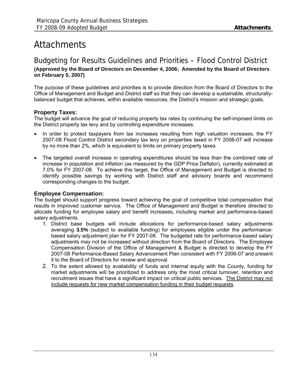# **Attachments**

## Budgeting for Results Guidelines and Priorities – Flood Control District

## **(Approved by the Board of Directors on December 4, 2006; Amended by the Board of Directors on February 5, 2007)**

The purpose of these guidelines and priorities is to provide direction from the Board of Directors to the Office of Management and Budget and District staff so that they can develop a sustainable, structurallybalanced budget that achieves, within available resources, the District's mission and strategic goals.

## **Property Taxes:**

The budget will advance the goal of reducing property tax rates by continuing the self-imposed limits on the District property tax levy and by controlling expenditure increases.

- In order to protect taxpayers from tax increases resulting from high valuation increases, the FY 2007-08 Flood Control District secondary tax levy on properties taxed in FY 2006-07 will increase by no more than 2%, which is equivalent to limits on primary property taxes.
- The targeted overall increase in operating expenditures should be less than the combined rate of increase in population and inflation (as measured by the GDP Price Deflator), currently estimated at 7.0% for FY 2007-08. To achieve this target, the Office of Management and Budget is directed to identify possible savings by working with District staff and advisory boards and recommend corresponding changes to the budget.

## **Employee Compensation:**

The budget should support progress toward achieving the goal of competitive total compensation that results in improved customer service. The Office of Management and Budget is therefore directed to allocate funding for employee salary and benefit increases, including market and performance-based salary adjustments.

- 1. District base budgets will include allocations for performance-based salary adjustments averaging **3.5%** (subject to available funding) for employees eligible under the performancebased salary adjustment plan for FY 2007-08. The budgeted rate for performance-based salary adjustments may not be increased without direction from the Board of Directors. The Employee Compensation Division of the Office of Management & Budget is directed to develop the FY 2007-08 Performance-Based Salary Advancement Plan consistent with FY 2006-07 and present it to the Board of Directors for review and approval.
- 2. To the extent allowed by availability of funds and internal equity with the County, funding for market adjustments will be prioritized to address only the most critical turnover, retention and recruitment issues that have a significant impact on critical public services. The District may not include requests for new market compensation funding in their budget requests.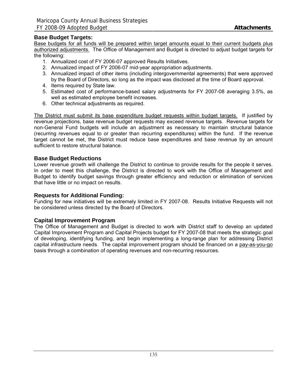## **Base Budget Targets:**

Base budgets for all funds will be prepared within target amounts equal to their current budgets plus authorized adjustments. The Office of Management and Budget is directed to adjust budget targets for the following:

- 1. Annualized cost of FY 2006-07 approved Results Initiatives.
- 2. Annualized impact of FY 2006-07 mid-year appropriation adjustments.
- 3. Annualized impact of other items (including intergovernmental agreements) that were approved by the Board of Directors, so long as the impact was disclosed at the time of Board approval.
- 4. Items required by State law.
- 5. Estimated cost of performance-based salary adjustments for FY 2007-08 averaging 3.5%, as well as estimated employee benefit increases.
- 6. Other technical adjustments as required.

The District must submit its base expenditure budget requests within budget targets. If justified by revenue projections, base revenue budget requests may exceed revenue targets. Revenue targets for non-General Fund budgets will include an adjustment as necessary to maintain structural balance (recurring revenues equal to or greater than recurring expenditures) within the fund. If the revenue target cannot be met, the District must reduce base expenditures and base revenue by an amount sufficient to restore structural balance.

## **Base Budget Reductions**

Lower revenue growth will challenge the District to continue to provide results for the people it serves. In order to meet this challenge, the District is directed to work with the Office of Management and Budget to identify budget savings through greater efficiency and reduction or elimination of services that have little or no impact on results.

## **Requests for Additional Funding:**

Funding for new initiatives will be extremely limited in FY 2007-08. Results Initiative Requests will not be considered unless directed by the Board of Directors.

## **Capital Improvement Program**

The Office of Management and Budget is directed to work with District staff to develop an updated Capital Improvement Program and Capital Projects budget for FY 2007-08 that meets the strategic goal of developing, identifying funding, and begin implementing a long-range plan for addressing District capital infrastructure needs. The capital improvement program should be financed on a pay-as-you-go basis through a combination of operating revenues and non-recurring resources.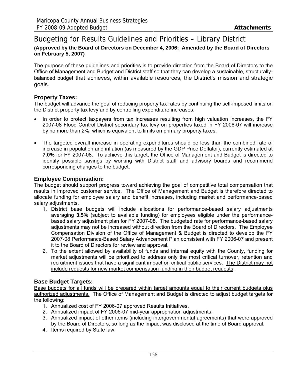## Budgeting for Results Guidelines and Priorities – Library District **(Approved by the Board of Directors on December 4, 2006; Amended by the Board of Directors on February 5, 2007)**

The purpose of these guidelines and priorities is to provide direction from the Board of Directors to the Office of Management and Budget and District staff so that they can develop a sustainable, structurallybalanced budget that achieves, within available resources, the District's mission and strategic goals.

## **Property Taxes:**

The budget will advance the goal of reducing property tax rates by continuing the self-imposed limits on the District property tax levy and by controlling expenditure increases.

- In order to protect taxpayers from tax increases resulting from high valuation increases, the FY 2007-08 Flood Control District secondary tax levy on properties taxed in FY 2006-07 will increase by no more than 2%, which is equivalent to limits on primary property taxes.
- The targeted overall increase in operating expenditures should be less than the combined rate of increase in population and inflation (as measured by the GDP Price Deflator), currently estimated at **7.0%** for FY 2007-08. To achieve this target, the Office of Management and Budget is directed to identify possible savings by working with District staff and advisory boards and recommend corresponding changes to the budget.

## **Employee Compensation:**

The budget should support progress toward achieving the goal of competitive total compensation that results in improved customer service. The Office of Management and Budget is therefore directed to allocate funding for employee salary and benefit increases, including market and performance-based salary adjustments.

- 1. District base budgets will include allocations for performance-based salary adjustments averaging **3.5%** (subject to available funding) for employees eligible under the performancebased salary adjustment plan for FY 2007-08. The budgeted rate for performance-based salary adjustments may not be increased without direction from the Board of Directors. The Employee Compensation Division of the Office of Management & Budget is directed to develop the FY 2007-08 Performance-Based Salary Advancement Plan consistent with FY 2006-07 and present it to the Board of Directors for review and approval.
- 2. To the extent allowed by availability of funds and internal equity with the County, funding for market adjustments will be prioritized to address only the most critical turnover, retention and recruitment issues that have a significant impact on critical public services. The District may not include requests for new market compensation funding in their budget requests.

## **Base Budget Targets:**

Base budgets for all funds will be prepared within target amounts equal to their current budgets plus authorized adjustments. The Office of Management and Budget is directed to adjust budget targets for the following:

- 1. Annualized cost of FY 2006-07 approved Results Initiatives.
- 2. Annualized impact of FY 2006-07 mid-year appropriation adjustments.
- 3. Annualized impact of other items (including intergovernmental agreements) that were approved by the Board of Directors, so long as the impact was disclosed at the time of Board approval.
- 4. Items required by State law.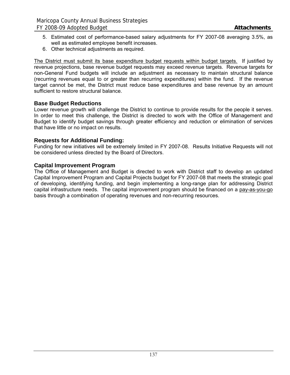- 5. Estimated cost of performance-based salary adjustments for FY 2007-08 averaging 3.5%, as well as estimated employee benefit increases.
- 6. Other technical adjustments as required.

The District must submit its base expenditure budget requests within budget targets. If justified by revenue projections, base revenue budget requests may exceed revenue targets. Revenue targets for non-General Fund budgets will include an adjustment as necessary to maintain structural balance (recurring revenues equal to or greater than recurring expenditures) within the fund. If the revenue target cannot be met, the District must reduce base expenditures and base revenue by an amount sufficient to restore structural balance.

## **Base Budget Reductions**

Lower revenue growth will challenge the District to continue to provide results for the people it serves. In order to meet this challenge, the District is directed to work with the Office of Management and Budget to identify budget savings through greater efficiency and reduction or elimination of services that have little or no impact on results.

## **Requests for Additional Funding:**

Funding for new initiatives will be extremely limited in FY 2007-08. Results Initiative Requests will not be considered unless directed by the Board of Directors.

#### **Capital Improvement Program**

The Office of Management and Budget is directed to work with District staff to develop an updated Capital Improvement Program and Capital Projects budget for FY 2007-08 that meets the strategic goal of developing, identifying funding, and begin implementing a long-range plan for addressing District capital infrastructure needs. The capital improvement program should be financed on a pay-as-you-go basis through a combination of operating revenues and non-recurring resources.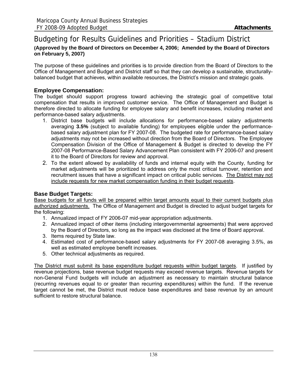## Budgeting for Results Guidelines and Priorities – Stadium District **(Approved by the Board of Directors on December 4, 2006; Amended by the Board of Directors on February 5, 2007)**

The purpose of these guidelines and priorities is to provide direction from the Board of Directors to the Office of Management and Budget and District staff so that they can develop a sustainable, structurallybalanced budget that achieves, within available resources, the District's mission and strategic goals.

## **Employee Compensation:**

The budget should support progress toward achieving the strategic goal of competitive total compensation that results in improved customer service. The Office of Management and Budget is therefore directed to allocate funding for employee salary and benefit increases, including market and performance-based salary adjustments.

- 1. District base budgets will include allocations for performance-based salary adjustments averaging **3.5%** (subject to available funding) for employees eligible under the performancebased salary adjustment plan for FY 2007-08. The budgeted rate for performance-based salary adjustments may not be increased without direction from the Board of Directors. The Employee Compensation Division of the Office of Management & Budget is directed to develop the FY 2007-08 Performance-Based Salary Advancement Plan consistent with FY 2006-07 and present it to the Board of Directors for review and approval.
- 2. To the extent allowed by availability of funds and internal equity with the County, funding for market adjustments will be prioritized to address only the most critical turnover, retention and recruitment issues that have a significant impact on critical public services. The District may not include requests for new market compensation funding in their budget requests.

## **Base Budget Targets:**

Base budgets for all funds will be prepared within target amounts equal to their current budgets plus authorized adjustments. The Office of Management and Budget is directed to adjust budget targets for the following:

- 1. Annualized impact of FY 2006-07 mid-year appropriation adjustments.
- 2. Annualized impact of other items (including intergovernmental agreements) that were approved by the Board of Directors, so long as the impact was disclosed at the time of Board approval.
- 3. Items required by State law.
- 4. Estimated cost of performance-based salary adjustments for FY 2007-08 averaging 3.5%, as well as estimated employee benefit increases.
- 5. Other technical adjustments as required.

The District must submit its base expenditure budget requests within budget targets. If justified by revenue projections, base revenue budget requests may exceed revenue targets. Revenue targets for non-General Fund budgets will include an adjustment as necessary to maintain structural balance (recurring revenues equal to or greater than recurring expenditures) within the fund. If the revenue target cannot be met, the District must reduce base expenditures and base revenue by an amount sufficient to restore structural balance.